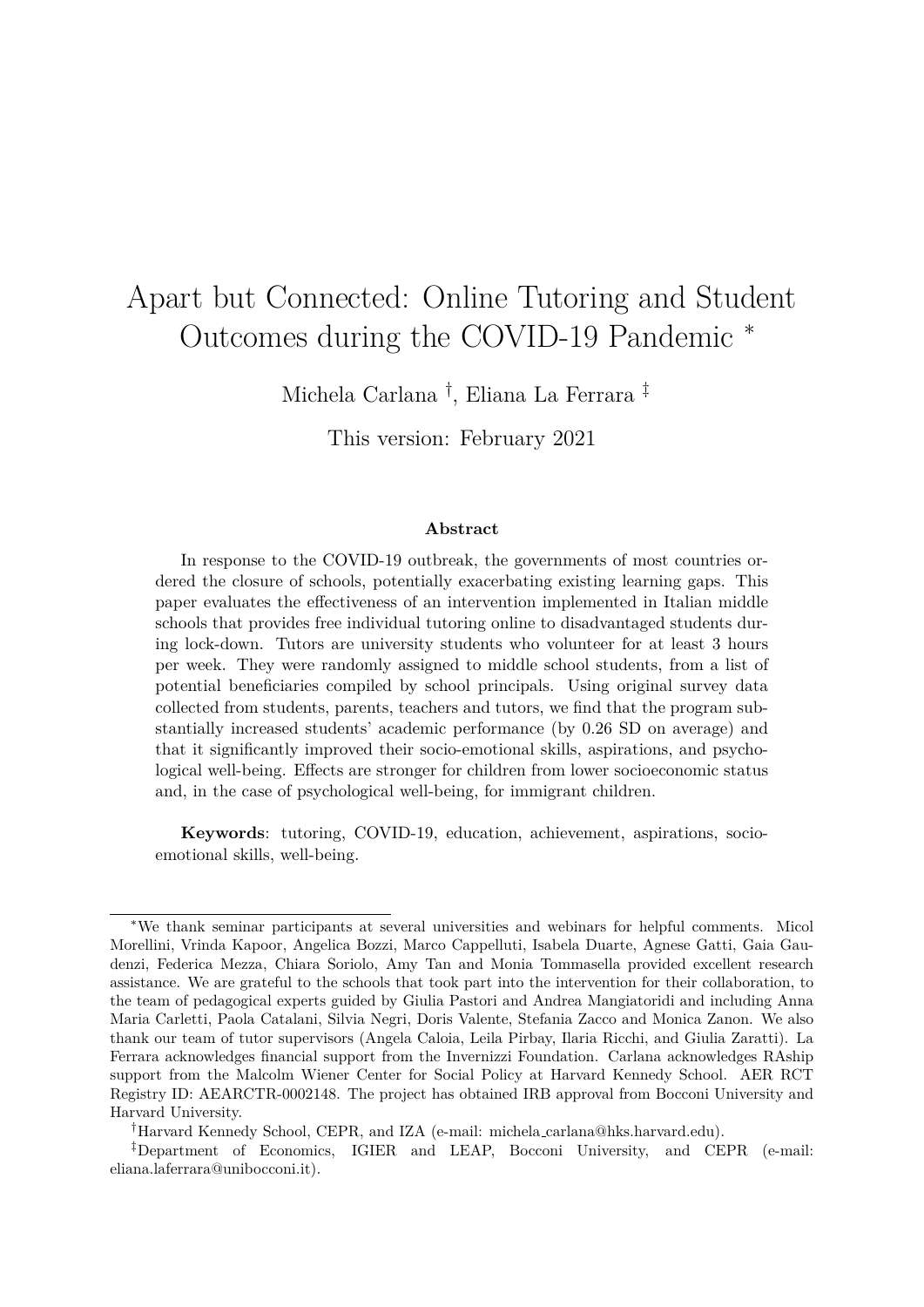# Apart but Connected: Online Tutoring and Student Outcomes during the COVID-19 Pandemic <sup>∗</sup>

Michela Carlana † , Eliana La Ferrara ‡

This version: February 2021

#### **Abstract**

In response to the COVID-19 outbreak, the governments of most countries ordered the closure of schools, potentially exacerbating existing learning gaps. This paper evaluates the effectiveness of an intervention implemented in Italian middle schools that provides free individual tutoring online to disadvantaged students during lock-down. Tutors are university students who volunteer for at least 3 hours per week. They were randomly assigned to middle school students, from a list of potential beneficiaries compiled by school principals. Using original survey data collected from students, parents, teachers and tutors, we find that the program substantially increased students' academic performance (by 0.26 SD on average) and that it significantly improved their socio-emotional skills, aspirations, and psychological well-being. Effects are stronger for children from lower socioeconomic status and, in the case of psychological well-being, for immigrant children.

**Keywords**: tutoring, COVID-19, education, achievement, aspirations, socioemotional skills, well-being.

<sup>∗</sup>We thank seminar participants at several universities and webinars for helpful comments. Micol Morellini, Vrinda Kapoor, Angelica Bozzi, Marco Cappelluti, Isabela Duarte, Agnese Gatti, Gaia Gaudenzi, Federica Mezza, Chiara Soriolo, Amy Tan and Monia Tommasella provided excellent research assistance. We are grateful to the schools that took part into the intervention for their collaboration, to the team of pedagogical experts guided by Giulia Pastori and Andrea Mangiatoridi and including Anna Maria Carletti, Paola Catalani, Silvia Negri, Doris Valente, Stefania Zacco and Monica Zanon. We also thank our team of tutor supervisors (Angela Caloia, Leila Pirbay, Ilaria Ricchi, and Giulia Zaratti). La Ferrara acknowledges financial support from the Invernizzi Foundation. Carlana acknowledges RAship support from the Malcolm Wiener Center for Social Policy at Harvard Kennedy School. AER RCT Registry ID: AEARCTR-0002148. The project has obtained IRB approval from Bocconi University and Harvard University.

<sup>†</sup>Harvard Kennedy School, CEPR, and IZA (e-mail: michela carlana@hks.harvard.edu).

<sup>‡</sup>Department of Economics, IGIER and LEAP, Bocconi University, and CEPR (e-mail: eliana.laferrara@unibocconi.it).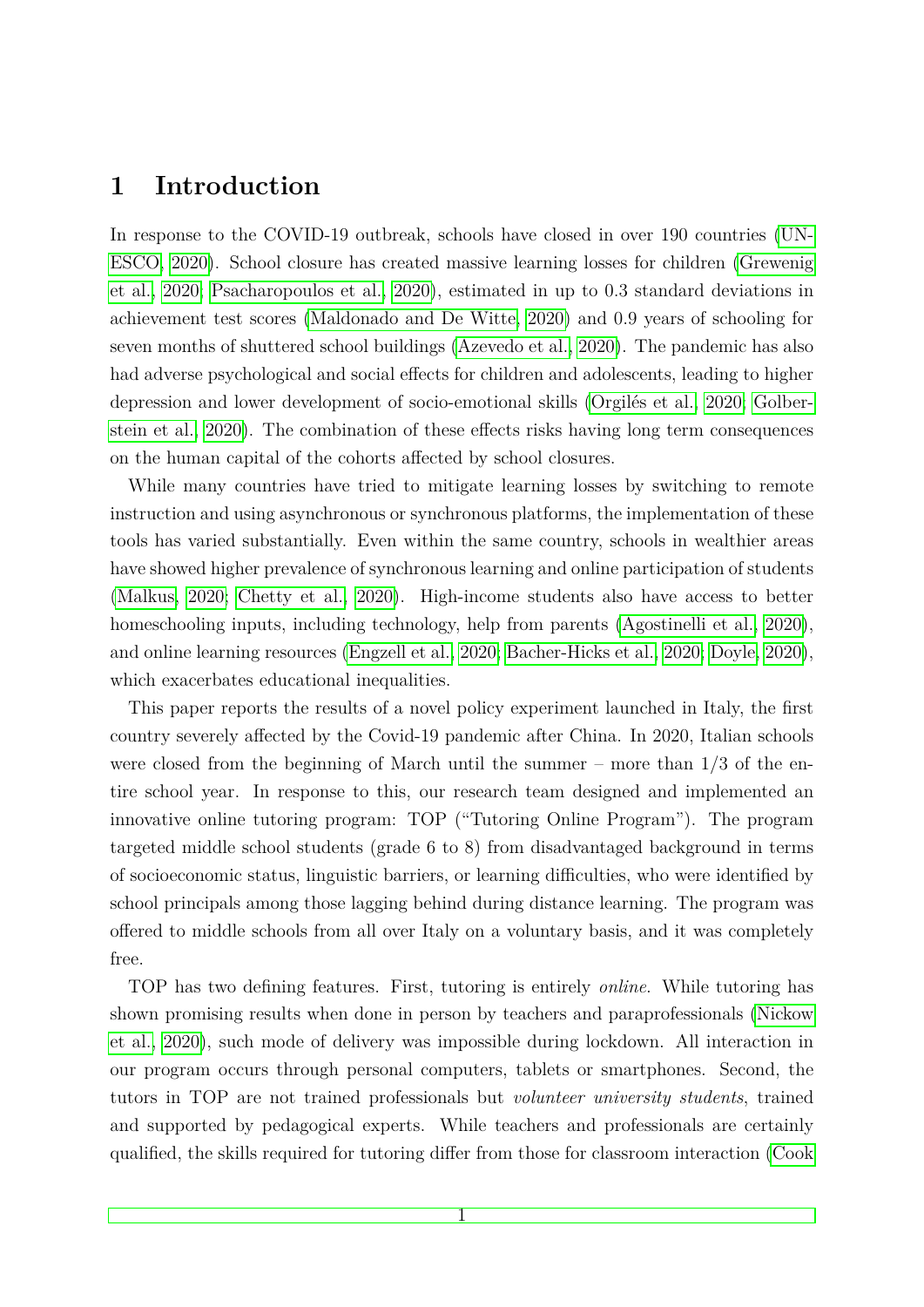# **1 Introduction**

In response to the COVID-19 outbreak, schools have closed in over 190 countries [\(UN-](#page-36-0)[ESCO, 2020\)](#page-36-0). School closure has created massive learning losses for children [\(Grewenig](#page-35-0) [et al., 2020;](#page-35-0) [Psacharopoulos et al., 2020\)](#page-35-1), estimated in up to 0*.*3 standard deviations in achievement test scores [\(Maldonado and De Witte, 2020\)](#page-35-2) and 0*.*9 years of schooling for seven months of shuttered school buildings [\(Azevedo et al., 2020\)](#page-33-0). The pandemic has also had adverse psychological and social effects for children and adolescents, leading to higher depression and lower development of socio-emotional skills (Orgilés et al., 2020; [Golber](#page-35-4)[stein et al., 2020\)](#page-35-4). The combination of these effects risks having long term consequences on the human capital of the cohorts affected by school closures.

While many countries have tried to mitigate learning losses by switching to remote instruction and using asynchronous or synchronous platforms, the implementation of these tools has varied substantially. Even within the same country, schools in wealthier areas have showed higher prevalence of synchronous learning and online participation of students [\(Malkus, 2020;](#page-35-5) [Chetty et al., 2020\)](#page-34-0). High-income students also have access to better homeschooling inputs, including technology, help from parents [\(Agostinelli et al., 2020\)](#page-33-1), and online learning resources [\(Engzell et al., 2020;](#page-34-1) [Bacher-Hicks et al., 2020;](#page-33-2) [Doyle, 2020\)](#page-34-2), which exacerbates educational inequalities.

This paper reports the results of a novel policy experiment launched in Italy, the first country severely affected by the Covid-19 pandemic after China. In 2020, Italian schools were closed from the beginning of March until the summer – more than  $1/3$  of the entire school year. In response to this, our research team designed and implemented an innovative online tutoring program: TOP ("Tutoring Online Program"). The program targeted middle school students (grade 6 to 8) from disadvantaged background in terms of socioeconomic status, linguistic barriers, or learning difficulties, who were identified by school principals among those lagging behind during distance learning. The program was offered to middle schools from all over Italy on a voluntary basis, and it was completely free.

TOP has two defining features. First, tutoring is entirely *online*. While tutoring has shown promising results when done in person by teachers and paraprofessionals [\(Nickow](#page-35-6) [et al., 2020\)](#page-35-6), such mode of delivery was impossible during lockdown. All interaction in our program occurs through personal computers, tablets or smartphones. Second, the tutors in TOP are not trained professionals but *volunteer university students*, trained and supported by pedagogical experts. While teachers and professionals are certainly qualified, the skills required for tutoring differ from those for classroom interaction [\(Cook](#page-34-3)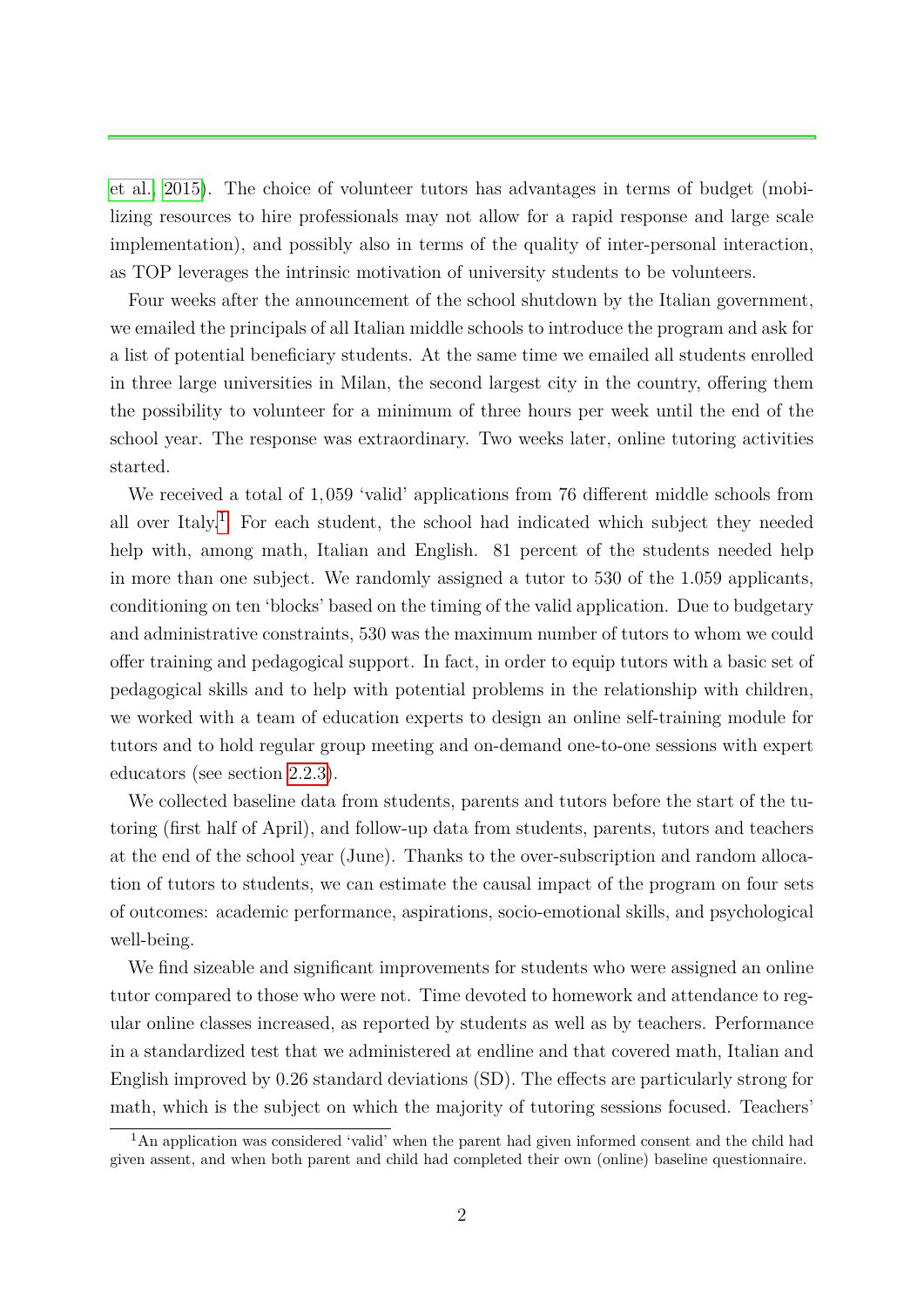[et al., 2015\)](#page-34-3). The choice of volunteer tutors has advantages in terms of budget (mobilizing resources to hire professionals may not allow for a rapid response and large scale implementation), and possibly also in terms of the quality of inter-personal interaction, as TOP leverages the intrinsic motivation of university students to be volunteers.

Four weeks after the announcement of the school shutdown by the Italian government, we emailed the principals of all Italian middle schools to introduce the program and ask for a list of potential beneficiary students. At the same time we emailed all students enrolled in three large universities in Milan, the second largest city in the country, offering them the possibility to volunteer for a minimum of three hours per week until the end of the school year. The response was extraordinary. Two weeks later, online tutoring activities started.

We received a total of 1*,*059 'valid' applications from 76 different middle schools from all over Italy.<sup>[1](#page-2-0)</sup> For each student, the school had indicated which subject they needed help with, among math, Italian and English. 81 percent of the students needed help in more than one subject. We randomly assigned a tutor to 530 of the 1*.*059 applicants, conditioning on ten 'blocks' based on the timing of the valid application. Due to budgetary and administrative constraints, 530 was the maximum number of tutors to whom we could offer training and pedagogical support. In fact, in order to equip tutors with a basic set of pedagogical skills and to help with potential problems in the relationship with children, we worked with a team of education experts to design an online self-training module for tutors and to hold regular group meeting and on-demand one-to-one sessions with expert educators (see section [2.2.3\)](#page-8-0).

We collected baseline data from students, parents and tutors before the start of the tutoring (first half of April), and follow-up data from students, parents, tutors and teachers at the end of the school year (June). Thanks to the over-subscription and random allocation of tutors to students, we can estimate the causal impact of the program on four sets of outcomes: academic performance, aspirations, socio-emotional skills, and psychological well-being.

We find sizeable and significant improvements for students who were assigned an online tutor compared to those who were not. Time devoted to homework and attendance to regular online classes increased, as reported by students as well as by teachers. Performance in a standardized test that we administered at endline and that covered math, Italian and English improved by 0*.*26 standard deviations (SD). The effects are particularly strong for math, which is the subject on which the majority of tutoring sessions focused. Teachers'

<span id="page-2-0"></span><sup>&</sup>lt;sup>1</sup>An application was considered 'valid' when the parent had given informed consent and the child had given assent, and when both parent and child had completed their own (online) baseline questionnaire.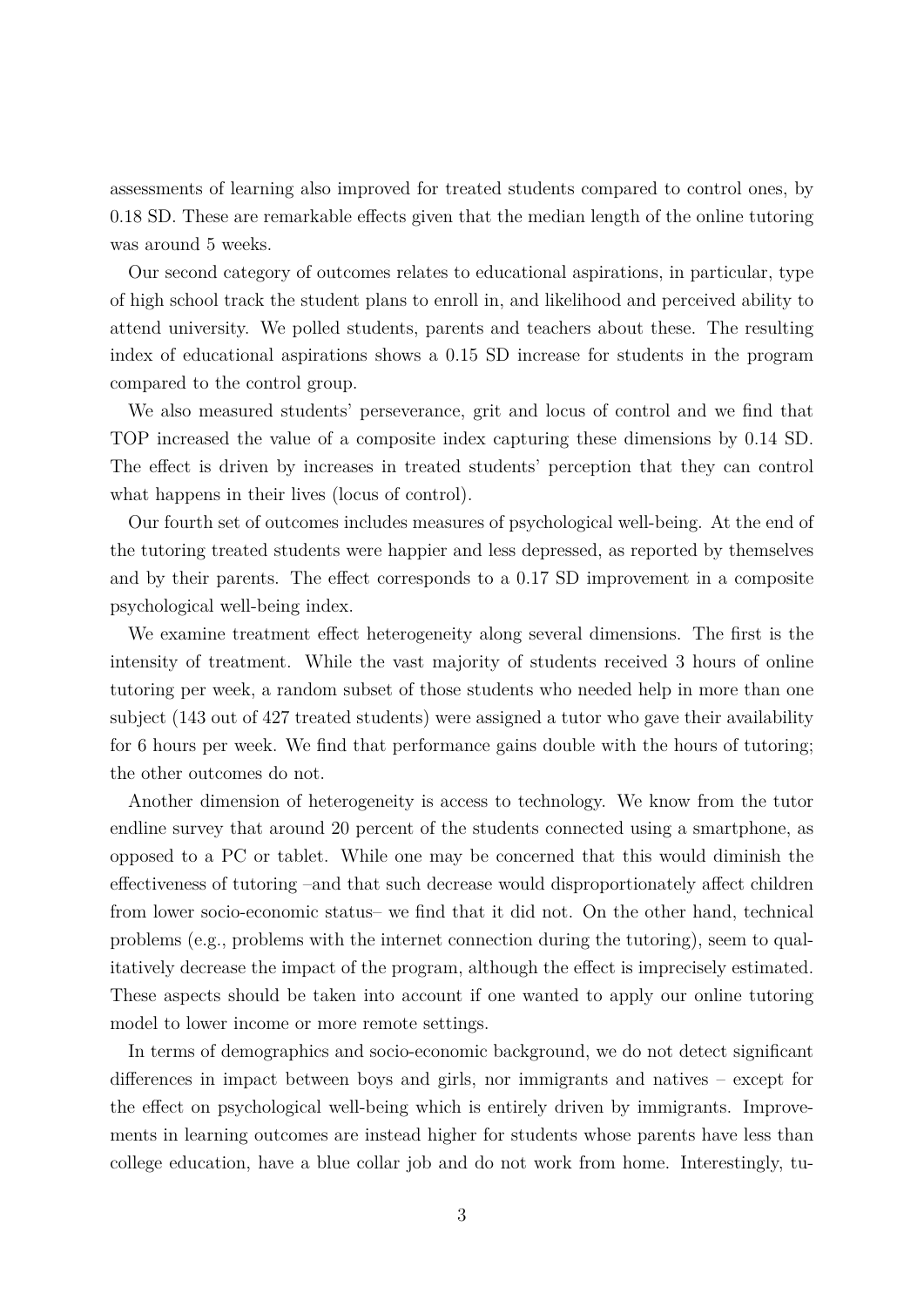assessments of learning also improved for treated students compared to control ones, by 0*.*18 SD. These are remarkable effects given that the median length of the online tutoring was around 5 weeks.

Our second category of outcomes relates to educational aspirations, in particular, type of high school track the student plans to enroll in, and likelihood and perceived ability to attend university. We polled students, parents and teachers about these. The resulting index of educational aspirations shows a 0*.*15 SD increase for students in the program compared to the control group.

We also measured students' perseverance, grit and locus of control and we find that TOP increased the value of a composite index capturing these dimensions by 0*.*14 SD. The effect is driven by increases in treated students' perception that they can control what happens in their lives (locus of control).

Our fourth set of outcomes includes measures of psychological well-being. At the end of the tutoring treated students were happier and less depressed, as reported by themselves and by their parents. The effect corresponds to a 0*.*17 SD improvement in a composite psychological well-being index.

We examine treatment effect heterogeneity along several dimensions. The first is the intensity of treatment. While the vast majority of students received 3 hours of online tutoring per week, a random subset of those students who needed help in more than one subject (143 out of 427 treated students) were assigned a tutor who gave their availability for 6 hours per week. We find that performance gains double with the hours of tutoring; the other outcomes do not.

Another dimension of heterogeneity is access to technology. We know from the tutor endline survey that around 20 percent of the students connected using a smartphone, as opposed to a PC or tablet. While one may be concerned that this would diminish the effectiveness of tutoring –and that such decrease would disproportionately affect children from lower socio-economic status– we find that it did not. On the other hand, technical problems (e.g., problems with the internet connection during the tutoring), seem to qualitatively decrease the impact of the program, although the effect is imprecisely estimated. These aspects should be taken into account if one wanted to apply our online tutoring model to lower income or more remote settings.

In terms of demographics and socio-economic background, we do not detect significant differences in impact between boys and girls, nor immigrants and natives – except for the effect on psychological well-being which is entirely driven by immigrants. Improvements in learning outcomes are instead higher for students whose parents have less than college education, have a blue collar job and do not work from home. Interestingly, tu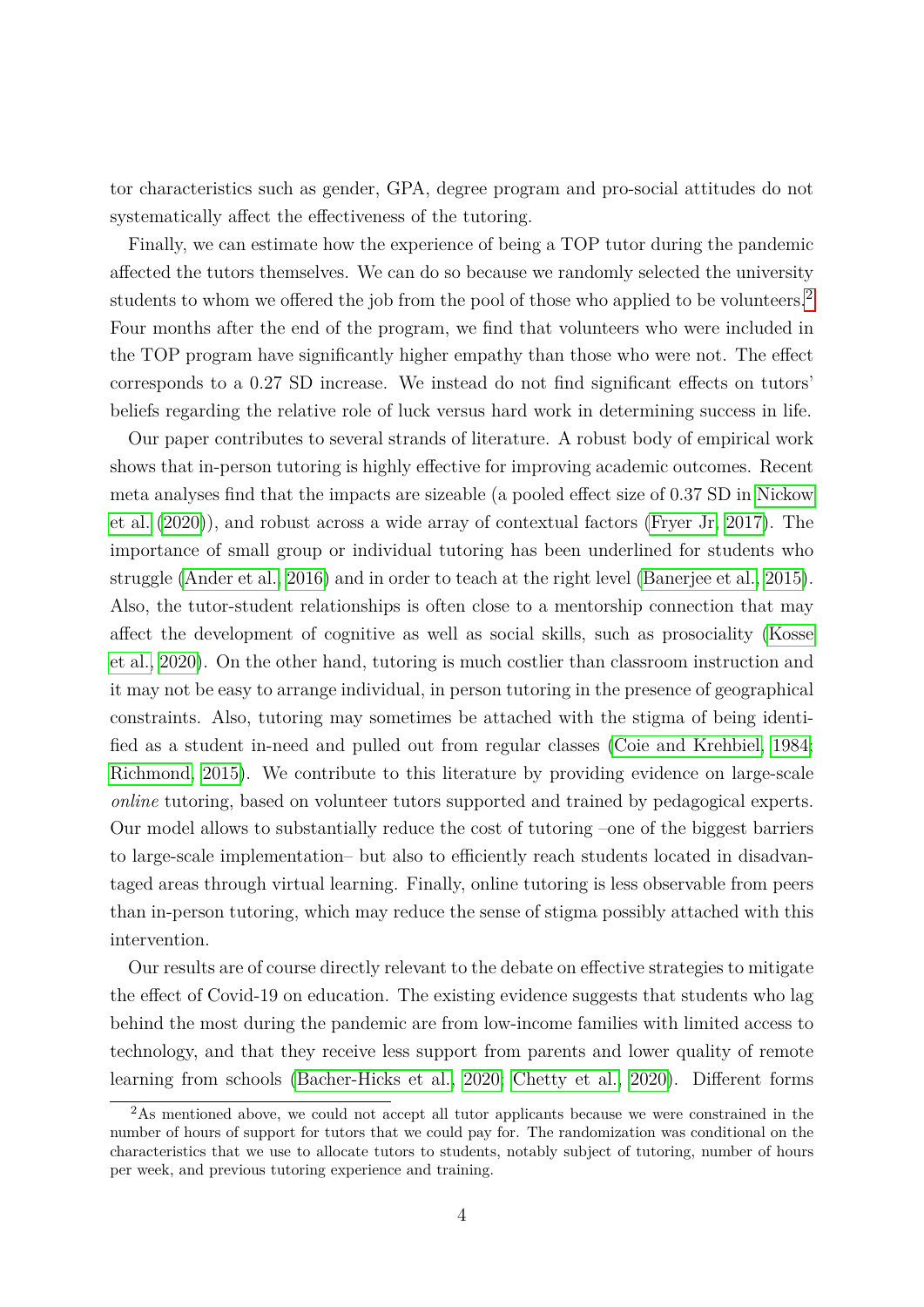tor characteristics such as gender, GPA, degree program and pro-social attitudes do not systematically affect the effectiveness of the tutoring.

Finally, we can estimate how the experience of being a TOP tutor during the pandemic affected the tutors themselves. We can do so because we randomly selected the university students to whom we offered the job from the pool of those who applied to be volunteers.<sup>[2](#page-4-0)</sup> Four months after the end of the program, we find that volunteers who were included in the TOP program have significantly higher empathy than those who were not. The effect corresponds to a 0*.*27 SD increase. We instead do not find significant effects on tutors' beliefs regarding the relative role of luck versus hard work in determining success in life.

Our paper contributes to several strands of literature. A robust body of empirical work shows that in-person tutoring is highly effective for improving academic outcomes. Recent meta analyses find that the impacts are sizeable (a pooled effect size of 0*.*37 SD in [Nickow](#page-35-6) [et al.](#page-35-6) [\(2020\)](#page-35-6)), and robust across a wide array of contextual factors [\(Fryer Jr, 2017\)](#page-34-4). The importance of small group or individual tutoring has been underlined for students who struggle [\(Ander et al., 2016\)](#page-33-3) and in order to teach at the right level [\(Banerjee et al., 2015\)](#page-33-4). Also, the tutor-student relationships is often close to a mentorship connection that may affect the development of cognitive as well as social skills, such as prosociality [\(Kosse](#page-35-7) [et al., 2020\)](#page-35-7). On the other hand, tutoring is much costlier than classroom instruction and it may not be easy to arrange individual, in person tutoring in the presence of geographical constraints. Also, tutoring may sometimes be attached with the stigma of being identified as a student in-need and pulled out from regular classes [\(Coie and Krehbiel, 1984;](#page-34-5) [Richmond, 2015\)](#page-35-8). We contribute to this literature by providing evidence on large-scale *online* tutoring, based on volunteer tutors supported and trained by pedagogical experts. Our model allows to substantially reduce the cost of tutoring –one of the biggest barriers to large-scale implementation– but also to efficiently reach students located in disadvantaged areas through virtual learning. Finally, online tutoring is less observable from peers than in-person tutoring, which may reduce the sense of stigma possibly attached with this intervention.

Our results are of course directly relevant to the debate on effective strategies to mitigate the effect of Covid-19 on education. The existing evidence suggests that students who lag behind the most during the pandemic are from low-income families with limited access to technology, and that they receive less support from parents and lower quality of remote learning from schools [\(Bacher-Hicks et al., 2020;](#page-33-2) [Chetty et al., 2020\)](#page-34-0). Different forms

<span id="page-4-0"></span><sup>&</sup>lt;sup>2</sup>As mentioned above, we could not accept all tutor applicants because we were constrained in the number of hours of support for tutors that we could pay for. The randomization was conditional on the characteristics that we use to allocate tutors to students, notably subject of tutoring, number of hours per week, and previous tutoring experience and training.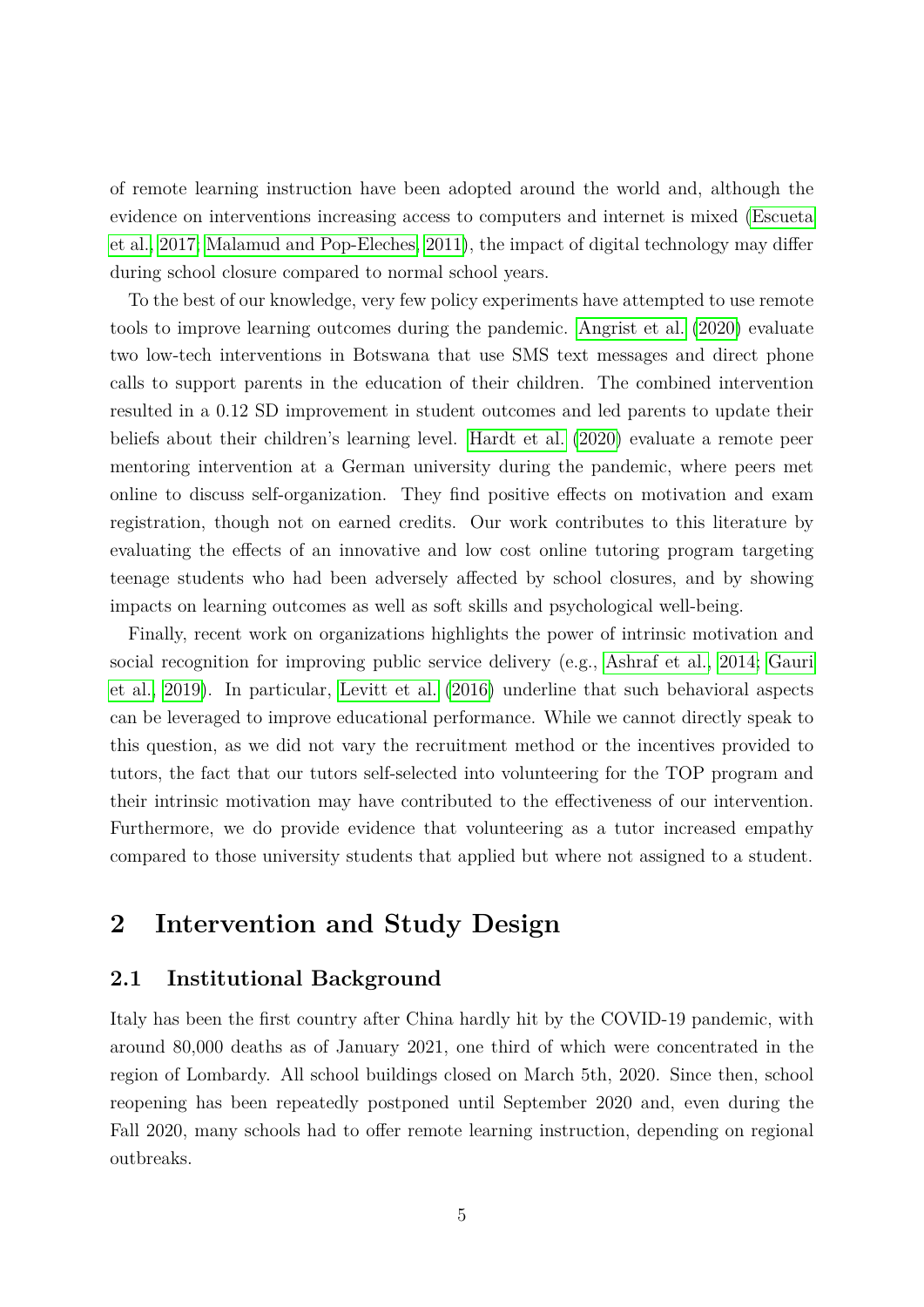of remote learning instruction have been adopted around the world and, although the evidence on interventions increasing access to computers and internet is mixed [\(Escueta](#page-34-6) [et al., 2017;](#page-34-6) [Malamud and Pop-Eleches, 2011\)](#page-35-9), the impact of digital technology may differ during school closure compared to normal school years.

To the best of our knowledge, very few policy experiments have attempted to use remote tools to improve learning outcomes during the pandemic. [Angrist et al.](#page-33-5) [\(2020\)](#page-33-5) evaluate two low-tech interventions in Botswana that use SMS text messages and direct phone calls to support parents in the education of their children. The combined intervention resulted in a 0*.*12 SD improvement in student outcomes and led parents to update their beliefs about their children's learning level. [Hardt et al.](#page-35-10) [\(2020\)](#page-35-10) evaluate a remote peer mentoring intervention at a German university during the pandemic, where peers met online to discuss self-organization. They find positive effects on motivation and exam registration, though not on earned credits. Our work contributes to this literature by evaluating the effects of an innovative and low cost online tutoring program targeting teenage students who had been adversely affected by school closures, and by showing impacts on learning outcomes as well as soft skills and psychological well-being.

Finally, recent work on organizations highlights the power of intrinsic motivation and social recognition for improving public service delivery (e.g., [Ashraf et al., 2014;](#page-33-6) [Gauri](#page-34-7) [et al., 2019\)](#page-34-7). In particular, [Levitt et al.](#page-35-11) [\(2016\)](#page-35-11) underline that such behavioral aspects can be leveraged to improve educational performance. While we cannot directly speak to this question, as we did not vary the recruitment method or the incentives provided to tutors, the fact that our tutors self-selected into volunteering for the TOP program and their intrinsic motivation may have contributed to the effectiveness of our intervention. Furthermore, we do provide evidence that volunteering as a tutor increased empathy compared to those university students that applied but where not assigned to a student.

# **2 Intervention and Study Design**

# <span id="page-5-0"></span>**2.1 Institutional Background**

Italy has been the first country after China hardly hit by the COVID-19 pandemic, with around 80,000 deaths as of January 2021, one third of which were concentrated in the region of Lombardy. All school buildings closed on March 5th, 2020. Since then, school reopening has been repeatedly postponed until September 2020 and, even during the Fall 2020, many schools had to offer remote learning instruction, depending on regional outbreaks.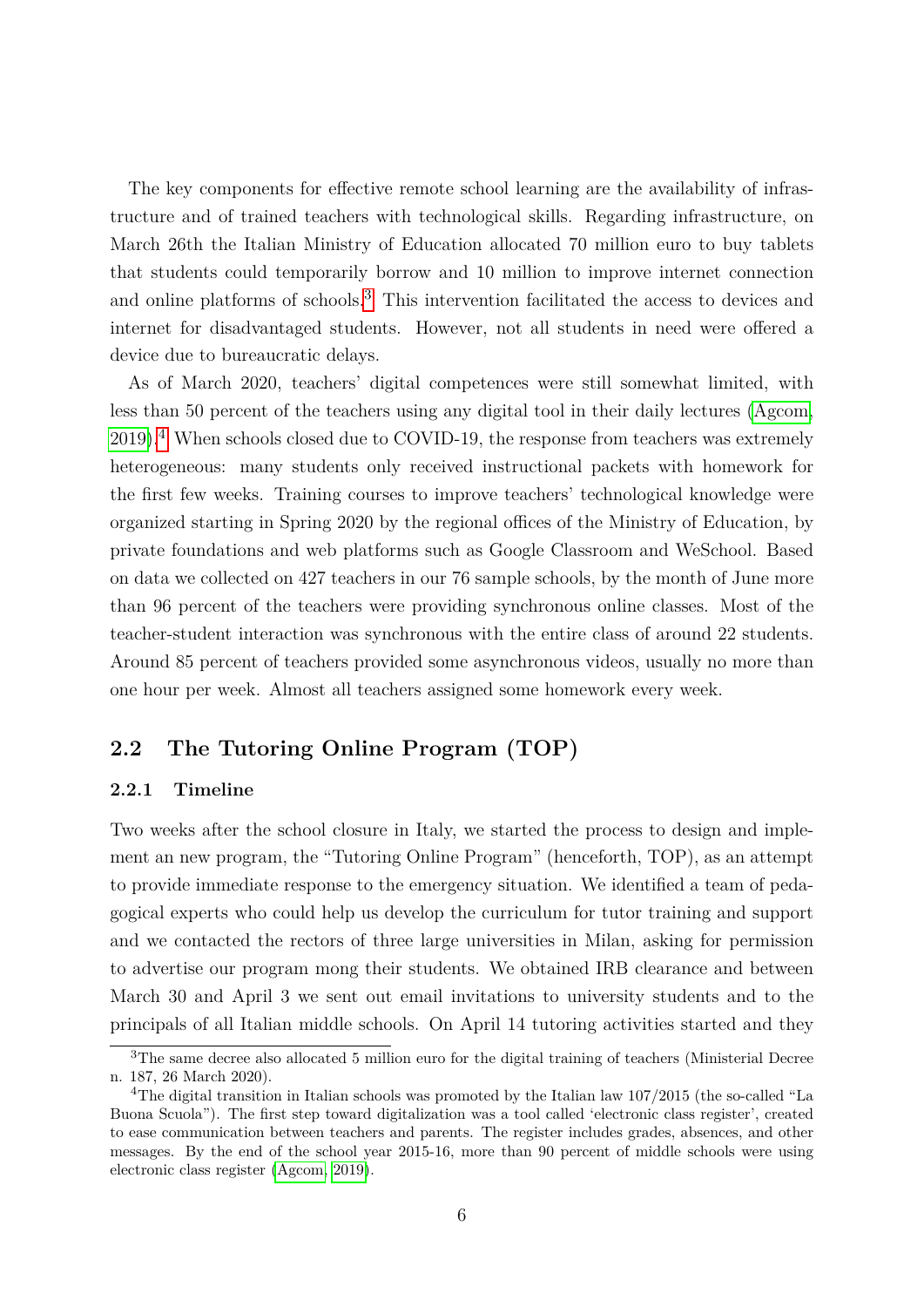The key components for effective remote school learning are the availability of infrastructure and of trained teachers with technological skills. Regarding infrastructure, on March 26th the Italian Ministry of Education allocated 70 million euro to buy tablets that students could temporarily borrow and 10 million to improve internet connection and online platforms of schools.<sup>[3](#page-6-0)</sup> This intervention facilitated the access to devices and internet for disadvantaged students. However, not all students in need were offered a device due to bureaucratic delays.

As of March 2020, teachers' digital competences were still somewhat limited, with less than 50 percent of the teachers using any digital tool in their daily lectures [\(Agcom,](#page-33-7)  $2019$ <sup>[4](#page-6-1)</sup>. When schools closed due to COVID-19, the response from teachers was extremely heterogeneous: many students only received instructional packets with homework for the first few weeks. Training courses to improve teachers' technological knowledge were organized starting in Spring 2020 by the regional offices of the Ministry of Education, by private foundations and web platforms such as Google Classroom and WeSchool. Based on data we collected on 427 teachers in our 76 sample schools, by the month of June more than 96 percent of the teachers were providing synchronous online classes. Most of the teacher-student interaction was synchronous with the entire class of around 22 students. Around 85 percent of teachers provided some asynchronous videos, usually no more than one hour per week. Almost all teachers assigned some homework every week.

# **2.2 The Tutoring Online Program (TOP)**

#### **2.2.1 Timeline**

Two weeks after the school closure in Italy, we started the process to design and implement an new program, the "Tutoring Online Program" (henceforth, TOP), as an attempt to provide immediate response to the emergency situation. We identified a team of pedagogical experts who could help us develop the curriculum for tutor training and support and we contacted the rectors of three large universities in Milan, asking for permission to advertise our program mong their students. We obtained IRB clearance and between March 30 and April 3 we sent out email invitations to university students and to the principals of all Italian middle schools. On April 14 tutoring activities started and they

<span id="page-6-0"></span><sup>3</sup>The same decree also allocated 5 million euro for the digital training of teachers (Ministerial Decree n. 187, 26 March 2020).

<span id="page-6-1"></span><sup>&</sup>lt;sup>4</sup>The digital transition in Italian schools was promoted by the Italian law 107/2015 (the so-called "La Buona Scuola"). The first step toward digitalization was a tool called 'electronic class register', created to ease communication between teachers and parents. The register includes grades, absences, and other messages. By the end of the school year 2015-16, more than 90 percent of middle schools were using electronic class register [\(Agcom, 2019\)](#page-33-7).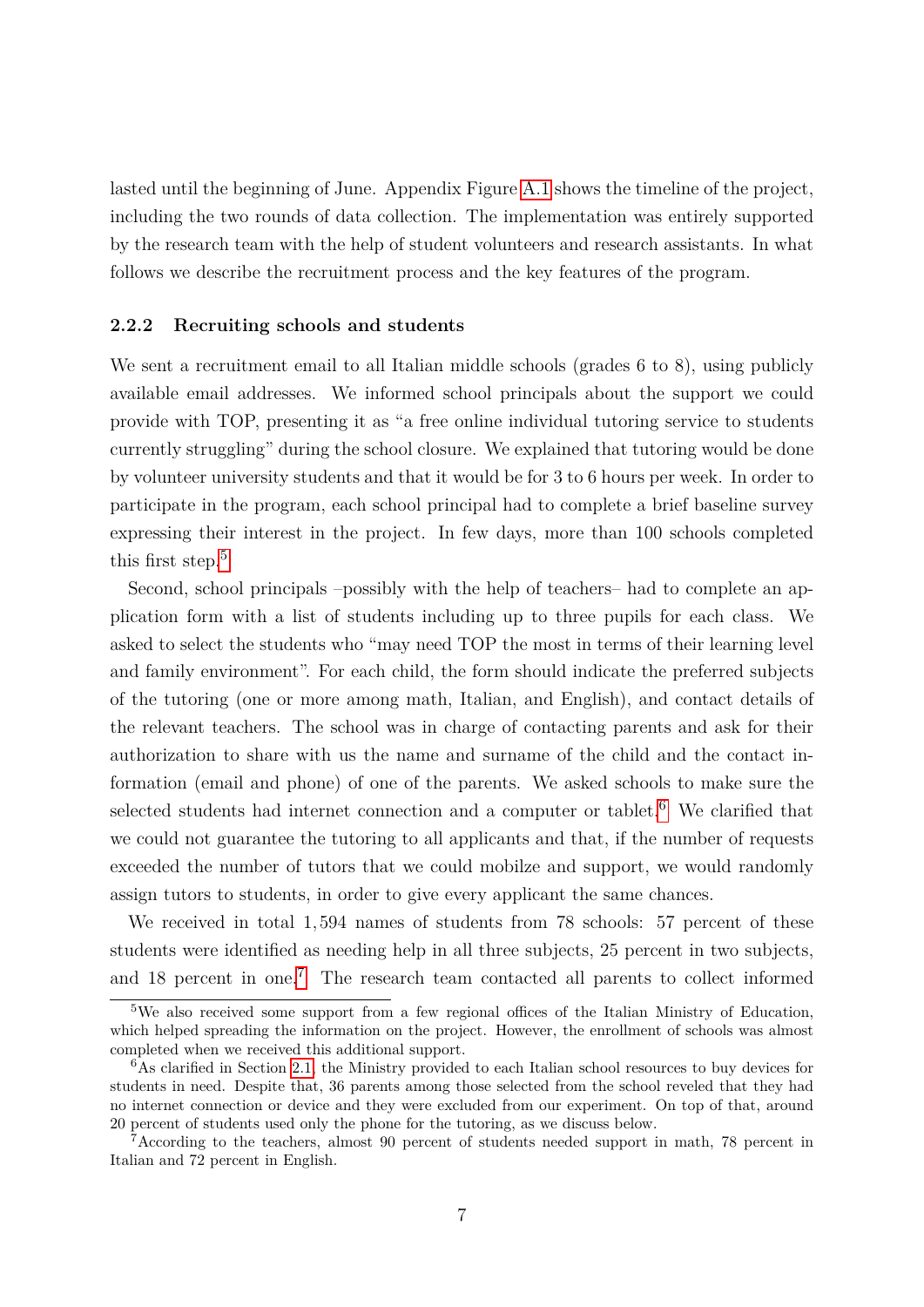lasted until the beginning of June. Appendix Figure [A.1](#page-49-0) shows the timeline of the project, including the two rounds of data collection. The implementation was entirely supported by the research team with the help of student volunteers and research assistants. In what follows we describe the recruitment process and the key features of the program.

#### **2.2.2 Recruiting schools and students**

We sent a recruitment email to all Italian middle schools (grades 6 to 8), using publicly available email addresses. We informed school principals about the support we could provide with TOP, presenting it as "a free online individual tutoring service to students currently struggling" during the school closure. We explained that tutoring would be done by volunteer university students and that it would be for 3 to 6 hours per week. In order to participate in the program, each school principal had to complete a brief baseline survey expressing their interest in the project. In few days, more than 100 schools completed this first step. $5$ 

Second, school principals –possibly with the help of teachers– had to complete an application form with a list of students including up to three pupils for each class. We asked to select the students who "may need TOP the most in terms of their learning level and family environment". For each child, the form should indicate the preferred subjects of the tutoring (one or more among math, Italian, and English), and contact details of the relevant teachers. The school was in charge of contacting parents and ask for their authorization to share with us the name and surname of the child and the contact information (email and phone) of one of the parents. We asked schools to make sure the selected students had internet connection and a computer or tablet.<sup>[6](#page-7-1)</sup> We clarified that we could not guarantee the tutoring to all applicants and that, if the number of requests exceeded the number of tutors that we could mobilze and support, we would randomly assign tutors to students, in order to give every applicant the same chances.

We received in total 1*,*594 names of students from 78 schools: 57 percent of these students were identified as needing help in all three subjects, 25 percent in two subjects, and 18 percent in one.<sup>[7](#page-7-2)</sup> The research team contacted all parents to collect informed

<span id="page-7-0"></span><sup>5</sup>We also received some support from a few regional offices of the Italian Ministry of Education, which helped spreading the information on the project. However, the enrollment of schools was almost completed when we received this additional support.

<span id="page-7-1"></span> $6$ As clarified in Section [2.1,](#page-5-0) the Ministry provided to each Italian school resources to buy devices for students in need. Despite that, 36 parents among those selected from the school reveled that they had no internet connection or device and they were excluded from our experiment. On top of that, around 20 percent of students used only the phone for the tutoring, as we discuss below.

<span id="page-7-2"></span><sup>7</sup>According to the teachers, almost 90 percent of students needed support in math, 78 percent in Italian and 72 percent in English.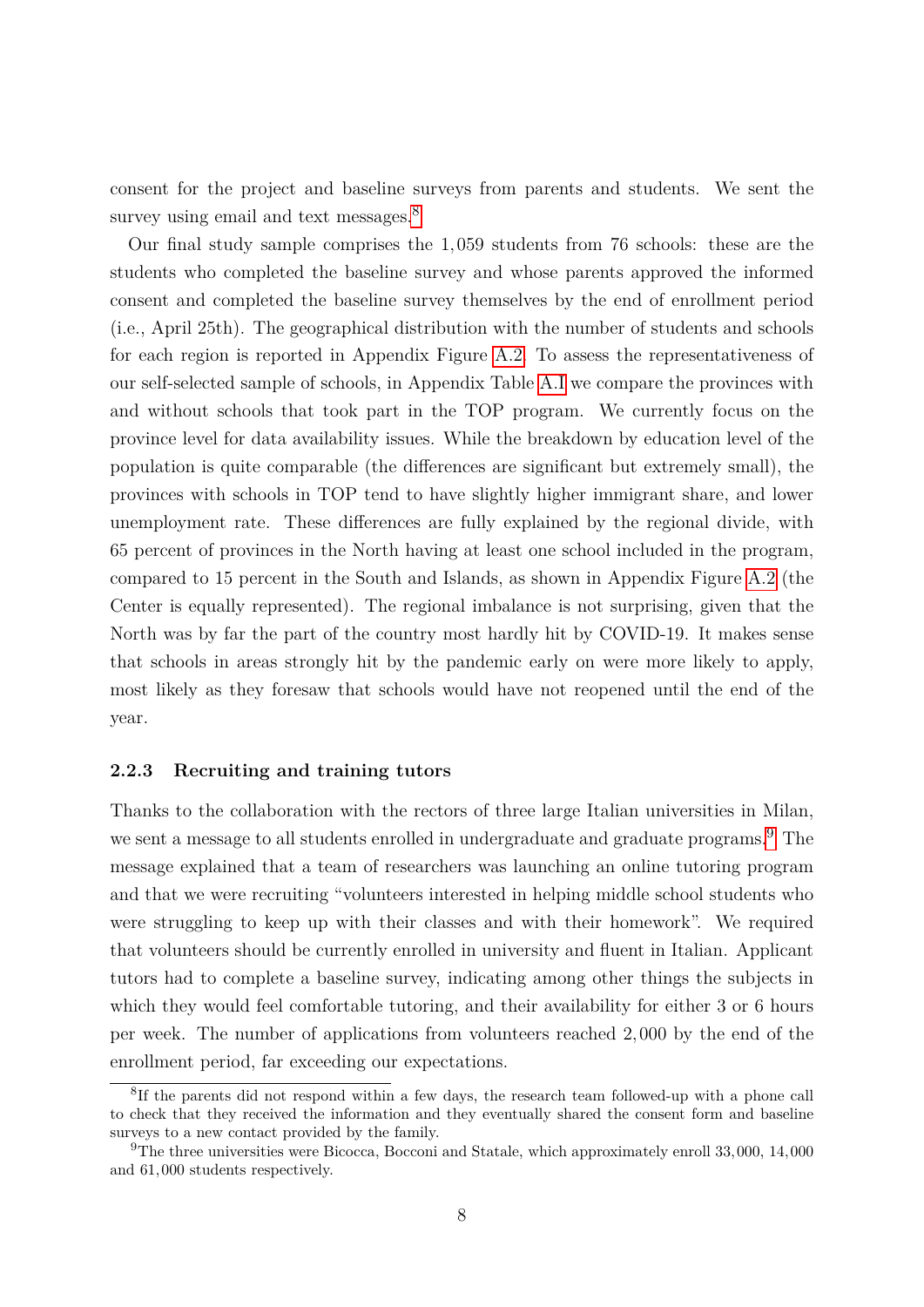consent for the project and baseline surveys from parents and students. We sent the survey using email and text messages.<sup>[8](#page-8-1)</sup>

Our final study sample comprises the 1*,*059 students from 76 schools: these are the students who completed the baseline survey and whose parents approved the informed consent and completed the baseline survey themselves by the end of enrollment period (i.e., April 25th). The geographical distribution with the number of students and schools for each region is reported in Appendix Figure [A.2.](#page-50-0) To assess the representativeness of our self-selected sample of schools, in Appendix Table [A.I](#page-53-0) we compare the provinces with and without schools that took part in the TOP program. We currently focus on the province level for data availability issues. While the breakdown by education level of the population is quite comparable (the differences are significant but extremely small), the provinces with schools in TOP tend to have slightly higher immigrant share, and lower unemployment rate. These differences are fully explained by the regional divide, with 65 percent of provinces in the North having at least one school included in the program, compared to 15 percent in the South and Islands, as shown in Appendix Figure [A.2](#page-50-0) (the Center is equally represented). The regional imbalance is not surprising, given that the North was by far the part of the country most hardly hit by COVID-19. It makes sense that schools in areas strongly hit by the pandemic early on were more likely to apply, most likely as they foresaw that schools would have not reopened until the end of the year.

#### <span id="page-8-0"></span>**2.2.3 Recruiting and training tutors**

Thanks to the collaboration with the rectors of three large Italian universities in Milan, we sent a message to all students enrolled in undergraduate and graduate programs.<sup>[9](#page-8-2)</sup> The message explained that a team of researchers was launching an online tutoring program and that we were recruiting "volunteers interested in helping middle school students who were struggling to keep up with their classes and with their homework". We required that volunteers should be currently enrolled in university and fluent in Italian. Applicant tutors had to complete a baseline survey, indicating among other things the subjects in which they would feel comfortable tutoring, and their availability for either 3 or 6 hours per week. The number of applications from volunteers reached 2*,*000 by the end of the enrollment period, far exceeding our expectations.

<span id="page-8-1"></span><sup>&</sup>lt;sup>8</sup>If the parents did not respond within a few days, the research team followed-up with a phone call to check that they received the information and they eventually shared the consent form and baseline surveys to a new contact provided by the family.

<span id="page-8-2"></span><sup>9</sup>The three universities were Bicocca, Bocconi and Statale, which approximately enroll 33*,*000, 14*,*000 and 61*,*000 students respectively.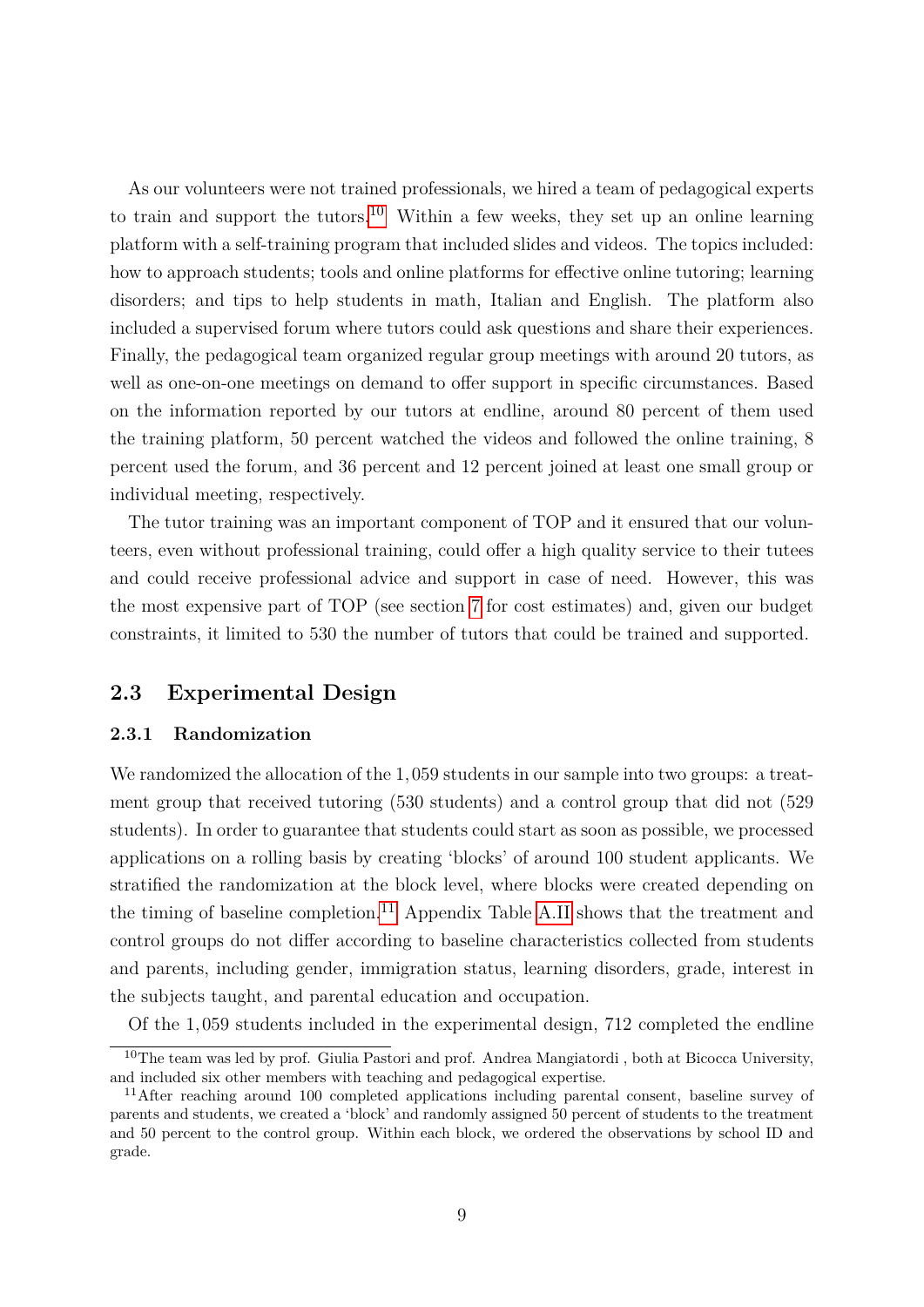As our volunteers were not trained professionals, we hired a team of pedagogical experts to train and support the tutors.<sup>[10](#page-9-0)</sup> Within a few weeks, they set up an online learning platform with a self-training program that included slides and videos. The topics included: how to approach students; tools and online platforms for effective online tutoring; learning disorders; and tips to help students in math, Italian and English. The platform also included a supervised forum where tutors could ask questions and share their experiences. Finally, the pedagogical team organized regular group meetings with around 20 tutors, as well as one-on-one meetings on demand to offer support in specific circumstances. Based on the information reported by our tutors at endline, around 80 percent of them used the training platform, 50 percent watched the videos and followed the online training, 8 percent used the forum, and 36 percent and 12 percent joined at least one small group or individual meeting, respectively.

The tutor training was an important component of TOP and it ensured that our volunteers, even without professional training, could offer a high quality service to their tutees and could receive professional advice and support in case of need. However, this was the most expensive part of TOP (see section [7](#page-32-0) for cost estimates) and, given our budget constraints, it limited to 530 the number of tutors that could be trained and supported.

### <span id="page-9-2"></span>**2.3 Experimental Design**

#### **2.3.1 Randomization**

We randomized the allocation of the 1*,*059 students in our sample into two groups: a treatment group that received tutoring (530 students) and a control group that did not (529 students). In order to guarantee that students could start as soon as possible, we processed applications on a rolling basis by creating 'blocks' of around 100 student applicants. We stratified the randomization at the block level, where blocks were created depending on the timing of baseline completion.<sup>[11](#page-9-1)</sup> Appendix Table [A.II](#page-54-0) shows that the treatment and control groups do not differ according to baseline characteristics collected from students and parents, including gender, immigration status, learning disorders, grade, interest in the subjects taught, and parental education and occupation.

Of the 1*,*059 students included in the experimental design, 712 completed the endline

<span id="page-9-0"></span><sup>10</sup>The team was led by prof. Giulia Pastori and prof. Andrea Mangiatordi , both at Bicocca University, and included six other members with teaching and pedagogical expertise.

<span id="page-9-1"></span><sup>&</sup>lt;sup>11</sup>After reaching around 100 completed applications including parental consent, baseline survey of parents and students, we created a 'block' and randomly assigned 50 percent of students to the treatment and 50 percent to the control group. Within each block, we ordered the observations by school ID and grade.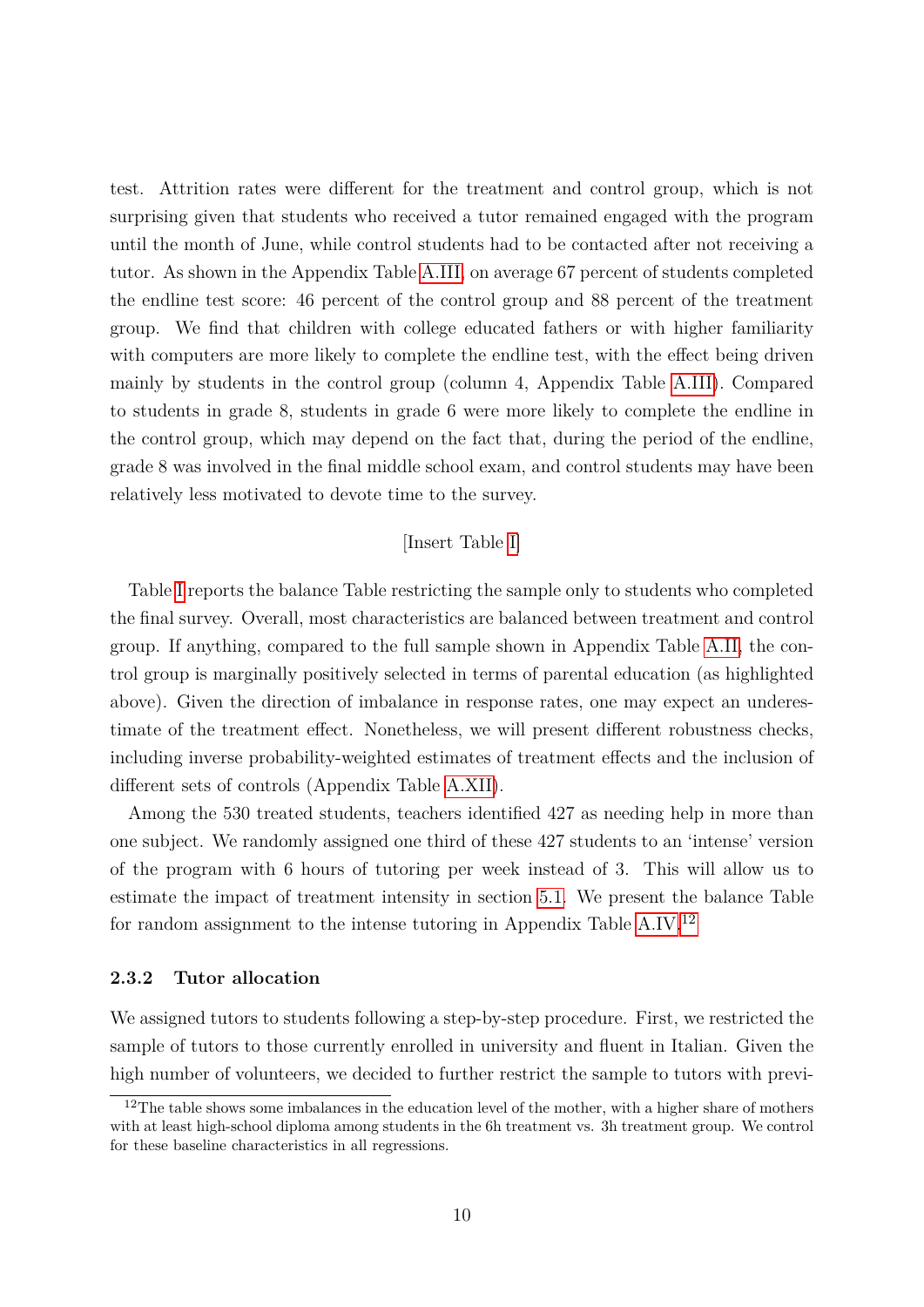test. Attrition rates were different for the treatment and control group, which is not surprising given that students who received a tutor remained engaged with the program until the month of June, while control students had to be contacted after not receiving a tutor. As shown in the Appendix Table [A.III,](#page-55-0) on average 67 percent of students completed the endline test score: 46 percent of the control group and 88 percent of the treatment group. We find that children with college educated fathers or with higher familiarity with computers are more likely to complete the endline test, with the effect being driven mainly by students in the control group (column 4, Appendix Table [A.III\)](#page-55-0). Compared to students in grade 8, students in grade 6 were more likely to complete the endline in the control group, which may depend on the fact that, during the period of the endline, grade 8 was involved in the final middle school exam, and control students may have been relatively less motivated to devote time to the survey.

#### [Insert Table [I\]](#page-41-0)

Table [I](#page-41-0) reports the balance Table restricting the sample only to students who completed the final survey. Overall, most characteristics are balanced between treatment and control group. If anything, compared to the full sample shown in Appendix Table [A.II,](#page-54-0) the control group is marginally positively selected in terms of parental education (as highlighted above). Given the direction of imbalance in response rates, one may expect an underestimate of the treatment effect. Nonetheless, we will present different robustness checks, including inverse probability-weighted estimates of treatment effects and the inclusion of different sets of controls (Appendix Table [A.XII\)](#page-64-0).

Among the 530 treated students, teachers identified 427 as needing help in more than one subject. We randomly assigned one third of these 427 students to an 'intense' version of the program with 6 hours of tutoring per week instead of 3. This will allow us to estimate the impact of treatment intensity in section [5.1.](#page-24-0) We present the balance Table for random assignment to the intense tutoring in Appendix Table [A.IV.](#page-56-0)[12](#page-10-0)

#### <span id="page-10-1"></span>**2.3.2 Tutor allocation**

We assigned tutors to students following a step-by-step procedure. First, we restricted the sample of tutors to those currently enrolled in university and fluent in Italian. Given the high number of volunteers, we decided to further restrict the sample to tutors with previ-

<span id="page-10-0"></span> $12$ The table shows some imbalances in the education level of the mother, with a higher share of mothers with at least high-school diploma among students in the 6h treatment vs. 3h treatment group. We control for these baseline characteristics in all regressions.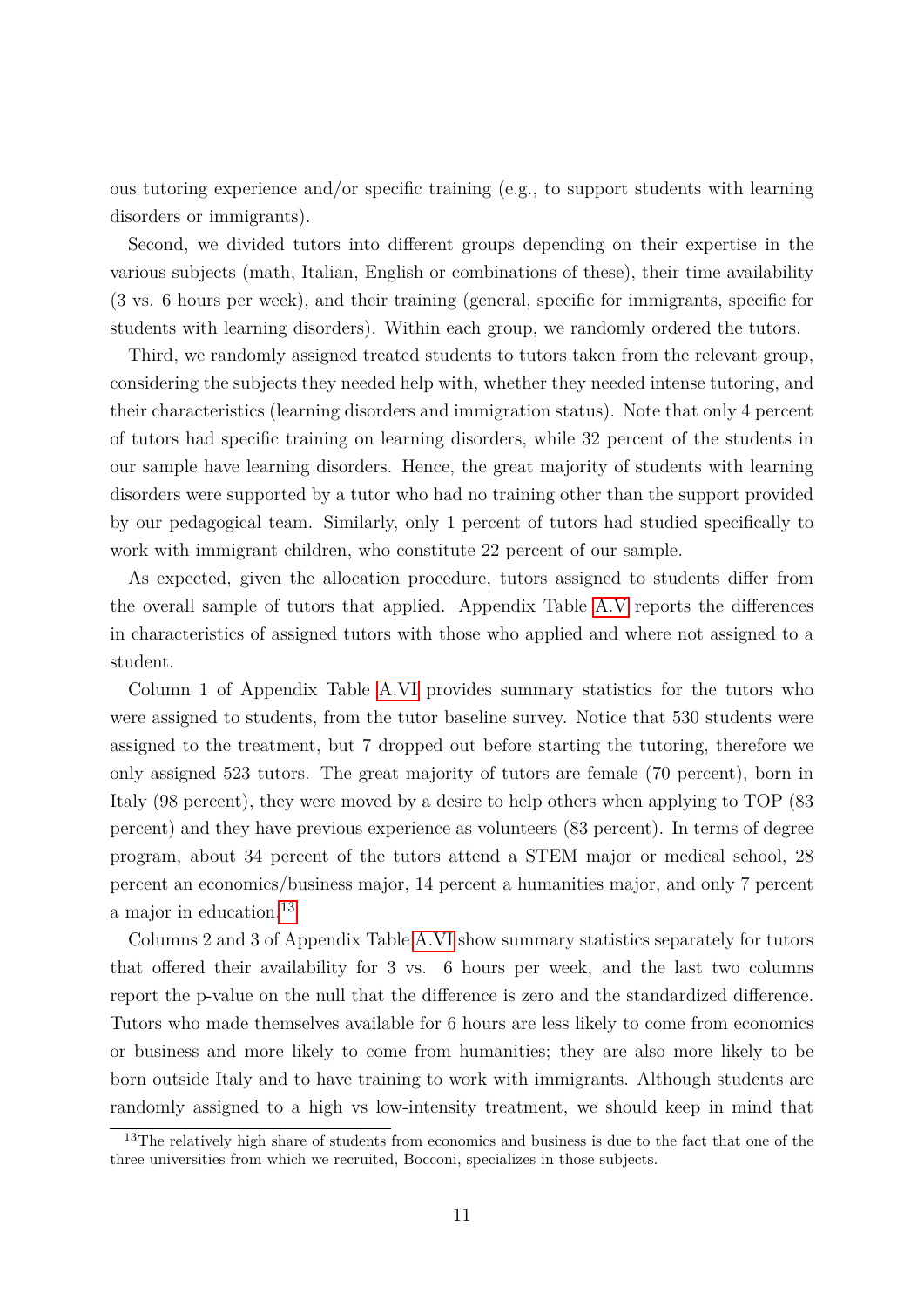ous tutoring experience and/or specific training (e.g., to support students with learning disorders or immigrants).

Second, we divided tutors into different groups depending on their expertise in the various subjects (math, Italian, English or combinations of these), their time availability (3 vs. 6 hours per week), and their training (general, specific for immigrants, specific for students with learning disorders). Within each group, we randomly ordered the tutors.

Third, we randomly assigned treated students to tutors taken from the relevant group, considering the subjects they needed help with, whether they needed intense tutoring, and their characteristics (learning disorders and immigration status). Note that only 4 percent of tutors had specific training on learning disorders, while 32 percent of the students in our sample have learning disorders. Hence, the great majority of students with learning disorders were supported by a tutor who had no training other than the support provided by our pedagogical team. Similarly, only 1 percent of tutors had studied specifically to work with immigrant children, who constitute 22 percent of our sample.

As expected, given the allocation procedure, tutors assigned to students differ from the overall sample of tutors that applied. Appendix Table [A.V](#page-57-0) reports the differences in characteristics of assigned tutors with those who applied and where not assigned to a student.

Column 1 of Appendix Table [A.VI](#page-58-0) provides summary statistics for the tutors who were assigned to students, from the tutor baseline survey. Notice that 530 students were assigned to the treatment, but 7 dropped out before starting the tutoring, therefore we only assigned 523 tutors. The great majority of tutors are female (70 percent), born in Italy (98 percent), they were moved by a desire to help others when applying to TOP (83 percent) and they have previous experience as volunteers (83 percent). In terms of degree program, about 34 percent of the tutors attend a STEM major or medical school, 28 percent an economics/business major, 14 percent a humanities major, and only 7 percent a major in education.<sup>[13](#page-11-0)</sup>

Columns 2 and 3 of Appendix Table [A.VI](#page-58-0) show summary statistics separately for tutors that offered their availability for 3 vs. 6 hours per week, and the last two columns report the p-value on the null that the difference is zero and the standardized difference. Tutors who made themselves available for 6 hours are less likely to come from economics or business and more likely to come from humanities; they are also more likely to be born outside Italy and to have training to work with immigrants. Although students are randomly assigned to a high vs low-intensity treatment, we should keep in mind that

<span id="page-11-0"></span><sup>&</sup>lt;sup>13</sup>The relatively high share of students from economics and business is due to the fact that one of the three universities from which we recruited, Bocconi, specializes in those subjects.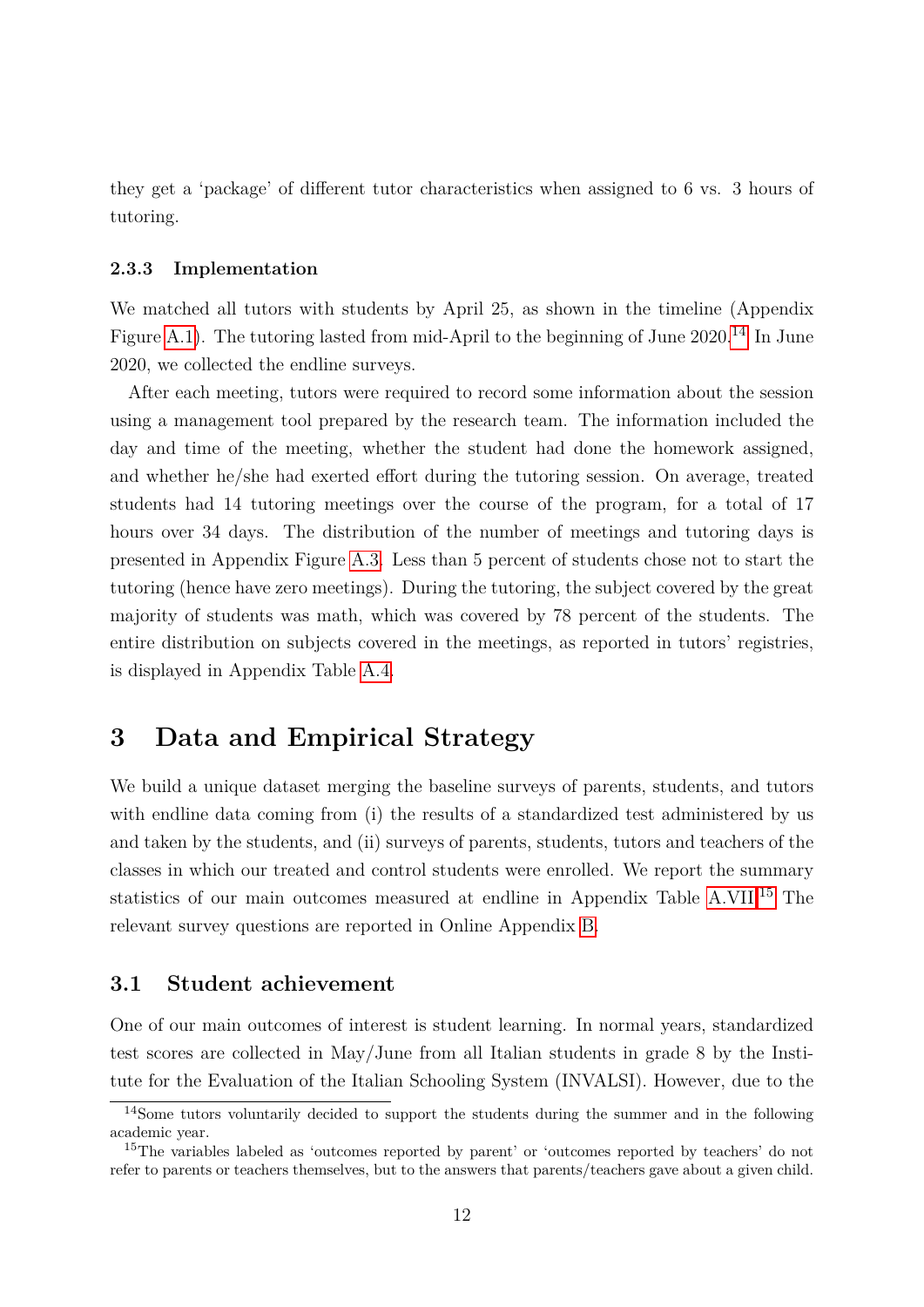they get a 'package' of different tutor characteristics when assigned to 6 vs. 3 hours of tutoring.

#### **2.3.3 Implementation**

We matched all tutors with students by April 25, as shown in the timeline (Appendix Figure [A.1\)](#page-49-0). The tutoring lasted from mid-April to the beginning of June 2020.<sup>[14](#page-12-0)</sup> In June 2020, we collected the endline surveys.

After each meeting, tutors were required to record some information about the session using a management tool prepared by the research team. The information included the day and time of the meeting, whether the student had done the homework assigned, and whether he/she had exerted effort during the tutoring session. On average, treated students had 14 tutoring meetings over the course of the program, for a total of 17 hours over 34 days. The distribution of the number of meetings and tutoring days is presented in Appendix Figure [A.3.](#page-51-0) Less than 5 percent of students chose not to start the tutoring (hence have zero meetings). During the tutoring, the subject covered by the great majority of students was math, which was covered by 78 percent of the students. The entire distribution on subjects covered in the meetings, as reported in tutors' registries, is displayed in Appendix Table [A.4.](#page-52-0)

# **3 Data and Empirical Strategy**

We build a unique dataset merging the baseline surveys of parents, students, and tutors with endline data coming from (i) the results of a standardized test administered by us and taken by the students, and (ii) surveys of parents, students, tutors and teachers of the classes in which our treated and control students were enrolled. We report the summary statistics of our main outcomes measured at endline in Appendix Table [A.VII.](#page-59-0)[15](#page-12-1) The relevant survey questions are reported in Online Appendix [B.](#page-71-0)

#### <span id="page-12-2"></span>**3.1 Student achievement**

One of our main outcomes of interest is student learning. In normal years, standardized test scores are collected in May/June from all Italian students in grade 8 by the Institute for the Evaluation of the Italian Schooling System (INVALSI). However, due to the

<span id="page-12-0"></span><sup>14</sup>Some tutors voluntarily decided to support the students during the summer and in the following academic year.

<span id="page-12-1"></span><sup>15</sup>The variables labeled as 'outcomes reported by parent' or 'outcomes reported by teachers' do not refer to parents or teachers themselves, but to the answers that parents/teachers gave about a given child.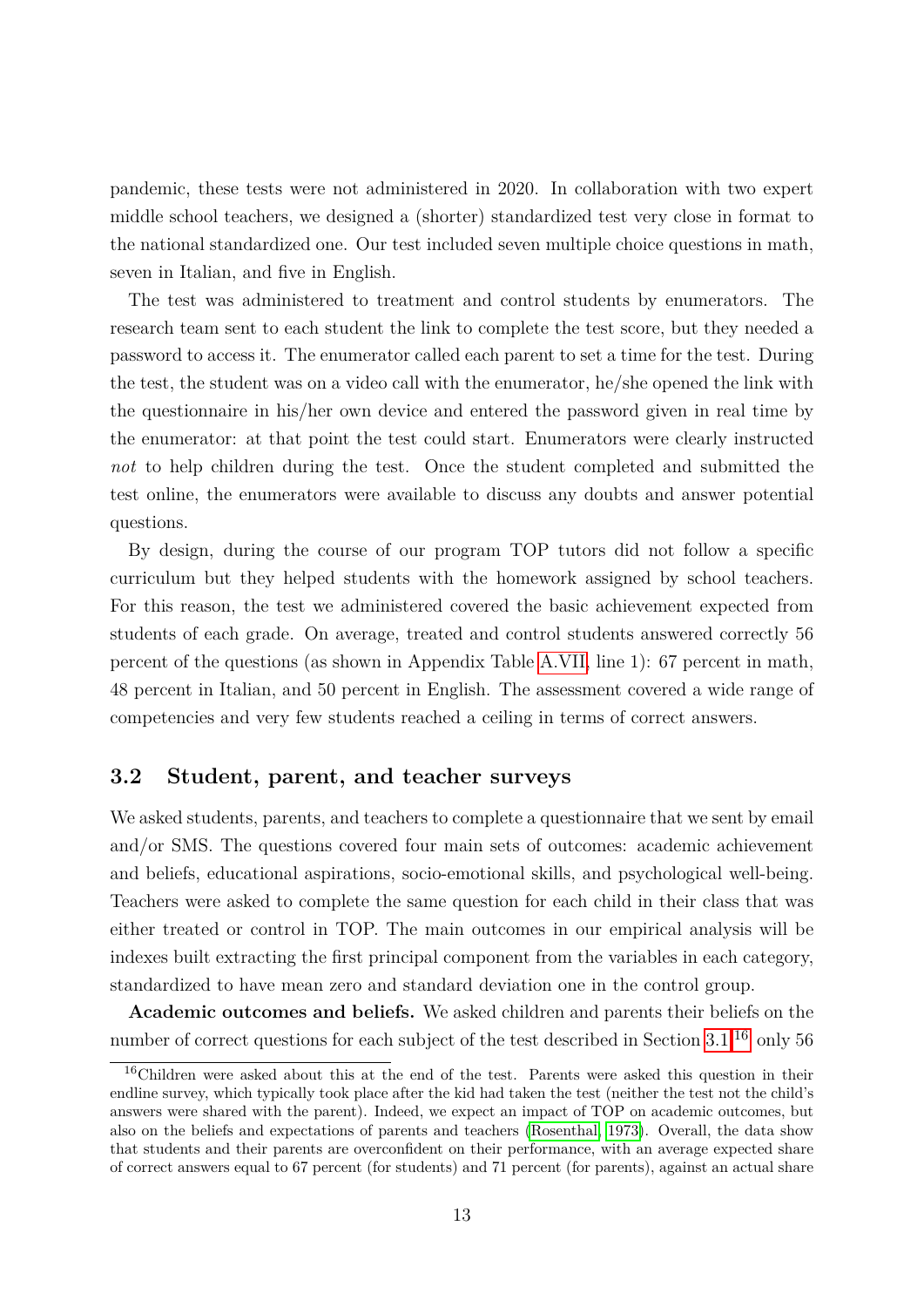pandemic, these tests were not administered in 2020. In collaboration with two expert middle school teachers, we designed a (shorter) standardized test very close in format to the national standardized one. Our test included seven multiple choice questions in math, seven in Italian, and five in English.

The test was administered to treatment and control students by enumerators. The research team sent to each student the link to complete the test score, but they needed a password to access it. The enumerator called each parent to set a time for the test. During the test, the student was on a video call with the enumerator, he/she opened the link with the questionnaire in his/her own device and entered the password given in real time by the enumerator: at that point the test could start. Enumerators were clearly instructed *not* to help children during the test. Once the student completed and submitted the test online, the enumerators were available to discuss any doubts and answer potential questions.

By design, during the course of our program TOP tutors did not follow a specific curriculum but they helped students with the homework assigned by school teachers. For this reason, the test we administered covered the basic achievement expected from students of each grade. On average, treated and control students answered correctly 56 percent of the questions (as shown in Appendix Table [A.VII,](#page-59-0) line 1): 67 percent in math, 48 percent in Italian, and 50 percent in English. The assessment covered a wide range of competencies and very few students reached a ceiling in terms of correct answers.

# <span id="page-13-1"></span>**3.2 Student, parent, and teacher surveys**

We asked students, parents, and teachers to complete a questionnaire that we sent by email and/or SMS. The questions covered four main sets of outcomes: academic achievement and beliefs, educational aspirations, socio-emotional skills, and psychological well-being. Teachers were asked to complete the same question for each child in their class that was either treated or control in TOP. The main outcomes in our empirical analysis will be indexes built extracting the first principal component from the variables in each category, standardized to have mean zero and standard deviation one in the control group.

**Academic outcomes and beliefs.** We asked children and parents their beliefs on the number of correct questions for each subject of the test described in Section [3.1.](#page-12-2)<sup>[16](#page-13-0)</sup> only 56

<span id="page-13-0"></span><sup>16</sup>Children were asked about this at the end of the test. Parents were asked this question in their endline survey, which typically took place after the kid had taken the test (neither the test not the child's answers were shared with the parent). Indeed, we expect an impact of TOP on academic outcomes, but also on the beliefs and expectations of parents and teachers [\(Rosenthal, 1973\)](#page-35-12). Overall, the data show that students and their parents are overconfident on their performance, with an average expected share of correct answers equal to 67 percent (for students) and 71 percent (for parents), against an actual share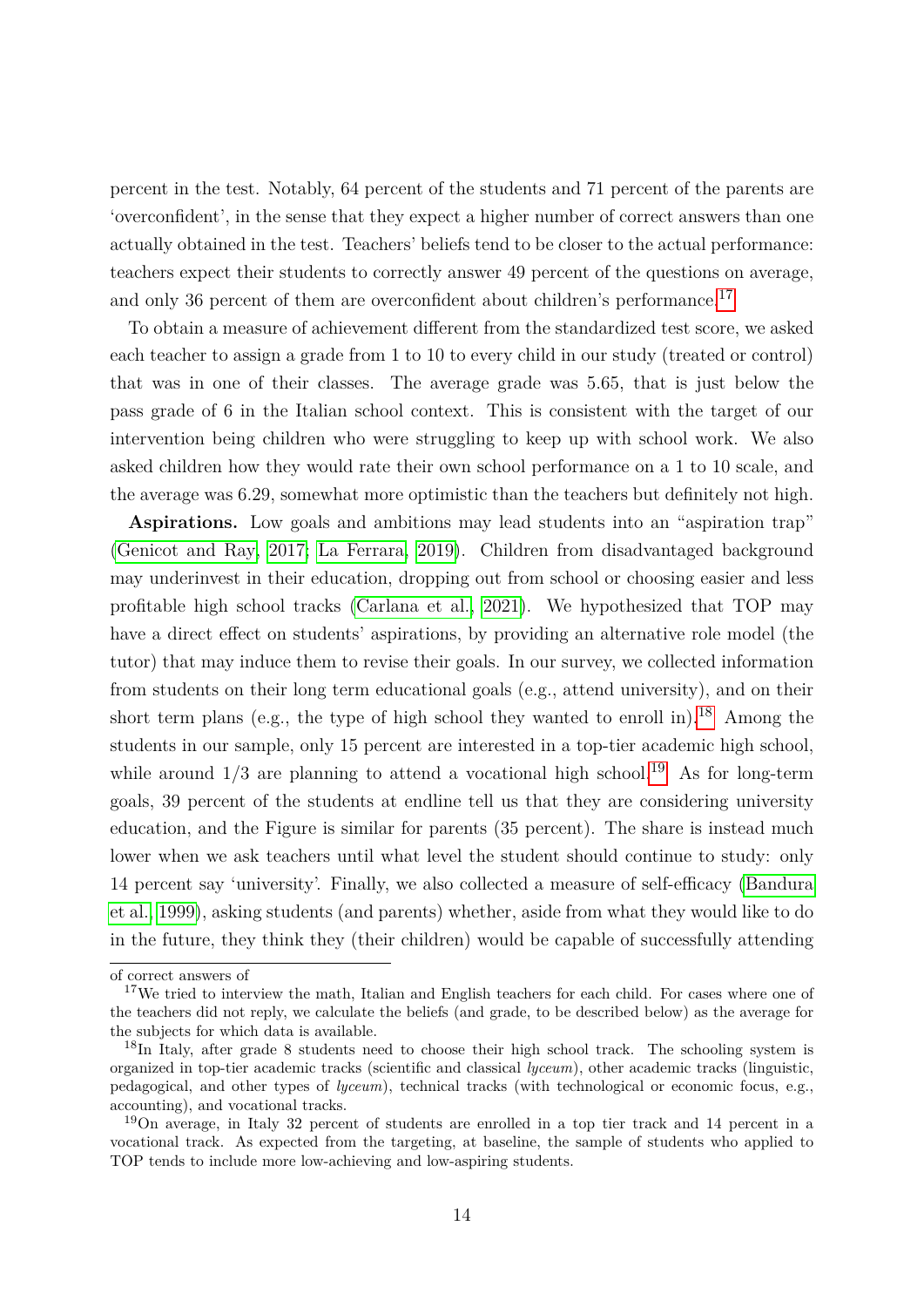percent in the test. Notably, 64 percent of the students and 71 percent of the parents are 'overconfident', in the sense that they expect a higher number of correct answers than one actually obtained in the test. Teachers' beliefs tend to be closer to the actual performance: teachers expect their students to correctly answer 49 percent of the questions on average, and only 36 percent of them are overconfident about children's performance.<sup>[17](#page-14-0)</sup>

To obtain a measure of achievement different from the standardized test score, we asked each teacher to assign a grade from 1 to 10 to every child in our study (treated or control) that was in one of their classes. The average grade was 5*.*65, that is just below the pass grade of 6 in the Italian school context. This is consistent with the target of our intervention being children who were struggling to keep up with school work. We also asked children how they would rate their own school performance on a 1 to 10 scale, and the average was 6*.*29, somewhat more optimistic than the teachers but definitely not high.

**Aspirations.** Low goals and ambitions may lead students into an "aspiration trap" [\(Genicot and Ray, 2017;](#page-34-8) [La Ferrara, 2019\)](#page-35-13). Children from disadvantaged background may underinvest in their education, dropping out from school or choosing easier and less profitable high school tracks [\(Carlana et al., 2021\)](#page-34-9). We hypothesized that TOP may have a direct effect on students' aspirations, by providing an alternative role model (the tutor) that may induce them to revise their goals. In our survey, we collected information from students on their long term educational goals (e.g., attend university), and on their short term plans (e.g., the type of high school they wanted to enroll in).<sup>[18](#page-14-1)</sup> Among the students in our sample, only 15 percent are interested in a top-tier academic high school, while around  $1/3$  are planning to attend a vocational high school.<sup>[19](#page-14-2)</sup> As for long-term goals, 39 percent of the students at endline tell us that they are considering university education, and the Figure is similar for parents (35 percent). The share is instead much lower when we ask teachers until what level the student should continue to study: only 14 percent say 'university'. Finally, we also collected a measure of self-efficacy [\(Bandura](#page-33-8) [et al., 1999\)](#page-33-8), asking students (and parents) whether, aside from what they would like to do in the future, they think they (their children) would be capable of successfully attending

of correct answers of

<span id="page-14-0"></span><sup>&</sup>lt;sup>17</sup>We tried to interview the math, Italian and English teachers for each child. For cases where one of the teachers did not reply, we calculate the beliefs (and grade, to be described below) as the average for the subjects for which data is available.

<span id="page-14-1"></span><sup>&</sup>lt;sup>18</sup>In Italy, after grade 8 students need to choose their high school track. The schooling system is organized in top-tier academic tracks (scientific and classical *lyceum*), other academic tracks (linguistic, pedagogical, and other types of *lyceum*), technical tracks (with technological or economic focus, e.g., accounting), and vocational tracks.

<span id="page-14-2"></span><sup>19</sup>On average, in Italy 32 percent of students are enrolled in a top tier track and 14 percent in a vocational track. As expected from the targeting, at baseline, the sample of students who applied to TOP tends to include more low-achieving and low-aspiring students.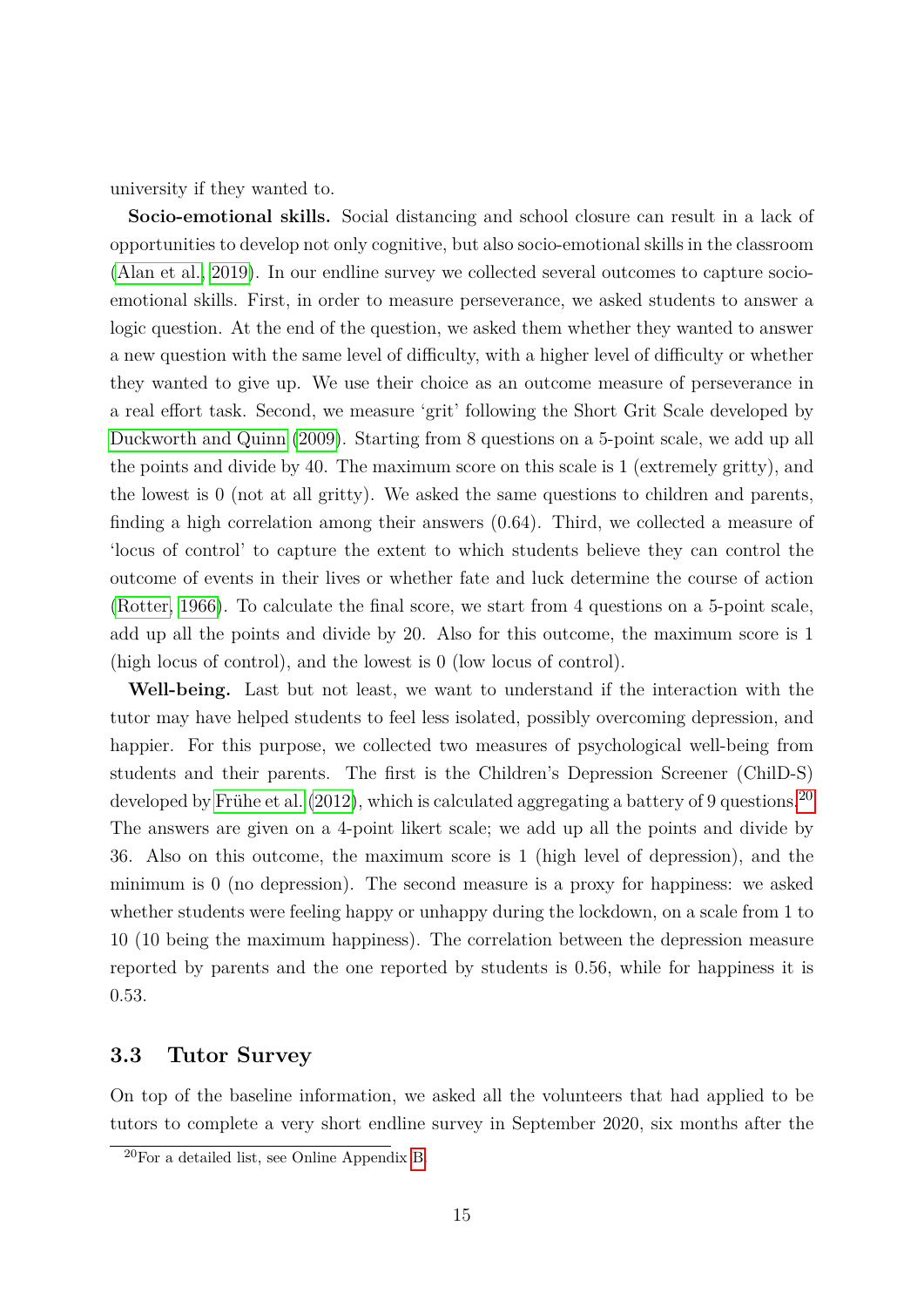university if they wanted to.

**Socio-emotional skills.** Social distancing and school closure can result in a lack of opportunities to develop not only cognitive, but also socio-emotional skills in the classroom [\(Alan et al., 2019\)](#page-33-9). In our endline survey we collected several outcomes to capture socioemotional skills. First, in order to measure perseverance, we asked students to answer a logic question. At the end of the question, we asked them whether they wanted to answer a new question with the same level of difficulty, with a higher level of difficulty or whether they wanted to give up. We use their choice as an outcome measure of perseverance in a real effort task. Second, we measure 'grit' following the Short Grit Scale developed by [Duckworth and Quinn](#page-34-10) [\(2009\)](#page-34-10). Starting from 8 questions on a 5-point scale, we add up all the points and divide by 40. The maximum score on this scale is 1 (extremely gritty), and the lowest is 0 (not at all gritty). We asked the same questions to children and parents, finding a high correlation among their answers (0*.*64). Third, we collected a measure of 'locus of control' to capture the extent to which students believe they can control the outcome of events in their lives or whether fate and luck determine the course of action [\(Rotter, 1966\)](#page-36-1). To calculate the final score, we start from 4 questions on a 5-point scale, add up all the points and divide by 20. Also for this outcome, the maximum score is 1 (high locus of control), and the lowest is 0 (low locus of control).

**Well-being.** Last but not least, we want to understand if the interaction with the tutor may have helped students to feel less isolated, possibly overcoming depression, and happier. For this purpose, we collected two measures of psychological well-being from students and their parents. The first is the Children's Depression Screener (ChilD-S) developed by Frühe et al.  $(2012)$ , which is calculated aggregating a battery of 9 questions.<sup>[20](#page-15-0)</sup> The answers are given on a 4-point likert scale; we add up all the points and divide by 36. Also on this outcome, the maximum score is 1 (high level of depression), and the minimum is 0 (no depression). The second measure is a proxy for happiness: we asked whether students were feeling happy or unhappy during the lockdown, on a scale from 1 to 10 (10 being the maximum happiness). The correlation between the depression measure reported by parents and the one reported by students is 0*.*56, while for happiness it is 0*.*53.

### <span id="page-15-1"></span>**3.3 Tutor Survey**

On top of the baseline information, we asked all the volunteers that had applied to be tutors to complete a very short endline survey in September 2020, six months after the

<span id="page-15-0"></span><sup>20</sup>For a detailed list, see Online Appendix [B.](#page-71-0)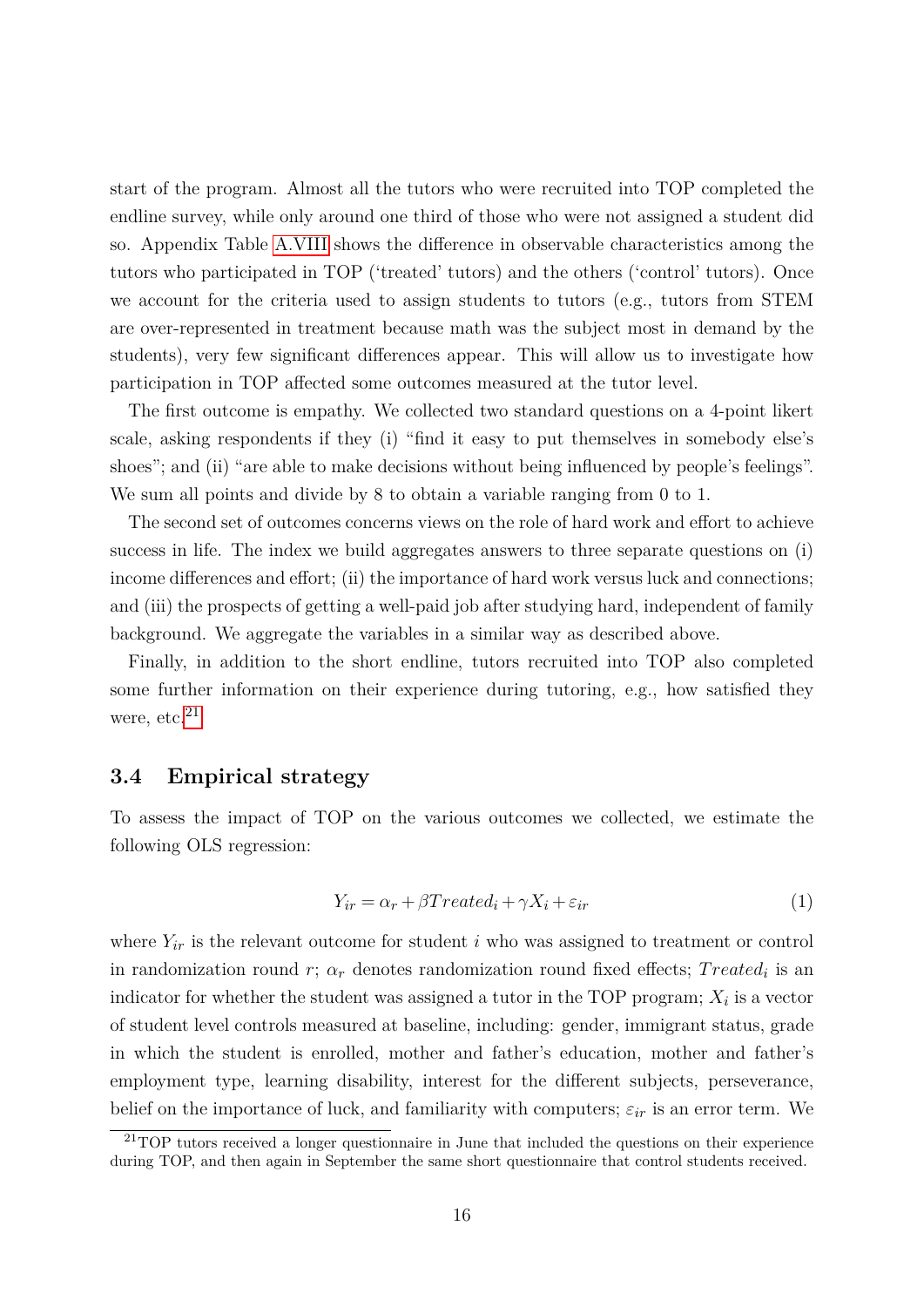start of the program. Almost all the tutors who were recruited into TOP completed the endline survey, while only around one third of those who were not assigned a student did so. Appendix Table [A.VIII](#page-60-0) shows the difference in observable characteristics among the tutors who participated in TOP ('treated' tutors) and the others ('control' tutors). Once we account for the criteria used to assign students to tutors (e.g., tutors from STEM are over-represented in treatment because math was the subject most in demand by the students), very few significant differences appear. This will allow us to investigate how participation in TOP affected some outcomes measured at the tutor level.

The first outcome is empathy. We collected two standard questions on a 4-point likert scale, asking respondents if they (i) "find it easy to put themselves in somebody else's shoes"; and (ii) "are able to make decisions without being influenced by people's feelings". We sum all points and divide by 8 to obtain a variable ranging from 0 to 1.

The second set of outcomes concerns views on the role of hard work and effort to achieve success in life. The index we build aggregates answers to three separate questions on (i) income differences and effort; (ii) the importance of hard work versus luck and connections; and (iii) the prospects of getting a well-paid job after studying hard, independent of family background. We aggregate the variables in a similar way as described above.

Finally, in addition to the short endline, tutors recruited into TOP also completed some further information on their experience during tutoring, e.g., how satisfied they were, etc.<sup>[21](#page-16-0)</sup>

### **3.4 Empirical strategy**

To assess the impact of TOP on the various outcomes we collected, we estimate the following OLS regression:

<span id="page-16-1"></span>
$$
Y_{ir} = \alpha_r + \beta Treated_i + \gamma X_i + \varepsilon_{ir}
$$
\n<sup>(1)</sup>

where  $Y_{ir}$  is the relevant outcome for student *i* who was assigned to treatment or control in randomization round  $r$ ;  $\alpha_r$  denotes randomization round fixed effects;  $Treated_i$  is an indicator for whether the student was assigned a tutor in the TOP program; *X<sup>i</sup>* is a vector of student level controls measured at baseline, including: gender, immigrant status, grade in which the student is enrolled, mother and father's education, mother and father's employment type, learning disability, interest for the different subjects, perseverance, belief on the importance of luck, and familiarity with computers;  $\varepsilon_{ir}$  is an error term. We

<span id="page-16-0"></span> $21$ TOP tutors received a longer questionnaire in June that included the questions on their experience during TOP, and then again in September the same short questionnaire that control students received.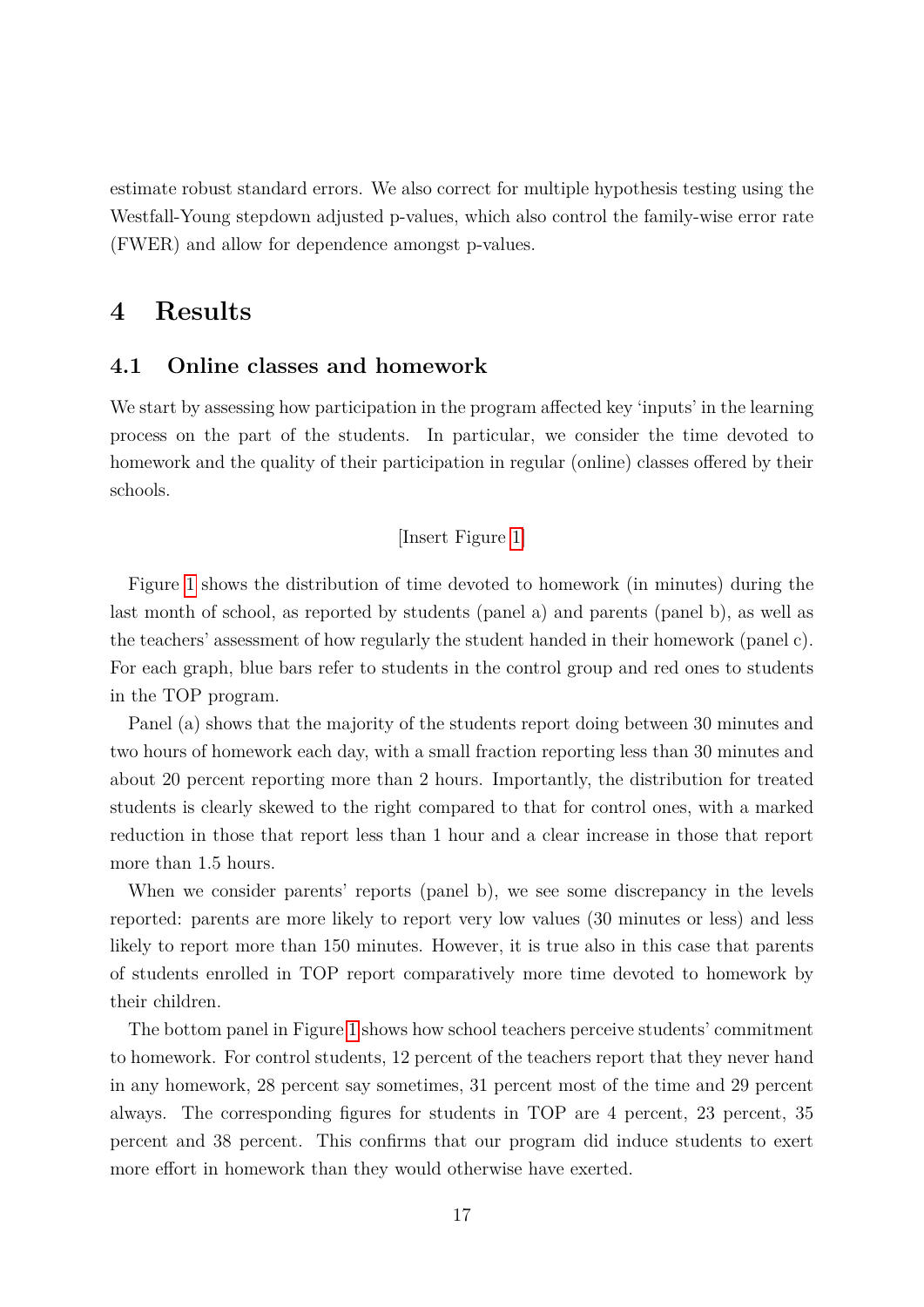estimate robust standard errors. We also correct for multiple hypothesis testing using the Westfall-Young stepdown adjusted p-values, which also control the family-wise error rate (FWER) and allow for dependence amongst p-values.

# **4 Results**

### **4.1 Online classes and homework**

We start by assessing how participation in the program affected key 'inputs' in the learning process on the part of the students. In particular, we consider the time devoted to homework and the quality of their participation in regular (online) classes offered by their schools.

[Insert Figure [1\]](#page-37-0)

Figure [1](#page-37-0) shows the distribution of time devoted to homework (in minutes) during the last month of school, as reported by students (panel a) and parents (panel b), as well as the teachers' assessment of how regularly the student handed in their homework (panel c). For each graph, blue bars refer to students in the control group and red ones to students in the TOP program.

Panel (a) shows that the majority of the students report doing between 30 minutes and two hours of homework each day, with a small fraction reporting less than 30 minutes and about 20 percent reporting more than 2 hours. Importantly, the distribution for treated students is clearly skewed to the right compared to that for control ones, with a marked reduction in those that report less than 1 hour and a clear increase in those that report more than 1.5 hours.

When we consider parents' reports (panel b), we see some discrepancy in the levels reported: parents are more likely to report very low values (30 minutes or less) and less likely to report more than 150 minutes. However, it is true also in this case that parents of students enrolled in TOP report comparatively more time devoted to homework by their children.

The bottom panel in Figure [1](#page-37-0) shows how school teachers perceive students' commitment to homework. For control students, 12 percent of the teachers report that they never hand in any homework, 28 percent say sometimes, 31 percent most of the time and 29 percent always. The corresponding figures for students in TOP are 4 percent, 23 percent, 35 percent and 38 percent. This confirms that our program did induce students to exert more effort in homework than they would otherwise have exerted.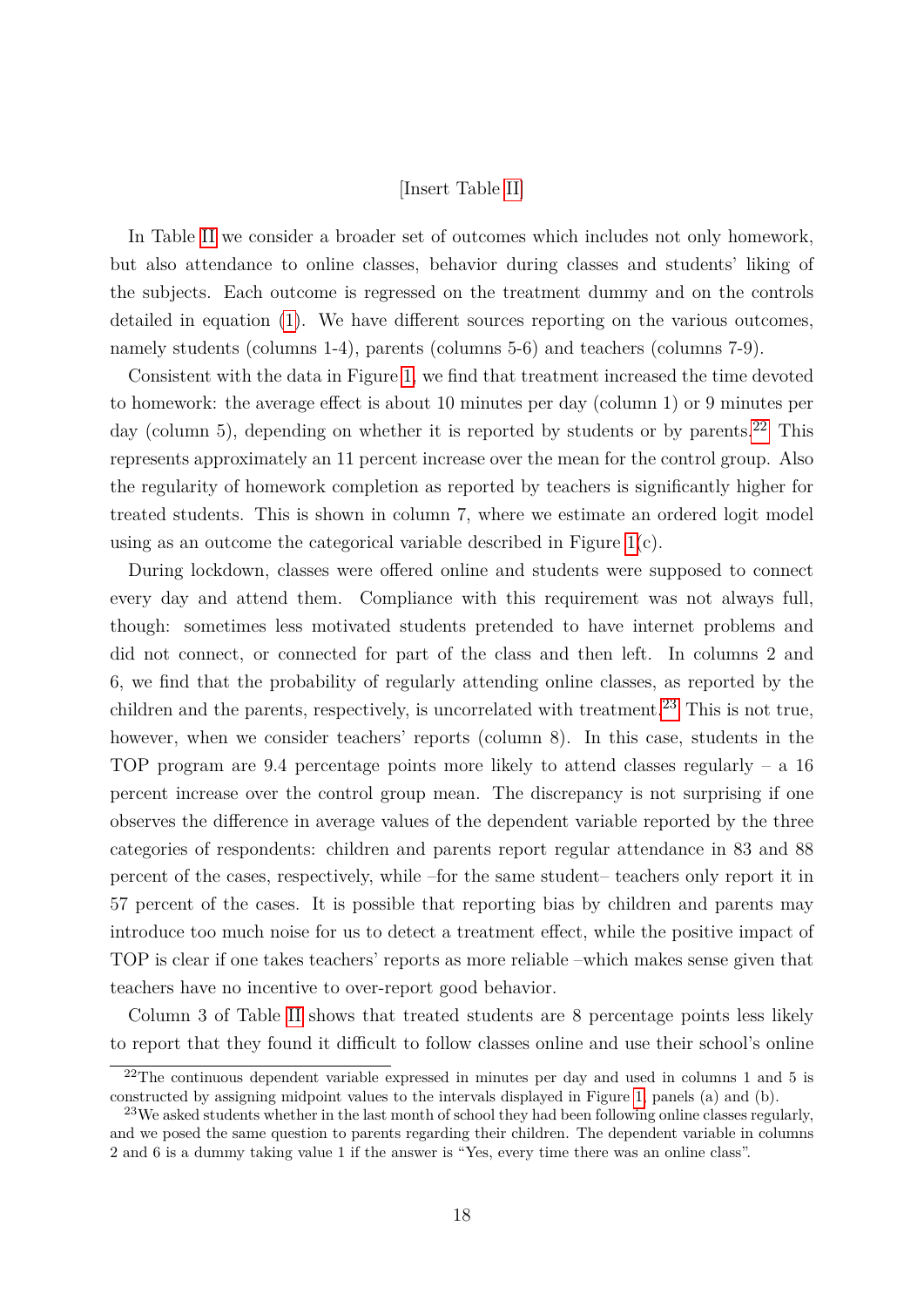#### [Insert Table [II\]](#page-42-0)

In Table [II](#page-42-0) we consider a broader set of outcomes which includes not only homework, but also attendance to online classes, behavior during classes and students' liking of the subjects. Each outcome is regressed on the treatment dummy and on the controls detailed in equation [\(1\)](#page-16-1). We have different sources reporting on the various outcomes, namely students (columns 1-4), parents (columns 5-6) and teachers (columns 7-9).

Consistent with the data in Figure [1,](#page-37-0) we find that treatment increased the time devoted to homework: the average effect is about 10 minutes per day (column 1) or 9 minutes per day (column 5), depending on whether it is reported by students or by parents.<sup>[22](#page-18-0)</sup> This represents approximately an 11 percent increase over the mean for the control group. Also the regularity of homework completion as reported by teachers is significantly higher for treated students. This is shown in column 7, where we estimate an ordered logit model using as an outcome the categorical variable described in Figure  $1(c)$ .

During lockdown, classes were offered online and students were supposed to connect every day and attend them. Compliance with this requirement was not always full, though: sometimes less motivated students pretended to have internet problems and did not connect, or connected for part of the class and then left. In columns 2 and 6, we find that the probability of regularly attending online classes, as reported by the children and the parents, respectively, is uncorrelated with treatment.<sup>[23](#page-18-1)</sup> This is not true, however, when we consider teachers' reports (column 8). In this case, students in the TOP program are 9*.*4 percentage points more likely to attend classes regularly – a 16 percent increase over the control group mean. The discrepancy is not surprising if one observes the difference in average values of the dependent variable reported by the three categories of respondents: children and parents report regular attendance in 83 and 88 percent of the cases, respectively, while –for the same student– teachers only report it in 57 percent of the cases. It is possible that reporting bias by children and parents may introduce too much noise for us to detect a treatment effect, while the positive impact of TOP is clear if one takes teachers' reports as more reliable –which makes sense given that teachers have no incentive to over-report good behavior.

Column 3 of Table [II](#page-42-0) shows that treated students are 8 percentage points less likely to report that they found it difficult to follow classes online and use their school's online

<span id="page-18-0"></span> $22$ The continuous dependent variable expressed in minutes per day and used in columns 1 and 5 is constructed by assigning midpoint values to the intervals displayed in Figure [1,](#page-37-0) panels (a) and (b).

<span id="page-18-1"></span> $^{23}$ We asked students whether in the last month of school they had been following online classes regularly, and we posed the same question to parents regarding their children. The dependent variable in columns 2 and 6 is a dummy taking value 1 if the answer is "Yes, every time there was an online class".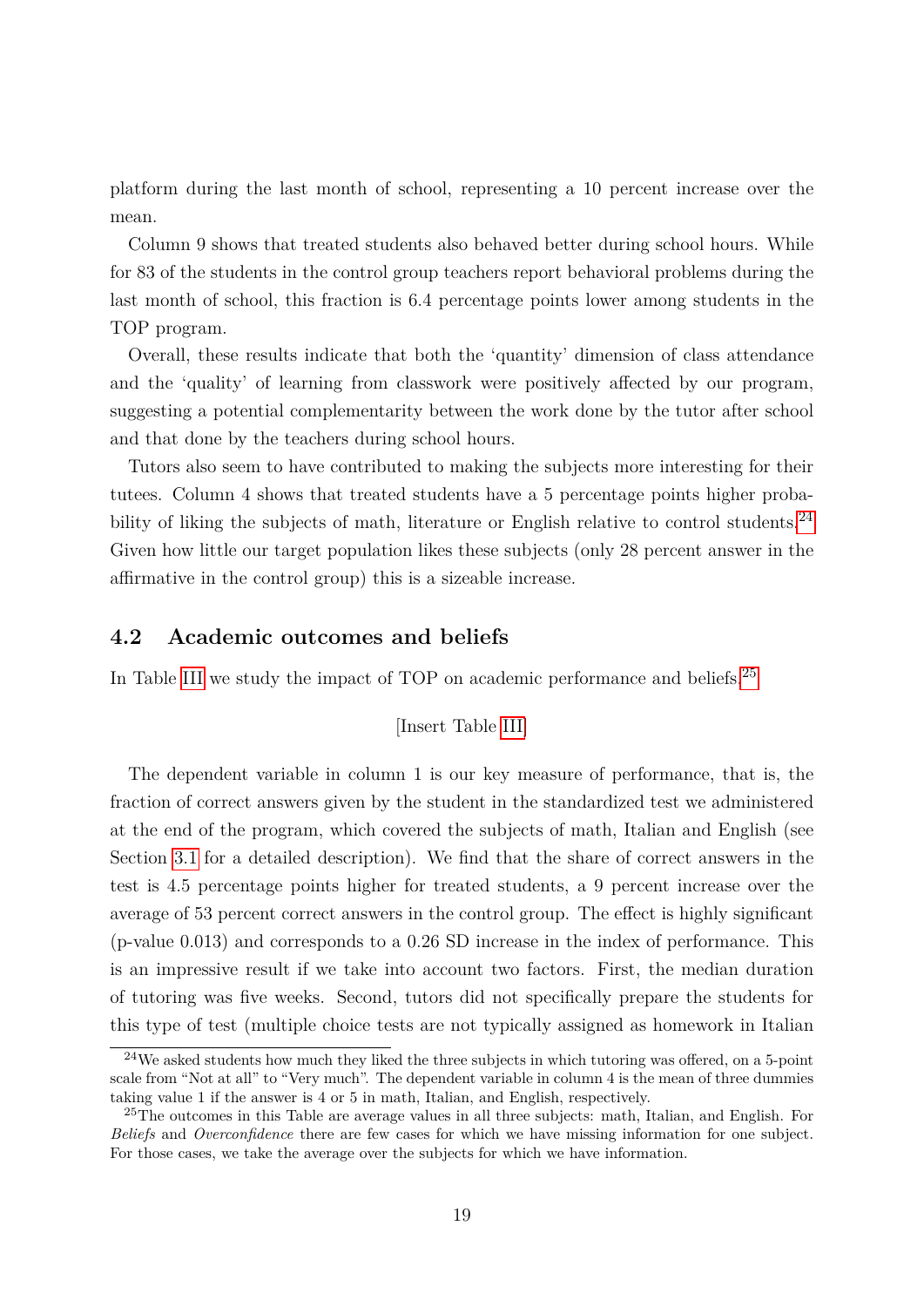platform during the last month of school, representing a 10 percent increase over the mean.

Column 9 shows that treated students also behaved better during school hours. While for 83 of the students in the control group teachers report behavioral problems during the last month of school, this fraction is 6*.*4 percentage points lower among students in the TOP program.

Overall, these results indicate that both the 'quantity' dimension of class attendance and the 'quality' of learning from classwork were positively affected by our program, suggesting a potential complementarity between the work done by the tutor after school and that done by the teachers during school hours.

Tutors also seem to have contributed to making the subjects more interesting for their tutees. Column 4 shows that treated students have a 5 percentage points higher proba-bility of liking the subjects of math, literature or English relative to control students.<sup>[24](#page-19-0)</sup> Given how little our target population likes these subjects (only 28 percent answer in the affirmative in the control group) this is a sizeable increase.

### **4.2 Academic outcomes and beliefs**

In Table [III](#page-43-0) we study the impact of TOP on academic performance and beliefs.<sup>[25](#page-19-1)</sup>

[Insert Table [III\]](#page-43-0)

The dependent variable in column 1 is our key measure of performance, that is, the fraction of correct answers given by the student in the standardized test we administered at the end of the program, which covered the subjects of math, Italian and English (see Section [3.1](#page-12-2) for a detailed description). We find that the share of correct answers in the test is 4*.*5 percentage points higher for treated students, a 9 percent increase over the average of 53 percent correct answers in the control group. The effect is highly significant (p-value 0*.*013) and corresponds to a 0*.*26 SD increase in the index of performance. This is an impressive result if we take into account two factors. First, the median duration of tutoring was five weeks. Second, tutors did not specifically prepare the students for this type of test (multiple choice tests are not typically assigned as homework in Italian

<span id="page-19-0"></span> $^{24}$ We asked students how much they liked the three subjects in which tutoring was offered, on a 5-point scale from "Not at all" to "Very much". The dependent variable in column 4 is the mean of three dummies taking value 1 if the answer is 4 or 5 in math, Italian, and English, respectively.

<span id="page-19-1"></span><sup>&</sup>lt;sup>25</sup>The outcomes in this Table are average values in all three subjects: math, Italian, and English. For *Beliefs* and *Overconfidence* there are few cases for which we have missing information for one subject. For those cases, we take the average over the subjects for which we have information.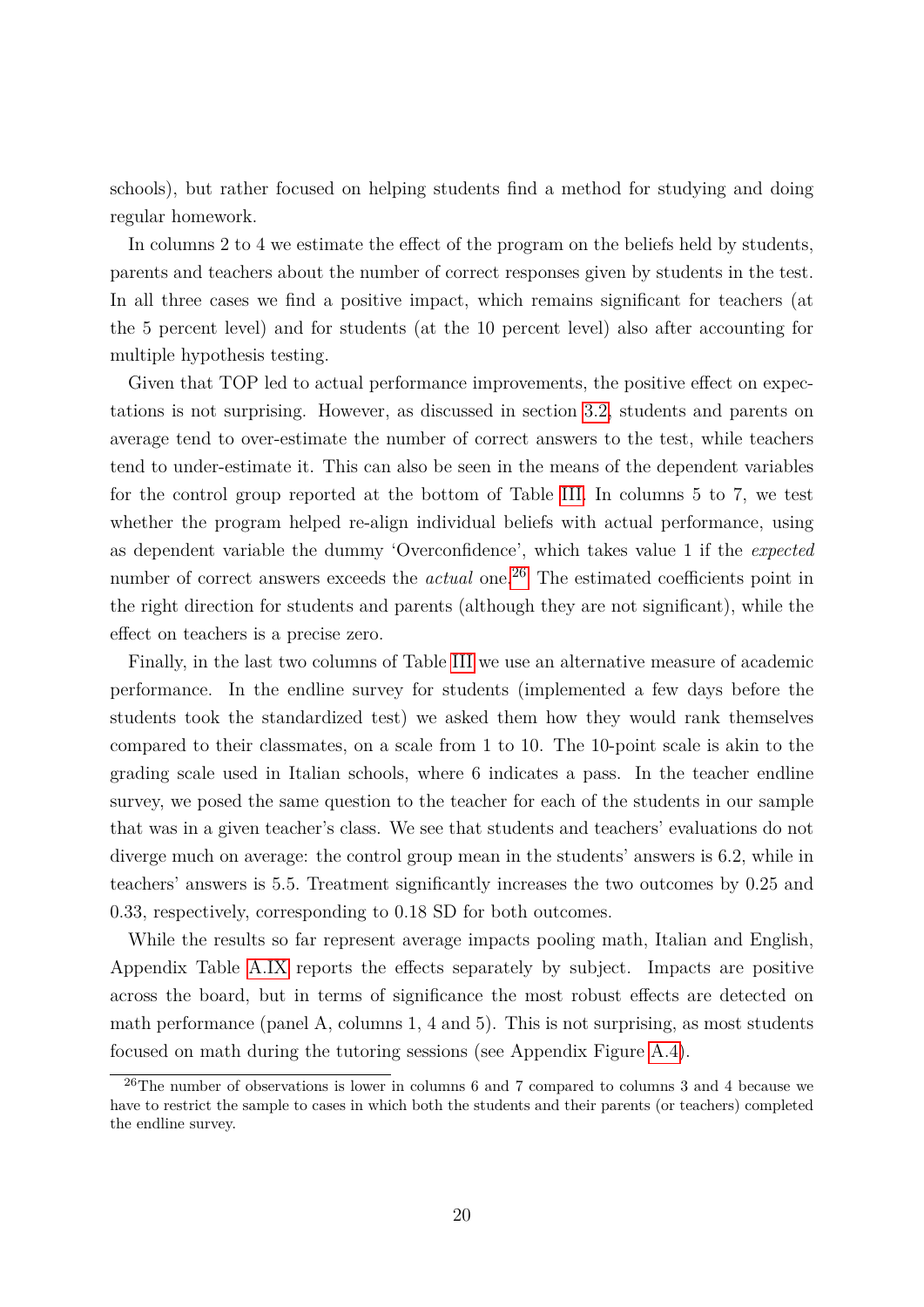schools), but rather focused on helping students find a method for studying and doing regular homework.

In columns 2 to 4 we estimate the effect of the program on the beliefs held by students, parents and teachers about the number of correct responses given by students in the test. In all three cases we find a positive impact, which remains significant for teachers (at the 5 percent level) and for students (at the 10 percent level) also after accounting for multiple hypothesis testing.

Given that TOP led to actual performance improvements, the positive effect on expectations is not surprising. However, as discussed in section [3.2,](#page-13-1) students and parents on average tend to over-estimate the number of correct answers to the test, while teachers tend to under-estimate it. This can also be seen in the means of the dependent variables for the control group reported at the bottom of Table [III.](#page-43-0) In columns 5 to 7, we test whether the program helped re-align individual beliefs with actual performance, using as dependent variable the dummy 'Overconfidence', which takes value 1 if the *expected* number of correct answers exceeds the *actual* one.<sup>[26](#page-20-0)</sup> The estimated coefficients point in the right direction for students and parents (although they are not significant), while the effect on teachers is a precise zero.

Finally, in the last two columns of Table [III](#page-43-0) we use an alternative measure of academic performance. In the endline survey for students (implemented a few days before the students took the standardized test) we asked them how they would rank themselves compared to their classmates, on a scale from 1 to 10. The 10-point scale is akin to the grading scale used in Italian schools, where 6 indicates a pass. In the teacher endline survey, we posed the same question to the teacher for each of the students in our sample that was in a given teacher's class. We see that students and teachers' evaluations do not diverge much on average: the control group mean in the students' answers is 6*.*2*,* while in teachers' answers is 5*.*5*.* Treatment significantly increases the two outcomes by 0*.*25 and 0*.*33*,* respectively, corresponding to 0*.*18 SD for both outcomes.

While the results so far represent average impacts pooling math, Italian and English, Appendix Table [A.IX](#page-61-0) reports the effects separately by subject. Impacts are positive across the board, but in terms of significance the most robust effects are detected on math performance (panel A, columns 1, 4 and 5). This is not surprising, as most students focused on math during the tutoring sessions (see Appendix Figure [A.4\)](#page-52-0).

<span id="page-20-0"></span> $^{26}$ The number of observations is lower in columns 6 and 7 compared to columns 3 and 4 because we have to restrict the sample to cases in which both the students and their parents (or teachers) completed the endline survey.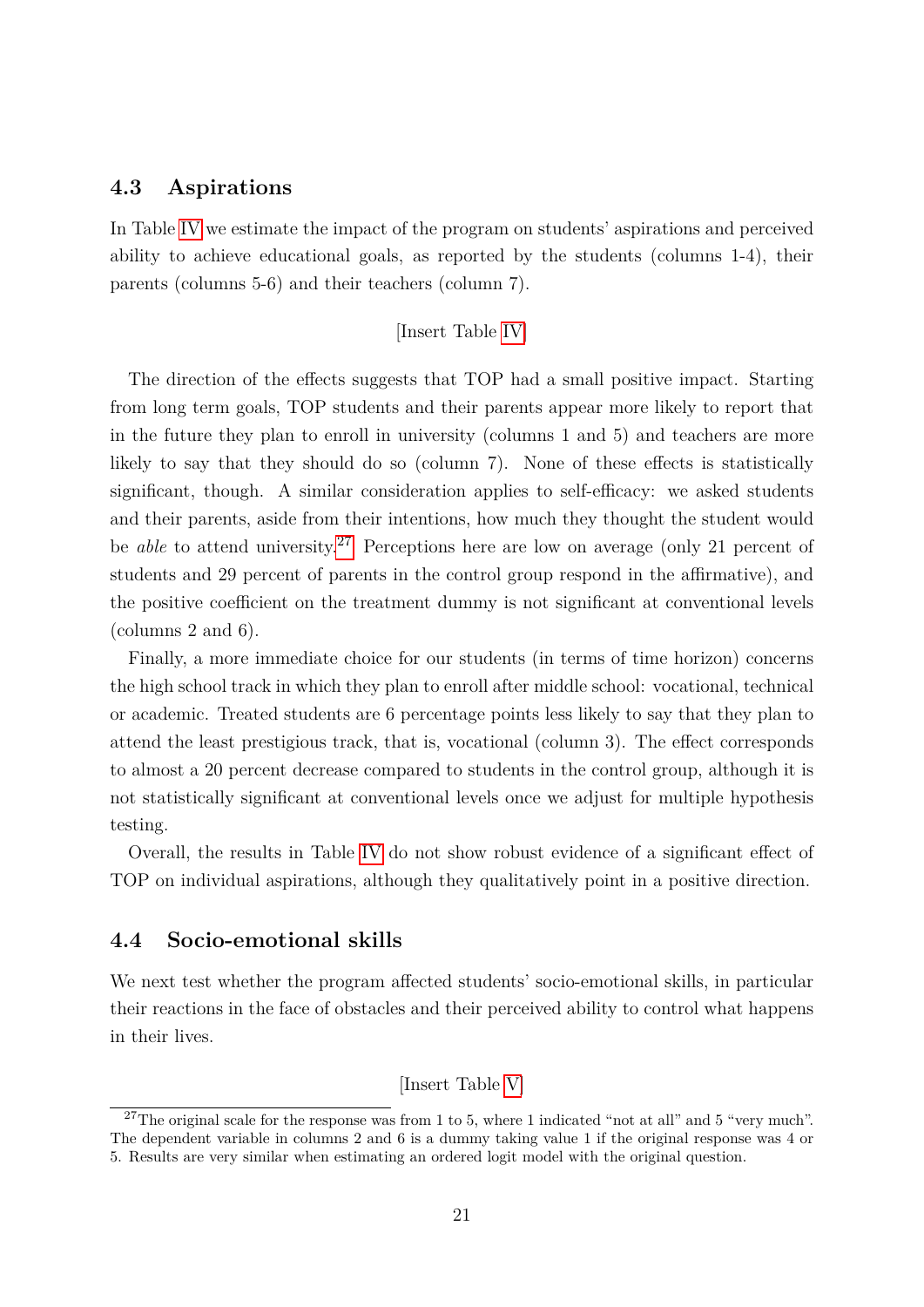### **4.3 Aspirations**

In Table [IV](#page-44-0) we estimate the impact of the program on students' aspirations and perceived ability to achieve educational goals, as reported by the students (columns 1-4), their parents (columns 5-6) and their teachers (column 7).

#### [Insert Table [IV\]](#page-44-0)

The direction of the effects suggests that TOP had a small positive impact. Starting from long term goals, TOP students and their parents appear more likely to report that in the future they plan to enroll in university (columns 1 and 5) and teachers are more likely to say that they should do so (column 7). None of these effects is statistically significant, though. A similar consideration applies to self-efficacy: we asked students and their parents, aside from their intentions, how much they thought the student would be *able* to attend university.<sup>[27](#page-21-0)</sup> Perceptions here are low on average (only 21 percent of students and 29 percent of parents in the control group respond in the affirmative), and the positive coefficient on the treatment dummy is not significant at conventional levels (columns 2 and 6).

Finally, a more immediate choice for our students (in terms of time horizon) concerns the high school track in which they plan to enroll after middle school: vocational, technical or academic. Treated students are 6 percentage points less likely to say that they plan to attend the least prestigious track, that is, vocational (column 3). The effect corresponds to almost a 20 percent decrease compared to students in the control group, although it is not statistically significant at conventional levels once we adjust for multiple hypothesis testing.

Overall, the results in Table [IV](#page-44-0) do not show robust evidence of a significant effect of TOP on individual aspirations, although they qualitatively point in a positive direction.

### **4.4 Socio-emotional skills**

We next test whether the program affected students' socio-emotional skills, in particular their reactions in the face of obstacles and their perceived ability to control what happens in their lives.

[Insert Table [V\]](#page-45-0)

<span id="page-21-0"></span><sup>&</sup>lt;sup>27</sup>The original scale for the response was from 1 to 5, where 1 indicated "not at all" and 5 "very much". The dependent variable in columns 2 and 6 is a dummy taking value 1 if the original response was 4 or 5. Results are very similar when estimating an ordered logit model with the original question.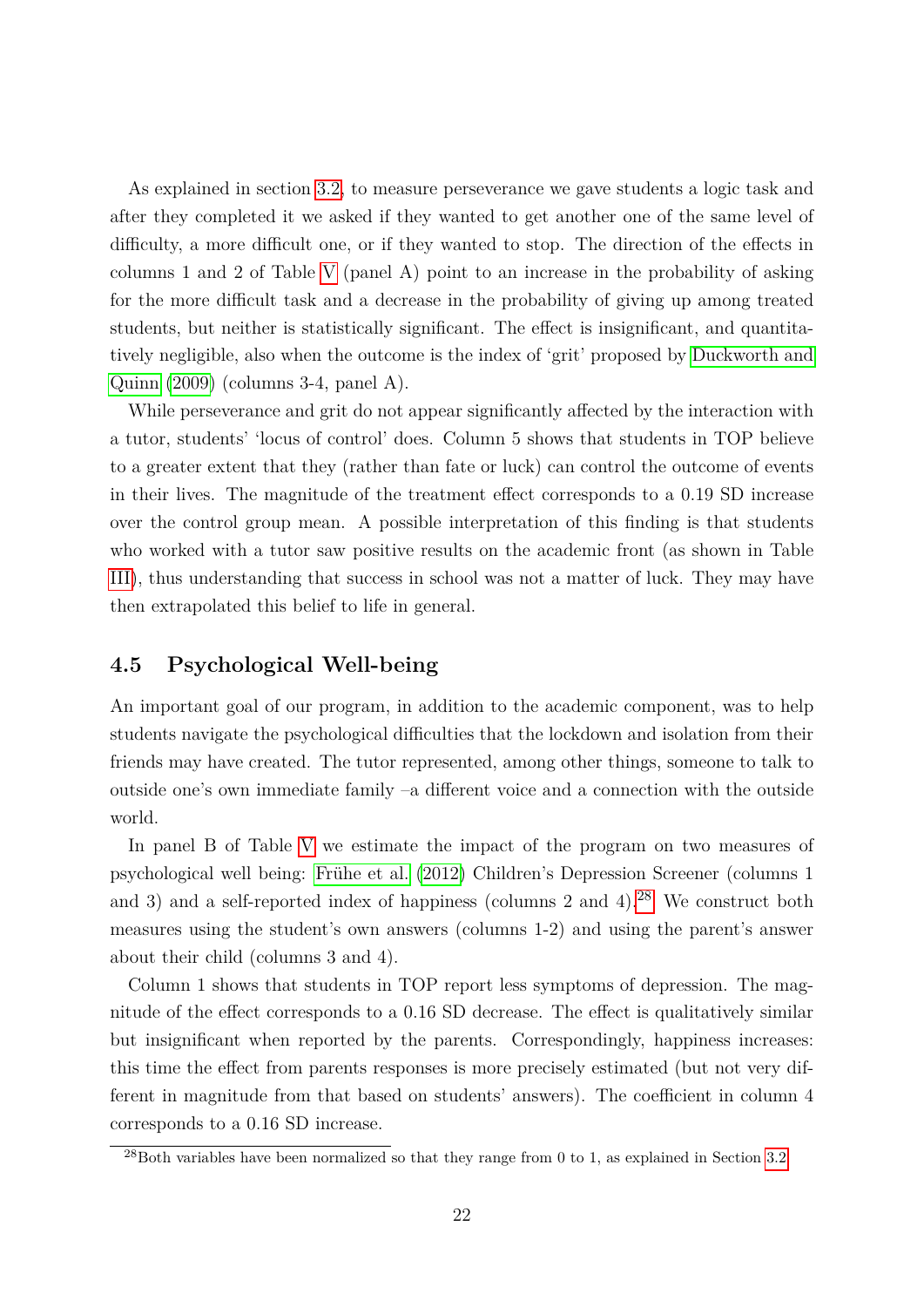As explained in section [3.2,](#page-13-1) to measure perseverance we gave students a logic task and after they completed it we asked if they wanted to get another one of the same level of difficulty, a more difficult one, or if they wanted to stop. The direction of the effects in columns 1 and 2 of Table [V](#page-45-0) (panel A) point to an increase in the probability of asking for the more difficult task and a decrease in the probability of giving up among treated students, but neither is statistically significant. The effect is insignificant, and quantitatively negligible, also when the outcome is the index of 'grit' proposed by [Duckworth and](#page-34-10) [Quinn](#page-34-10) [\(2009\)](#page-34-10) (columns 3-4, panel A).

While perseverance and grit do not appear significantly affected by the interaction with a tutor, students' 'locus of control' does. Column 5 shows that students in TOP believe to a greater extent that they (rather than fate or luck) can control the outcome of events in their lives. The magnitude of the treatment effect corresponds to a 0*.*19 SD increase over the control group mean. A possible interpretation of this finding is that students who worked with a tutor saw positive results on the academic front (as shown in Table [III\)](#page-43-0), thus understanding that success in school was not a matter of luck. They may have then extrapolated this belief to life in general.

# **4.5 Psychological Well-being**

An important goal of our program, in addition to the academic component, was to help students navigate the psychological difficulties that the lockdown and isolation from their friends may have created. The tutor represented, among other things, someone to talk to outside one's own immediate family –a different voice and a connection with the outside world.

In panel B of Table [V](#page-45-0) we estimate the impact of the program on two measures of psychological well being: Frühe et al. [\(2012\)](#page-34-11) Children's Depression Screener (columns 1 and 3) and a self-reported index of happiness (columns 2 and 4).<sup>[28](#page-22-0)</sup> We construct both measures using the student's own answers (columns 1-2) and using the parent's answer about their child (columns 3 and 4).

Column 1 shows that students in TOP report less symptoms of depression. The magnitude of the effect corresponds to a 0*.*16 SD decrease. The effect is qualitatively similar but insignificant when reported by the parents. Correspondingly, happiness increases: this time the effect from parents responses is more precisely estimated (but not very different in magnitude from that based on students' answers). The coefficient in column 4 corresponds to a 0*.*16 SD increase.

<span id="page-22-0"></span> $^{28}$ Both variables have been normalized so that they range from 0 to 1, as explained in Section [3.2.](#page-13-1)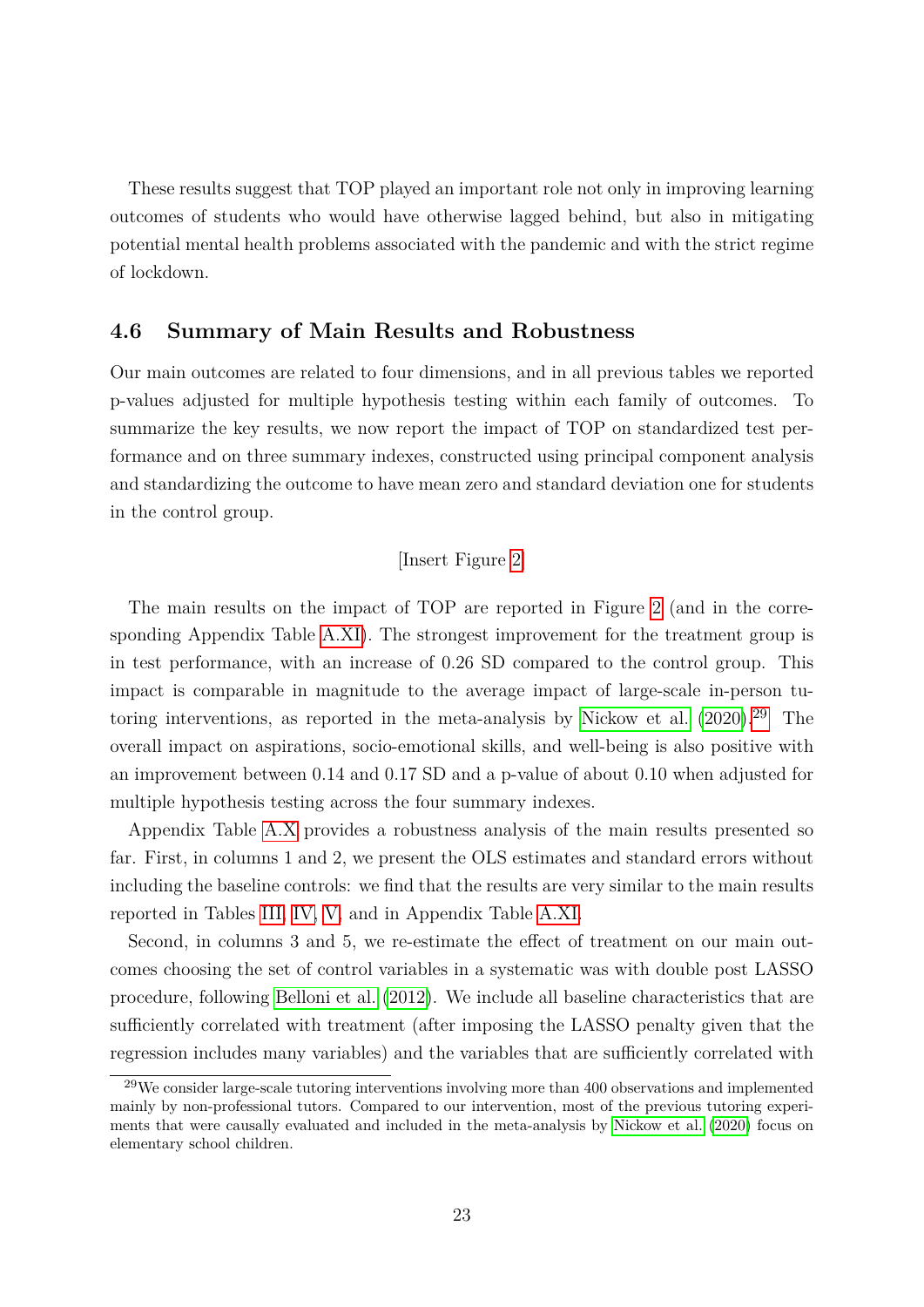These results suggest that TOP played an important role not only in improving learning outcomes of students who would have otherwise lagged behind, but also in mitigating potential mental health problems associated with the pandemic and with the strict regime of lockdown.

#### **4.6 Summary of Main Results and Robustness**

Our main outcomes are related to four dimensions, and in all previous tables we reported p-values adjusted for multiple hypothesis testing within each family of outcomes. To summarize the key results, we now report the impact of TOP on standardized test performance and on three summary indexes, constructed using principal component analysis and standardizing the outcome to have mean zero and standard deviation one for students in the control group.

#### [Insert Figure [2\]](#page-38-0)

The main results on the impact of TOP are reported in Figure [2](#page-38-0) (and in the corresponding Appendix Table [A.XI\)](#page-63-0). The strongest improvement for the treatment group is in test performance, with an increase of 0*.*26 SD compared to the control group. This impact is comparable in magnitude to the average impact of large-scale in-person tu-toring interventions, as reported in the meta-analysis by [Nickow et al.](#page-35-6)  $(2020)^{29}$  $(2020)^{29}$  $(2020)^{29}$  $(2020)^{29}$  The overall impact on aspirations, socio-emotional skills, and well-being is also positive with an improvement between 0*.*14 and 0*.*17 SD and a p-value of about 0*.*10 when adjusted for multiple hypothesis testing across the four summary indexes.

Appendix Table [A.X](#page-62-0) provides a robustness analysis of the main results presented so far. First, in columns 1 and 2, we present the OLS estimates and standard errors without including the baseline controls: we find that the results are very similar to the main results reported in Tables [III,](#page-43-0) [IV,](#page-44-0) [V,](#page-45-0) and in Appendix Table [A.XI.](#page-63-0)

Second, in columns 3 and 5, we re-estimate the effect of treatment on our main outcomes choosing the set of control variables in a systematic was with double post LASSO procedure, following [Belloni et al.](#page-34-12) [\(2012\)](#page-34-12). We include all baseline characteristics that are sufficiently correlated with treatment (after imposing the LASSO penalty given that the regression includes many variables) and the variables that are sufficiently correlated with

<span id="page-23-0"></span> $29$ We consider large-scale tutoring interventions involving more than 400 observations and implemented mainly by non-professional tutors. Compared to our intervention, most of the previous tutoring experiments that were causally evaluated and included in the meta-analysis by [Nickow et al.](#page-35-6) [\(2020\)](#page-35-6) focus on elementary school children.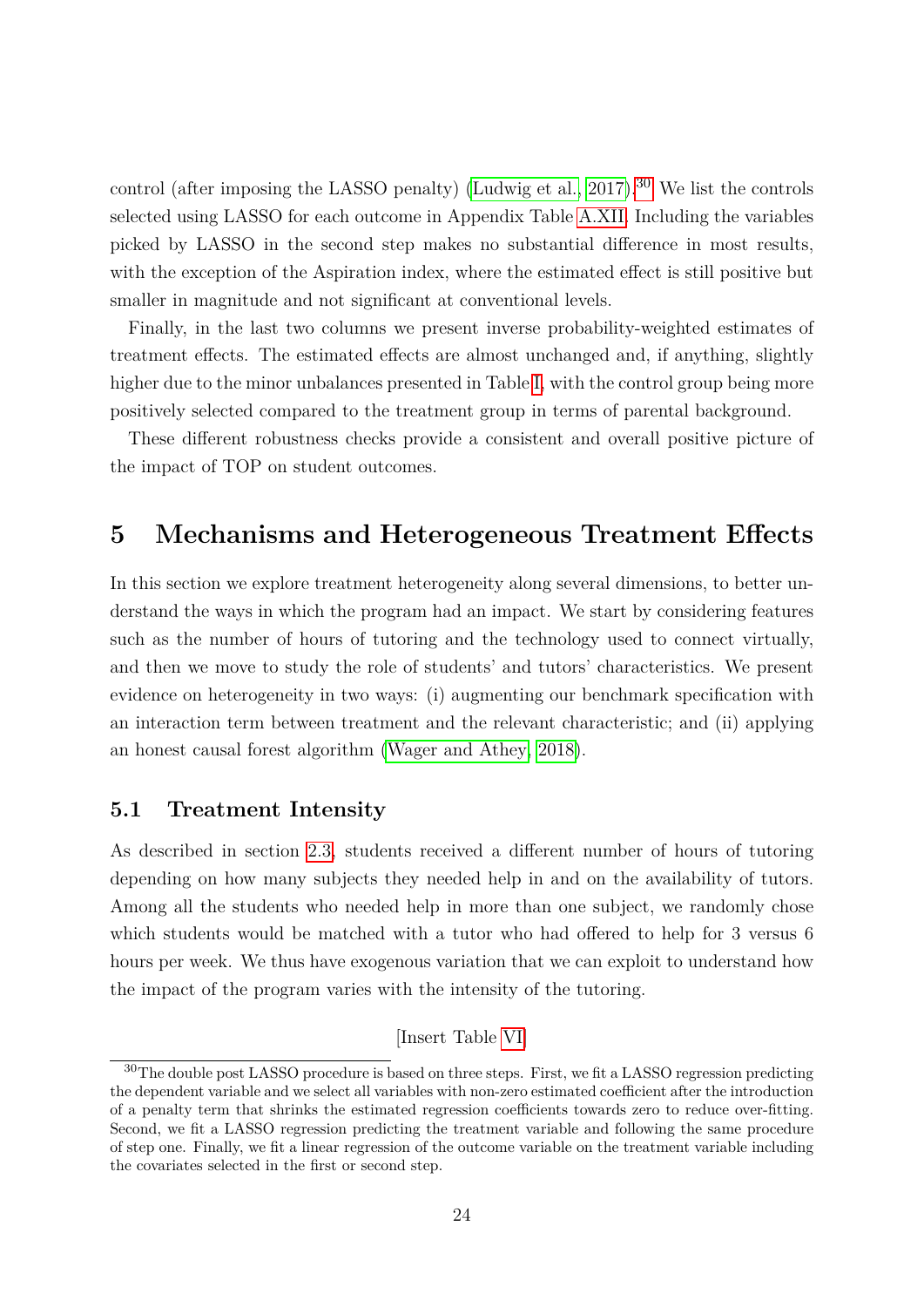control (after imposing the LASSO penalty) (Ludwig et al.,  $2017$ ).<sup>[30](#page-24-1)</sup> We list the controls selected using LASSO for each outcome in Appendix Table [A.XII.](#page-64-0) Including the variables picked by LASSO in the second step makes no substantial difference in most results, with the exception of the Aspiration index, where the estimated effect is still positive but smaller in magnitude and not significant at conventional levels.

Finally, in the last two columns we present inverse probability-weighted estimates of treatment effects. The estimated effects are almost unchanged and, if anything, slightly higher due to the minor unbalances presented in Table [I,](#page-41-0) with the control group being more positively selected compared to the treatment group in terms of parental background.

These different robustness checks provide a consistent and overall positive picture of the impact of TOP on student outcomes.

# **5 Mechanisms and Heterogeneous Treatment Effects**

In this section we explore treatment heterogeneity along several dimensions, to better understand the ways in which the program had an impact. We start by considering features such as the number of hours of tutoring and the technology used to connect virtually, and then we move to study the role of students' and tutors' characteristics. We present evidence on heterogeneity in two ways: (i) augmenting our benchmark specification with an interaction term between treatment and the relevant characteristic; and (ii) applying an honest causal forest algorithm [\(Wager and Athey, 2018\)](#page-36-2).

### <span id="page-24-0"></span>**5.1 Treatment Intensity**

As described in section [2.3,](#page-9-2) students received a different number of hours of tutoring depending on how many subjects they needed help in and on the availability of tutors. Among all the students who needed help in more than one subject, we randomly chose which students would be matched with a tutor who had offered to help for 3 versus 6 hours per week. We thus have exogenous variation that we can exploit to understand how the impact of the program varies with the intensity of the tutoring.

<sup>[</sup>Insert Table [VI\]](#page-46-0)

<span id="page-24-1"></span><sup>&</sup>lt;sup>30</sup>The double post LASSO procedure is based on three steps. First, we fit a LASSO regression predicting the dependent variable and we select all variables with non-zero estimated coefficient after the introduction of a penalty term that shrinks the estimated regression coefficients towards zero to reduce over-fitting. Second, we fit a LASSO regression predicting the treatment variable and following the same procedure of step one. Finally, we fit a linear regression of the outcome variable on the treatment variable including the covariates selected in the first or second step.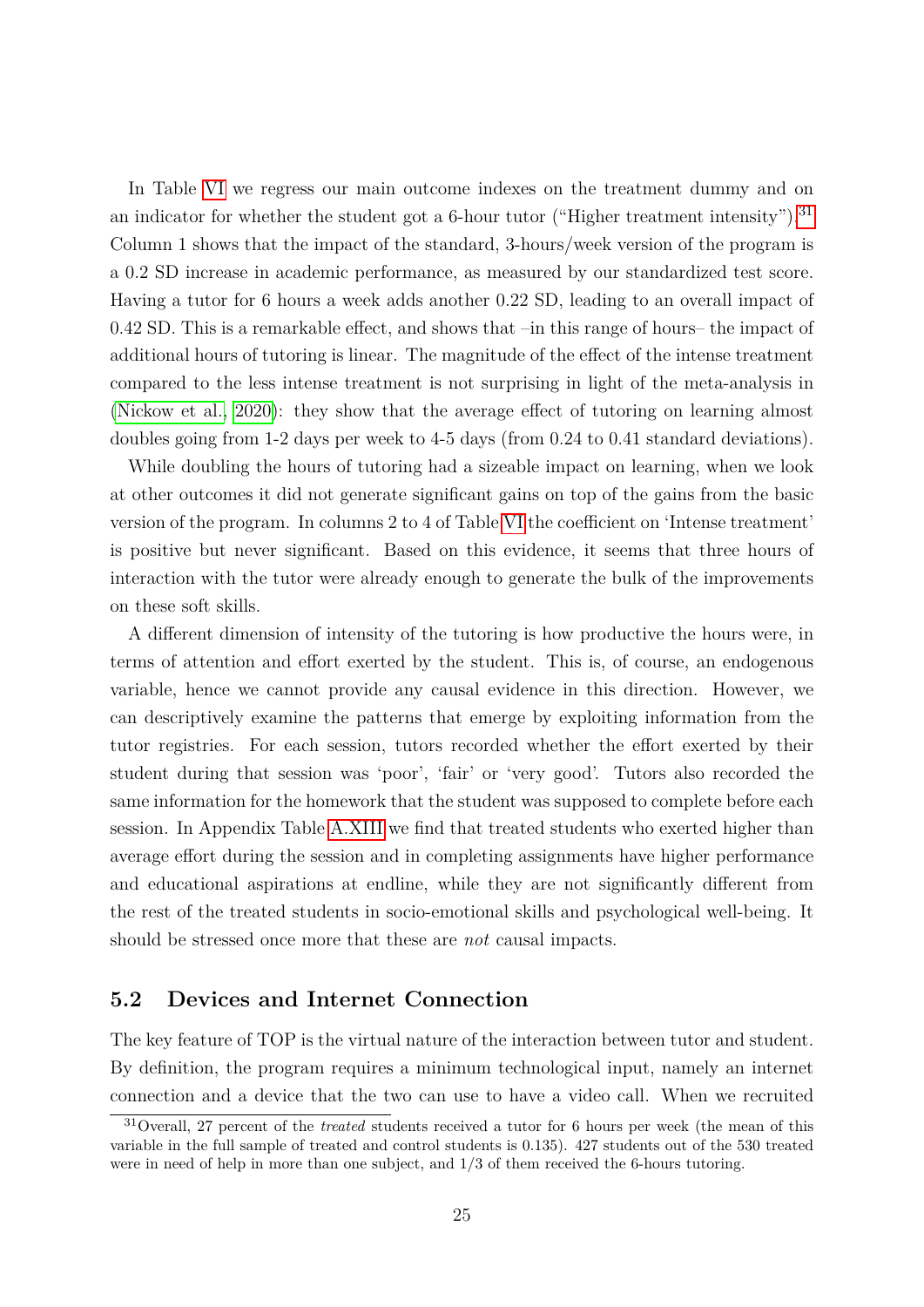In Table [VI](#page-46-0) we regress our main outcome indexes on the treatment dummy and on an indicator for whether the student got a 6-hour tutor ("Higher treatment intensity").<sup>[31](#page-25-0)</sup> Column 1 shows that the impact of the standard, 3-hours/week version of the program is a 0*.*2 SD increase in academic performance, as measured by our standardized test score. Having a tutor for 6 hours a week adds another 0*.*22 SD, leading to an overall impact of 0*.*42 SD. This is a remarkable effect, and shows that –in this range of hours– the impact of additional hours of tutoring is linear. The magnitude of the effect of the intense treatment compared to the less intense treatment is not surprising in light of the meta-analysis in [\(Nickow et al., 2020\)](#page-35-6): they show that the average effect of tutoring on learning almost doubles going from 1-2 days per week to 4-5 days (from 0*.*24 to 0*.*41 standard deviations).

While doubling the hours of tutoring had a sizeable impact on learning, when we look at other outcomes it did not generate significant gains on top of the gains from the basic version of the program. In columns 2 to 4 of Table [VI](#page-46-0) the coefficient on 'Intense treatment' is positive but never significant. Based on this evidence, it seems that three hours of interaction with the tutor were already enough to generate the bulk of the improvements on these soft skills.

A different dimension of intensity of the tutoring is how productive the hours were, in terms of attention and effort exerted by the student. This is, of course, an endogenous variable, hence we cannot provide any causal evidence in this direction. However, we can descriptively examine the patterns that emerge by exploiting information from the tutor registries. For each session, tutors recorded whether the effort exerted by their student during that session was 'poor', 'fair' or 'very good'. Tutors also recorded the same information for the homework that the student was supposed to complete before each session. In Appendix Table [A.XIII](#page-65-0) we find that treated students who exerted higher than average effort during the session and in completing assignments have higher performance and educational aspirations at endline, while they are not significantly different from the rest of the treated students in socio-emotional skills and psychological well-being. It should be stressed once more that these are *not* causal impacts.

# **5.2 Devices and Internet Connection**

The key feature of TOP is the virtual nature of the interaction between tutor and student. By definition, the program requires a minimum technological input, namely an internet connection and a device that the two can use to have a video call. When we recruited

<span id="page-25-0"></span><sup>31</sup>Overall, 27 percent of the *treated* students received a tutor for 6 hours per week (the mean of this variable in the full sample of treated and control students is 0*.*135). 427 students out of the 530 treated were in need of help in more than one subject, and 1/3 of them received the 6-hours tutoring.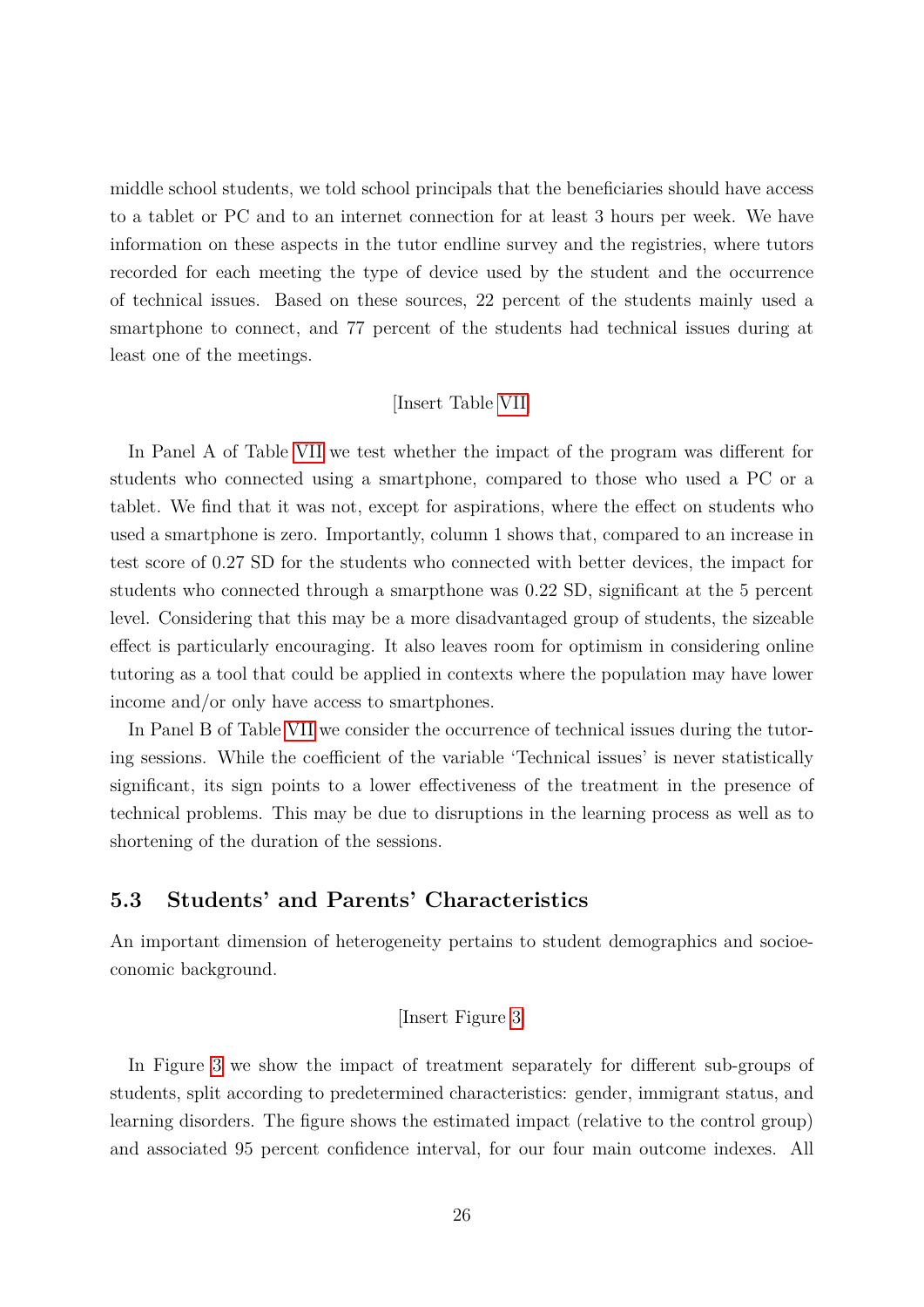middle school students, we told school principals that the beneficiaries should have access to a tablet or PC and to an internet connection for at least 3 hours per week. We have information on these aspects in the tutor endline survey and the registries, where tutors recorded for each meeting the type of device used by the student and the occurrence of technical issues. Based on these sources, 22 percent of the students mainly used a smartphone to connect, and 77 percent of the students had technical issues during at least one of the meetings.

#### [Insert Table [VII\]](#page-46-1)

In Panel A of Table [VII](#page-46-1) we test whether the impact of the program was different for students who connected using a smartphone, compared to those who used a PC or a tablet. We find that it was not, except for aspirations, where the effect on students who used a smartphone is zero. Importantly, column 1 shows that, compared to an increase in test score of 0*.*27 SD for the students who connected with better devices, the impact for students who connected through a smarpthone was 0*.*22 SD, significant at the 5 percent level. Considering that this may be a more disadvantaged group of students, the sizeable effect is particularly encouraging. It also leaves room for optimism in considering online tutoring as a tool that could be applied in contexts where the population may have lower income and/or only have access to smartphones.

In Panel B of Table [VII](#page-46-1) we consider the occurrence of technical issues during the tutoring sessions. While the coefficient of the variable 'Technical issues' is never statistically significant, its sign points to a lower effectiveness of the treatment in the presence of technical problems. This may be due to disruptions in the learning process as well as to shortening of the duration of the sessions.

# **5.3 Students' and Parents' Characteristics**

An important dimension of heterogeneity pertains to student demographics and socioeconomic background.

#### [Insert Figure [3\]](#page-39-0)

In Figure [3](#page-39-0) we show the impact of treatment separately for different sub-groups of students, split according to predetermined characteristics: gender, immigrant status, and learning disorders. The figure shows the estimated impact (relative to the control group) and associated 95 percent confidence interval, for our four main outcome indexes. All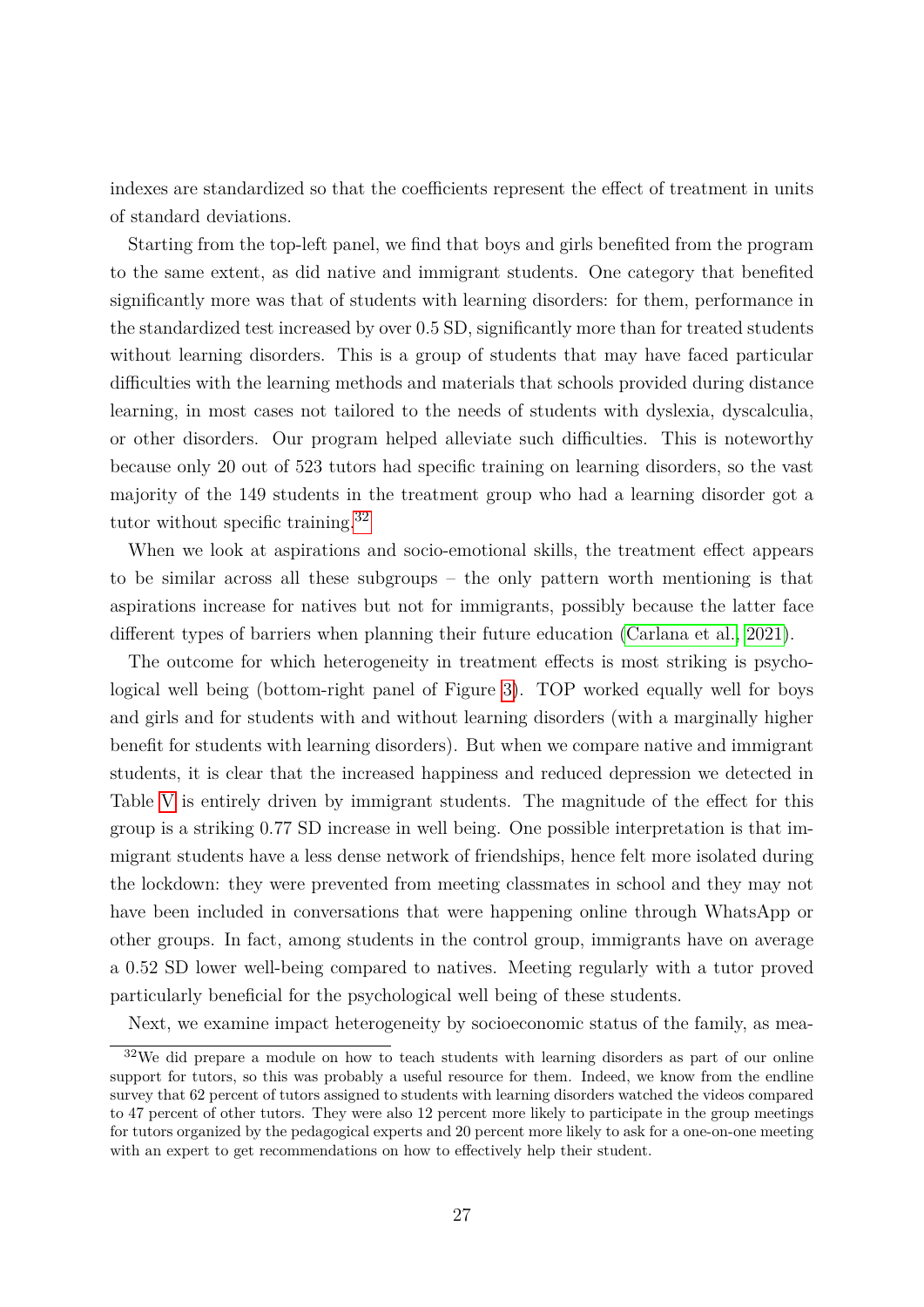indexes are standardized so that the coefficients represent the effect of treatment in units of standard deviations.

Starting from the top-left panel, we find that boys and girls benefited from the program to the same extent, as did native and immigrant students. One category that benefited significantly more was that of students with learning disorders: for them, performance in the standardized test increased by over 0*.*5 SD, significantly more than for treated students without learning disorders. This is a group of students that may have faced particular difficulties with the learning methods and materials that schools provided during distance learning, in most cases not tailored to the needs of students with dyslexia, dyscalculia, or other disorders. Our program helped alleviate such difficulties. This is noteworthy because only 20 out of 523 tutors had specific training on learning disorders, so the vast majority of the 149 students in the treatment group who had a learning disorder got a tutor without specific training.[32](#page-27-0)

When we look at aspirations and socio-emotional skills, the treatment effect appears to be similar across all these subgroups – the only pattern worth mentioning is that aspirations increase for natives but not for immigrants, possibly because the latter face different types of barriers when planning their future education [\(Carlana et al., 2021\)](#page-34-9).

The outcome for which heterogeneity in treatment effects is most striking is psychological well being (bottom-right panel of Figure [3\)](#page-39-0). TOP worked equally well for boys and girls and for students with and without learning disorders (with a marginally higher benefit for students with learning disorders). But when we compare native and immigrant students, it is clear that the increased happiness and reduced depression we detected in Table [V](#page-45-0) is entirely driven by immigrant students. The magnitude of the effect for this group is a striking 0*.*77 SD increase in well being. One possible interpretation is that immigrant students have a less dense network of friendships, hence felt more isolated during the lockdown: they were prevented from meeting classmates in school and they may not have been included in conversations that were happening online through WhatsApp or other groups. In fact, among students in the control group, immigrants have on average a 0*.*52 SD lower well-being compared to natives. Meeting regularly with a tutor proved particularly beneficial for the psychological well being of these students.

<span id="page-27-0"></span>Next, we examine impact heterogeneity by socioeconomic status of the family, as mea-

<sup>32</sup>We did prepare a module on how to teach students with learning disorders as part of our online support for tutors, so this was probably a useful resource for them. Indeed, we know from the endline survey that 62 percent of tutors assigned to students with learning disorders watched the videos compared to 47 percent of other tutors. They were also 12 percent more likely to participate in the group meetings for tutors organized by the pedagogical experts and 20 percent more likely to ask for a one-on-one meeting with an expert to get recommendations on how to effectively help their student.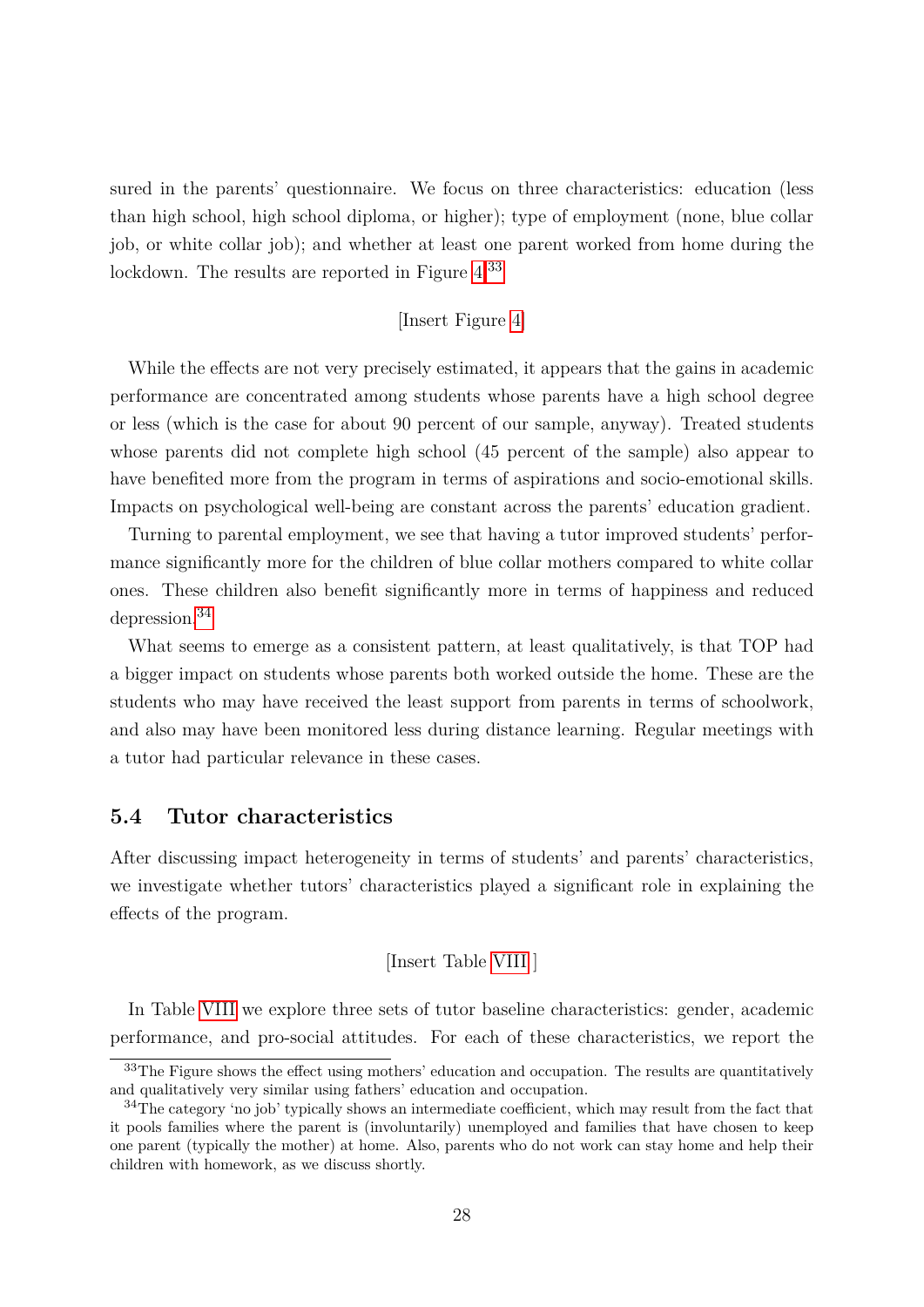sured in the parents' questionnaire. We focus on three characteristics: education (less than high school, high school diploma, or higher); type of employment (none, blue collar job, or white collar job); and whether at least one parent worked from home during the lockdown. The results are reported in Figure  $4^{33}$  $4^{33}$  $4^{33}$ 

### [Insert Figure [4\]](#page-40-0)

While the effects are not very precisely estimated, it appears that the gains in academic performance are concentrated among students whose parents have a high school degree or less (which is the case for about 90 percent of our sample, anyway). Treated students whose parents did not complete high school (45 percent of the sample) also appear to have benefited more from the program in terms of aspirations and socio-emotional skills. Impacts on psychological well-being are constant across the parents' education gradient.

Turning to parental employment, we see that having a tutor improved students' performance significantly more for the children of blue collar mothers compared to white collar ones. These children also benefit significantly more in terms of happiness and reduced depression.[34](#page-28-1)

What seems to emerge as a consistent pattern, at least qualitatively, is that TOP had a bigger impact on students whose parents both worked outside the home. These are the students who may have received the least support from parents in terms of schoolwork, and also may have been monitored less during distance learning. Regular meetings with a tutor had particular relevance in these cases.

#### **5.4 Tutor characteristics**

After discussing impact heterogeneity in terms of students' and parents' characteristics, we investigate whether tutors' characteristics played a significant role in explaining the effects of the program.

[Insert Table [VIII](#page-47-0) ]

In Table [VIII](#page-47-0) we explore three sets of tutor baseline characteristics: gender, academic performance, and pro-social attitudes. For each of these characteristics, we report the

<span id="page-28-0"></span> $33$ The Figure shows the effect using mothers' education and occupation. The results are quantitatively and qualitatively very similar using fathers' education and occupation.

<span id="page-28-1"></span><sup>&</sup>lt;sup>34</sup>The category 'no job' typically shows an intermediate coefficient, which may result from the fact that it pools families where the parent is (involuntarily) unemployed and families that have chosen to keep one parent (typically the mother) at home. Also, parents who do not work can stay home and help their children with homework, as we discuss shortly.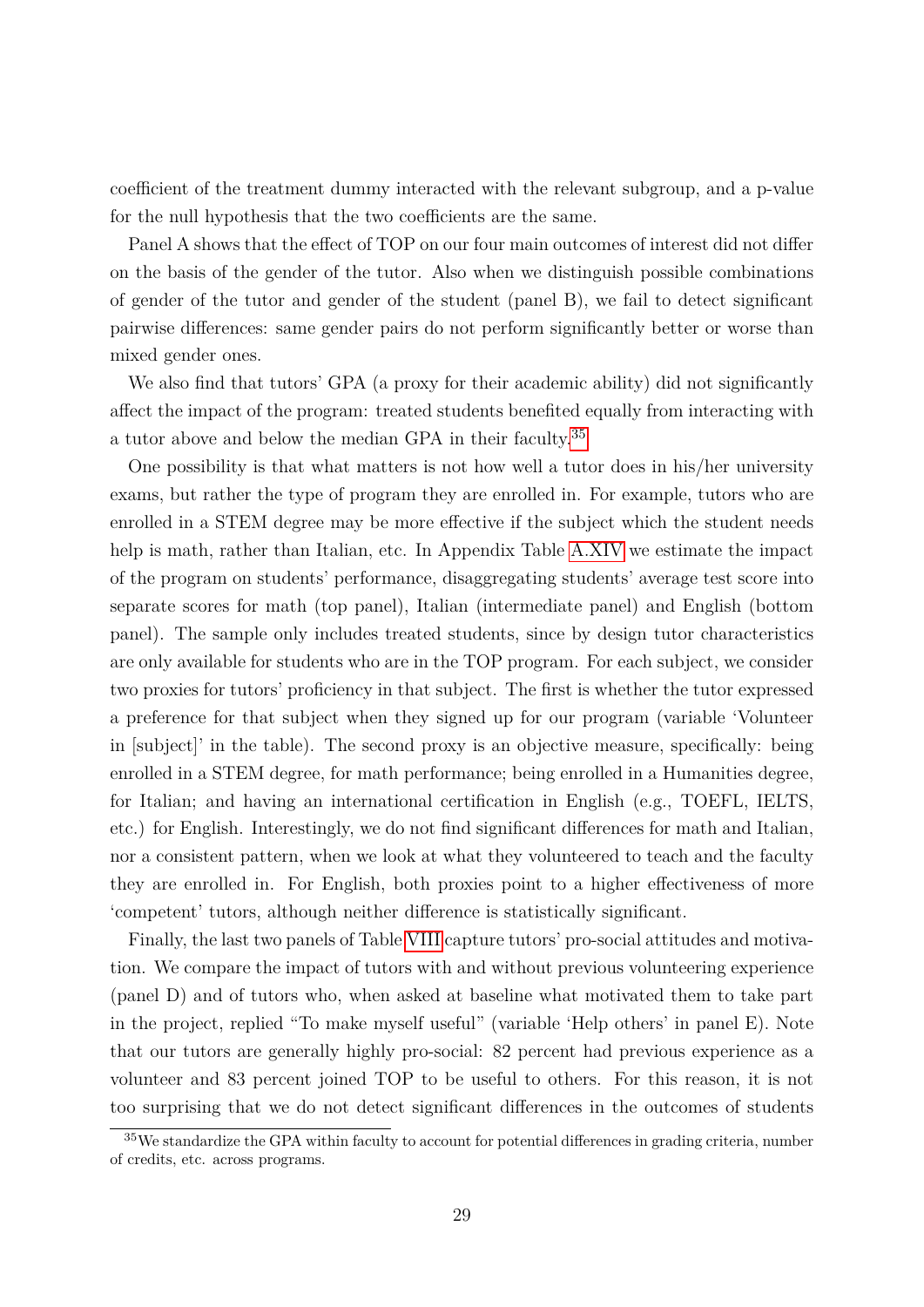coefficient of the treatment dummy interacted with the relevant subgroup, and a p-value for the null hypothesis that the two coefficients are the same.

Panel A shows that the effect of TOP on our four main outcomes of interest did not differ on the basis of the gender of the tutor. Also when we distinguish possible combinations of gender of the tutor and gender of the student (panel B), we fail to detect significant pairwise differences: same gender pairs do not perform significantly better or worse than mixed gender ones.

We also find that tutors' GPA (a proxy for their academic ability) did not significantly affect the impact of the program: treated students benefited equally from interacting with a tutor above and below the median GPA in their faculty.<sup>[35](#page-29-0)</sup>

One possibility is that what matters is not how well a tutor does in his/her university exams, but rather the type of program they are enrolled in. For example, tutors who are enrolled in a STEM degree may be more effective if the subject which the student needs help is math, rather than Italian, etc. In Appendix Table [A.XIV](#page-66-0) we estimate the impact of the program on students' performance, disaggregating students' average test score into separate scores for math (top panel), Italian (intermediate panel) and English (bottom panel). The sample only includes treated students, since by design tutor characteristics are only available for students who are in the TOP program. For each subject, we consider two proxies for tutors' proficiency in that subject. The first is whether the tutor expressed a preference for that subject when they signed up for our program (variable 'Volunteer in [subject]' in the table). The second proxy is an objective measure, specifically: being enrolled in a STEM degree, for math performance; being enrolled in a Humanities degree, for Italian; and having an international certification in English (e.g., TOEFL, IELTS, etc.) for English. Interestingly, we do not find significant differences for math and Italian, nor a consistent pattern, when we look at what they volunteered to teach and the faculty they are enrolled in. For English, both proxies point to a higher effectiveness of more 'competent' tutors, although neither difference is statistically significant.

Finally, the last two panels of Table [VIII](#page-47-0) capture tutors' pro-social attitudes and motivation. We compare the impact of tutors with and without previous volunteering experience (panel D) and of tutors who, when asked at baseline what motivated them to take part in the project, replied "To make myself useful" (variable 'Help others' in panel E). Note that our tutors are generally highly pro-social: 82 percent had previous experience as a volunteer and 83 percent joined TOP to be useful to others. For this reason, it is not too surprising that we do not detect significant differences in the outcomes of students

<span id="page-29-0"></span><sup>35</sup>We standardize the GPA within faculty to account for potential differences in grading criteria, number of credits, etc. across programs.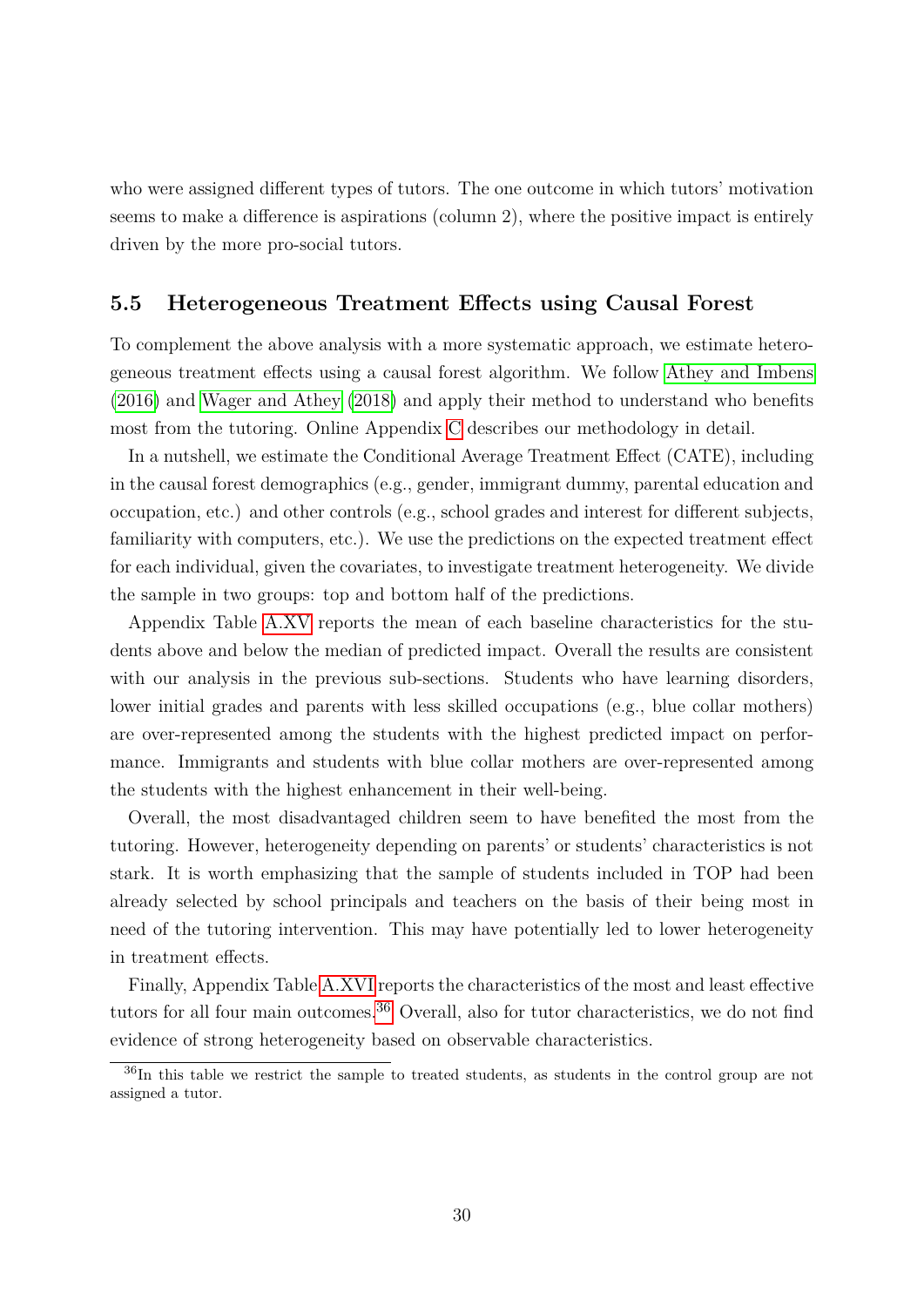who were assigned different types of tutors. The one outcome in which tutors' motivation seems to make a difference is aspirations (column 2), where the positive impact is entirely driven by the more pro-social tutors.

### **5.5 Heterogeneous Treatment Effects using Causal Forest**

To complement the above analysis with a more systematic approach, we estimate heterogeneous treatment effects using a causal forest algorithm. We follow [Athey and Imbens](#page-33-10) [\(2016\)](#page-33-10) and [Wager and Athey](#page-36-2) [\(2018\)](#page-36-2) and apply their method to understand who benefits most from the tutoring. Online Appendix [C](#page-77-0) describes our methodology in detail.

In a nutshell, we estimate the Conditional Average Treatment Effect (CATE), including in the causal forest demographics (e.g., gender, immigrant dummy, parental education and occupation, etc.) and other controls (e.g., school grades and interest for different subjects, familiarity with computers, etc.). We use the predictions on the expected treatment effect for each individual, given the covariates, to investigate treatment heterogeneity. We divide the sample in two groups: top and bottom half of the predictions.

Appendix Table [A.XV](#page-67-0) reports the mean of each baseline characteristics for the students above and below the median of predicted impact. Overall the results are consistent with our analysis in the previous sub-sections. Students who have learning disorders, lower initial grades and parents with less skilled occupations (e.g., blue collar mothers) are over-represented among the students with the highest predicted impact on performance. Immigrants and students with blue collar mothers are over-represented among the students with the highest enhancement in their well-being.

Overall, the most disadvantaged children seem to have benefited the most from the tutoring. However, heterogeneity depending on parents' or students' characteristics is not stark. It is worth emphasizing that the sample of students included in TOP had been already selected by school principals and teachers on the basis of their being most in need of the tutoring intervention. This may have potentially led to lower heterogeneity in treatment effects.

Finally, Appendix Table [A.XVI](#page-68-0) reports the characteristics of the most and least effective tutors for all four main outcomes.[36](#page-30-0) Overall, also for tutor characteristics, we do not find evidence of strong heterogeneity based on observable characteristics.

<span id="page-30-0"></span><sup>36</sup>In this table we restrict the sample to treated students, as students in the control group are not assigned a tutor.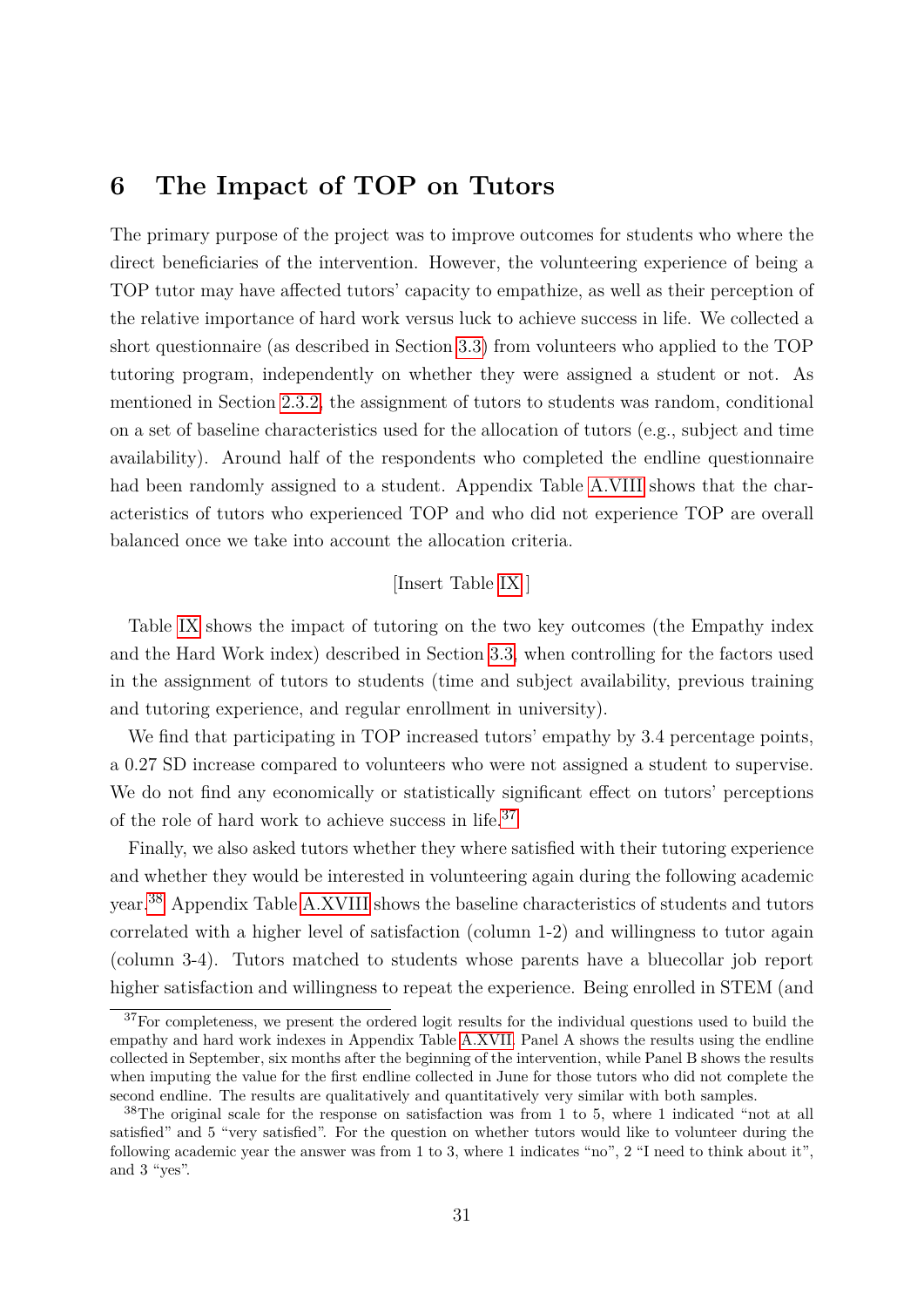# **6 The Impact of TOP on Tutors**

The primary purpose of the project was to improve outcomes for students who where the direct beneficiaries of the intervention. However, the volunteering experience of being a TOP tutor may have affected tutors' capacity to empathize, as well as their perception of the relative importance of hard work versus luck to achieve success in life. We collected a short questionnaire (as described in Section [3.3\)](#page-15-1) from volunteers who applied to the TOP tutoring program, independently on whether they were assigned a student or not. As mentioned in Section [2.3.2,](#page-10-1) the assignment of tutors to students was random, conditional on a set of baseline characteristics used for the allocation of tutors (e.g., subject and time availability). Around half of the respondents who completed the endline questionnaire had been randomly assigned to a student. Appendix Table [A.VIII](#page-60-0) shows that the characteristics of tutors who experienced TOP and who did not experience TOP are overall balanced once we take into account the allocation criteria.

#### [Insert Table [IX](#page-48-0) ]

Table [IX](#page-48-0) shows the impact of tutoring on the two key outcomes (the Empathy index and the Hard Work index) described in Section [3.3,](#page-15-1) when controlling for the factors used in the assignment of tutors to students (time and subject availability, previous training and tutoring experience, and regular enrollment in university).

We find that participating in TOP increased tutors' empathy by 3*.*4 percentage points, a 0*.*27 SD increase compared to volunteers who were not assigned a student to supervise. We do not find any economically or statistically significant effect on tutors' perceptions of the role of hard work to achieve success in life. $37$ 

Finally, we also asked tutors whether they where satisfied with their tutoring experience and whether they would be interested in volunteering again during the following academic year.[38](#page-31-1) Appendix Table [A.XVIII](#page-70-0) shows the baseline characteristics of students and tutors correlated with a higher level of satisfaction (column 1-2) and willingness to tutor again (column 3-4). Tutors matched to students whose parents have a bluecollar job report higher satisfaction and willingness to repeat the experience. Being enrolled in STEM (and

<span id="page-31-0"></span> $37$  For completeness, we present the ordered logit results for the individual questions used to build the empathy and hard work indexes in Appendix Table [A.XVII.](#page-69-0) Panel A shows the results using the endline collected in September, six months after the beginning of the intervention, while Panel B shows the results when imputing the value for the first endline collected in June for those tutors who did not complete the second endline. The results are qualitatively and quantitatively very similar with both samples.

<span id="page-31-1"></span><sup>38</sup>The original scale for the response on satisfaction was from 1 to 5, where 1 indicated "not at all satisfied" and 5 "very satisfied". For the question on whether tutors would like to volunteer during the following academic year the answer was from 1 to 3, where 1 indicates "no", 2 "I need to think about it", and 3 "yes".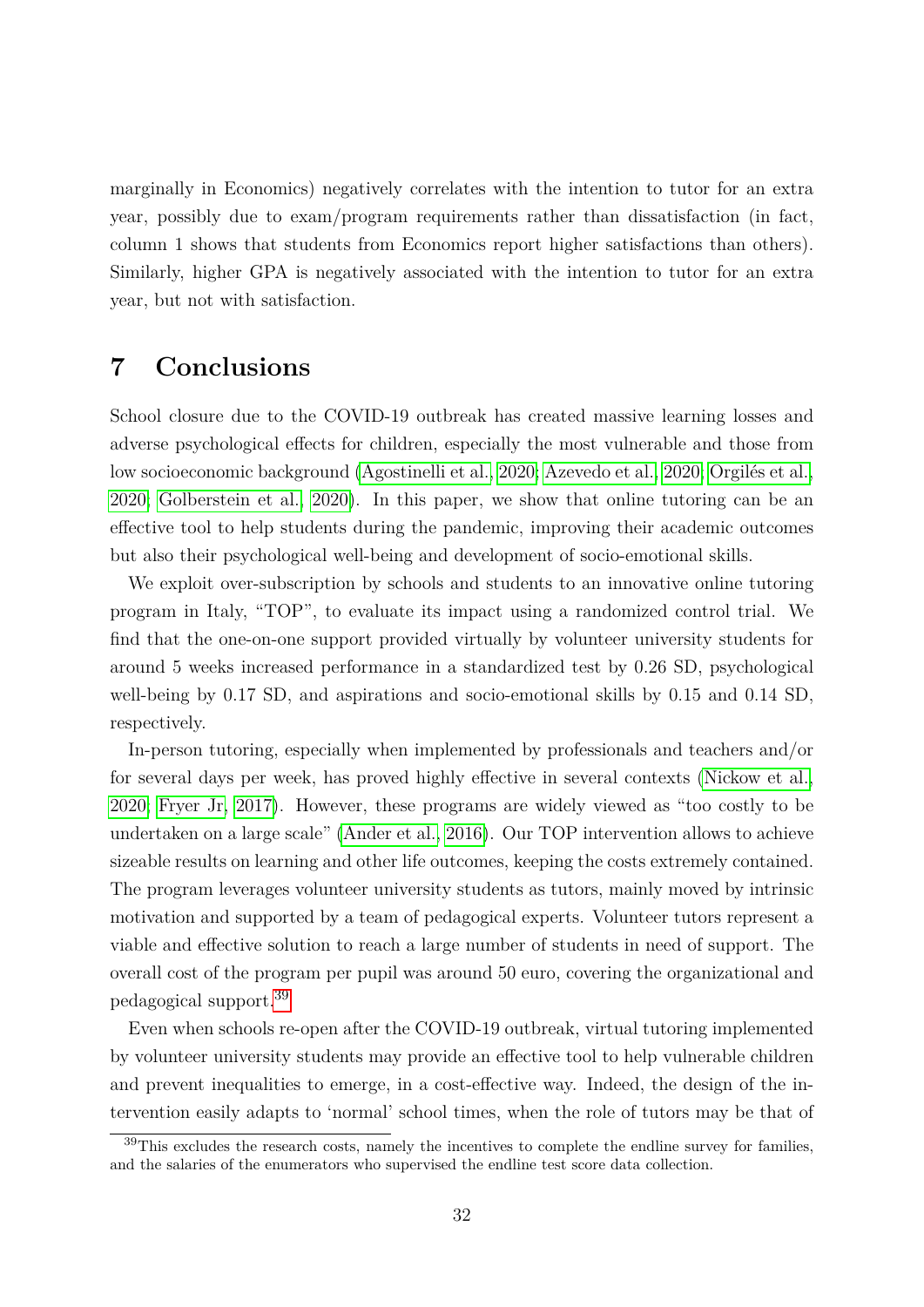marginally in Economics) negatively correlates with the intention to tutor for an extra year, possibly due to exam/program requirements rather than dissatisfaction (in fact, column 1 shows that students from Economics report higher satisfactions than others). Similarly, higher GPA is negatively associated with the intention to tutor for an extra year, but not with satisfaction.

# <span id="page-32-0"></span>**7 Conclusions**

School closure due to the COVID-19 outbreak has created massive learning losses and adverse psychological effects for children, especially the most vulnerable and those from low socioeconomic background [\(Agostinelli et al., 2020;](#page-33-1) [Azevedo et al., 2020;](#page-33-0) Orgilés et al., [2020;](#page-35-3) [Golberstein et al., 2020\)](#page-35-4). In this paper, we show that online tutoring can be an effective tool to help students during the pandemic, improving their academic outcomes but also their psychological well-being and development of socio-emotional skills.

We exploit over-subscription by schools and students to an innovative online tutoring program in Italy, "TOP", to evaluate its impact using a randomized control trial. We find that the one-on-one support provided virtually by volunteer university students for around 5 weeks increased performance in a standardized test by 0*.*26 SD, psychological well-being by 0*.*17 SD, and aspirations and socio-emotional skills by 0*.*15 and 0*.*14 SD, respectively.

In-person tutoring, especially when implemented by professionals and teachers and/or for several days per week, has proved highly effective in several contexts [\(Nickow et al.,](#page-35-6) [2020;](#page-35-6) [Fryer Jr, 2017\)](#page-34-4). However, these programs are widely viewed as "too costly to be undertaken on a large scale" [\(Ander et al., 2016\)](#page-33-3). Our TOP intervention allows to achieve sizeable results on learning and other life outcomes, keeping the costs extremely contained. The program leverages volunteer university students as tutors, mainly moved by intrinsic motivation and supported by a team of pedagogical experts. Volunteer tutors represent a viable and effective solution to reach a large number of students in need of support. The overall cost of the program per pupil was around 50 euro, covering the organizational and pedagogical support.[39](#page-32-1)

Even when schools re-open after the COVID-19 outbreak, virtual tutoring implemented by volunteer university students may provide an effective tool to help vulnerable children and prevent inequalities to emerge, in a cost-effective way. Indeed, the design of the intervention easily adapts to 'normal' school times, when the role of tutors may be that of

<span id="page-32-1"></span><sup>39</sup>This excludes the research costs, namely the incentives to complete the endline survey for families, and the salaries of the enumerators who supervised the endline test score data collection.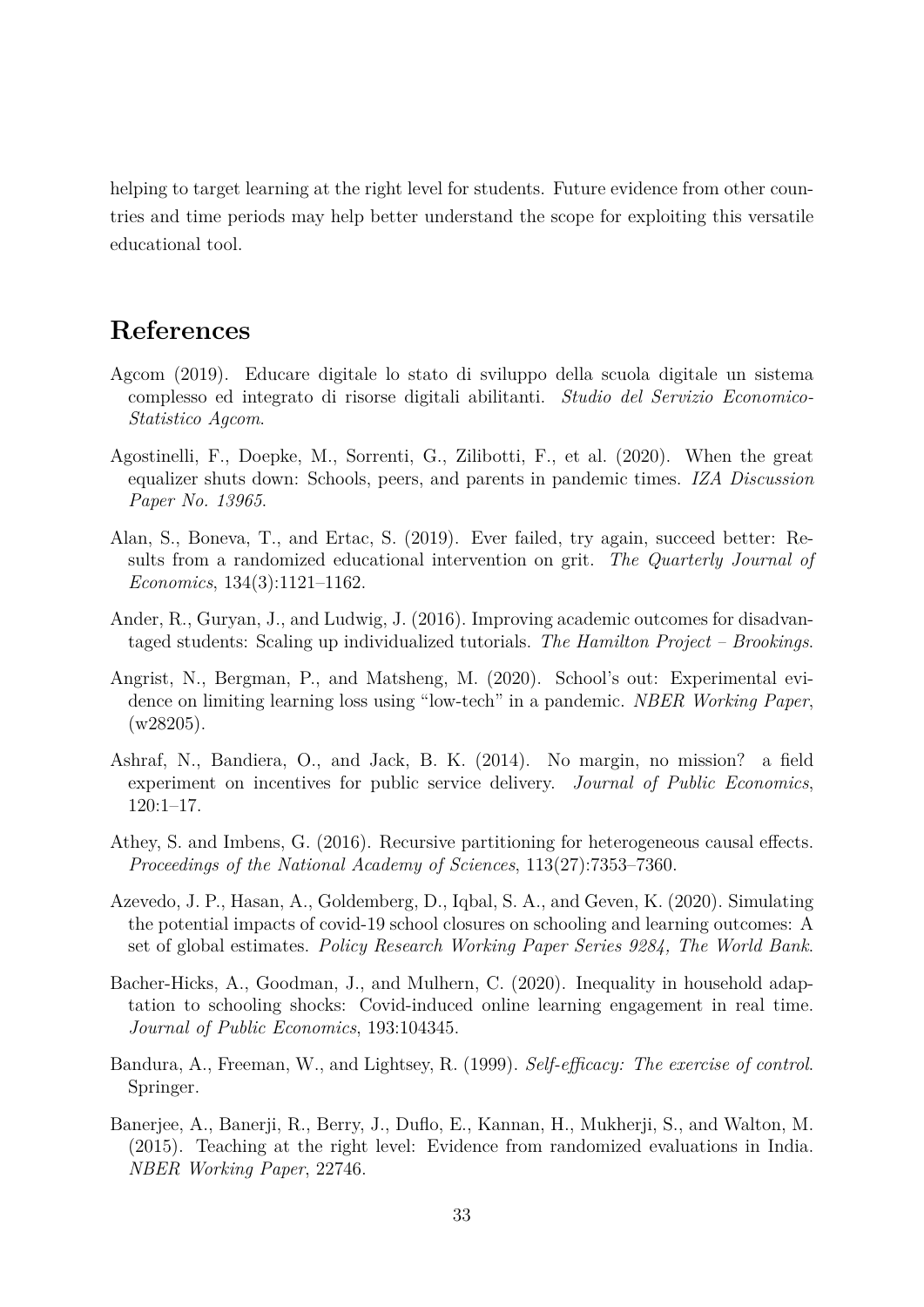helping to target learning at the right level for students. Future evidence from other countries and time periods may help better understand the scope for exploiting this versatile educational tool.

# **References**

- <span id="page-33-7"></span>Agcom (2019). Educare digitale lo stato di sviluppo della scuola digitale un sistema complesso ed integrato di risorse digitali abilitanti. *Studio del Servizio Economico-Statistico Agcom*.
- <span id="page-33-1"></span>Agostinelli, F., Doepke, M., Sorrenti, G., Zilibotti, F., et al. (2020). When the great equalizer shuts down: Schools, peers, and parents in pandemic times. *IZA Discussion Paper No. 13965*.
- <span id="page-33-9"></span>Alan, S., Boneva, T., and Ertac, S. (2019). Ever failed, try again, succeed better: Results from a randomized educational intervention on grit. *The Quarterly Journal of Economics*, 134(3):1121–1162.
- <span id="page-33-3"></span>Ander, R., Guryan, J., and Ludwig, J. (2016). Improving academic outcomes for disadvantaged students: Scaling up individualized tutorials. *The Hamilton Project – Brookings*.
- <span id="page-33-5"></span>Angrist, N., Bergman, P., and Matsheng, M. (2020). School's out: Experimental evidence on limiting learning loss using "low-tech" in a pandemic. *NBER Working Paper*,  $(w28205)$ .
- <span id="page-33-6"></span>Ashraf, N., Bandiera, O., and Jack, B. K. (2014). No margin, no mission? a field experiment on incentives for public service delivery. *Journal of Public Economics*, 120:1–17.
- <span id="page-33-10"></span>Athey, S. and Imbens, G. (2016). Recursive partitioning for heterogeneous causal effects. *Proceedings of the National Academy of Sciences*, 113(27):7353–7360.
- <span id="page-33-0"></span>Azevedo, J. P., Hasan, A., Goldemberg, D., Iqbal, S. A., and Geven, K. (2020). Simulating the potential impacts of covid-19 school closures on schooling and learning outcomes: A set of global estimates. *Policy Research Working Paper Series 9284, The World Bank*.
- <span id="page-33-2"></span>Bacher-Hicks, A., Goodman, J., and Mulhern, C. (2020). Inequality in household adaptation to schooling shocks: Covid-induced online learning engagement in real time. *Journal of Public Economics*, 193:104345.
- <span id="page-33-8"></span>Bandura, A., Freeman, W., and Lightsey, R. (1999). *Self-efficacy: The exercise of control*. Springer.
- <span id="page-33-4"></span>Banerjee, A., Banerji, R., Berry, J., Duflo, E., Kannan, H., Mukherji, S., and Walton, M. (2015). Teaching at the right level: Evidence from randomized evaluations in India. *NBER Working Paper*, 22746.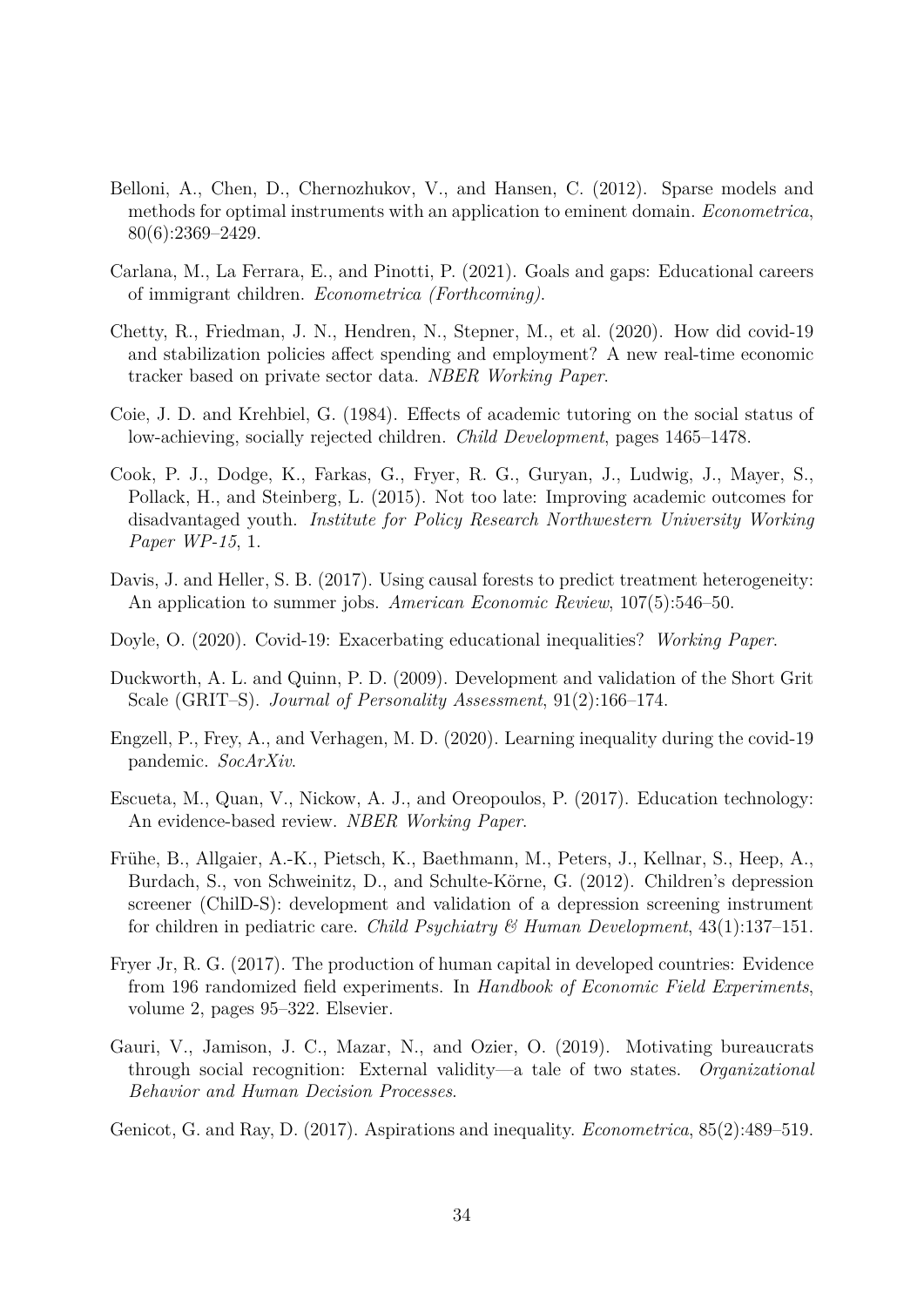- <span id="page-34-12"></span>Belloni, A., Chen, D., Chernozhukov, V., and Hansen, C. (2012). Sparse models and methods for optimal instruments with an application to eminent domain. *Econometrica*, 80(6):2369–2429.
- <span id="page-34-9"></span>Carlana, M., La Ferrara, E., and Pinotti, P. (2021). Goals and gaps: Educational careers of immigrant children. *Econometrica (Forthcoming)*.
- <span id="page-34-0"></span>Chetty, R., Friedman, J. N., Hendren, N., Stepner, M., et al. (2020). How did covid-19 and stabilization policies affect spending and employment? A new real-time economic tracker based on private sector data. *NBER Working Paper*.
- <span id="page-34-5"></span>Coie, J. D. and Krehbiel, G. (1984). Effects of academic tutoring on the social status of low-achieving, socially rejected children. *Child Development*, pages 1465–1478.
- <span id="page-34-3"></span>Cook, P. J., Dodge, K., Farkas, G., Fryer, R. G., Guryan, J., Ludwig, J., Mayer, S., Pollack, H., and Steinberg, L. (2015). Not too late: Improving academic outcomes for disadvantaged youth. *Institute for Policy Research Northwestern University Working Paper WP-15*, 1.
- Davis, J. and Heller, S. B. (2017). Using causal forests to predict treatment heterogeneity: An application to summer jobs. *American Economic Review*, 107(5):546–50.
- <span id="page-34-2"></span>Doyle, O. (2020). Covid-19: Exacerbating educational inequalities? *Working Paper*.
- <span id="page-34-10"></span>Duckworth, A. L. and Quinn, P. D. (2009). Development and validation of the Short Grit Scale (GRIT–S). *Journal of Personality Assessment*, 91(2):166–174.
- <span id="page-34-1"></span>Engzell, P., Frey, A., and Verhagen, M. D. (2020). Learning inequality during the covid-19 pandemic. *SocArXiv*.
- <span id="page-34-6"></span>Escueta, M., Quan, V., Nickow, A. J., and Oreopoulos, P. (2017). Education technology: An evidence-based review. *NBER Working Paper*.
- <span id="page-34-11"></span>Frühe, B., Allgaier, A.-K., Pietsch, K., Baethmann, M., Peters, J., Kellnar, S., Heep, A., Burdach, S., von Schweinitz, D., and Schulte-Körne, G. (2012). Children's depression screener (ChilD-S): development and validation of a depression screening instrument for children in pediatric care. *Child Psychiatry & Human Development*, 43(1):137–151.
- <span id="page-34-4"></span>Fryer Jr, R. G. (2017). The production of human capital in developed countries: Evidence from 196 randomized field experiments. In *Handbook of Economic Field Experiments*, volume 2, pages 95–322. Elsevier.
- <span id="page-34-7"></span>Gauri, V., Jamison, J. C., Mazar, N., and Ozier, O. (2019). Motivating bureaucrats through social recognition: External validity—a tale of two states. *Organizational Behavior and Human Decision Processes*.
- <span id="page-34-8"></span>Genicot, G. and Ray, D. (2017). Aspirations and inequality. *Econometrica*, 85(2):489–519.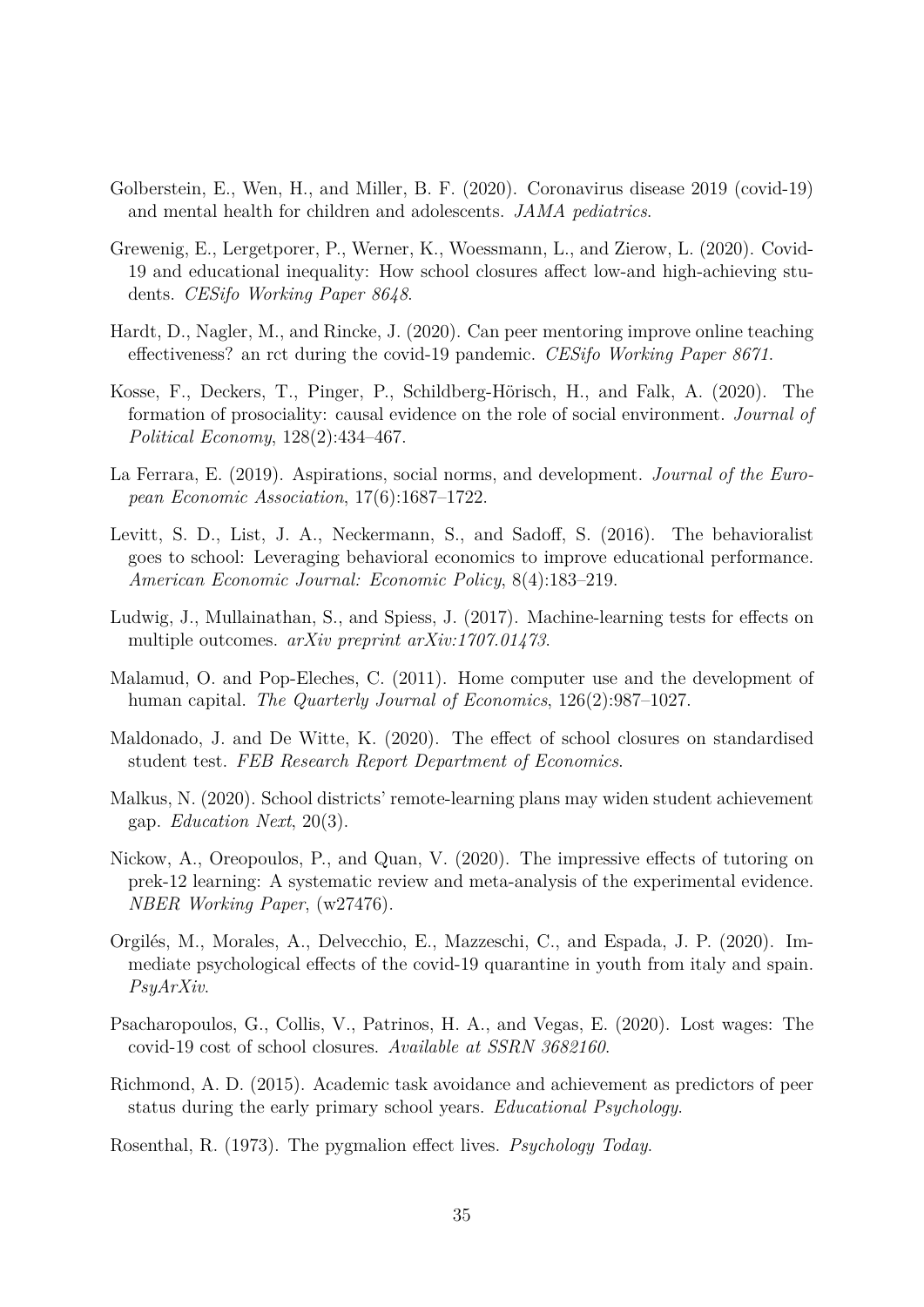- <span id="page-35-4"></span>Golberstein, E., Wen, H., and Miller, B. F. (2020). Coronavirus disease 2019 (covid-19) and mental health for children and adolescents. *JAMA pediatrics*.
- <span id="page-35-0"></span>Grewenig, E., Lergetporer, P., Werner, K., Woessmann, L., and Zierow, L. (2020). Covid-19 and educational inequality: How school closures affect low-and high-achieving students. *CESifo Working Paper 8648*.
- <span id="page-35-10"></span>Hardt, D., Nagler, M., and Rincke, J. (2020). Can peer mentoring improve online teaching effectiveness? an rct during the covid-19 pandemic. *CESifo Working Paper 8671*.
- <span id="page-35-7"></span>Kosse, F., Deckers, T., Pinger, P., Schildberg-Hörisch, H., and Falk, A. (2020). The formation of prosociality: causal evidence on the role of social environment. *Journal of Political Economy*, 128(2):434–467.
- <span id="page-35-13"></span>La Ferrara, E. (2019). Aspirations, social norms, and development. *Journal of the European Economic Association*, 17(6):1687–1722.
- <span id="page-35-11"></span>Levitt, S. D., List, J. A., Neckermann, S., and Sadoff, S. (2016). The behavioralist goes to school: Leveraging behavioral economics to improve educational performance. *American Economic Journal: Economic Policy*, 8(4):183–219.
- <span id="page-35-14"></span>Ludwig, J., Mullainathan, S., and Spiess, J. (2017). Machine-learning tests for effects on multiple outcomes. *arXiv preprint arXiv:1707.01473*.
- <span id="page-35-9"></span>Malamud, O. and Pop-Eleches, C. (2011). Home computer use and the development of human capital. *The Quarterly Journal of Economics*, 126(2):987–1027.
- <span id="page-35-2"></span>Maldonado, J. and De Witte, K. (2020). The effect of school closures on standardised student test. *FEB Research Report Department of Economics*.
- <span id="page-35-5"></span>Malkus, N. (2020). School districts' remote-learning plans may widen student achievement gap. *Education Next*, 20(3).
- <span id="page-35-6"></span>Nickow, A., Oreopoulos, P., and Quan, V. (2020). The impressive effects of tutoring on prek-12 learning: A systematic review and meta-analysis of the experimental evidence. *NBER Working Paper*, (w27476).
- <span id="page-35-3"></span>Orgilés, M., Morales, A., Delvecchio, E., Mazzeschi, C., and Espada, J. P. (2020). Immediate psychological effects of the covid-19 quarantine in youth from italy and spain. *PsyArXiv*.
- <span id="page-35-1"></span>Psacharopoulos, G., Collis, V., Patrinos, H. A., and Vegas, E. (2020). Lost wages: The covid-19 cost of school closures. *Available at SSRN 3682160*.
- <span id="page-35-8"></span>Richmond, A. D. (2015). Academic task avoidance and achievement as predictors of peer status during the early primary school years. *Educational Psychology*.

<span id="page-35-12"></span>Rosenthal, R. (1973). The pygmalion effect lives. *Psychology Today*.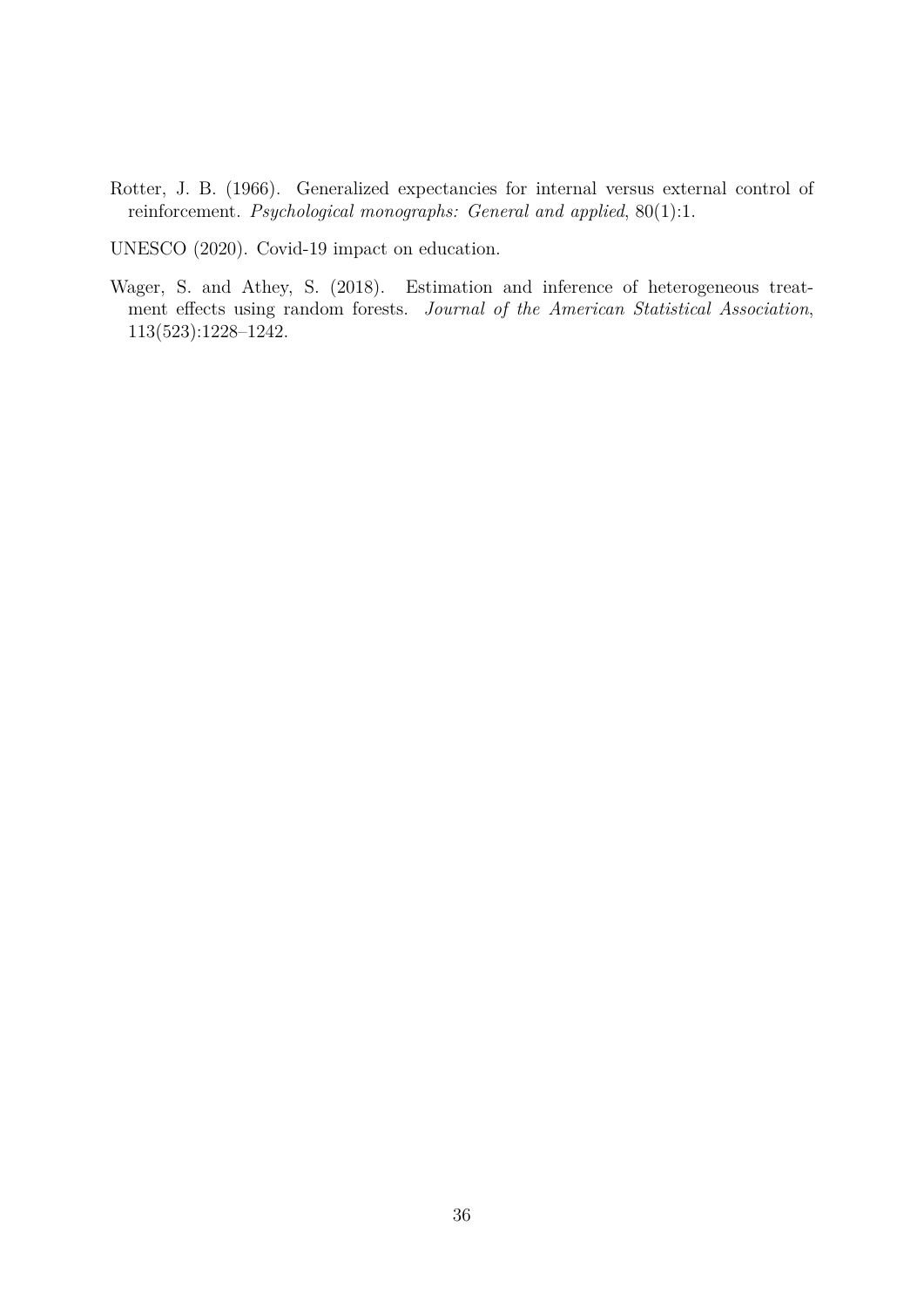Rotter, J. B. (1966). Generalized expectancies for internal versus external control of reinforcement. *Psychological monographs: General and applied*, 80(1):1.

UNESCO (2020). Covid-19 impact on education.

Wager, S. and Athey, S. (2018). Estimation and inference of heterogeneous treatment effects using random forests. *Journal of the American Statistical Association*, 113(523):1228–1242.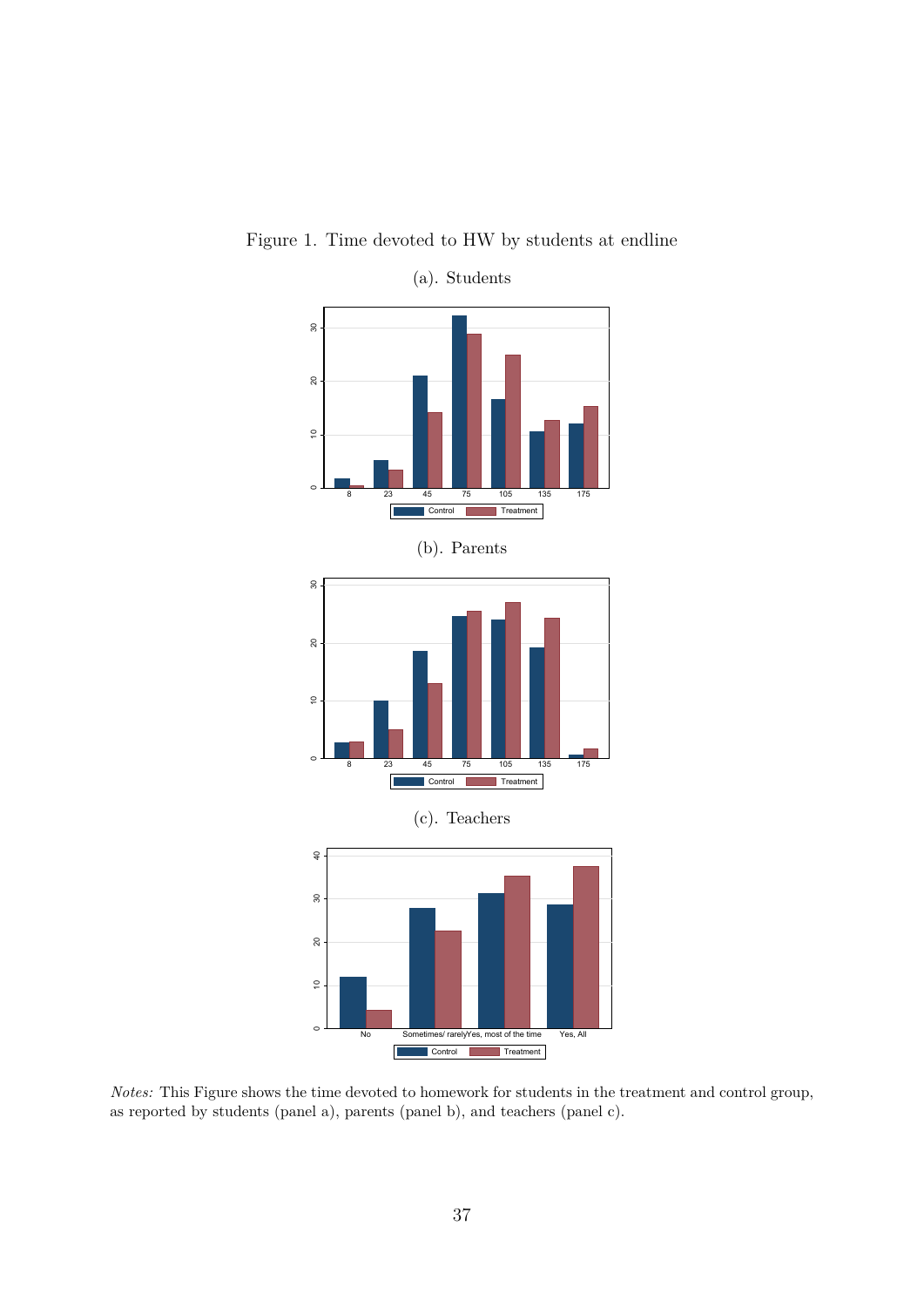

Figure 1. Time devoted to HW by students at endline

(a). Students

*Notes:* This Figure shows the time devoted to homework for students in the treatment and control group, as reported by students (panel a), parents (panel b), and teachers (panel c).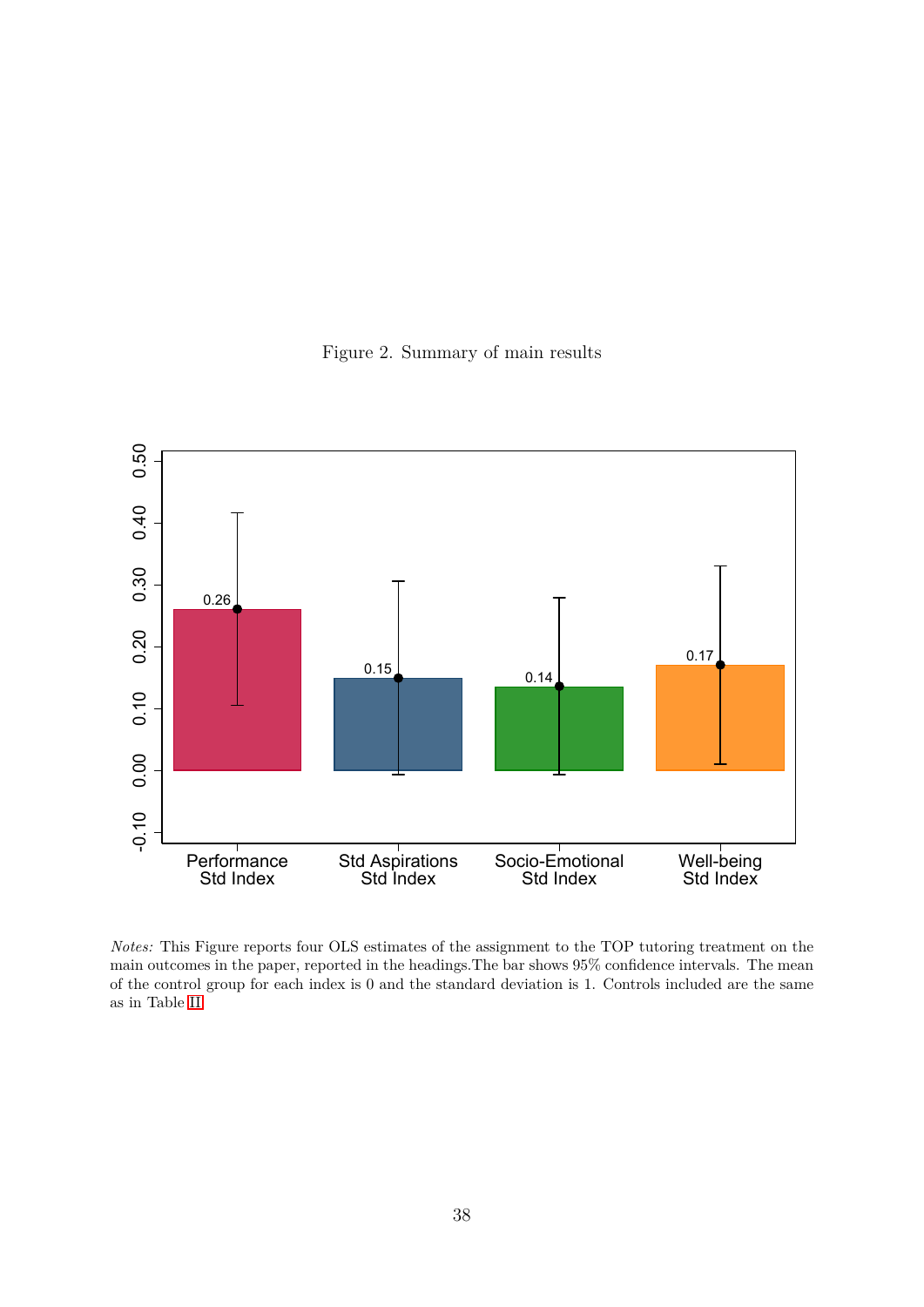Figure 2. Summary of main results



*Notes:* This Figure reports four OLS estimates of the assignment to the TOP tutoring treatment on the main outcomes in the paper, reported in the headings.The bar shows 95% confidence intervals. The mean of the control group for each index is 0 and the standard deviation is 1. Controls included are the same as in Table [II.](#page-42-0)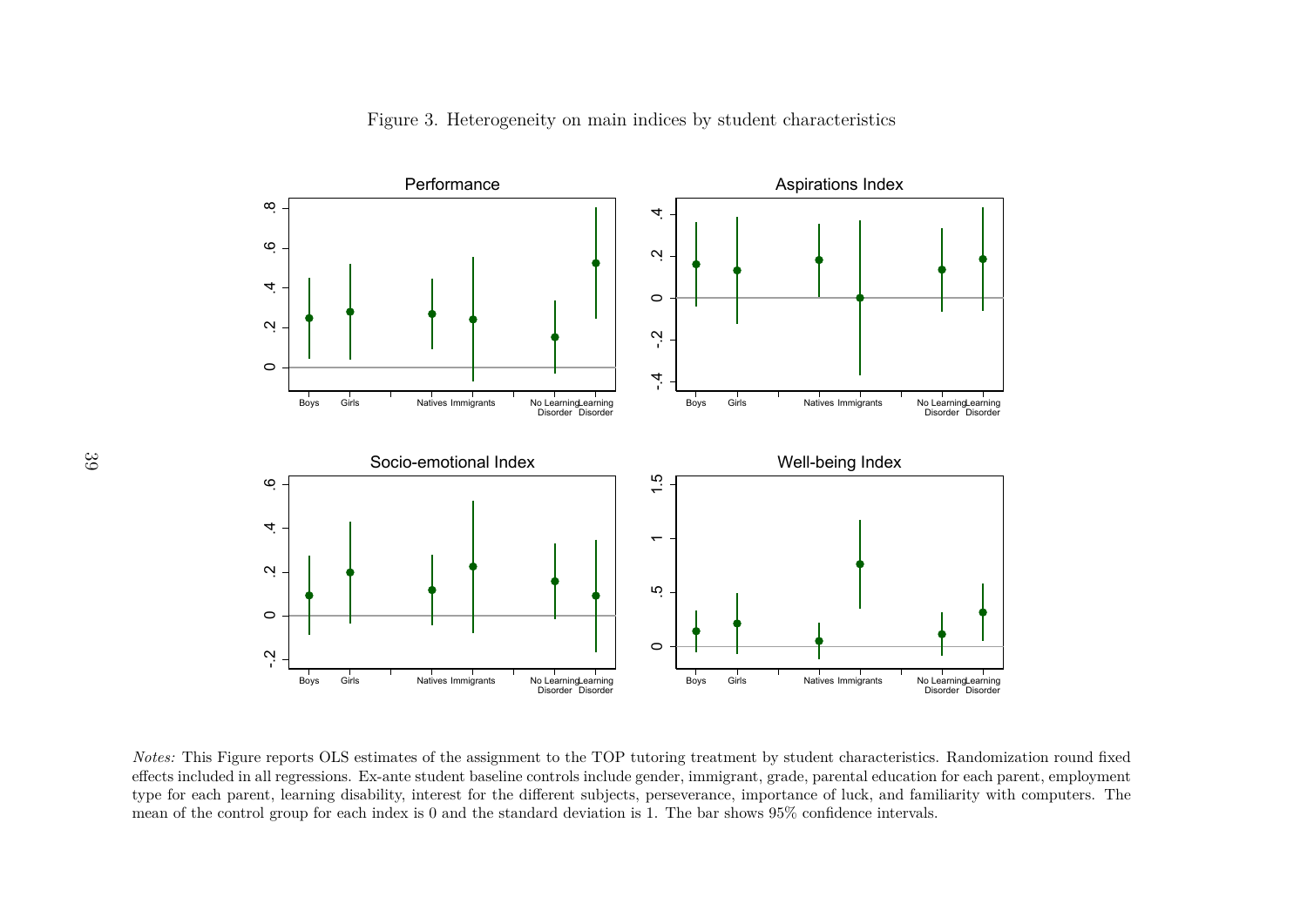

Figure 3. Heterogeneity on main indices by student characteristics

s Girls Natives Immigrants No Learning<br>Disorder<br>DLS estimates of the assignment to the<br>sions. Ex-ante student baseline controls<br>ing disability, interest for the different<br>for each index is 0 and the standard de s Girls Natives Immigrants No Learning<br>Disorder Disorder<br>eatment by student characteristics. Rai<br>imigrant, grade, parental education for  $\epsilon$ <br>ance, importance of luck, and familiari<br>par shows  $95\%$  confidence intervals. effects included in all regressions. Ex-ante student baseline controls include gender, immigrant, grade, parental education for each parent, employment type for each parent, learning disability, interest for the different subjects, perseverance, importance of luck, and familiarity with computers. Themean of the control group for each index is 0 and the standard deviation is 1. The bar shows 95% confidence intervals.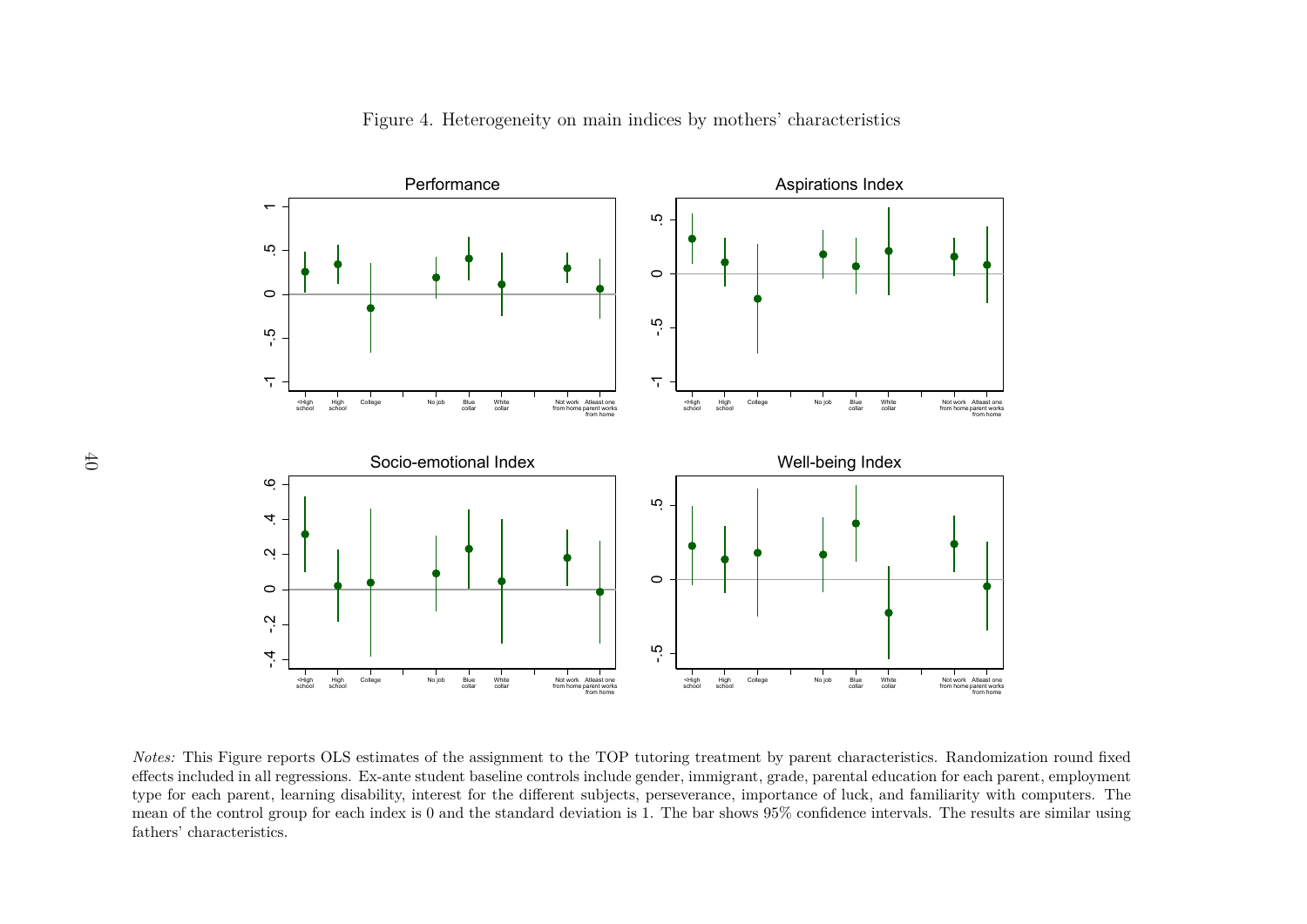

Figure 4. Heterogeneity on main indices by mothers' characteristics

<sup>o</sup><br>imates of the a<br>ante student behinder is 0 and the<br>index is 0 and the  $\frac{N}{\text{Nolar}}$ <br>  $\frac{N}{\text{Nolar}}$ <br>  $\frac{N}{\text{Nolar}}$ <br>  $\frac{N}{\text{Nolar}}$ <br>  $\frac{N}{\text{Nolar}}$ <br>  $\frac{N}{\text{Nolar}}$ <br>  $\frac{N}{\text{Nolar}}$ <br>  $\frac{N}{\text{Nolar}}$ <br>  $\frac{N}{\text{Nolar}}$ <br>  $\frac{N}{\text{Nolar}}$ <br>  $\frac{N}{\text{Nolar}}$ <br>  $\frac{N}{\text{Nolar}}$ <br>  $\frac{N}{\text{Nolar}}$ <br>  $\frac{N}{\text{Nolar}}$ Atleast one<br>eparent work<br>from home<br>complexes included<br>subjection CONTROL THE MONTRON Alleast one<br>
from home from home<br>
from home<br>
from home<br>
from the TOP tuto<br>
controls include gend<br>
ifferent subjects, pe<br>
dard deviation is 1. No job Blue<br>Blue<br>grade, parenta<br>oortance of luc<br>95% confidence Atleast one<br>eparent work<br>from home<br>mach pack pack<br>result result *Notes:* This Figure reports OLS estimates of the assignment to the TOP tutoring treatment by parent characteristics. Randomization round fixed effects included in all regressions. Ex-ante student baseline controls include effects included in all regressions. Ex-ante student baseline controls include gender, immigrant, grade, parental education for each parent, employment type for each parent, learning disability, interest for the different subjects, perseverance, importance of luck, and familiarity with computers. The mean of the control group for each index is 0 and the standard deviation is 1. The bar shows 95% confidence intervals. The results are similar usingfathers' characteristics.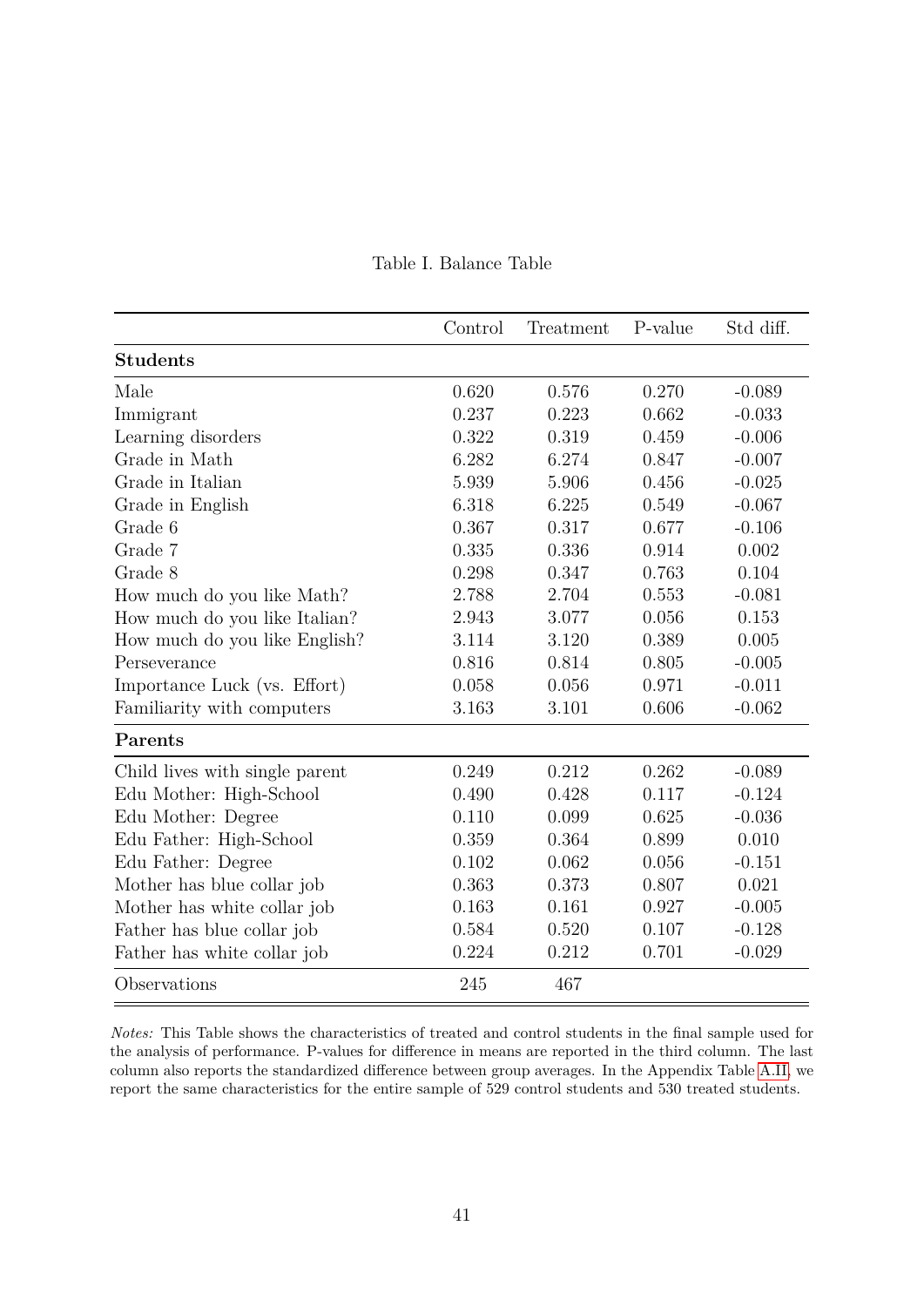<span id="page-41-0"></span>

|                                | Control | Treatment | P-value | Std diff. |
|--------------------------------|---------|-----------|---------|-----------|
| <b>Students</b>                |         |           |         |           |
| Male                           | 0.620   | 0.576     | 0.270   | $-0.089$  |
| Immigrant                      | 0.237   | 0.223     | 0.662   | $-0.033$  |
| Learning disorders             | 0.322   | 0.319     | 0.459   | $-0.006$  |
| Grade in Math                  | 6.282   | 6.274     | 0.847   | $-0.007$  |
| Grade in Italian               | 5.939   | 5.906     | 0.456   | $-0.025$  |
| Grade in English               | 6.318   | 6.225     | 0.549   | $-0.067$  |
| Grade 6                        | 0.367   | 0.317     | 0.677   | $-0.106$  |
| Grade 7                        | 0.335   | 0.336     | 0.914   | 0.002     |
| Grade 8                        | 0.298   | 0.347     | 0.763   | 0.104     |
| How much do you like Math?     | 2.788   | 2.704     | 0.553   | $-0.081$  |
| How much do you like Italian?  | 2.943   | 3.077     | 0.056   | 0.153     |
| How much do you like English?  | 3.114   | 3.120     | 0.389   | 0.005     |
| Perseverance                   | 0.816   | 0.814     | 0.805   | $-0.005$  |
| Importance Luck (vs. Effort)   | 0.058   | 0.056     | 0.971   | $-0.011$  |
| Familiarity with computers     | 3.163   | 3.101     | 0.606   | $-0.062$  |
| Parents                        |         |           |         |           |
| Child lives with single parent | 0.249   | 0.212     | 0.262   | $-0.089$  |
| Edu Mother: High-School        | 0.490   | 0.428     | 0.117   | $-0.124$  |
| Edu Mother: Degree             | 0.110   | 0.099     | 0.625   | $-0.036$  |
| Edu Father: High-School        | 0.359   | 0.364     | 0.899   | 0.010     |
| Edu Father: Degree             | 0.102   | 0.062     | 0.056   | $-0.151$  |
| Mother has blue collar job     | 0.363   | 0.373     | 0.807   | 0.021     |
| Mother has white collar job    | 0.163   | 0.161     | 0.927   | $-0.005$  |
| Father has blue collar job     | 0.584   | 0.520     | 0.107   | $-0.128$  |
| Father has white collar job    | 0.224   | 0.212     | 0.701   | $-0.029$  |
| Observations                   | 245     | 467       |         |           |

## Table I. Balance Table

*Notes:* This Table shows the characteristics of treated and control students in the final sample used for the analysis of performance. P-values for difference in means are reported in the third column. The last column also reports the standardized difference between group averages. In the Appendix Table [A.II,](#page-54-0) we report the same characteristics for the entire sample of 529 control students and 530 treated students.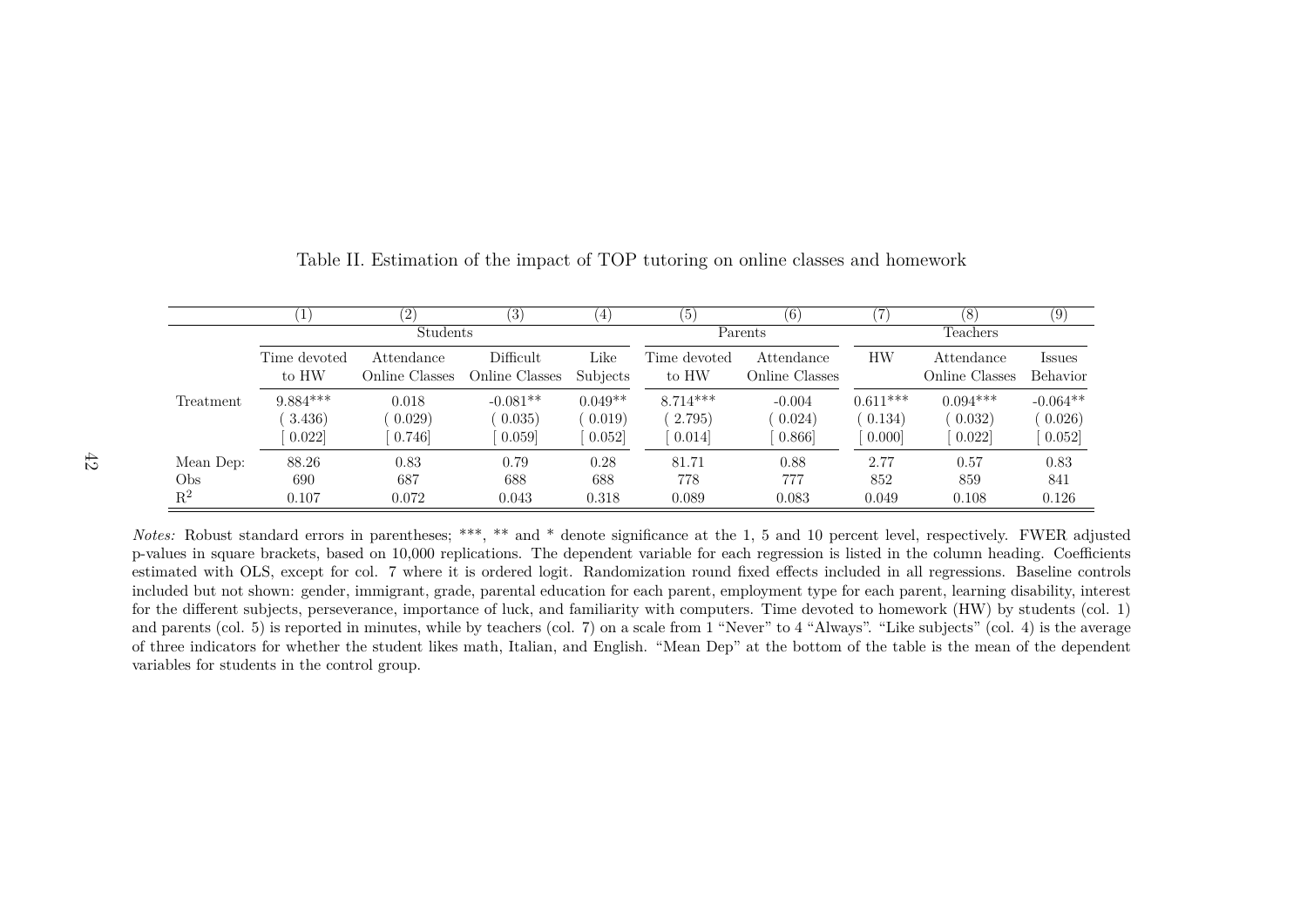|                |                       | (2)                          | (3)                          | $\left(4\right)$ | (5)                   | (6)                          |            | 8                            | (9)                |
|----------------|-----------------------|------------------------------|------------------------------|------------------|-----------------------|------------------------------|------------|------------------------------|--------------------|
|                |                       | <b>Students</b>              |                              |                  |                       | Parents                      |            | Teachers                     |                    |
|                | Time devoted<br>to HW | Attendance<br>Online Classes | Difficult.<br>Online Classes | Like<br>Subjects | Time devoted<br>to HW | Attendance<br>Online Classes | <b>HW</b>  | Attendance<br>Online Classes | Issues<br>Behavior |
| Treatment      | $9.884***$            | 0.018                        | $-0.081**$                   | $0.049**$        | $8.714***$            | $-0.004$                     | $0.611***$ | $0.094***$                   | $-0.064**$         |
|                | 3.436)                | 0.029)                       | 0.035)                       | (0.019)          | 2.795)                | 0.024)                       | 0.134)     | (0.032)                      | 0.026)             |
|                | 0.022                 | 0.746                        | 0.059                        | 0.052            | 0.014                 | 0.866                        | 0.000      | 0.022                        | 0.052]             |
| Mean Dep:      | 88.26                 | 0.83                         | 0.79                         | 0.28             | 81.71                 | 0.88                         | 2.77       | 0.57                         | 0.83               |
| Obs            | 690                   | 687                          | 688                          | 688              | 778                   | 777                          | 852        | 859                          | 841                |
| $\mathbf{R}^2$ | 0.107                 | 0.072                        | 0.043                        | 0.318            | 0.089                 | 0.083                        | 0.049      | 0.108                        | 0.126              |

<span id="page-42-1"></span><span id="page-42-0"></span>Table II. Estimation of the impact of TOP tutoring on online classes and homework

*Notes:* Robust standard errors in parentheses; \*\*\*, \*\* and \* denote significance at the 1, <sup>5</sup> and <sup>10</sup> percent level, respectively. FWER adjusted p-values in square brackets, based on 10,000 replications. The dependent variable for each regression is listed in the column heading. Coefficients estimated with OLS, except for col. 7 where it is ordered logit. Randomization round fixed effects included in all regressions. Baseline controls included but not shown: gender, immigrant, grade, parental education for each parent, employment type for each parent, learning disability, interest for the different subjects, perseverance, importance of luck, and familiarity with computers. Time devoted to homework (HW) by students (col. 1) and parents (col. 5) is reported in minutes, while by teachers (col. 7) on <sup>a</sup> scale from <sup>1</sup> "Never" to <sup>4</sup> "Always". "Like subjects" (col. 4) is the average of three indicators for whether the student likes math, Italian, and English. "Mean Dep" at the bottom of the table is the mean of the dependentvariables for students in the control group.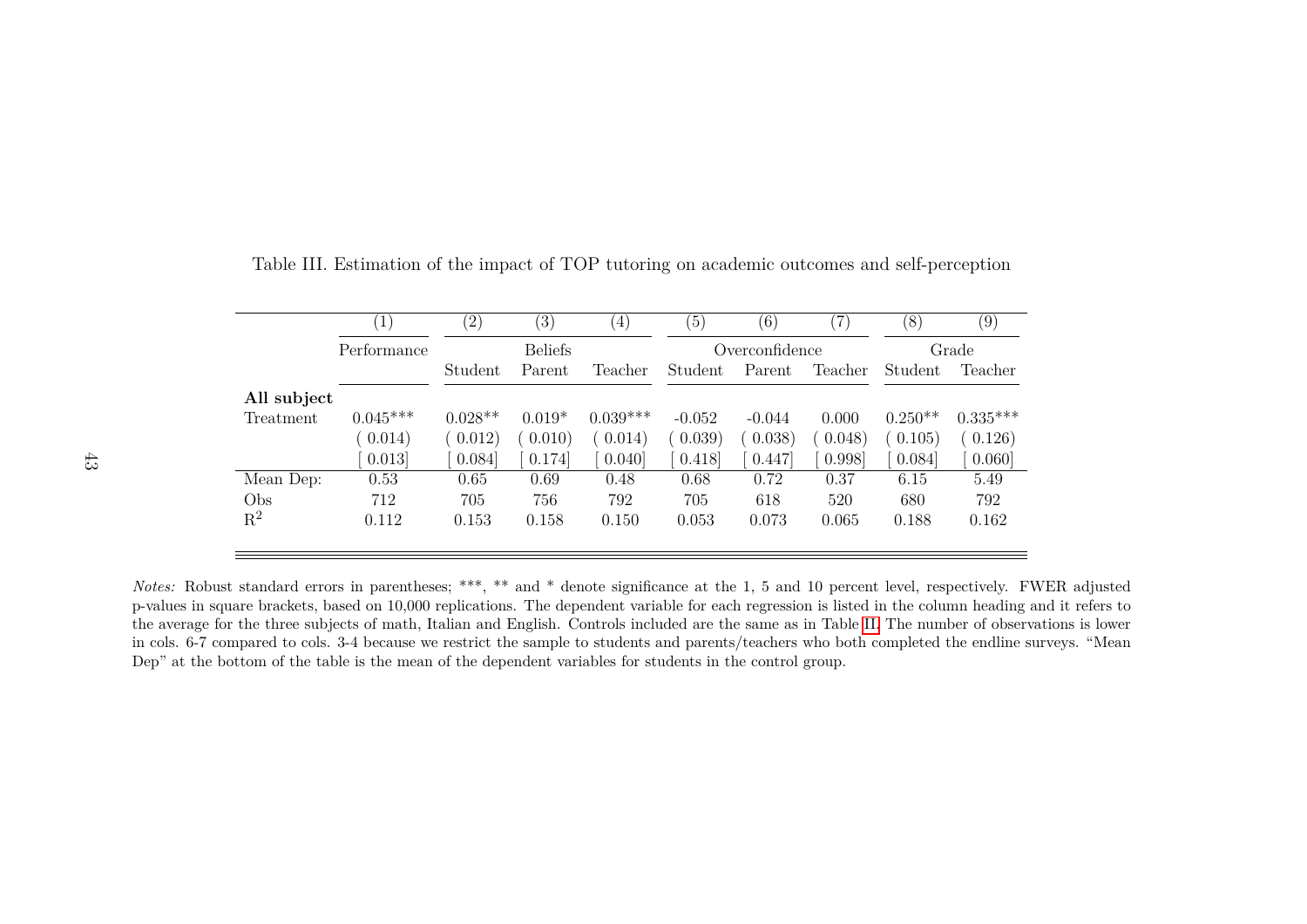|             | $\left[1\right]$ | $\binom{2}{}$ | $\left(3\right)$ | (4)        | (5)      | (6)            | $^{\prime}7)$ | (8)       | (9)        |  |  |
|-------------|------------------|---------------|------------------|------------|----------|----------------|---------------|-----------|------------|--|--|
|             | Performance      |               | <b>Beliefs</b>   |            |          | Overconfidence |               |           | Grade      |  |  |
|             |                  | Student       | Parent           | Teacher    | Student  | Parent         | Teacher       | Student   | Teacher    |  |  |
| All subject |                  |               |                  |            |          |                |               |           |            |  |  |
| Treatment   | $0.045***$       | $0.028**$     | $0.019*$         | $0.039***$ | $-0.052$ | $-0.044$       | 0.000         | $0.250**$ | $0.335***$ |  |  |
|             | 0.014)           | (0.012)       | 0.010)           | 0.014)     | (0.039)  | 0.038)         | 0.048)        | 0.105)    | 0.126)     |  |  |
|             | 0.013            | 0.084         | 0.174            | 0.040      | 0.418    | 0.447          | 0.998         | 0.084     | 0.060      |  |  |
| Mean Dep:   | 0.53             | 0.65          | 0.69             | 0.48       | 0.68     | 0.72           | 0.37          | 6.15      | 5.49       |  |  |
| Obs         | 712              | 705           | 756              | 792        | 705      | 618            | 520           | 680       | 792        |  |  |
| $R^2$       | 0.112            | 0.153         | 0.158            | 0.150      | 0.053    | 0.073          | 0.065         | 0.188     | 0.162      |  |  |
|             |                  |               |                  |            |          |                |               |           |            |  |  |

Table III. Estimation of the impact of TOP tutoring on academic outcomes and self-perception

*Notes:* Robust standard errors in parentheses; \*\*\*, \*\* and \* denote significance at the 1, <sup>5</sup> and <sup>10</sup> percent level, respectively. FWER adjusted p-values in square brackets, based on 10,000 replications. The dependent variable for each regression is listed in the column heading and it refers to the average for the three subjects of math, Italian and English. Controls included are the same as in Table [II.](#page-42-1) The number of observations is lower in cols. 6-7 compared to cols. 3-4 because we restrict the sample to students and parents/teachers who both completed the endline surveys. "MeanDep" at the bottom of the table is the mean of the dependent variables for students in the control group.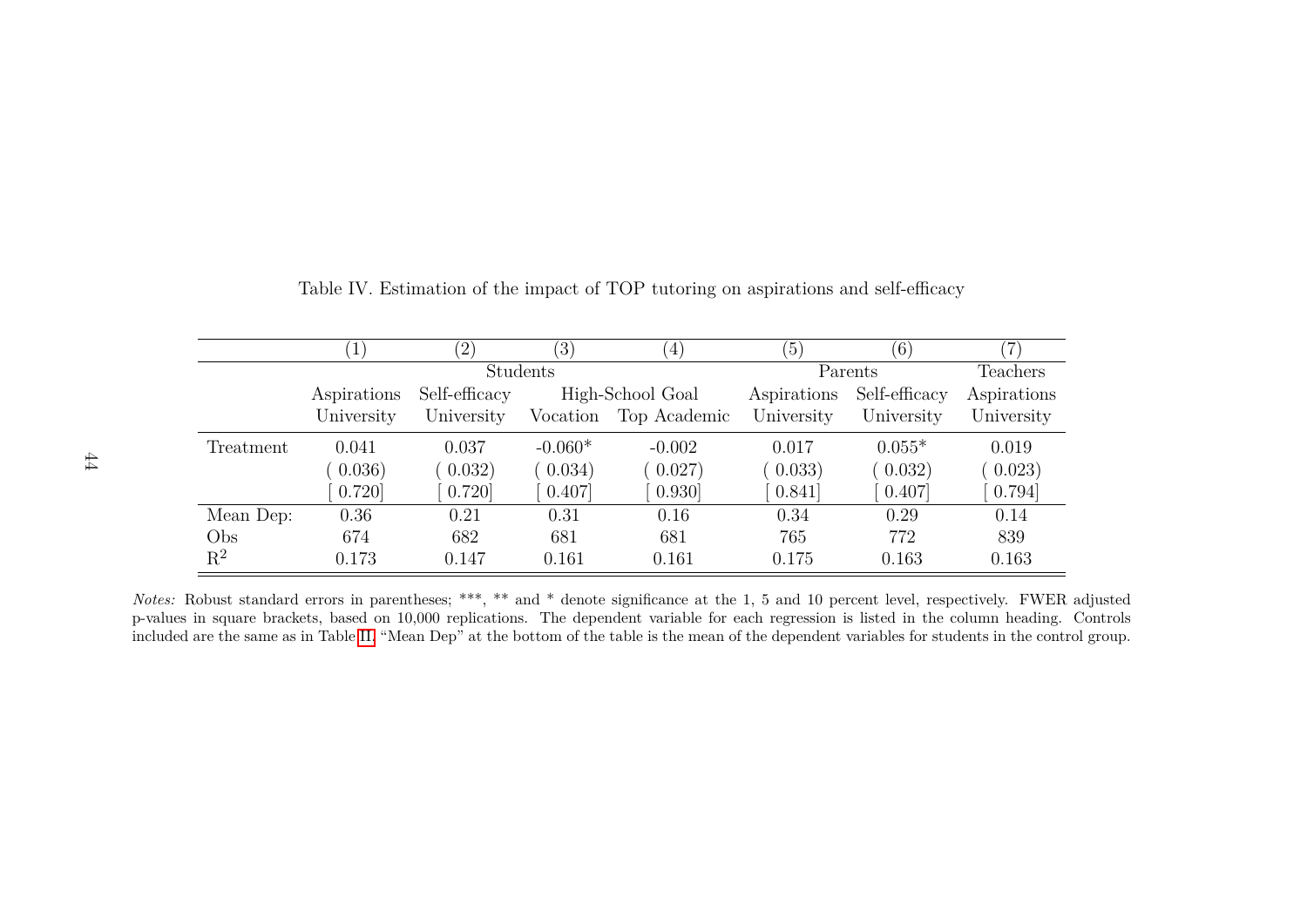|                |             | $^{\prime}2)$ | $\left(3\right)$ | $\left( 4\right)$ | (5)         | (6)           | 7           |
|----------------|-------------|---------------|------------------|-------------------|-------------|---------------|-------------|
|                |             |               | Students         |                   |             | Parents       | Teachers    |
|                | Aspirations | Self-efficacy |                  | High-School Goal  | Aspirations | Self-efficacy | Aspirations |
|                | University  | University    | Vocation         | Top Academic      | University  | University    | University  |
| Treatment      | 0.041       | 0.037         | $-0.060*$        | $-0.002$          | 0.017       | $0.055*$      | 0.019       |
|                | 0.036)      | 0.032)        | 0.034)           | 0.027             | (0.033)     | 0.032)        | 0.023)      |
|                | 0.720       | 0.720         | 0.407            | 0.930             | 0.841       | 0.407         | 0.794]      |
| Mean Dep:      | 0.36        | 0.21          | 0.31             | 0.16              | 0.34        | 0.29          | 0.14        |
| Obs            | 674         | 682           | 681              | 681               | 765         | 772           | 839         |
| $\mathrm{R}^2$ | 0.173       | 0.147         | 0.161            | 0.161             | 0.175       | 0.163         | 0.163       |

Table IV. Estimation of the impact of TOP tutoring on aspirations and self-efficacy

*Notes:* Robust standard errors in parentheses; \*\*\*, \*\* and \* denote significance at the 1, <sup>5</sup> and <sup>10</sup> percent level, respectively. FWER adjusted p-values in square brackets, based on 10,000 replications. The dependent variable for each regression is listed in the column heading. Controlsincluded are the same as in Table [II.](#page-42-1) "Mean Dep" at the bottom of the table is the mean of the dependent variables for students in the control group.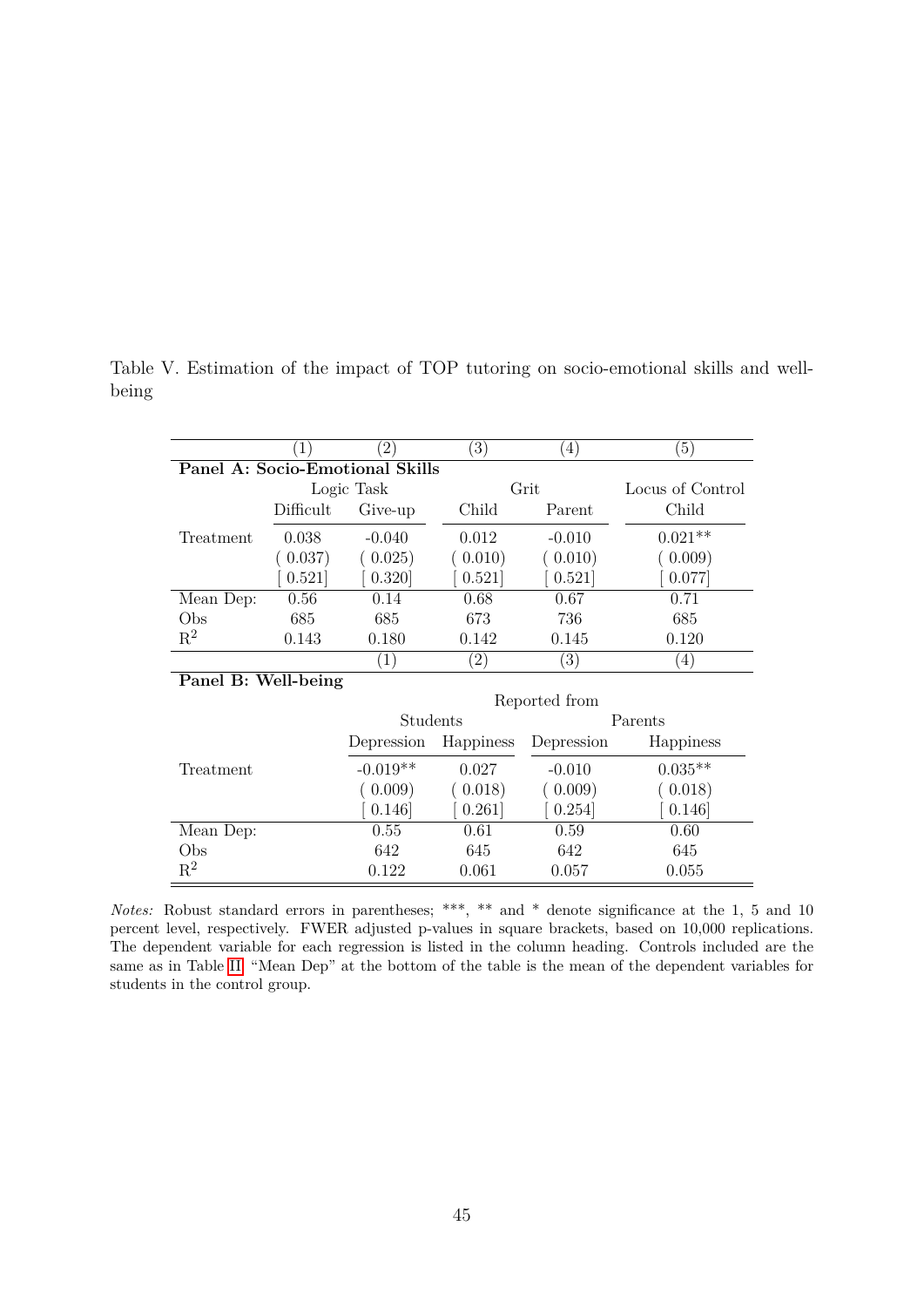|                     | $\left( 1\right)$ | $^{'}2)$                        | $\left(3\right)$  | $^{(4)}$          | $\left(5\right)$ |
|---------------------|-------------------|---------------------------------|-------------------|-------------------|------------------|
|                     |                   | Panel A: Socio-Emotional Skills |                   |                   |                  |
|                     |                   | Logic Task                      |                   | Grit              | Locus of Control |
|                     | Difficult         | Give-up                         | Child             | Parent            | Child            |
| Treatment           | 0.038             | $-0.040$                        | 0.012             | $-0.010$          | $0.021**$        |
|                     | 0.037)            | (0.025)                         | (0.010)           | (0.010)           | 0.009)           |
|                     | 0.521             | 0.320                           | 0.521             | 0.521             | 0.077            |
| Mean Dep:           | 0.56              | 0.14                            | 0.68              | 0.67              | 0.71             |
| Obs                 | 685               | 685                             | 673               | 736               | 685              |
| $R^2$               | 0.143             | 0.180                           | 0.142             | 0.145             | 0.120            |
|                     |                   | (1)                             | $\left( 2\right)$ | $\left( 3\right)$ | $\left(4\right)$ |
| Panel B: Well-being |                   |                                 |                   |                   |                  |
|                     |                   |                                 |                   | Reported from     |                  |
|                     |                   | Students                        |                   |                   | Parents          |
|                     |                   | Depression                      | Happiness         | Depression        | Happiness        |
| Treatment           |                   | $-0.019**$                      | 0.027             | $-0.010$          | $0.035**$        |
|                     |                   | (0.009)                         | 0.018)            | 0.009             | (0.018)          |
|                     |                   | 0.146                           | 0.261             | 0.254]            | 0.146            |

Table V. Estimation of the impact of TOP tutoring on socio-emotional skills and wellbeing

*Notes:* Robust standard errors in parentheses; \*\*\*, \*\* and \* denote significance at the 1, 5 and 10 percent level, respectively. FWER adjusted p-values in square brackets, based on 10,000 replications. The dependent variable for each regression is listed in the column heading. Controls included are the same as in Table [II.](#page-42-0) "Mean Dep" at the bottom of the table is the mean of the dependent variables for students in the control group.

Mean Dep: 0.55 0.61 0.59 0.60 Obs 642 645 642 645

 $\frac{2}{2}$  0.122 0.061 0.057 0.055

 $\mathbf{R}^2$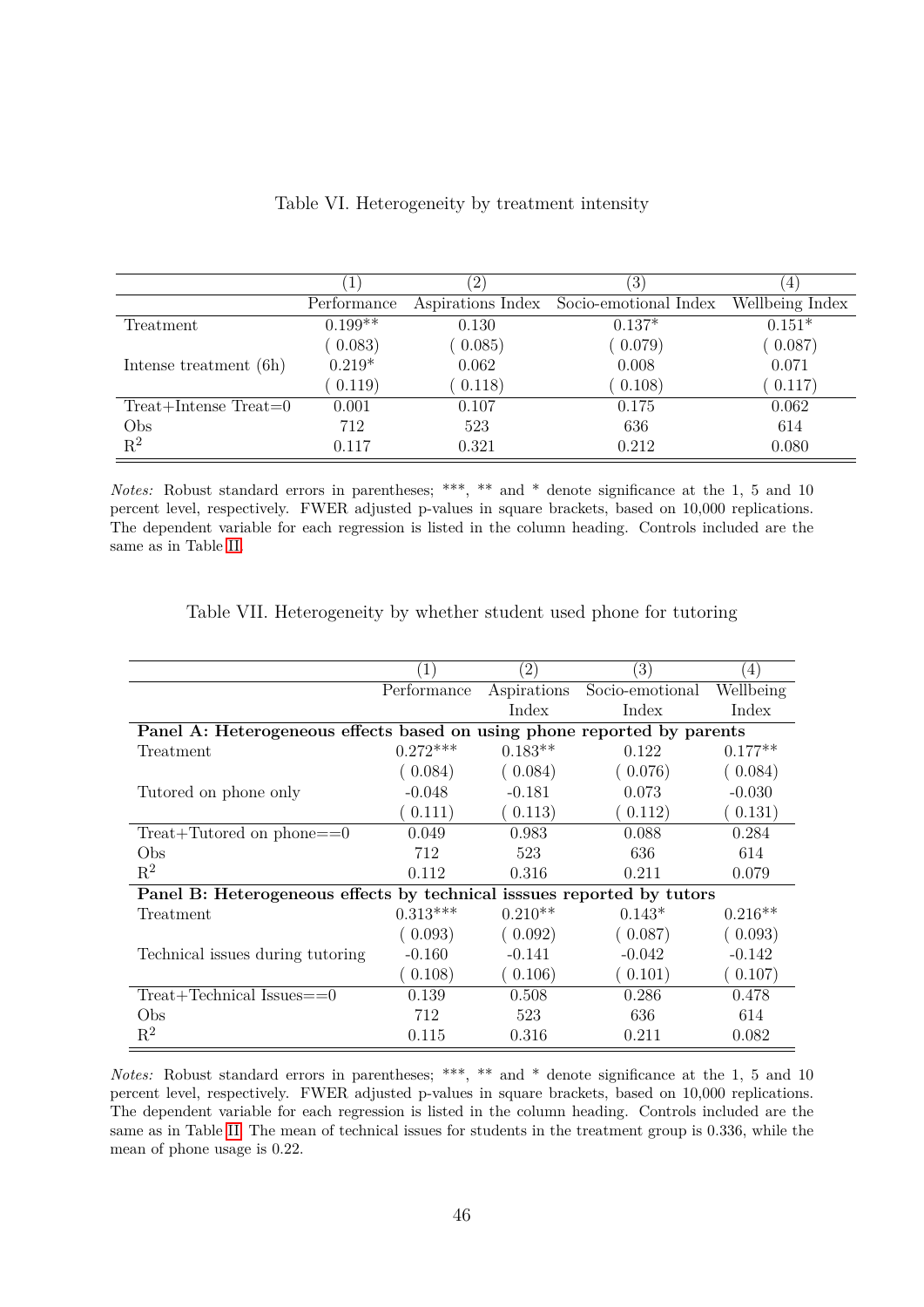|                         |             | $\left( 2\right)$ | (3)                   | 4               |
|-------------------------|-------------|-------------------|-----------------------|-----------------|
|                         | Performance | Aspirations Index | Socio-emotional Index | Wellbeing Index |
| Treatment               | $0.199**$   | 0.130             | $0.137*$              | $0.151*$        |
|                         | (0.083)     | (0.085)           | (0.079)               | 0.087)          |
| Intense treatment (6h)  | $0.219*$    | 0.062             | 0.008                 | 0.071           |
|                         | 0.119)      | (0.118)           | (0.108)               | 0.117)          |
| $Treat+Intense Treat=0$ | 0.001       | 0.107             | 0.175                 | 0.062           |
| Obs                     | 712         | 523               | 636                   | 614             |
| $R^2$                   | 0.117       | 0.321             | 0.212                 | 0.080           |

Table VI. Heterogeneity by treatment intensity

*Notes:* Robust standard errors in parentheses; \*\*\*, \*\* and \* denote significance at the 1, 5 and 10 percent level, respectively. FWER adjusted p-values in square brackets, based on 10,000 replications. The dependent variable for each regression is listed in the column heading. Controls included are the same as in Table [II.](#page-42-0)

|                                                                         |             | $\left( 2\right)$ | $\left( 3\right)$ | $\left(4\right)$ |
|-------------------------------------------------------------------------|-------------|-------------------|-------------------|------------------|
|                                                                         | Performance | Aspirations       | Socio-emotional   | Wellbeing        |
|                                                                         |             | Index             | Index             | Index            |
| Panel A: Heterogeneous effects based on using phone reported by parents |             |                   |                   |                  |
| Treatment                                                               | $0.272***$  | $0.183**$         | 0.122             | $0.177**$        |
|                                                                         | (0.084)     | (0.084)           | (0.076)           | (0.084)          |
| Tutored on phone only                                                   | $-0.048$    | $-0.181$          | 0.073             | $-0.030$         |
|                                                                         | (0.111)     | (0.113)           | (0.112)           | (0.131)          |
| $Treat+Tutored$ on phone==0                                             | 0.049       | 0.983             | 0.088             | 0.284            |
| Obs                                                                     | 712         | 523               | 636               | 614              |
| $R^2$                                                                   | 0.112       | 0.316             | 0.211             | 0.079            |
| Panel B: Heterogeneous effects by technical issues reported by tutors   |             |                   |                   |                  |
| Treatment                                                               | $0.313***$  | $0.210**$         | $0.143*$          | $0.216**$        |
|                                                                         | (0.093)     | (0.092)           | (0.087)           | (0.093)          |
| Technical issues during tutoring                                        | $-0.160$    | $-0.141$          | $-0.042$          | $-0.142$         |
|                                                                         | (0.108)     | (0.106)           | (0.101)           | (0.107)          |
| $Treat+Technical Issues==0$                                             | 0.139       | 0.508             | 0.286             | 0.478            |
| Obs                                                                     | 712         | 523               | 636               | 614              |
| $R^2$                                                                   | 0.115       | 0.316             | 0.211             | 0.082            |

Table VII. Heterogeneity by whether student used phone for tutoring

*Notes:* Robust standard errors in parentheses; \*\*\*, \*\* and \* denote significance at the 1, 5 and 10 percent level, respectively. FWER adjusted p-values in square brackets, based on 10,000 replications. The dependent variable for each regression is listed in the column heading. Controls included are the same as in Table [II.](#page-42-0) The mean of technical issues for students in the treatment group is 0.336, while the mean of phone usage is 0.22.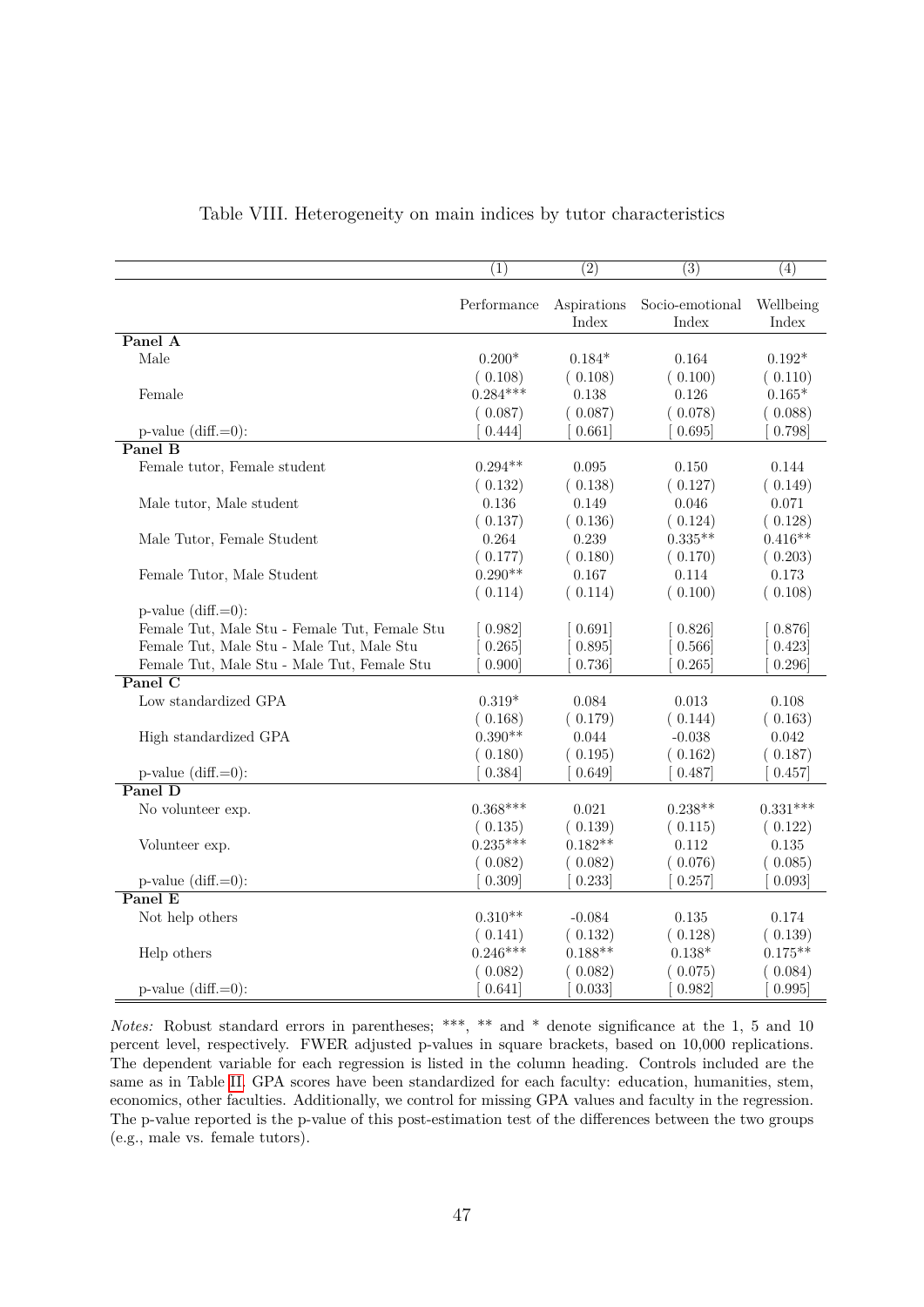|                                               | (1)         | (2)                  | (3)                      | (4)                |
|-----------------------------------------------|-------------|----------------------|--------------------------|--------------------|
|                                               | Performance | Aspirations<br>Index | Socio-emotional<br>Index | Wellbeing<br>Index |
| Panel A                                       |             |                      |                          |                    |
| Male                                          | $0.200*$    | $0.184*$             | 0.164                    | $0.192*$           |
|                                               | (0.108)     | (0.108)              | (0.100)                  | (0.110)            |
| Female                                        | $0.284***$  | 0.138                | 0.126                    | $0.165*$           |
|                                               | (0.087)     | (0.087)              | (0.078)                  | (0.088)            |
| $p-value$ (diff.=0):                          | 0.444]      | 0.661                | 0.695                    | 0.798              |
| Panel B                                       |             |                      |                          |                    |
| Female tutor, Female student                  | $0.294**$   | 0.095                | 0.150                    | 0.144              |
|                                               | (0.132)     | (0.138)              | (0.127)                  | (0.149)            |
| Male tutor, Male student                      | 0.136       | 0.149                | 0.046                    | 0.071              |
|                                               | (0.137)     | (0.136)              | (0.124)                  | (0.128)            |
| Male Tutor, Female Student                    | 0.264       | 0.239                | $0.335**$                | $0.416**$          |
|                                               | (0.177)     | (0.180)              | (0.170)                  | (0.203)            |
| Female Tutor, Male Student                    | $0.290**$   | 0.167                | 0.114                    | 0.173              |
|                                               | (0.114)     | (0.114)              | (0.100)                  | (0.108)            |
| $p$ -value (diff.=0):                         |             |                      |                          |                    |
| Female Tut, Male Stu - Female Tut, Female Stu | 0.982]      | 0.691                | 0.826                    | 0.876              |
| Female Tut, Male Stu - Male Tut, Male Stu     | 0.265       | 0.895                | 0.566                    | 0.423              |
| Female Tut, Male Stu - Male Tut, Female Stu   | 0.900       | 0.736                | 0.265                    | 0.296              |
| Panel $\overline{C}$                          |             |                      |                          |                    |
| Low standardized GPA                          | $0.319*$    | 0.084                | 0.013                    | 0.108              |
|                                               | (0.168)     | (0.179)              | (0.144)                  | (0.163)            |
| High standardized GPA                         | $0.390**$   | 0.044                | $-0.038$                 | 0.042              |
|                                               | (0.180)     | (0.195)              | (0.162)                  | (0.187)            |
| $p-value$ (diff.=0):                          | 0.384]      | 0.649                | 0.487                    | 0.457              |
| Panel D                                       |             |                      |                          |                    |
| No volunteer exp.                             | $0.368***$  | 0.021                | $0.238**$                | $0.331***$         |
|                                               | (0.135)     | (0.139)              | (0.115)                  | (0.122)            |
| Volunteer exp.                                | $0.235***$  | $0.182**$            | 0.112                    | 0.135              |
|                                               | (0.082)     | 0.082)               | (0.076)                  | (0.085)            |
| $p$ -value (diff.=0):                         | 0.309       | 0.233                | 0.257                    | 0.093              |
| Panel E                                       |             |                      |                          |                    |
| Not help others                               | $0.310**$   | $-0.084$             | 0.135                    | 0.174              |
|                                               | (0.141)     | (0.132)              | (0.128)                  | (0.139)            |
| Help others                                   | $0.246***$  | $0.188**$            | $0.138*$                 | $0.175**$          |
|                                               | 0.082)      | 0.082)               | (0.075)                  | (0.084)            |
| $p$ -value $(diff = 0)$ :                     | 0.641]      | 0.033                | 0.982                    | 0.995              |

#### Table VIII. Heterogeneity on main indices by tutor characteristics

*Notes:* Robust standard errors in parentheses; \*\*\*, \*\* and \* denote significance at the 1, 5 and 10 percent level, respectively. FWER adjusted p-values in square brackets, based on 10,000 replications. The dependent variable for each regression is listed in the column heading. Controls included are the same as in Table [II.](#page-42-0) GPA scores have been standardized for each faculty: education, humanities, stem, economics, other faculties. Additionally, we control for missing GPA values and faculty in the regression. The p-value reported is the p-value of this post-estimation test of the differences between the two groups (e.g., male vs. female tutors).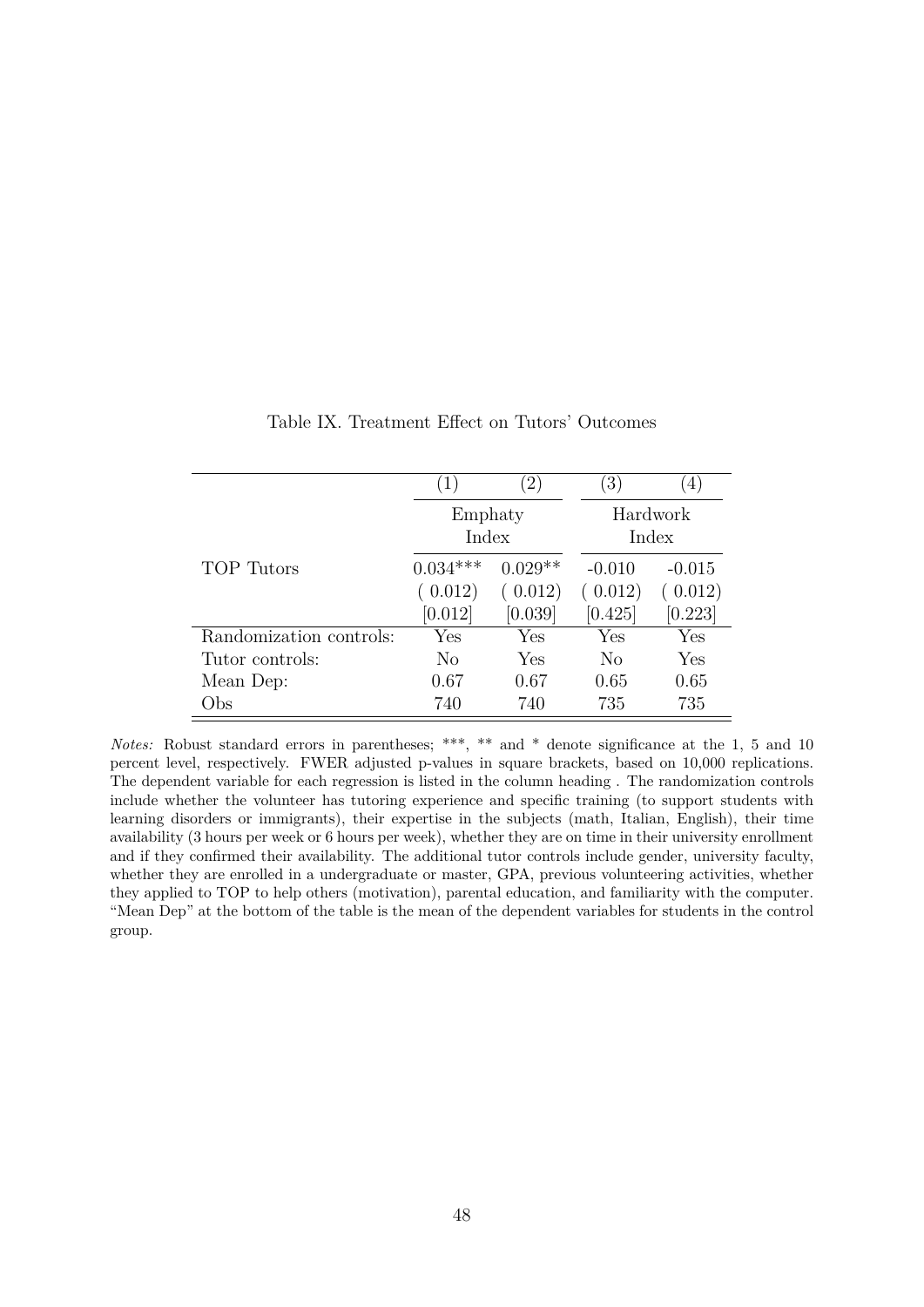|                         | $\left(1\right)$ | $\left(2\right)$ | $\left(3\right)$ | $\left( 4\right)$ |
|-------------------------|------------------|------------------|------------------|-------------------|
|                         | Emphaty          |                  | Hardwork         |                   |
|                         | Index            |                  |                  | Index             |
| <b>TOP</b> Tutors       | $0.034***$       | $0.029**$        | $-0.010$         | $-0.015$          |
|                         | (0.012)          | (0.012)          | (0.012)          | (0.012)           |
|                         | [0.012]          | [0.039]          | [0.425]          | [0.223]           |
| Randomization controls: | Yes              | Yes              | Yes              | Yes               |
| Tutor controls:         | N <sub>o</sub>   | Yes              | N <sub>o</sub>   | Yes               |
| Mean Dep:               | 0.67             | 0.67             | 0.65             | 0.65              |
| Obs                     | 740              | 740              | 735              | 735               |

Table IX. Treatment Effect on Tutors' Outcomes

*Notes:* Robust standard errors in parentheses; \*\*\*, \*\* and \* denote significance at the 1, 5 and 10 percent level, respectively. FWER adjusted p-values in square brackets, based on 10,000 replications. The dependent variable for each regression is listed in the column heading . The randomization controls include whether the volunteer has tutoring experience and specific training (to support students with learning disorders or immigrants), their expertise in the subjects (math, Italian, English), their time availability (3 hours per week or 6 hours per week), whether they are on time in their university enrollment and if they confirmed their availability. The additional tutor controls include gender, university faculty, whether they are enrolled in a undergraduate or master, GPA, previous volunteering activities, whether they applied to TOP to help others (motivation), parental education, and familiarity with the computer. "Mean Dep" at the bottom of the table is the mean of the dependent variables for students in the control group.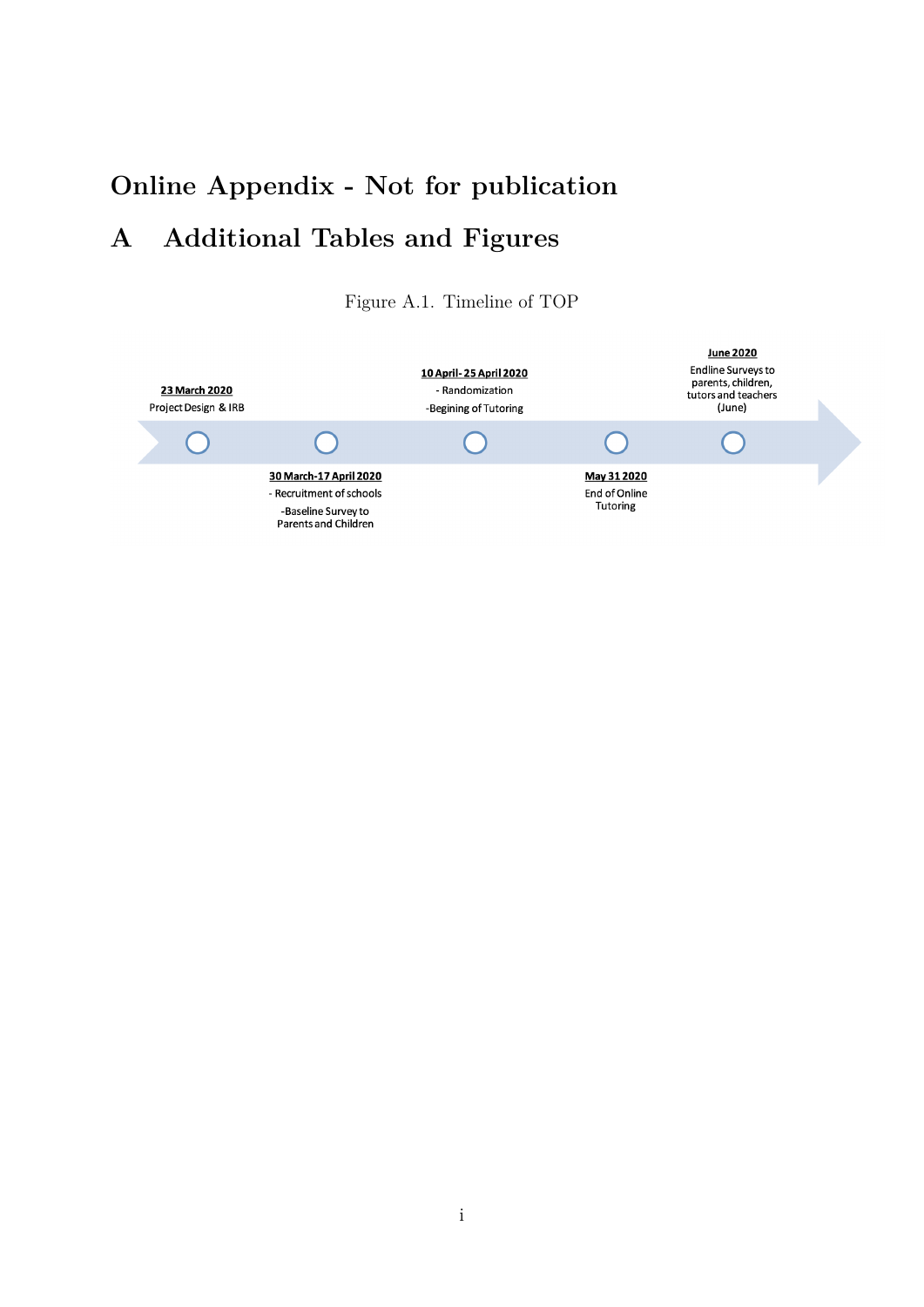# **Online Appendix - Not for publication A Additional Tables and Figures**

Figure A.1. Timeline of TOP

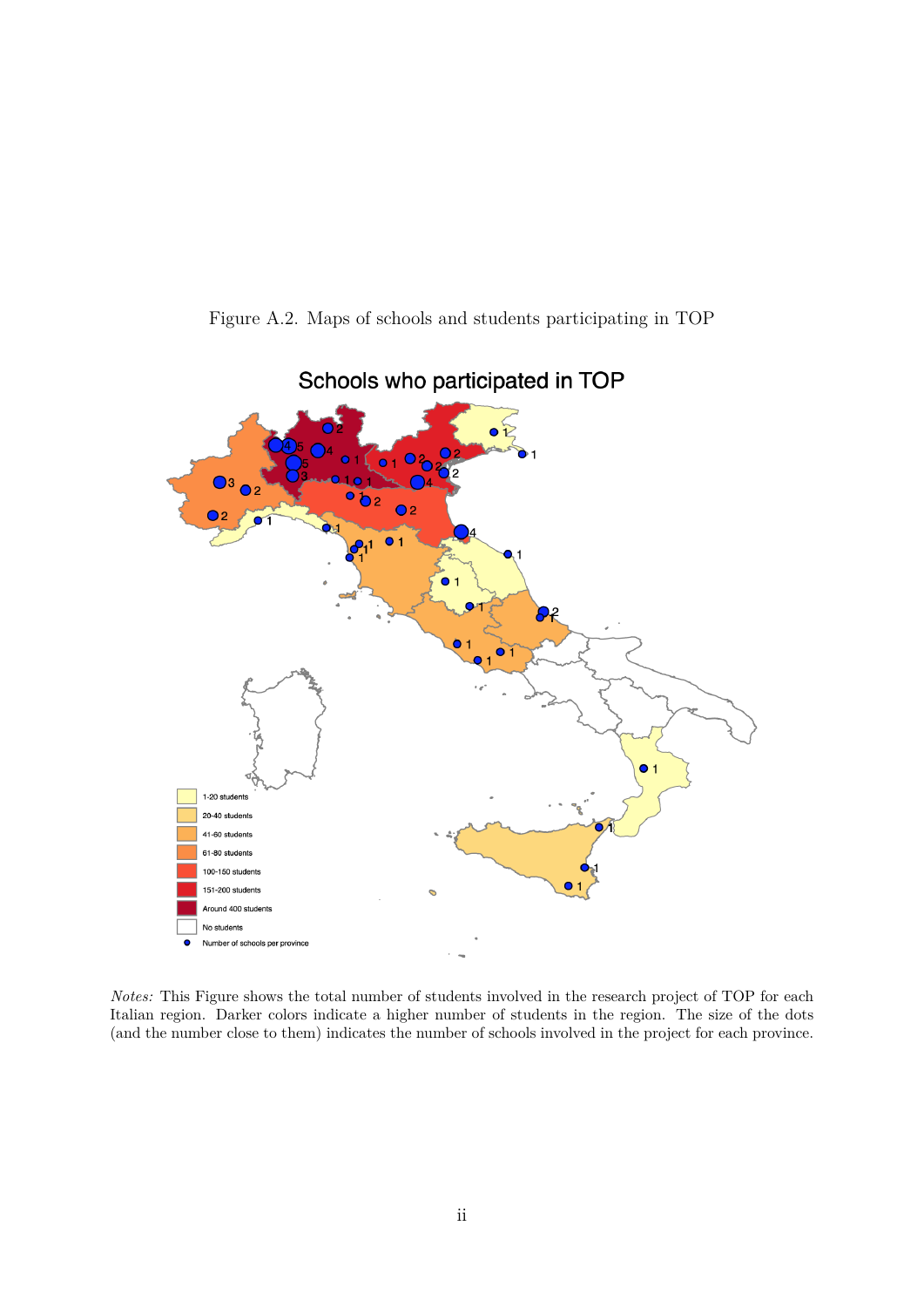Figure A.2. Maps of schools and students participating in TOP



Schools who participated in TOP

*Notes:* This Figure shows the total number of students involved in the research project of TOP for each Italian region. Darker colors indicate a higher number of students in the region. The size of the dots (and the number close to them) indicates the number of schools involved in the project for each province.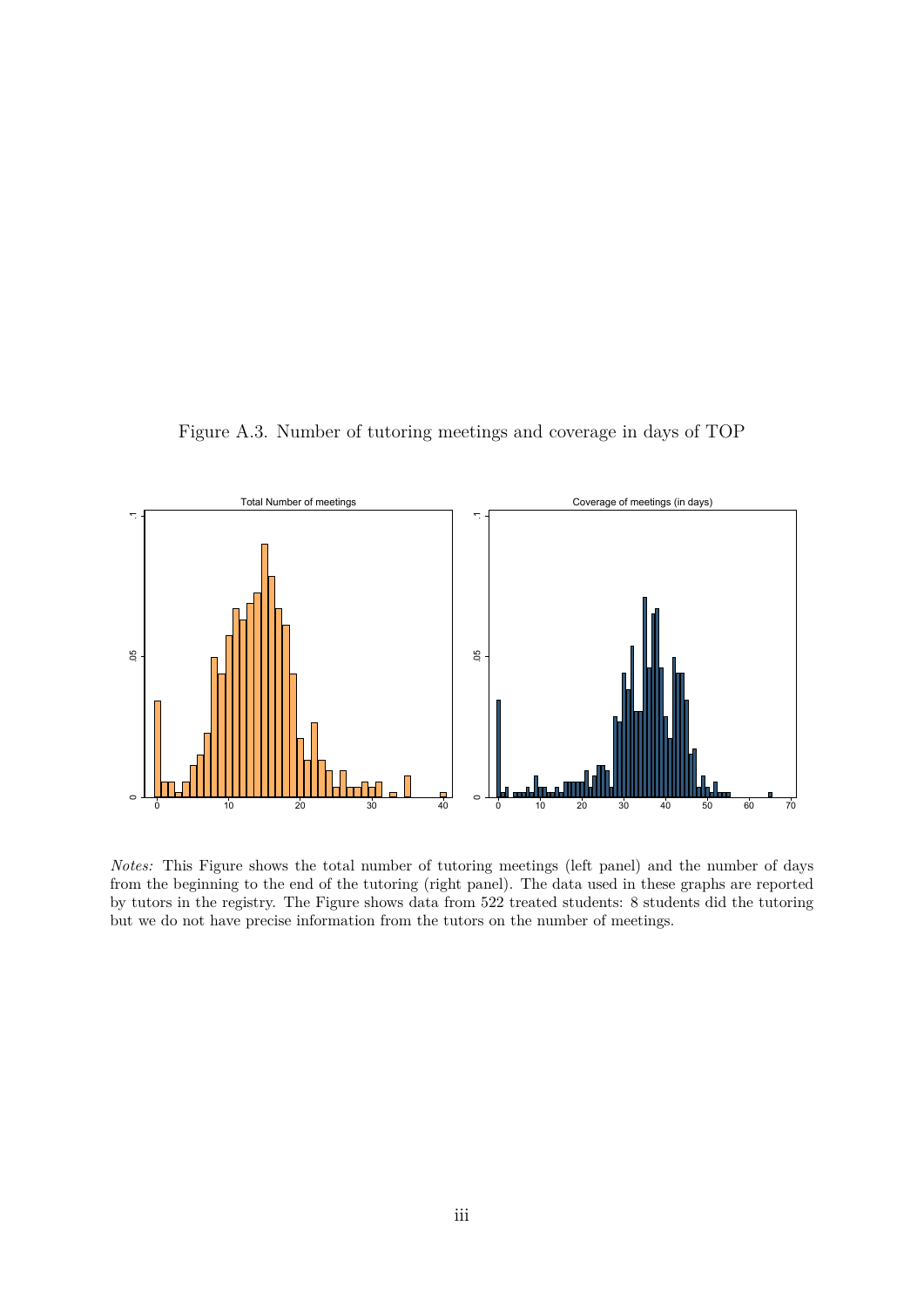Figure A.3. Number of tutoring meetings and coverage in days of TOP



*Notes:* This Figure shows the total number of tutoring meetings (left panel) and the number of days from the beginning to the end of the tutoring (right panel). The data used in these graphs are reported by tutors in the registry. The Figure shows data from 522 treated students: 8 students did the tutoring but we do not have precise information from the tutors on the number of meetings.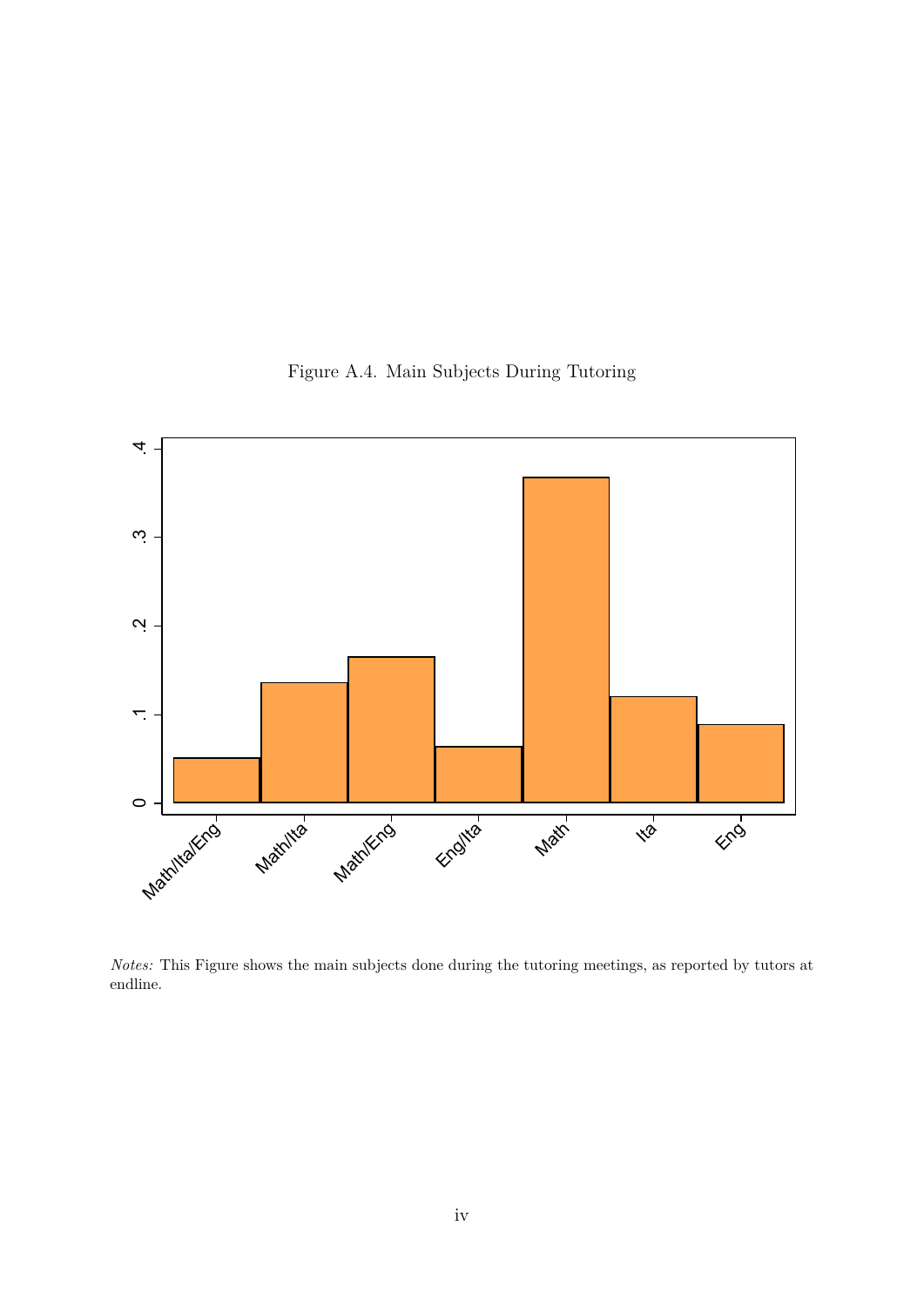

Figure A.4. Main Subjects During Tutoring

*Notes:* This Figure shows the main subjects done during the tutoring meetings, as reported by tutors at endline.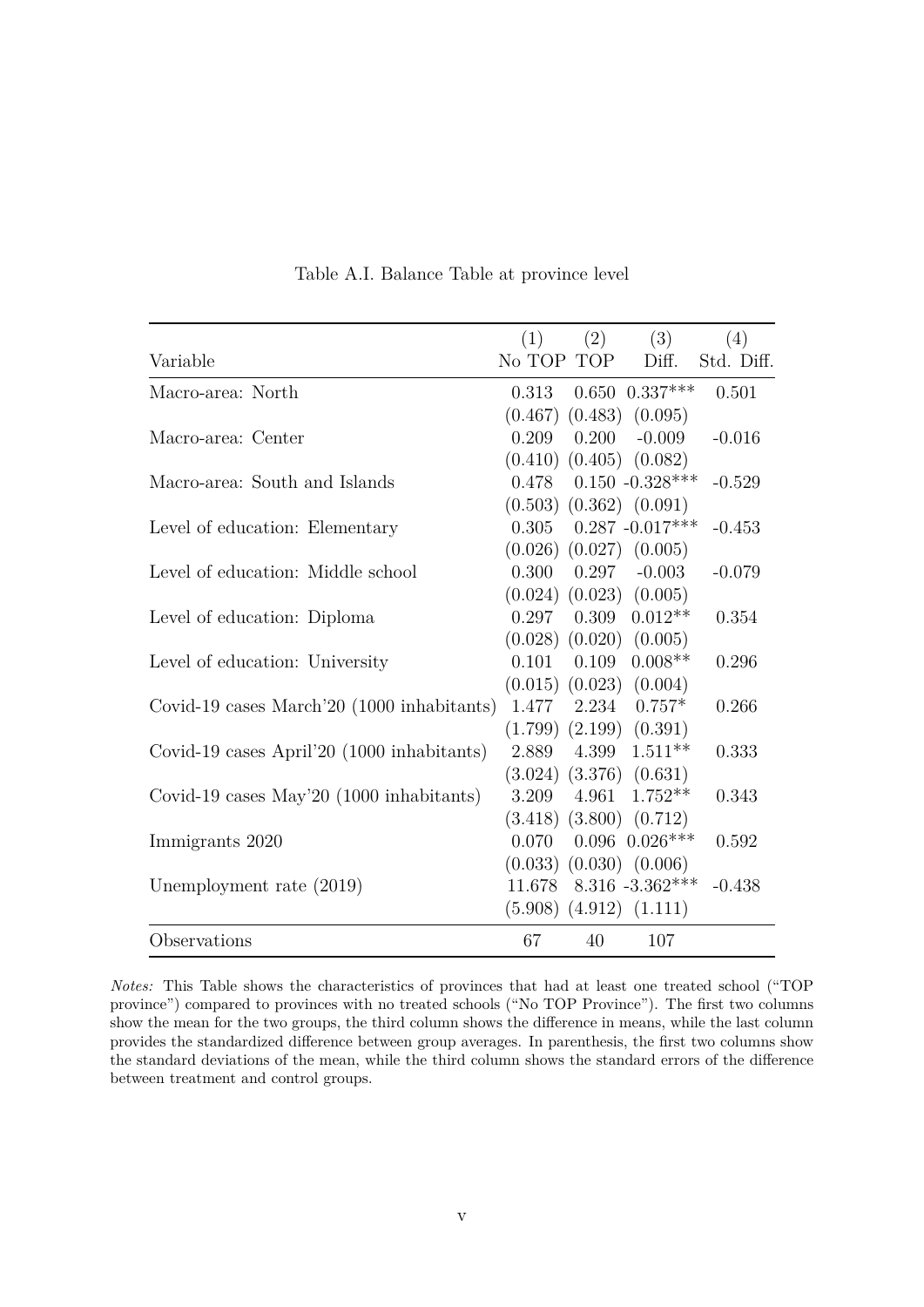|                                            | (1)        | (2)   | (3)                           | (4)        |
|--------------------------------------------|------------|-------|-------------------------------|------------|
| Variable                                   | No TOP TOP |       | Diff.                         | Std. Diff. |
| Macro-area: North                          | 0.313      |       | $0.650$ $0.337***$            | 0.501      |
|                                            |            |       | $(0.467)$ $(0.483)$ $(0.095)$ |            |
| Macro-area: Center                         | 0.209      | 0.200 | $-0.009$                      | $-0.016$   |
|                                            |            |       | $(0.410)$ $(0.405)$ $(0.082)$ |            |
| Macro-area: South and Islands              | 0.478      |       | $0.150 - 0.328***$            | $-0.529$   |
|                                            |            |       | $(0.503)$ $(0.362)$ $(0.091)$ |            |
| Level of education: Elementary             | 0.305      |       | $0.287 - 0.017***$            | $-0.453$   |
|                                            |            |       | $(0.026)$ $(0.027)$ $(0.005)$ |            |
| Level of education: Middle school          | 0.300      | 0.297 | $-0.003$                      | $-0.079$   |
|                                            |            |       | $(0.024)$ $(0.023)$ $(0.005)$ |            |
| Level of education: Diploma                | 0.297      | 0.309 | $0.012**$                     | 0.354      |
|                                            |            |       | $(0.028)$ $(0.020)$ $(0.005)$ |            |
| Level of education: University             | 0.101      | 0.109 | $0.008**$                     | 0.296      |
|                                            |            |       | $(0.015)$ $(0.023)$ $(0.004)$ |            |
| Covid-19 cases March'20 (1000 inhabitants) |            |       | $1.477$ $2.234$ $0.757*$      | 0.266      |
|                                            |            |       | $(1.799)$ $(2.199)$ $(0.391)$ |            |
| Covid-19 cases April'20 (1000 inhabitants) | 2.889      | 4.399 | $1.511**$                     | 0.333      |
|                                            |            |       | $(3.024)$ $(3.376)$ $(0.631)$ |            |
| Covid-19 cases May'20 (1000 inhabitants)   | 3.209      | 4.961 | $1.752**$                     | 0.343      |
|                                            |            |       | $(3.418)$ $(3.800)$ $(0.712)$ |            |
| Immigrants 2020                            | 0.070      |       | $0.096$ $0.026***$            | 0.592      |
|                                            |            |       | $(0.033)$ $(0.030)$ $(0.006)$ |            |
| Unemployment rate $(2019)$                 | 11.678     |       | $8.316 - 3.362***$            | $-0.438$   |
|                                            |            |       | $(5.908)$ $(4.912)$ $(1.111)$ |            |
| Observations                               | 67         | 40    | 107                           |            |

Table A.I. Balance Table at province level

*Notes:* This Table shows the characteristics of provinces that had at least one treated school ("TOP province") compared to provinces with no treated schools ("No TOP Province"). The first two columns show the mean for the two groups, the third column shows the difference in means, while the last column provides the standardized difference between group averages. In parenthesis, the first two columns show the standard deviations of the mean, while the third column shows the standard errors of the difference between treatment and control groups.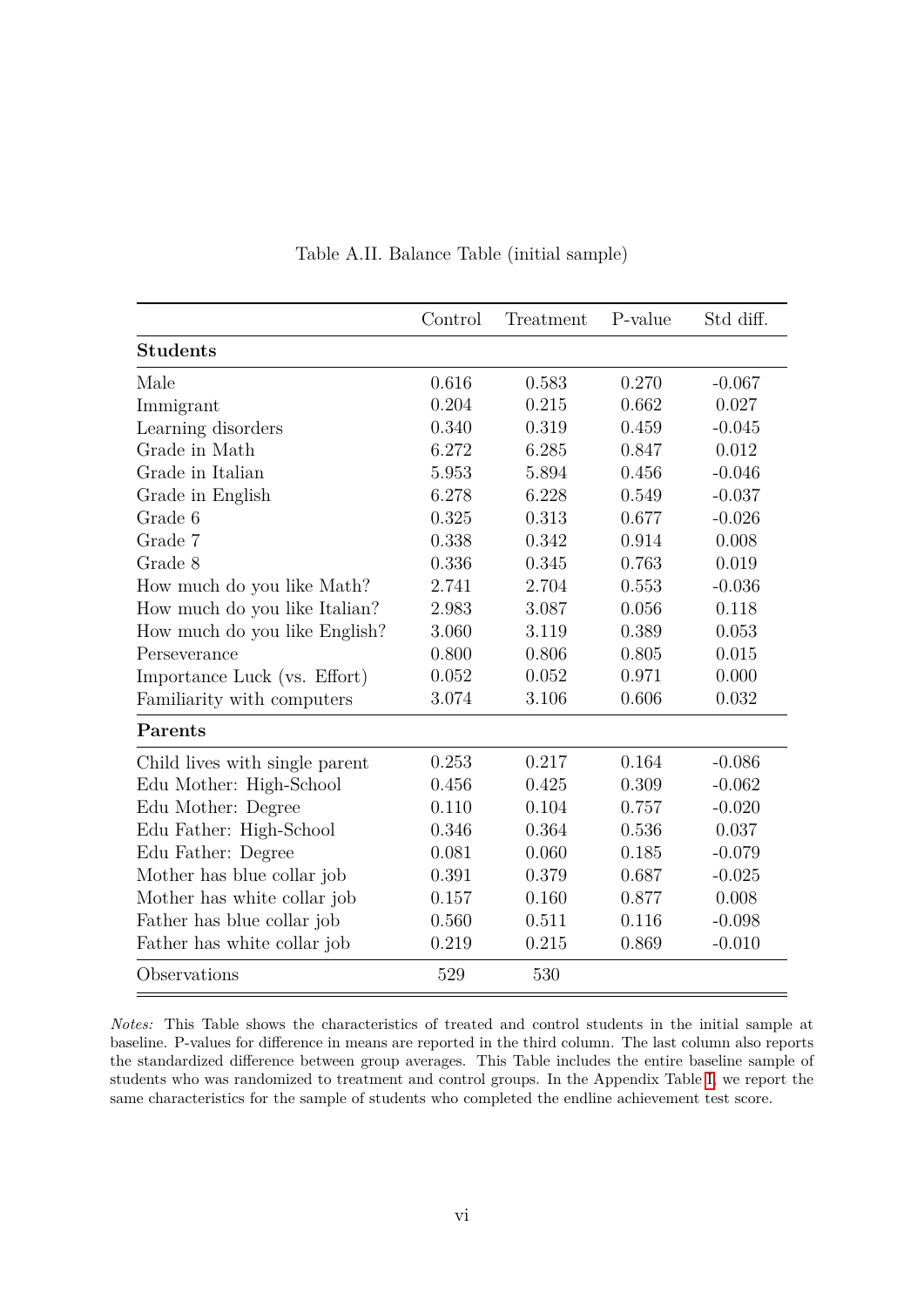<span id="page-54-0"></span>

|                                | Control | Treatment | P-value | Std diff. |
|--------------------------------|---------|-----------|---------|-----------|
| <b>Students</b>                |         |           |         |           |
| Male                           | 0.616   | 0.583     | 0.270   | $-0.067$  |
| Immigrant                      | 0.204   | 0.215     | 0.662   | 0.027     |
| Learning disorders             | 0.340   | 0.319     | 0.459   | $-0.045$  |
| Grade in Math                  | 6.272   | 6.285     | 0.847   | 0.012     |
| Grade in Italian               | 5.953   | 5.894     | 0.456   | $-0.046$  |
| Grade in English               | 6.278   | 6.228     | 0.549   | $-0.037$  |
| Grade 6                        | 0.325   | 0.313     | 0.677   | $-0.026$  |
| Grade 7                        | 0.338   | 0.342     | 0.914   | 0.008     |
| Grade 8                        | 0.336   | 0.345     | 0.763   | 0.019     |
| How much do you like Math?     | 2.741   | 2.704     | 0.553   | $-0.036$  |
| How much do you like Italian?  | 2.983   | 3.087     | 0.056   | 0.118     |
| How much do you like English?  | 3.060   | 3.119     | 0.389   | 0.053     |
| Perseverance                   | 0.800   | 0.806     | 0.805   | 0.015     |
| Importance Luck (vs. Effort)   | 0.052   | 0.052     | 0.971   | 0.000     |
| Familiarity with computers     | 3.074   | 3.106     | 0.606   | 0.032     |
| Parents                        |         |           |         |           |
| Child lives with single parent | 0.253   | 0.217     | 0.164   | $-0.086$  |
| Edu Mother: High-School        | 0.456   | 0.425     | 0.309   | $-0.062$  |
| Edu Mother: Degree             | 0.110   | 0.104     | 0.757   | $-0.020$  |
| Edu Father: High-School        | 0.346   | 0.364     | 0.536   | 0.037     |
| Edu Father: Degree             | 0.081   | 0.060     | 0.185   | $-0.079$  |
| Mother has blue collar job     | 0.391   | 0.379     | 0.687   | $-0.025$  |
| Mother has white collar job    | 0.157   | 0.160     | 0.877   | 0.008     |
| Father has blue collar job     | 0.560   | 0.511     | 0.116   | $-0.098$  |
| Father has white collar job    | 0.219   | 0.215     | 0.869   | $-0.010$  |
| Observations                   | 529     | 530       |         |           |

Table A.II. Balance Table (initial sample)

*Notes:* This Table shows the characteristics of treated and control students in the initial sample at baseline. P-values for difference in means are reported in the third column. The last column also reports the standardized difference between group averages. This Table includes the entire baseline sample of students who was randomized to treatment and control groups. In the Appendix Table [I,](#page-41-0) we report the same characteristics for the sample of students who completed the endline achievement test score.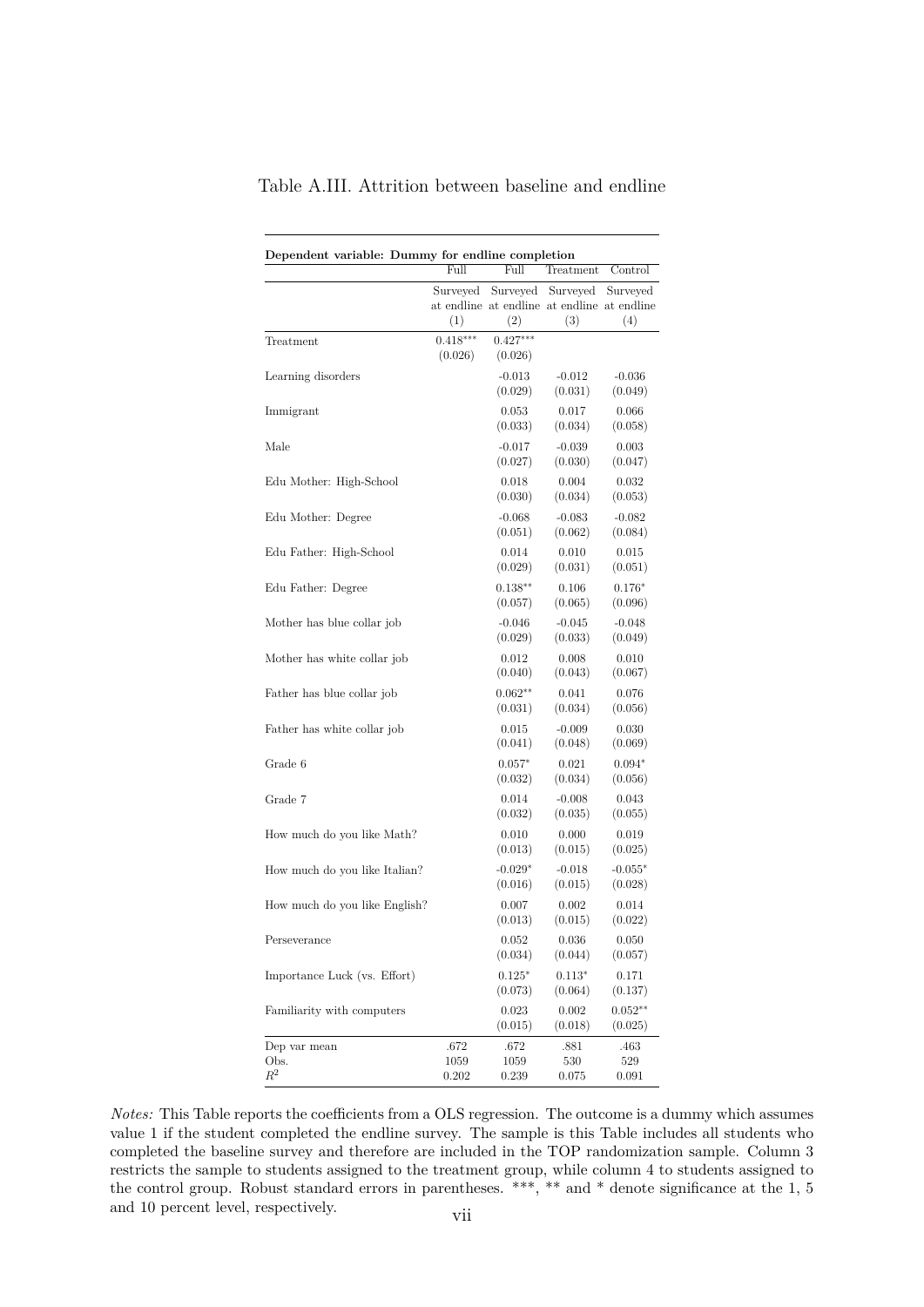|                               | Full                  | Full                  | Treatment                                                      | Control              |
|-------------------------------|-----------------------|-----------------------|----------------------------------------------------------------|----------------------|
|                               | Surveyed<br>(1)       | Surveyed<br>(2)       | Surveyed<br>at endline at endline at endline at endline<br>(3) | Surveyed<br>(4)      |
| Treatment                     | $0.418***$<br>(0.026) | $0.427***$<br>(0.026) |                                                                |                      |
| Learning disorders            |                       | $-0.013$<br>(0.029)   | $-0.012$<br>(0.031)                                            | $-0.036$<br>(0.049)  |
| Immigrant                     |                       | 0.053<br>(0.033)      | 0.017<br>(0.034)                                               | 0.066<br>(0.058)     |
| Male                          |                       | $-0.017$<br>(0.027)   | $-0.039$<br>(0.030)                                            | 0.003<br>(0.047)     |
| Edu Mother: High-School       |                       | 0.018<br>(0.030)      | 0.004<br>(0.034)                                               | 0.032<br>(0.053)     |
| Edu Mother: Degree            |                       | $-0.068$<br>(0.051)   | $-0.083$<br>(0.062)                                            | $-0.082$<br>(0.084)  |
| Edu Father: High-School       |                       | 0.014<br>(0.029)      | 0.010<br>(0.031)                                               | 0.015<br>(0.051)     |
| Edu Father: Degree            |                       | $0.138**$<br>(0.057)  | 0.106<br>(0.065)                                               | $0.176*$<br>(0.096)  |
| Mother has blue collar job    |                       | $-0.046$<br>(0.029)   | $-0.045$<br>(0.033)                                            | $-0.048$<br>(0.049)  |
| Mother has white collar job   |                       | 0.012<br>(0.040)      | 0.008<br>(0.043)                                               | 0.010<br>(0.067)     |
| Father has blue collar job    |                       | $0.062**$<br>(0.031)  | 0.041<br>(0.034)                                               | 0.076<br>(0.056)     |
| Father has white collar job   |                       | 0.015<br>(0.041)      | $-0.009$<br>(0.048)                                            | 0.030<br>(0.069)     |
| Grade 6                       |                       | $0.057*$<br>(0.032)   | 0.021<br>(0.034)                                               | $0.094*$<br>(0.056)  |
| Grade 7                       |                       | 0.014<br>(0.032)      | $-0.008$<br>(0.035)                                            | 0.043<br>(0.055)     |
| How much do you like Math?    |                       | 0.010<br>(0.013)      | 0.000<br>(0.015)                                               | 0.019<br>(0.025)     |
| How much do you like Italian? |                       | $-0.029*$<br>(0.016)  | $-0.018$<br>(0.015)                                            | $-0.055*$<br>(0.028) |
| How much do you like English? |                       | 0.007<br>(0.013)      | 0.002<br>(0.015)                                               | 0.014<br>(0.022)     |
| Perseverance                  |                       | 0.052<br>(0.034)      | $\,0.036\,$<br>(0.044)                                         | 0.050<br>(0.057)     |
| Importance Luck (vs. Effort)  |                       | $0.125*$<br>(0.073)   | $0.113*$<br>(0.064)                                            | 0.171<br>(0.137)     |
| Familiarity with computers    |                       | 0.023<br>(0.015)      | $0.002\,$<br>(0.018)                                           | $0.052**$<br>(0.025) |
| Dep var mean<br>Obs.<br>$R^2$ | .672<br>1059<br>0.202 | .672<br>1059<br>0.239 | .881<br>530<br>0.075                                           | .463<br>529<br>0.091 |

Table A.III. Attrition between baseline and endline

*Notes:* This Table reports the coefficients from a OLS regression. The outcome is a dummy which assumes value 1 if the student completed the endline survey. The sample is this Table includes all students who completed the baseline survey and therefore are included in the TOP randomization sample. Column 3 restricts the sample to students assigned to the treatment group, while column 4 to students assigned to the control group. Robust standard errors in parentheses. \*\*\*, \*\* and \* denote significance at the 1, 5 and 10 percent level, respectively. vii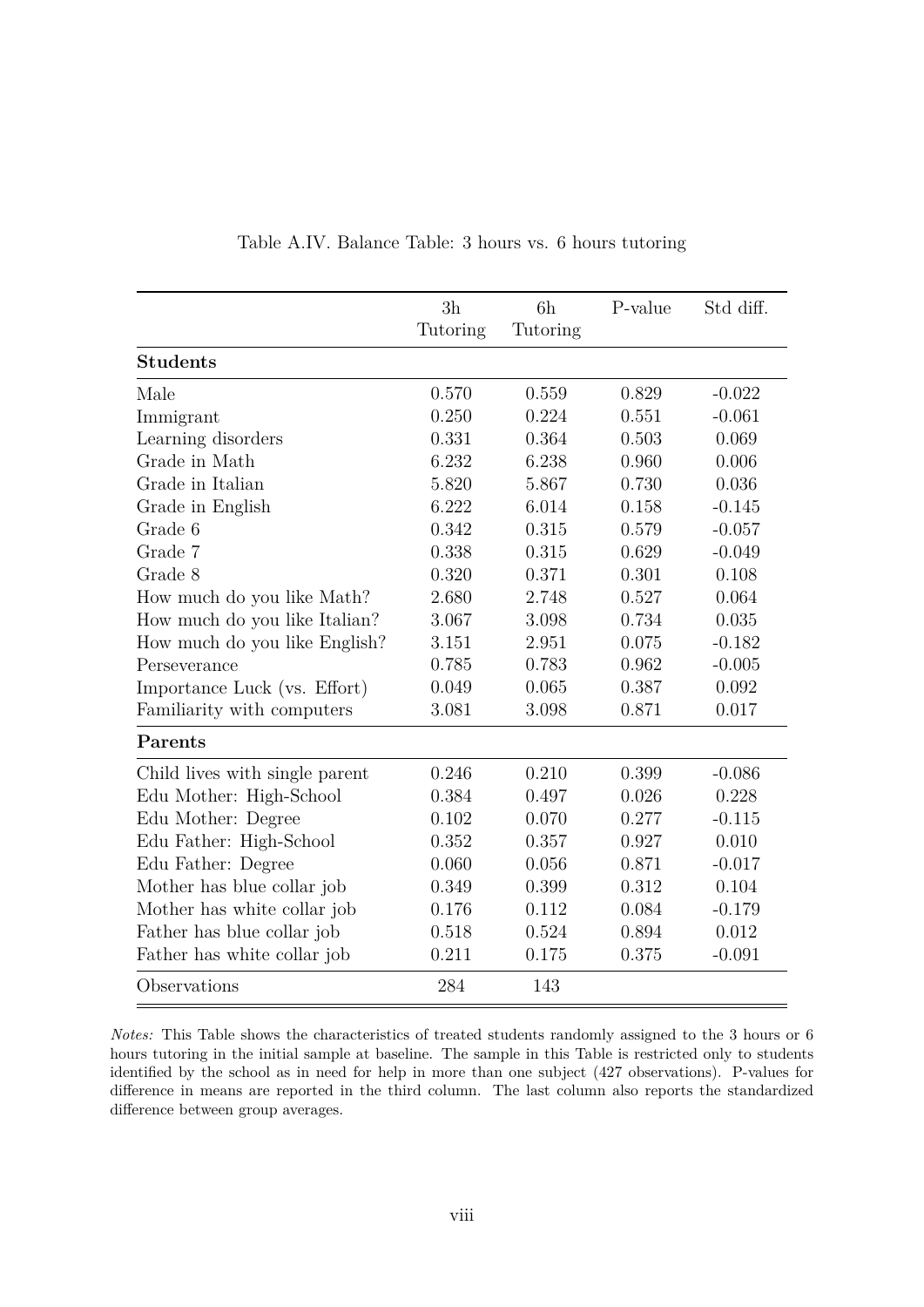|                                | 3h       | 6h       | P-value | Std diff. |
|--------------------------------|----------|----------|---------|-----------|
|                                | Tutoring | Tutoring |         |           |
| <b>Students</b>                |          |          |         |           |
| Male                           | 0.570    | 0.559    | 0.829   | $-0.022$  |
| Immigrant                      | 0.250    | 0.224    | 0.551   | $-0.061$  |
| Learning disorders             | 0.331    | 0.364    | 0.503   | 0.069     |
| Grade in Math                  | 6.232    | 6.238    | 0.960   | 0.006     |
| Grade in Italian               | 5.820    | 5.867    | 0.730   | 0.036     |
| Grade in English               | 6.222    | 6.014    | 0.158   | $-0.145$  |
| Grade 6                        | 0.342    | 0.315    | 0.579   | $-0.057$  |
| Grade 7                        | 0.338    | 0.315    | 0.629   | $-0.049$  |
| Grade 8                        | 0.320    | 0.371    | 0.301   | 0.108     |
| How much do you like Math?     | 2.680    | 2.748    | 0.527   | 0.064     |
| How much do you like Italian?  | 3.067    | 3.098    | 0.734   | 0.035     |
| How much do you like English?  | 3.151    | 2.951    | 0.075   | $-0.182$  |
| Perseverance                   | 0.785    | 0.783    | 0.962   | $-0.005$  |
| Importance Luck (vs. Effort)   | 0.049    | 0.065    | 0.387   | 0.092     |
| Familiarity with computers     | 3.081    | 3.098    | 0.871   | 0.017     |
| Parents                        |          |          |         |           |
| Child lives with single parent | 0.246    | 0.210    | 0.399   | $-0.086$  |
| Edu Mother: High-School        | 0.384    | 0.497    | 0.026   | 0.228     |
| Edu Mother: Degree             | 0.102    | 0.070    | 0.277   | $-0.115$  |
| Edu Father: High-School        | 0.352    | 0.357    | 0.927   | 0.010     |
| Edu Father: Degree             | 0.060    | 0.056    | 0.871   | $-0.017$  |
| Mother has blue collar job     | 0.349    | 0.399    | 0.312   | 0.104     |
| Mother has white collar job    | 0.176    | 0.112    | 0.084   | $-0.179$  |
| Father has blue collar job     | 0.518    | 0.524    | 0.894   | 0.012     |
| Father has white collar job    | 0.211    | 0.175    | 0.375   | $-0.091$  |
| Observations                   | 284      | 143      |         |           |

Table A.IV. Balance Table: 3 hours vs. 6 hours tutoring

*Notes:* This Table shows the characteristics of treated students randomly assigned to the 3 hours or 6 hours tutoring in the initial sample at baseline. The sample in this Table is restricted only to students identified by the school as in need for help in more than one subject (427 observations). P-values for difference in means are reported in the third column. The last column also reports the standardized difference between group averages.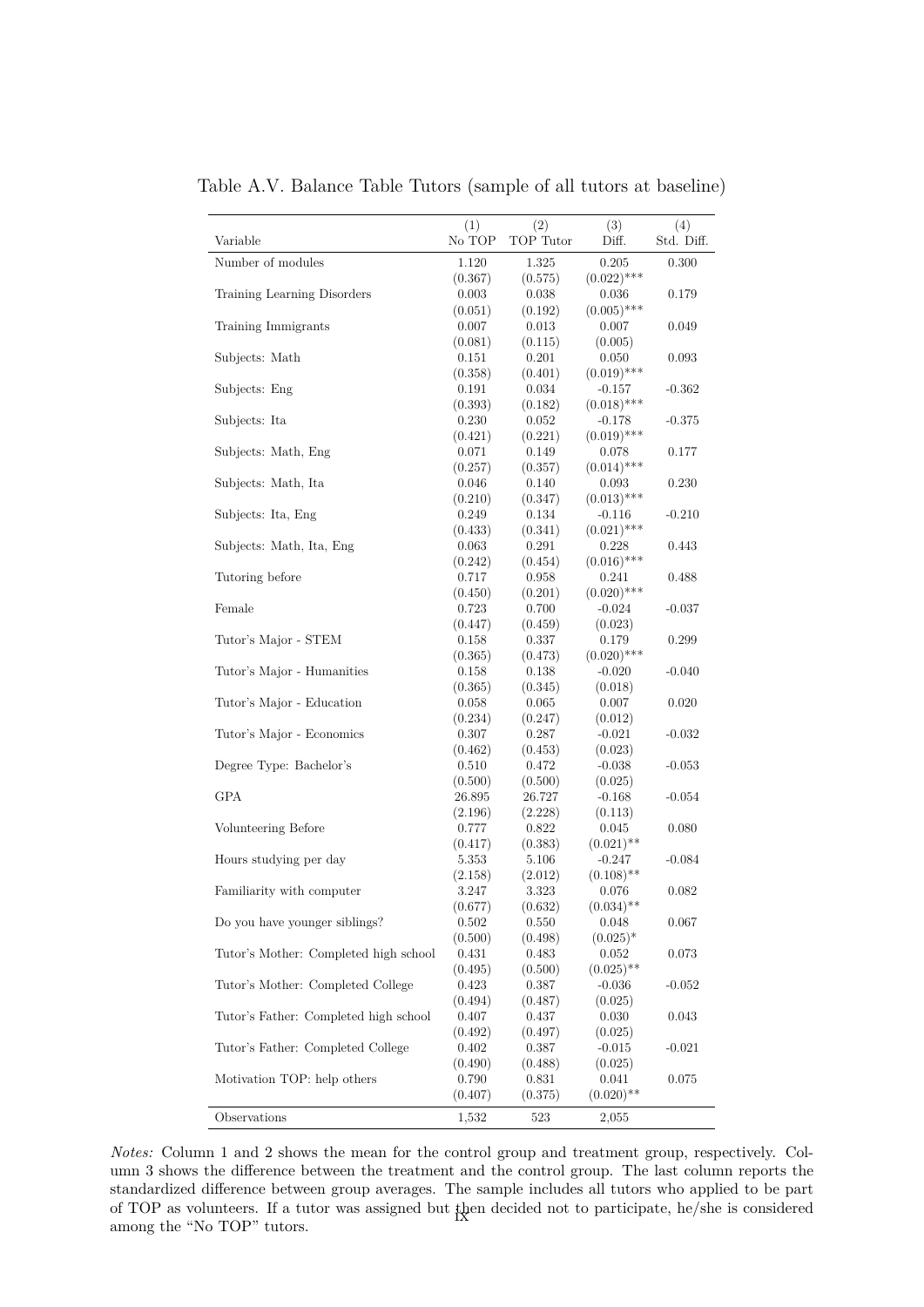| Variable                              | (1)<br>No TOP    | (2)<br>TOP Tutor | (3)<br>Diff.           | (4)<br>Std. Diff. |
|---------------------------------------|------------------|------------------|------------------------|-------------------|
| Number of modules                     | 1.120            | 1.325            | 0.205                  | 0.300             |
|                                       | (0.367)          | (0.575)          | $(0.022)$ ***          |                   |
| Training Learning Disorders           | 0.003            | 0.038            | 0.036                  | 0.179             |
|                                       | (0.051)          | (0.192)          | $(0.005)$ ***          |                   |
| Training Immigrants                   | 0.007            | 0.013            | 0.007                  | 0.049             |
|                                       | (0.081)          | (0.115)          | (0.005)                |                   |
| Subjects: Math                        | 0.151            | 0.201            | 0.050                  | 0.093             |
|                                       | (0.358)          | (0.401)          | $(0.019)$ ***          |                   |
| Subjects: Eng                         | 0.191            | 0.034            | $-0.157$               | $-0.362$          |
|                                       | (0.393)          | (0.182)          | $(0.018)$ ***          |                   |
| Subjects: Ita                         | 0.230            | 0.052            | $-0.178$               | $-0.375$          |
|                                       | (0.421)          | (0.221)          | $(0.019)$ ***          |                   |
| Subjects: Math, Eng                   | 0.071            | 0.149            | 0.078                  | 0.177             |
|                                       | (0.257)          | (0.357)          | $(0.014)$ ***          |                   |
| Subjects: Math, Ita                   | 0.046            | 0.140            | 0.093                  | 0.230             |
|                                       | (0.210)          | (0.347)          | $(0.013)$ ***          |                   |
| Subjects: Ita, Eng                    | 0.249            | 0.134            | $-0.116$               | $-0.210$          |
|                                       | (0.433)          | (0.341)          | $(0.021)$ ***          |                   |
| Subjects: Math, Ita, Eng              | 0.063            | 0.291            | 0.228<br>$(0.016)$ *** | 0.443             |
| Tutoring before                       | (0.242)<br>0.717 | (0.454)<br>0.958 |                        | 0.488             |
|                                       |                  |                  | 0.241<br>$(0.020)$ *** |                   |
| Female                                | (0.450)<br>0.723 | (0.201)<br>0.700 | $-0.024$               | $-0.037$          |
|                                       | (0.447)          | (0.459)          | (0.023)                |                   |
| Tutor's Major - STEM                  | 0.158            | 0.337            | 0.179                  | 0.299             |
|                                       | (0.365)          | (0.473)          | $(0.020)$ ***          |                   |
| Tutor's Major - Humanities            | 0.158            | 0.138            | $-0.020$               | $-0.040$          |
|                                       | (0.365)          | (0.345)          | (0.018)                |                   |
| Tutor's Major - Education             | 0.058            | 0.065            | 0.007                  | $0.020\,$         |
|                                       | (0.234)          | (0.247)          | (0.012)                |                   |
| Tutor's Major - Economics             | 0.307            | 0.287            | $-0.021$               | $-0.032$          |
|                                       | (0.462)          | (0.453)          | (0.023)                |                   |
| Degree Type: Bachelor's               | 0.510            | 0.472            | $-0.038$               | $-0.053$          |
|                                       | (0.500)          | (0.500)          | (0.025)                |                   |
| GPA                                   | 26.895           | 26.727           | $-0.168$               | $-0.054$          |
|                                       | (2.196)          | (2.228)          | (0.113)                |                   |
| Volunteering Before                   | 0.777            | 0.822            | 0.045                  | 0.080             |
|                                       | (0.417)          | (0.383)          | $(0.021)$ **           |                   |
| Hours studying per day                | 5.353            | 5.106            | $-0.247$               | $-0.084$          |
|                                       | (2.158)          | (2.012)          | $(0.108)$ **           |                   |
| Familiarity with computer             | 3.247            | 3.323            | 0.076                  | 0.082             |
|                                       | (0.677)          | (0.632)          | $(0.034)$ **           |                   |
| Do you have younger siblings?         | 0.502            | 0.550            | 0.048                  | 0.067             |
|                                       | (0.500)          | (0.498)          | $(0.025)^*$            |                   |
| Tutor's Mother: Completed high school | 0.431            | 0.483            | 0.052                  | 0.073             |
|                                       | (0.495)          | (0.500)          | $(0.025)$ **           |                   |
| Tutor's Mother: Completed College     | 0.423            | 0.387            | $-0.036$               | $-0.052$          |
|                                       | (0.494)          | (0.487)          | (0.025)                |                   |
| Tutor's Father: Completed high school | 0.407            | 0.437            | 0.030                  | 0.043             |
|                                       | (0.492)<br>0.402 | (0.497)          | (0.025)                |                   |
| Tutor's Father: Completed College     |                  | 0.387            | $-0.015$               | $-0.021$          |
| Motivation TOP: help others           | (0.490)<br>0.790 | (0.488)<br>0.831 | (0.025)<br>0.041       | 0.075             |
|                                       | (0.407)          | (0.375)          | $(0.020)$ **           |                   |
|                                       |                  |                  |                        |                   |
| Observations                          | 1,532            | 523              | 2,055                  |                   |

Table A.V. Balance Table Tutors (sample of all tutors at baseline)

*Notes:* Column 1 and 2 shows the mean for the control group and treatment group, respectively. Column 3 shows the difference between the treatment and the control group. The last column reports the standardized difference between group averages. The sample includes all tutors who applied to be part of TOP as volunteers. If a tutor was assigned but then decided not to participate, he/she is considered among the "No TOP" tutors.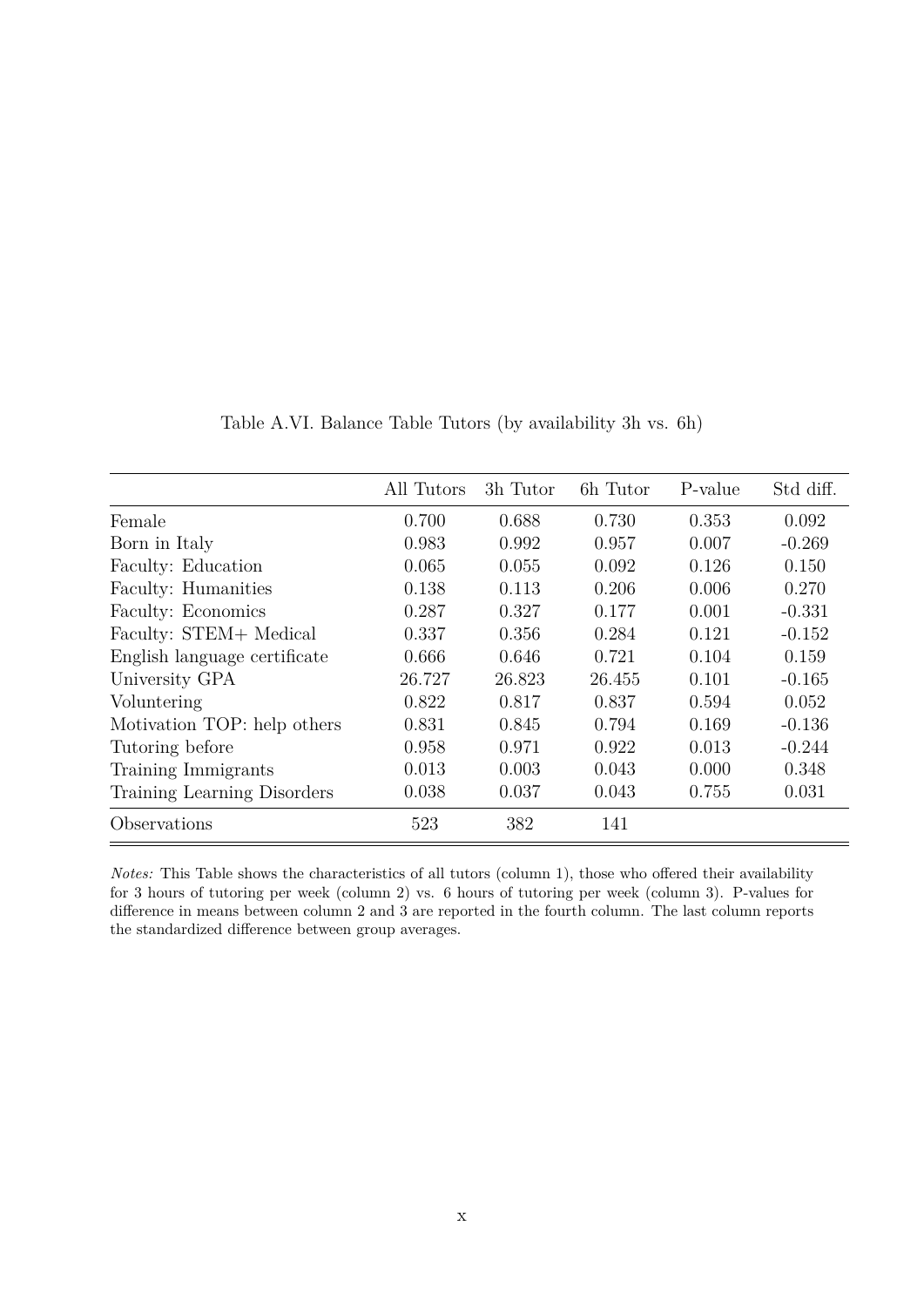|                              | All Tutors | 3h Tutor | 6h Tutor | P-value | Std diff. |
|------------------------------|------------|----------|----------|---------|-----------|
| Female                       | 0.700      | 0.688    | 0.730    | 0.353   | 0.092     |
| Born in Italy                | 0.983      | 0.992    | 0.957    | 0.007   | $-0.269$  |
| Faculty: Education           | 0.065      | 0.055    | 0.092    | 0.126   | 0.150     |
| Faculty: Humanities          | 0.138      | 0.113    | 0.206    | 0.006   | 0.270     |
| Faculty: Economics           | 0.287      | 0.327    | 0.177    | 0.001   | $-0.331$  |
| Faculty: STEM+ Medical       | 0.337      | 0.356    | 0.284    | 0.121   | $-0.152$  |
| English language certificate | 0.666      | 0.646    | 0.721    | 0.104   | 0.159     |
| University GPA               | 26.727     | 26.823   | 26.455   | 0.101   | $-0.165$  |
| Voluntering                  | 0.822      | 0.817    | 0.837    | 0.594   | 0.052     |
| Motivation TOP: help others  | 0.831      | 0.845    | 0.794    | 0.169   | $-0.136$  |
| Tutoring before              | 0.958      | 0.971    | 0.922    | 0.013   | $-0.244$  |
| Training Immigrants          | 0.013      | 0.003    | 0.043    | 0.000   | 0.348     |
| Training Learning Disorders  | 0.038      | 0.037    | 0.043    | 0.755   | 0.031     |
| Observations                 | 523        | 382      | 141      |         |           |

Table A.VI. Balance Table Tutors (by availability 3h vs. 6h)

*Notes:* This Table shows the characteristics of all tutors (column 1), those who offered their availability for 3 hours of tutoring per week (column 2) vs. 6 hours of tutoring per week (column 3). P-values for difference in means between column 2 and 3 are reported in the fourth column. The last column reports the standardized difference between group averages.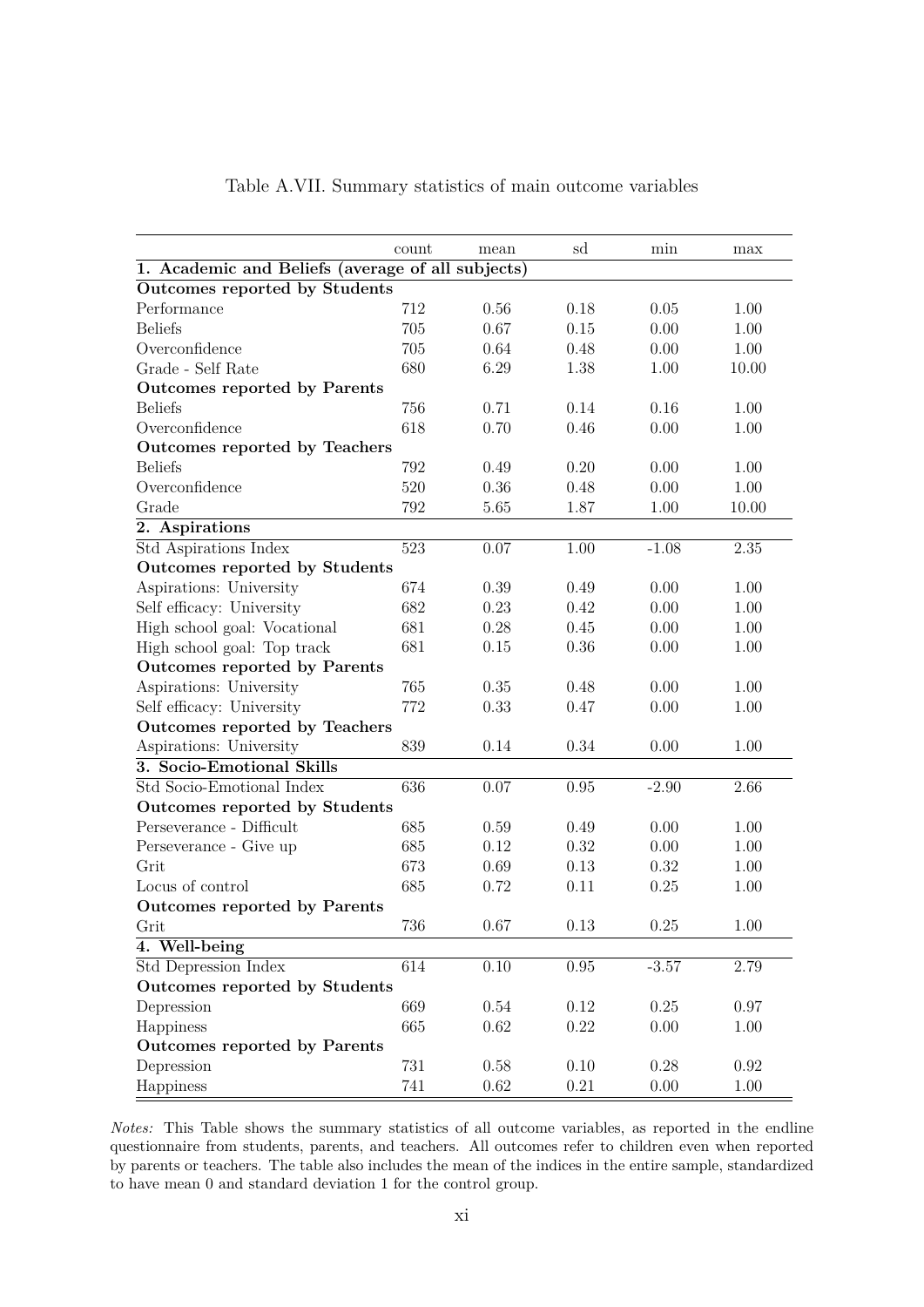|                                                   | count | mean | sd       | min      | max      |
|---------------------------------------------------|-------|------|----------|----------|----------|
| 1. Academic and Beliefs (average of all subjects) |       |      |          |          |          |
| Outcomes reported by Students                     |       |      |          |          |          |
| Performance                                       | 712   | 0.56 | 0.18     | 0.05     | 1.00     |
| <b>Beliefs</b>                                    | 705   | 0.67 | 0.15     | 0.00     | 1.00     |
| Overconfidence                                    | 705   | 0.64 | 0.48     | 0.00     | 1.00     |
| Grade - Self Rate                                 | 680   | 6.29 | 1.38     | 1.00     | 10.00    |
| Outcomes reported by Parents                      |       |      |          |          |          |
| <b>Beliefs</b>                                    | 756   | 0.71 | 0.14     | 0.16     | 1.00     |
| Overconfidence                                    | 618   | 0.70 | 0.46     | 0.00     | 1.00     |
| Outcomes reported by Teachers                     |       |      |          |          |          |
| <b>Beliefs</b>                                    | 792   | 0.49 | 0.20     | 0.00     | 1.00     |
| Overconfidence                                    | 520   | 0.36 | 0.48     | 0.00     | 1.00     |
| Grade                                             | 792   | 5.65 | 1.87     | 1.00     | 10.00    |
| 2. Aspirations                                    |       |      |          |          |          |
| Std Aspirations Index                             | 523   | 0.07 | 1.00     | $-1.08$  | $2.35\,$ |
| Outcomes reported by Students                     |       |      |          |          |          |
| Aspirations: University                           | 674   | 0.39 | 0.49     | 0.00     | 1.00     |
| Self efficacy: University                         | 682   | 0.23 | 0.42     | 0.00     | 1.00     |
| High school goal: Vocational                      | 681   | 0.28 | 0.45     | 0.00     | 1.00     |
| High school goal: Top track                       | 681   | 0.15 | 0.36     | 0.00     | 1.00     |
| Outcomes reported by Parents                      |       |      |          |          |          |
| Aspirations: University                           | 765   | 0.35 | 0.48     | 0.00     | 1.00     |
| Self efficacy: University                         | 772   | 0.33 | 0.47     | 0.00     | 1.00     |
| Outcomes reported by Teachers                     |       |      |          |          |          |
| Aspirations: University                           | 839   | 0.14 | 0.34     | 0.00     | 1.00     |
| 3. Socio-Emotional Skills                         |       |      |          |          |          |
| Std Socio-Emotional Index                         | 636   | 0.07 | 0.95     | $-2.90$  | 2.66     |
| Outcomes reported by Students                     |       |      |          |          |          |
| Perseverance - Difficult                          | 685   | 0.59 | 0.49     | 0.00     | 1.00     |
| Perseverance - Give up                            | 685   | 0.12 | 0.32     | 0.00     | 1.00     |
| Grit                                              | 673   | 0.69 | 0.13     | 0.32     | 1.00     |
| Locus of control                                  | 685   | 0.72 | 0.11     | 0.25     | 1.00     |
| Outcomes reported by Parents                      |       |      |          |          |          |
| Grit                                              | 736   | 0.67 | $0.13\,$ | $0.25\,$ | 1.00     |
| 4. Well-being                                     |       |      |          |          |          |
| Std Depression Index                              | 614   | 0.10 | 0.95     | $-3.57$  | 2.79     |
| Outcomes reported by Students                     |       |      |          |          |          |
| Depression                                        | 669   | 0.54 | 0.12     | 0.25     | 0.97     |
| Happiness                                         | 665   | 0.62 | 0.22     | 0.00     | 1.00     |
| Outcomes reported by Parents                      |       |      |          |          |          |
| Depression                                        | 731   | 0.58 | 0.10     | 0.28     | 0.92     |
| Happiness                                         | 741   | 0.62 | $0.21\,$ | 0.00     | 1.00     |
|                                                   |       |      |          |          |          |

*Notes:* This Table shows the summary statistics of all outcome variables, as reported in the endline questionnaire from students, parents, and teachers. All outcomes refer to children even when reported by parents or teachers. The table also includes the mean of the indices in the entire sample, standardized to have mean 0 and standard deviation 1 for the control group.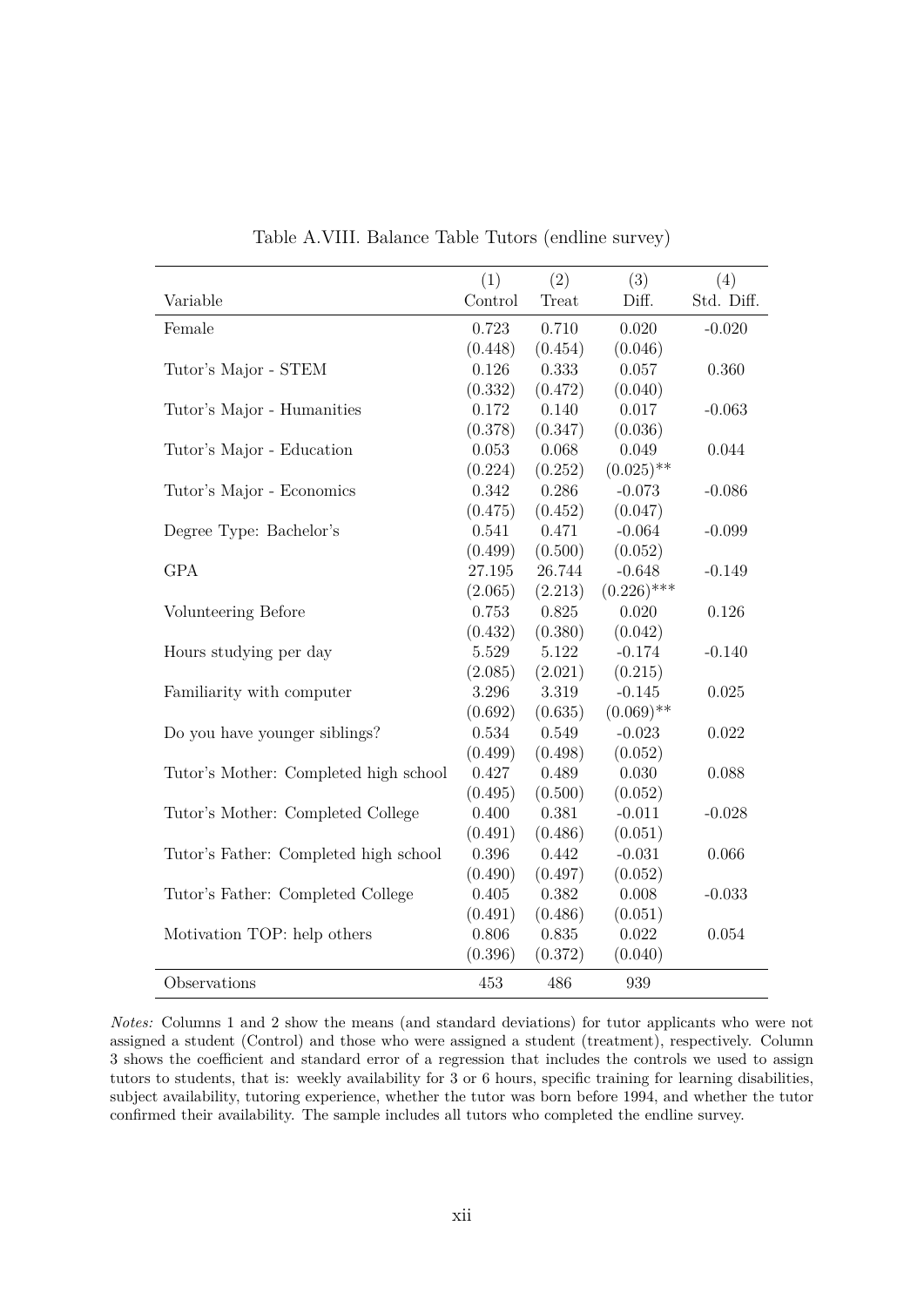|                                       | (1)     | (2)     | (3)           | (4)        |
|---------------------------------------|---------|---------|---------------|------------|
| Variable                              | Control | Treat   | Diff.         | Std. Diff. |
| Female                                | 0.723   | 0.710   | 0.020         | $-0.020$   |
|                                       | (0.448) | (0.454) | (0.046)       |            |
| Tutor's Major - STEM                  | 0.126   | 0.333   | 0.057         | 0.360      |
|                                       | (0.332) | (0.472) | (0.040)       |            |
| Tutor's Major - Humanities            | 0.172   | 0.140   | 0.017         | $-0.063$   |
|                                       | (0.378) | (0.347) | (0.036)       |            |
| Tutor's Major - Education             | 0.053   | 0.068   | 0.049         | 0.044      |
|                                       | (0.224) | (0.252) | $(0.025)$ **  |            |
| Tutor's Major - Economics             | 0.342   | 0.286   | $-0.073$      | $-0.086$   |
|                                       | (0.475) | (0.452) | (0.047)       |            |
| Degree Type: Bachelor's               | 0.541   | 0.471   | $-0.064$      | $-0.099$   |
|                                       | (0.499) | (0.500) | (0.052)       |            |
| <b>GPA</b>                            | 27.195  | 26.744  | $-0.648$      | $-0.149$   |
|                                       | (2.065) | (2.213) | $(0.226)$ *** |            |
| Volunteering Before                   | 0.753   | 0.825   | 0.020         | 0.126      |
|                                       | (0.432) | (0.380) | (0.042)       |            |
| Hours studying per day                | 5.529   | 5.122   | $-0.174$      | $-0.140$   |
|                                       | (2.085) | (2.021) | (0.215)       |            |
| Familiarity with computer             | 3.296   | 3.319   | $-0.145$      | 0.025      |
|                                       | (0.692) | (0.635) | $(0.069)$ **  |            |
| Do you have younger siblings?         | 0.534   | 0.549   | $-0.023$      | 0.022      |
|                                       | (0.499) | (0.498) | (0.052)       |            |
| Tutor's Mother: Completed high school | 0.427   | 0.489   | 0.030         | 0.088      |
|                                       | (0.495) | (0.500) | (0.052)       |            |
| Tutor's Mother: Completed College     | 0.400   | 0.381   | $-0.011$      | $-0.028$   |
|                                       | (0.491) | (0.486) | (0.051)       |            |
| Tutor's Father: Completed high school | 0.396   | 0.442   | $-0.031$      | 0.066      |
|                                       | (0.490) | (0.497) | (0.052)       |            |
| Tutor's Father: Completed College     | 0.405   | 0.382   | 0.008         | $-0.033$   |
|                                       | (0.491) | (0.486) | (0.051)       |            |
| Motivation TOP: help others           | 0.806   | 0.835   | 0.022         | 0.054      |
|                                       | (0.396) | (0.372) | (0.040)       |            |
| Observations                          | 453     | 486     | 939           |            |

Table A.VIII. Balance Table Tutors (endline survey)

*Notes:* Columns 1 and 2 show the means (and standard deviations) for tutor applicants who were not assigned a student (Control) and those who were assigned a student (treatment), respectively. Column 3 shows the coefficient and standard error of a regression that includes the controls we used to assign tutors to students, that is: weekly availability for 3 or 6 hours, specific training for learning disabilities, subject availability, tutoring experience, whether the tutor was born before 1994, and whether the tutor confirmed their availability. The sample includes all tutors who completed the endline survey.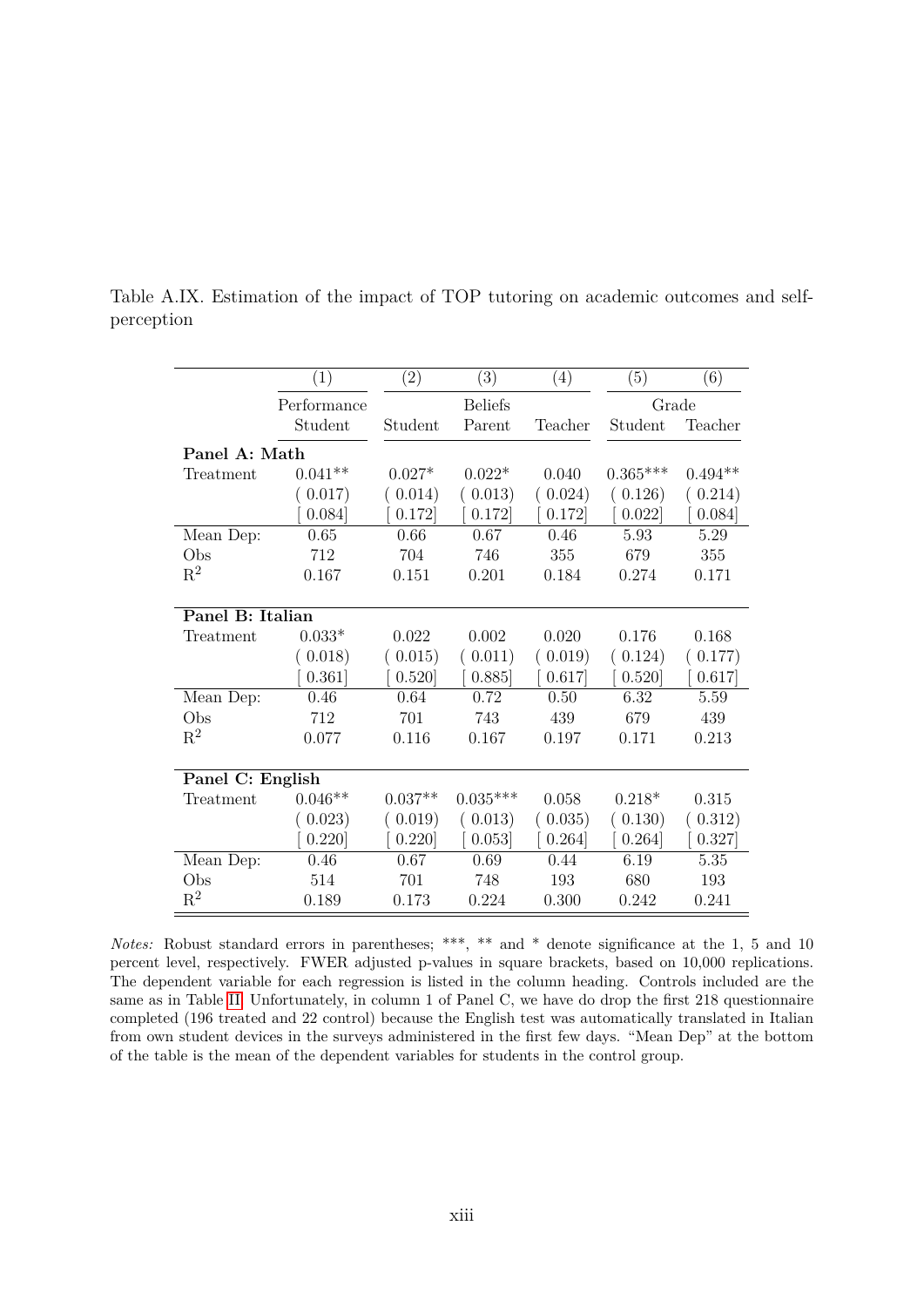|                  | (1)         | $\left( 2\right)$ | $\overline{(3)}$ | (4)     | (5)        | $\overline{(6)}$ |
|------------------|-------------|-------------------|------------------|---------|------------|------------------|
|                  | Performance |                   | <b>Beliefs</b>   |         | Grade      |                  |
|                  | Student     | Student           | Parent           | Teacher | Student    | Teacher          |
| Panel A: Math    |             |                   |                  |         |            |                  |
| Treatment        | $0.041**$   | $0.027*$          | $0.022*$         | 0.040   | $0.365***$ | $0.494**$        |
|                  | (0.017)     | (0.014)           | (0.013)          | (0.024) | (0.126)    | (0.214)          |
|                  | 0.084]      | 0.172             | 0.172            | 0.172   | 0.022      | 0.084]           |
| Mean Dep:        | 0.65        | 0.66              | 0.67             | 0.46    | 5.93       | 5.29             |
| Obs              | 712         | 704               | 746              | 355     | 679        | 355              |
| $\mathrm{R}^2$   | 0.167       | 0.151             | 0.201            | 0.184   | 0.274      | 0.171            |
|                  |             |                   |                  |         |            |                  |
| Panel B: Italian |             |                   |                  |         |            |                  |
| Treatment        | $0.033*$    | 0.022             | 0.002            | 0.020   | 0.176      | 0.168            |
|                  | 0.018)      | 0.015)            | 0.011)           | (0.019) | 0.124)     | (0.177)          |
|                  | 0.361]      | 0.520             | 0.885            | 0.617   | 0.520      | 0.617            |
| Mean Dep:        | 0.46        | 0.64              | 0.72             | 0.50    | 6.32       | 5.59             |
| Obs              | 712         | 701               | 743              | 439     | 679        | 439              |
| $R^2$            | 0.077       | 0.116             | 0.167            | 0.197   | 0.171      | 0.213            |
|                  |             |                   |                  |         |            |                  |
| Panel C: English |             |                   |                  |         |            |                  |
| Treatment        | $0.046**$   | $0.037**$         | $0.035***$       | 0.058   | $0.218*$   | 0.315            |
|                  | (0.023)     | (0.019)           | 0.013)           | (0.035) | (0.130)    | 0.312)           |
|                  | 0.220       | 0.220             | 0.053            | 0.264]  | 0.264]     | 0.327            |
| Mean Dep:        | 0.46        | 0.67              | 0.69             | 0.44    | 6.19       | 5.35             |
| Obs              | 514         | 701               | 748              | 193     | 680        | 193              |
| $\mathbf{R}^2$   | 0.189       | 0.173             | 0.224            | 0.300   | 0.242      | 0.241            |

Table A.IX. Estimation of the impact of TOP tutoring on academic outcomes and selfperception

*Notes:* Robust standard errors in parentheses; \*\*\*, \*\* and \* denote significance at the 1, 5 and 10 percent level, respectively. FWER adjusted p-values in square brackets, based on 10,000 replications. The dependent variable for each regression is listed in the column heading. Controls included are the same as in Table [II.](#page-42-0) Unfortunately, in column 1 of Panel C, we have do drop the first 218 questionnaire completed (196 treated and 22 control) because the English test was automatically translated in Italian from own student devices in the surveys administered in the first few days. "Mean Dep" at the bottom of the table is the mean of the dependent variables for students in the control group.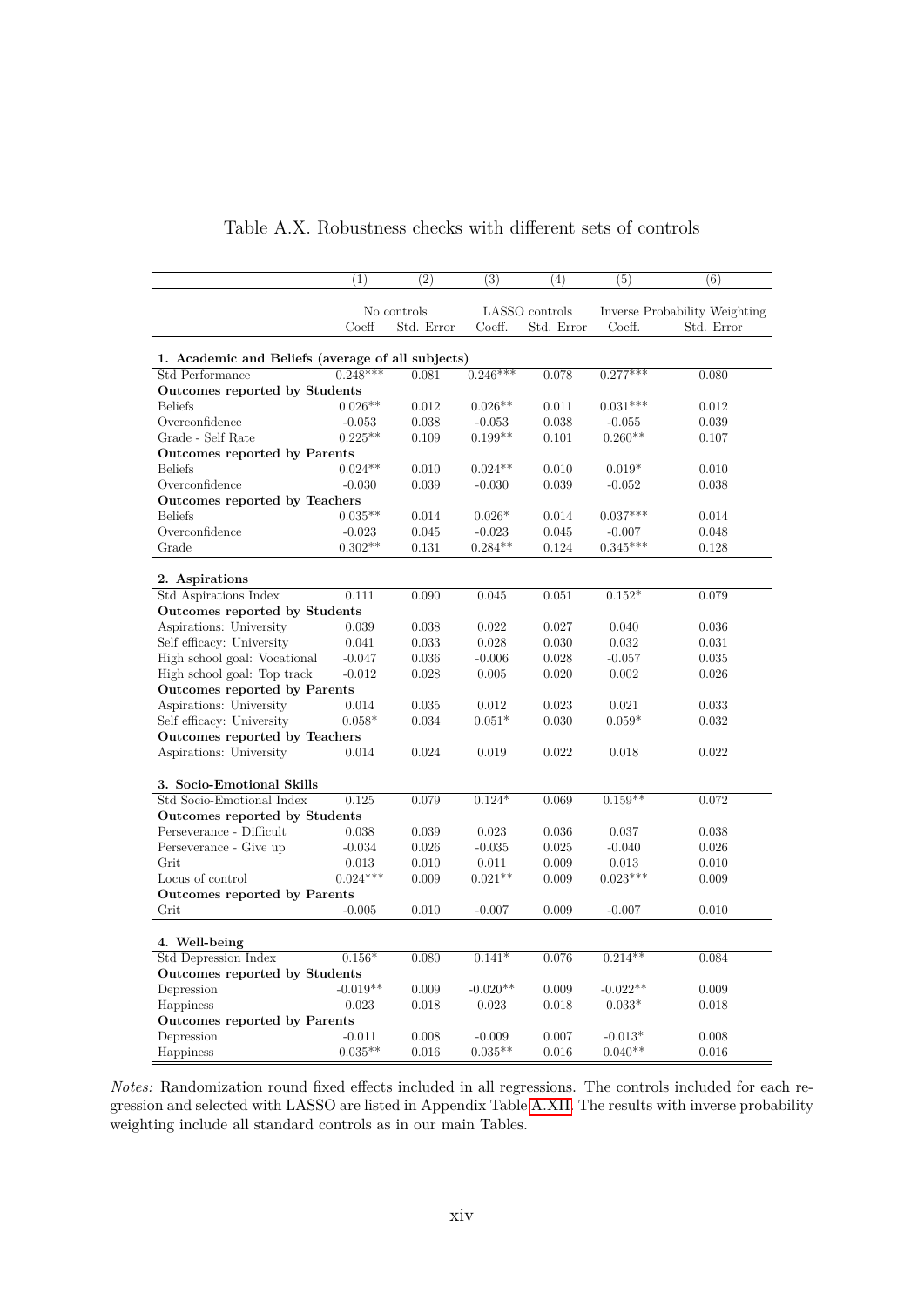|                                                   | (1)        | (2)         | (3)        | (4)            | (5)        | (6)                           |
|---------------------------------------------------|------------|-------------|------------|----------------|------------|-------------------------------|
|                                                   |            |             |            |                |            |                               |
|                                                   |            | No controls |            | LASSO controls |            | Inverse Probability Weighting |
|                                                   | Coeff      | Std. Error  | Coeff.     | Std. Error     | Coeff.     | Std. Error                    |
|                                                   |            |             |            |                |            |                               |
| 1. Academic and Beliefs (average of all subjects) |            |             |            |                |            |                               |
| Std Performance                                   | $0.248***$ | 0.081       | $0.246***$ | 0.078          | $0.277***$ | 0.080                         |
| Outcomes reported by Students                     |            |             |            |                |            |                               |
| <b>Beliefs</b>                                    | $0.026**$  | 0.012       | $0.026**$  | 0.011          | $0.031***$ | 0.012                         |
| Overconfidence                                    | $-0.053$   | 0.038       | $-0.053$   | 0.038          | $-0.055$   | 0.039                         |
| Grade - Self Rate                                 | $0.225**$  | 0.109       | $0.199**$  | 0.101          | $0.260**$  | 0.107                         |
| Outcomes reported by Parents                      |            |             |            |                |            |                               |
| <b>Beliefs</b>                                    | $0.024**$  | 0.010       | $0.024**$  | 0.010          | $0.019*$   | 0.010                         |
| Overconfidence                                    | $-0.030$   | 0.039       | $-0.030$   | 0.039          | $-0.052$   | 0.038                         |
| Outcomes reported by Teachers                     |            |             |            |                |            |                               |
| <b>Beliefs</b>                                    | $0.035**$  | 0.014       | $0.026*$   | 0.014          | $0.037***$ | 0.014                         |
| Overconfidence                                    | $-0.023$   | 0.045       | $-0.023$   | 0.045          | $-0.007$   | 0.048                         |
| Grade                                             | $0.302**$  | 0.131       | $0.284**$  | 0.124          | $0.345***$ | 0.128                         |
|                                                   |            |             |            |                |            |                               |
| 2. Aspirations                                    |            |             |            |                |            |                               |
| Std Aspirations Index                             | 0.111      | 0.090       | 0.045      | 0.051          | $0.152*$   | 0.079                         |
| Outcomes reported by Students                     |            |             |            |                |            |                               |
| Aspirations: University                           | 0.039      | 0.038       | 0.022      | 0.027          | 0.040      | 0.036                         |
| Self efficacy: University                         | 0.041      | 0.033       | 0.028      | 0.030          | 0.032      | 0.031                         |
| High school goal: Vocational                      | $-0.047$   | 0.036       | $-0.006$   | 0.028          | $-0.057$   | 0.035                         |
| High school goal: Top track                       | $-0.012$   | 0.028       | 0.005      | 0.020          | 0.002      | 0.026                         |
| Outcomes reported by Parents                      |            |             |            |                |            |                               |
| Aspirations: University                           | 0.014      | 0.035       | 0.012      | 0.023          | 0.021      | 0.033                         |
| Self efficacy: University                         | $0.058*$   | 0.034       | $0.051*$   | 0.030          | $0.059*$   | 0.032                         |
| Outcomes reported by Teachers                     |            |             |            |                |            |                               |
| Aspirations: University                           | 0.014      | 0.024       | 0.019      | 0.022          | 0.018      | 0.022                         |
|                                                   |            |             |            |                |            |                               |
| 3. Socio-Emotional Skills                         |            |             |            |                |            |                               |
| Std Socio-Emotional Index                         | 0.125      | 0.079       | $0.124*$   | 0.069          | $0.159**$  | 0.072                         |
| Outcomes reported by Students                     |            |             |            |                |            |                               |
| Perseverance - Difficult                          | 0.038      | 0.039       | 0.023      | 0.036          | 0.037      | 0.038                         |
| Perseverance - Give up                            | $-0.034$   | 0.026       | $-0.035$   | 0.025          | $-0.040$   | 0.026                         |
| Grit                                              | 0.013      | 0.010       | 0.011      | 0.009          | 0.013      | 0.010                         |
| Locus of control                                  | $0.024***$ | 0.009       | $0.021**$  | 0.009          | $0.023***$ | 0.009                         |
| Outcomes reported by Parents                      |            |             |            |                |            |                               |
| Grit                                              | $-0.005$   | 0.010       | $-0.007$   | 0.009          | $-0.007$   | 0.010                         |
|                                                   |            |             |            |                |            |                               |
| 4. Well-being                                     |            |             |            |                |            |                               |
| Std Depression Index                              | $0.156*$   | 0.080       | $0.141*$   | 0.076          | $0.214**$  | 0.084                         |
| Outcomes reported by Students                     |            |             |            |                |            |                               |
| Depression                                        | $-0.019**$ | 0.009       | $-0.020**$ | 0.009          | $-0.022**$ | 0.009                         |
| Happiness                                         | 0.023      | 0.018       | 0.023      | 0.018          | $0.033*$   | 0.018                         |
| Outcomes reported by Parents                      |            |             |            |                |            |                               |
| Depression                                        | $-0.011$   | 0.008       | $-0.009$   | 0.007          | $-0.013*$  | 0.008                         |
| Happiness                                         | $0.035**$  | 0.016       | $0.035**$  | 0.016          | $0.040**$  | 0.016                         |

#### Table A.X. Robustness checks with different sets of controls

*Notes:* Randomization round fixed effects included in all regressions. The controls included for each regression and selected with LASSO are listed in Appendix Table [A.XII.](#page-64-0) The results with inverse probability weighting include all standard controls as in our main Tables.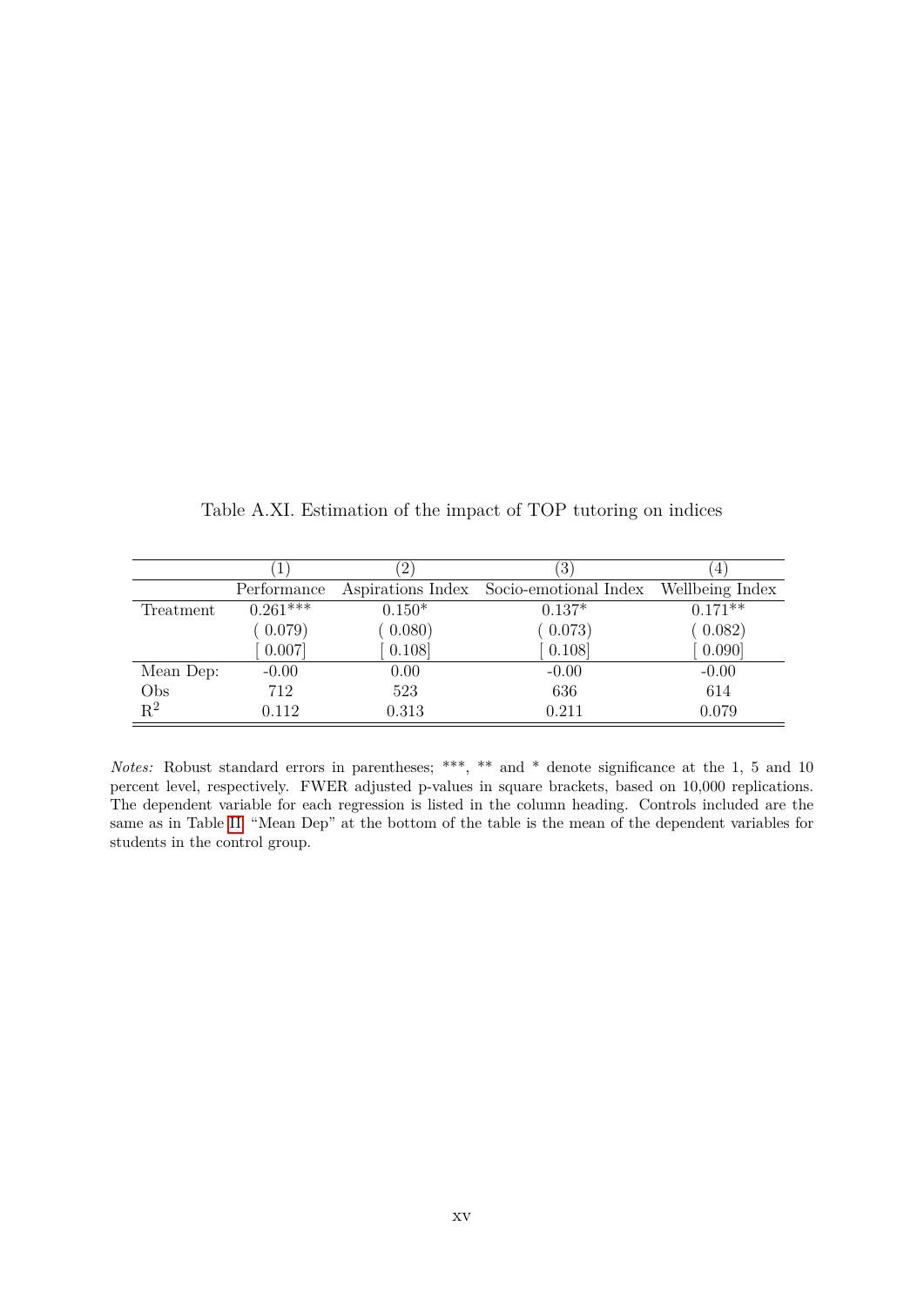|                | . T                   | $2^{\circ}$ | $\left 3\right\rangle$                  | $4\overline{ }$ |
|----------------|-----------------------|-------------|-----------------------------------------|-----------------|
|                | Performance           |             | Aspirations Index Socio-emotional Index | Wellbeing Index |
| Treatment      | $0.\overline{261***}$ | $0.150*$    | $0.137*$                                | $0.171**$       |
|                | (0.079)               | 0.080)      | (0.073)                                 | (0.082)         |
|                | 0.007                 | 0.108       | 0.108                                   | 0.090           |
| Mean Dep:      | $-0.00$               | 0.00        | $-0.00$                                 | $-0.00$         |
| Obs            | 712                   | 523         | 636                                     | 614             |
| $\mathbf{R}^2$ | 0.112                 | 0.313       | 0.211                                   | 0.079           |

Table A.XI. Estimation of the impact of TOP tutoring on indices

*Notes:* Robust standard errors in parentheses; \*\*\*, \*\* and \* denote significance at the 1, 5 and 10 percent level, respectively. FWER adjusted p-values in square brackets, based on 10,000 replications. The dependent variable for each regression is listed in the column heading. Controls included are the same as in Table [II.](#page-42-0) "Mean Dep" at the bottom of the table is the mean of the dependent variables for students in the control group.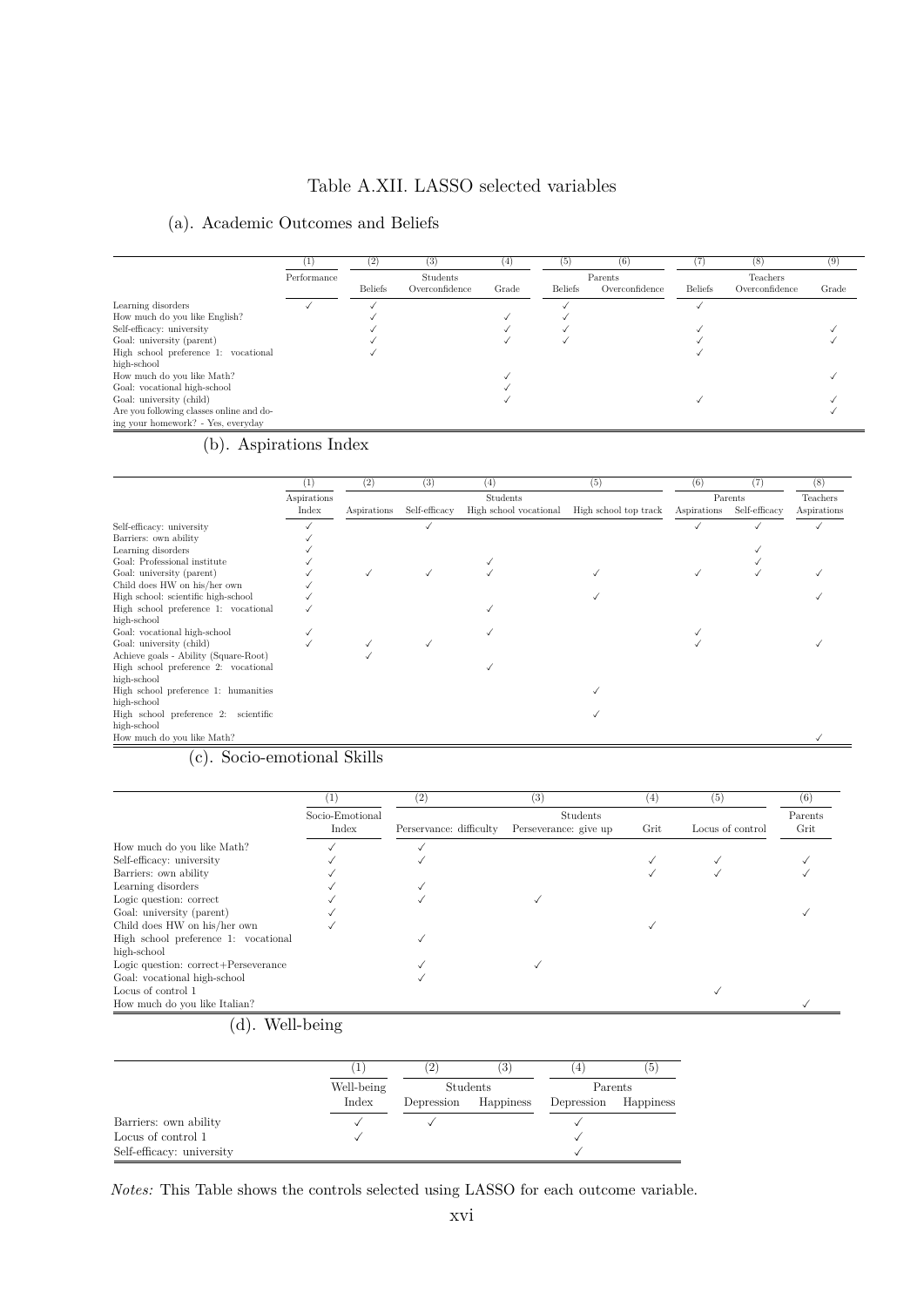#### Table A.XII. LASSO selected variables

#### <span id="page-64-0"></span>(a). Academic Outcomes and Beliefs

|                                          | Ι.          | (2)            | (3)             | $^{(4)}$ | $\left( 5\right)$ | (6)            | C              | (8)            | (9)   |
|------------------------------------------|-------------|----------------|-----------------|----------|-------------------|----------------|----------------|----------------|-------|
|                                          | Performance |                | <b>Students</b> |          |                   | Parents        |                | Teachers       |       |
|                                          |             | <b>Beliefs</b> | Overconfidence  | Grade    | <b>Beliefs</b>    | Overconfidence | <b>Beliefs</b> | Overconfidence | Grade |
| Learning disorders                       |             |                |                 |          |                   |                |                |                |       |
| How much do you like English?            |             |                |                 |          |                   |                |                |                |       |
| Self-efficacy: university                |             |                |                 |          |                   |                |                |                |       |
| Goal: university (parent)                |             |                |                 |          |                   |                |                |                |       |
| High school preference 1: vocational     |             |                |                 |          |                   |                |                |                |       |
| high-school                              |             |                |                 |          |                   |                |                |                |       |
| How much do you like Math?               |             |                |                 |          |                   |                |                |                |       |
| Goal: vocational high-school             |             |                |                 |          |                   |                |                |                |       |
| Goal: university (child)                 |             |                |                 |          |                   |                |                |                |       |
| Are you following classes online and do- |             |                |                 |          |                   |                |                |                |       |
| ing your homework? - Yes, everyday       |             |                |                 |          |                   |                |                |                |       |

### (b). Aspirations Index

|                                       | $_{(1)}$             | (2)         | (3)           | (4)                                       | (5)                   | (6)         | (7)                      | (8)                     |
|---------------------------------------|----------------------|-------------|---------------|-------------------------------------------|-----------------------|-------------|--------------------------|-------------------------|
|                                       | Aspirations<br>Index | Aspirations | Self-efficacy | <b>Students</b><br>High school vocational | High school top track | Aspirations | Parents<br>Self-efficacy | Teachers<br>Aspirations |
| Self-efficacy: university             |                      |             |               |                                           |                       |             |                          |                         |
| Barriers: own ability                 |                      |             |               |                                           |                       |             |                          |                         |
| Learning disorders                    |                      |             |               |                                           |                       |             |                          |                         |
| Goal: Professional institute          |                      |             |               |                                           |                       |             |                          |                         |
| Goal: university (parent)             |                      |             |               |                                           |                       |             |                          |                         |
| Child does HW on his/her own          |                      |             |               |                                           |                       |             |                          |                         |
| High school: scientific high-school   |                      |             |               |                                           |                       |             |                          |                         |
| High school preference 1: vocational  |                      |             |               |                                           |                       |             |                          |                         |
| high-school                           |                      |             |               |                                           |                       |             |                          |                         |
| Goal: vocational high-school          |                      |             |               |                                           |                       |             |                          |                         |
| Goal: university (child)              |                      |             |               |                                           |                       |             |                          |                         |
| Achieve goals - Ability (Square-Root) |                      |             |               |                                           |                       |             |                          |                         |
| High school preference 2: vocational  |                      |             |               |                                           |                       |             |                          |                         |
| high-school                           |                      |             |               |                                           |                       |             |                          |                         |
| High school preference 1: humanities  |                      |             |               |                                           |                       |             |                          |                         |
| high-school                           |                      |             |               |                                           |                       |             |                          |                         |
| High school preference 2: scientific  |                      |             |               |                                           |                       |             |                          |                         |
| high-school                           |                      |             |               |                                           |                       |             |                          |                         |
| How much do you like Math?            |                      |             |               |                                           |                       |             |                          |                         |

#### (c). Socio-emotional Skills

| 1               | (2)                     | (3)                   | (4)  | (5)              | (6)  |  |
|-----------------|-------------------------|-----------------------|------|------------------|------|--|
| Socio-Emotional | Students                |                       |      |                  |      |  |
| Index           | Perservance: difficulty | Perseverance: give up | Grit | Locus of control | Grit |  |
|                 |                         |                       |      |                  |      |  |
|                 |                         |                       |      |                  |      |  |
|                 |                         |                       |      |                  |      |  |
|                 |                         |                       |      |                  |      |  |
|                 |                         |                       |      |                  |      |  |
|                 |                         |                       |      |                  |      |  |
|                 |                         |                       |      |                  |      |  |
|                 |                         |                       |      |                  |      |  |
|                 |                         |                       |      |                  |      |  |
|                 |                         |                       |      |                  |      |  |
|                 |                         |                       |      |                  |      |  |
|                 |                         |                       |      |                  |      |  |
|                 |                         |                       |      |                  |      |  |
|                 |                         |                       |      |                  |      |  |

#### (d). Well-being

|                           | T          | $^{2^{\prime}}$ | (3        | 4                    | . O |
|---------------------------|------------|-----------------|-----------|----------------------|-----|
|                           | Well-being |                 | Students  | Parents              |     |
|                           | Index      | Depression      | Happiness | Depression Happiness |     |
| Barriers: own ability     |            |                 |           |                      |     |
| Locus of control 1        |            |                 |           |                      |     |
| Self-efficacy: university |            |                 |           |                      |     |

*Notes:* This Table shows the controls selected using LASSO for each outcome variable.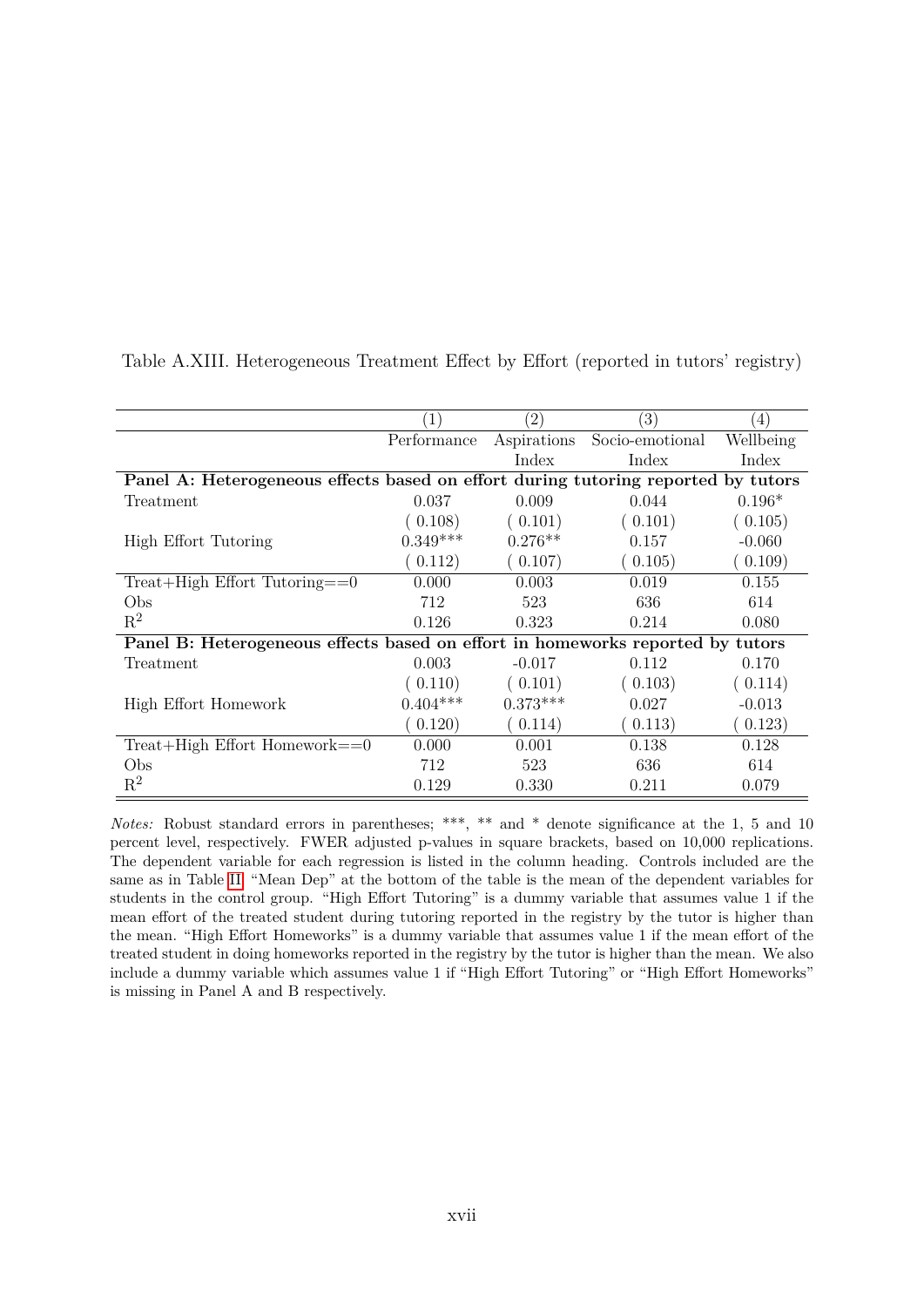|                                                                                   |             | $^{^{\prime}2)}$ | $\left(3\right)$ | $\left(4\right)$ |
|-----------------------------------------------------------------------------------|-------------|------------------|------------------|------------------|
|                                                                                   | Performance | Aspirations      | Socio-emotional  | Wellbeing        |
|                                                                                   |             | Index            | Index            | Index            |
| Panel A: Heterogeneous effects based on effort during tutoring reported by tutors |             |                  |                  |                  |
| Treatment                                                                         | 0.037       | 0.009            | 0.044            | $0.196*$         |
|                                                                                   | 0.108)      | (0.101)          | (0.101)          | (0.105)          |
| High Effort Tutoring                                                              | $0.349***$  | $0.276**$        | 0.157            | $-0.060$         |
|                                                                                   | 0.112)      | (0.107)          | (0.105)          | (0.109)          |
| $Treat+High$ Effort $Tutoring = = 0$                                              | 0.000       | 0.003            | 0.019            | 0.155            |
| Obs                                                                               | 712         | 523              | 636              | 614              |
| $R^2$                                                                             | 0.126       | 0.323            | 0.214            | 0.080            |
| Panel B: Heterogeneous effects based on effort in homeworks reported by tutors    |             |                  |                  |                  |
| Treatment                                                                         | 0.003       | $-0.017$         | 0.112            | 0.170            |
|                                                                                   | 0.110)      | (0.101)          | (0.103)          | (0.114)          |
| High Effort Homework                                                              | $0.404***$  | $0.373***$       | 0.027            | $-0.013$         |
|                                                                                   | 0.120)      | 0.114)           | 0.113)           | 0.123)           |
| $Treat+High$ Effort Homework==0                                                   | 0.000       | 0.001            | 0.138            | 0.128            |
| Obs                                                                               | 712         | 523              | 636              | 614              |
| $R^2$                                                                             | 0.129       | 0.330            | 0.211            | 0.079            |

Table A.XIII. Heterogeneous Treatment Effect by Effort (reported in tutors' registry)

*Notes:* Robust standard errors in parentheses; \*\*\*, \*\* and \* denote significance at the 1, 5 and 10 percent level, respectively. FWER adjusted p-values in square brackets, based on 10,000 replications. The dependent variable for each regression is listed in the column heading. Controls included are the same as in Table [II.](#page-42-0) "Mean Dep" at the bottom of the table is the mean of the dependent variables for students in the control group. "High Effort Tutoring" is a dummy variable that assumes value 1 if the mean effort of the treated student during tutoring reported in the registry by the tutor is higher than the mean. "High Effort Homeworks" is a dummy variable that assumes value 1 if the mean effort of the treated student in doing homeworks reported in the registry by the tutor is higher than the mean. We also include a dummy variable which assumes value 1 if "High Effort Tutoring" or "High Effort Homeworks" is missing in Panel A and B respectively.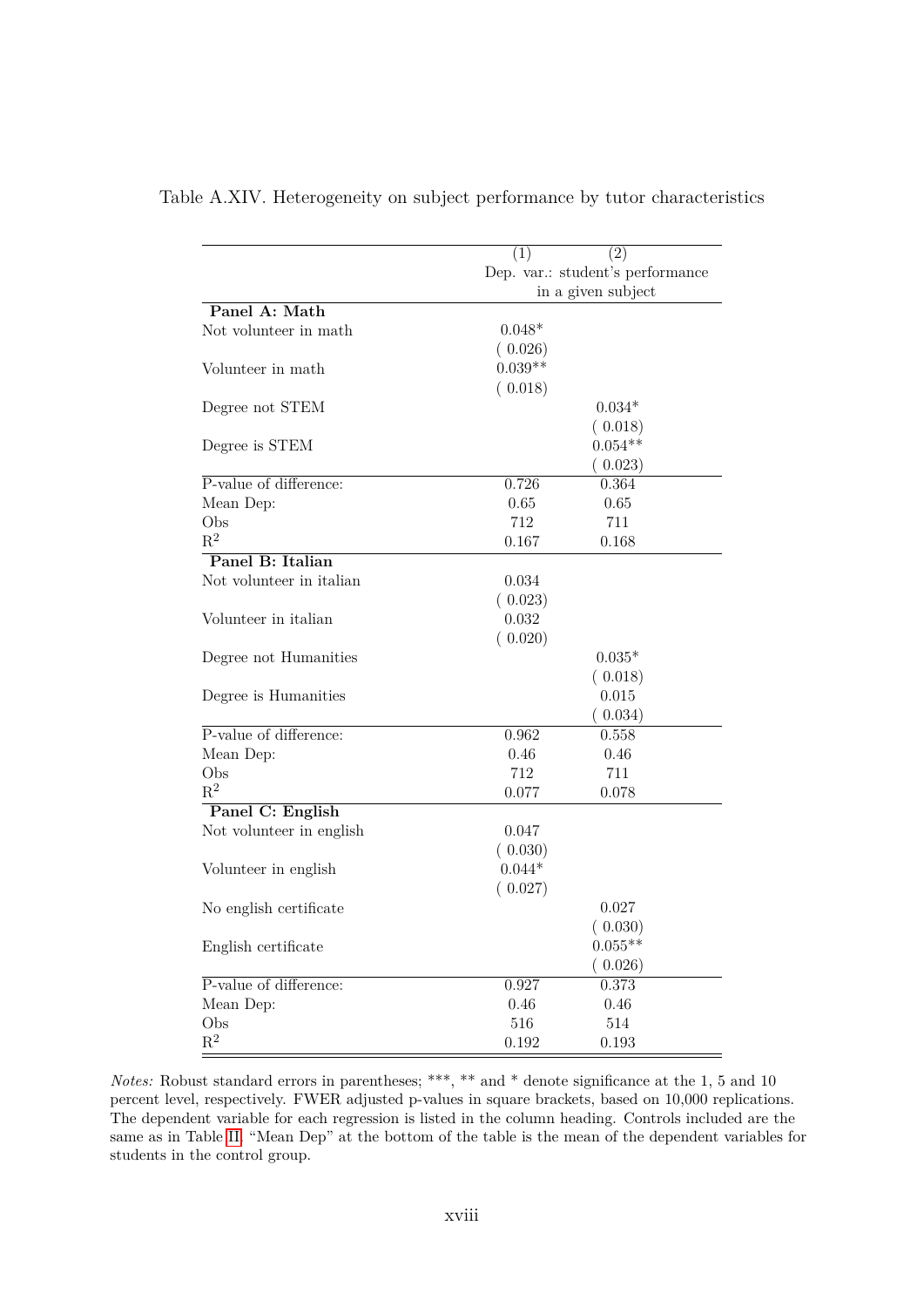|                          | (2)<br>(1)                       |  |
|--------------------------|----------------------------------|--|
|                          | Dep. var.: student's performance |  |
|                          | in a given subject               |  |
| Panel A: Math            |                                  |  |
| Not volunteer in math    | $0.048*$                         |  |
|                          | (0.026)                          |  |
| Volunteer in math        | $0.039**$                        |  |
|                          | (0.018)                          |  |
| Degree not STEM          | $0.034*$                         |  |
|                          | (0.018)                          |  |
| Degree is STEM           | $0.054**$                        |  |
|                          | (0.023)                          |  |
| P-value of difference:   | 0.726<br>0.364                   |  |
| Mean Dep:                | 0.65<br>0.65                     |  |
| Obs                      | 712<br>711                       |  |
| $R^2$                    | 0.167<br>0.168                   |  |
| Panel B: Italian         |                                  |  |
| Not volunteer in italian | 0.034                            |  |
|                          |                                  |  |
|                          | (0.023)                          |  |
| Volunteer in italian     | 0.032                            |  |
|                          | (0.020)                          |  |
| Degree not Humanities    | $0.035*$                         |  |
|                          | (0.018)                          |  |
| Degree is Humanities     | 0.015                            |  |
|                          | (0.034)                          |  |
| P-value of difference:   | 0.962<br>0.558                   |  |
| Mean Dep:                | 0.46<br>0.46                     |  |
| Obs                      | 712<br>711                       |  |
| $R^2$                    | 0.077<br>0.078                   |  |
| Panel C: English         |                                  |  |
| Not volunteer in english | 0.047                            |  |
|                          | (0.030)                          |  |
| Volunteer in english     | $0.044*$                         |  |
|                          | (0.027)                          |  |
| No english certificate   | 0.027                            |  |
|                          | (0.030)                          |  |
| English certificate      | $0.055**$                        |  |
|                          | (0.026)                          |  |
| P-value of difference:   | 0.373<br>0.927                   |  |
| Mean Dep:                | 0.46<br>0.46                     |  |
| Obs                      | 516<br>514                       |  |
| $\mathbf{R}^2$           | 0.192<br>0.193                   |  |

#### Table A.XIV. Heterogeneity on subject performance by tutor characteristics

*Notes:* Robust standard errors in parentheses; \*\*\*, \*\* and \* denote significance at the 1, 5 and 10 percent level, respectively. FWER adjusted p-values in square brackets, based on 10,000 replications. The dependent variable for each regression is listed in the column heading. Controls included are the same as in Table [II.](#page-42-0) "Mean Dep" at the bottom of the table is the mean of the dependent variables for students in the control group.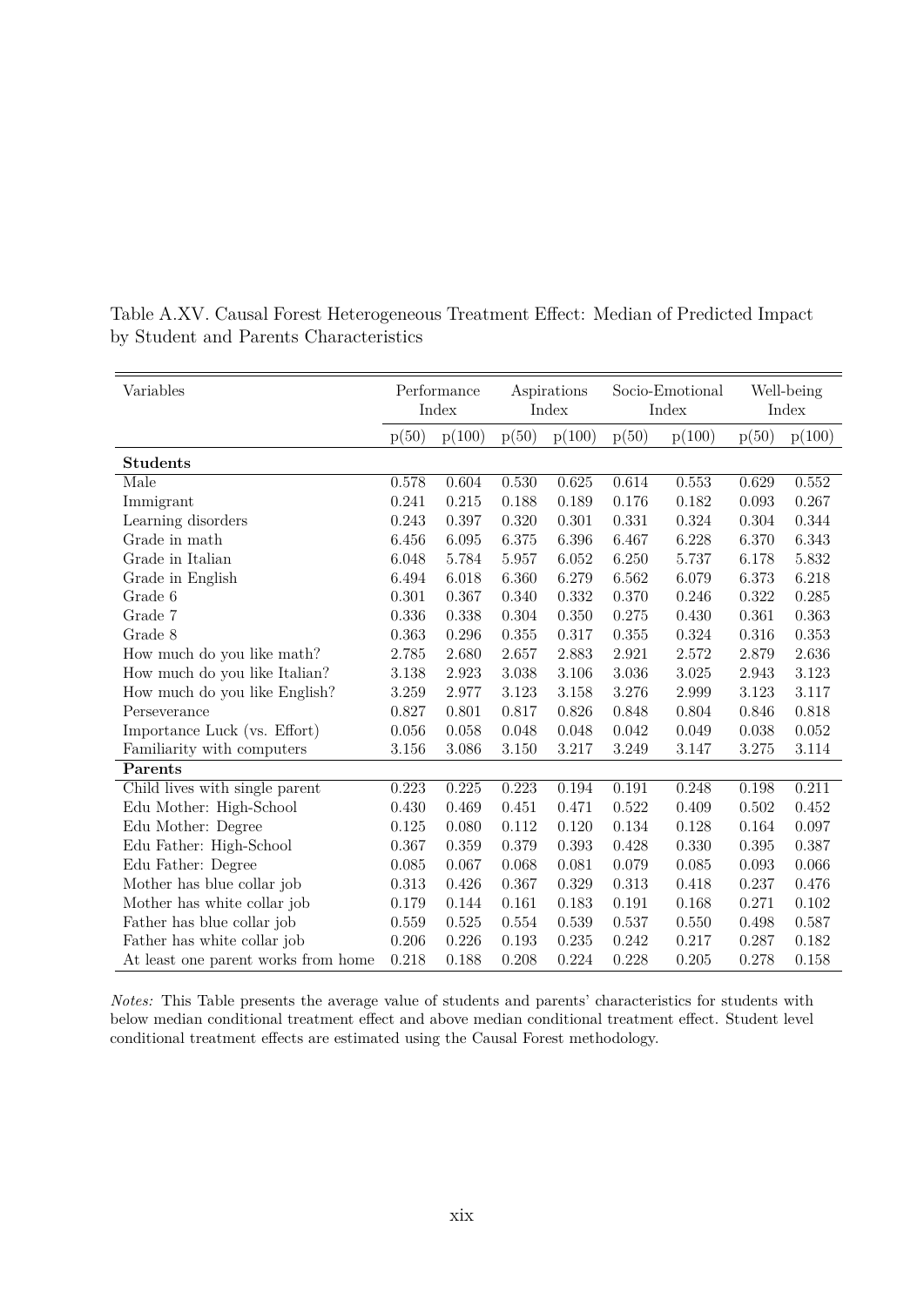| Variables                           | Performance<br>Index |        | Aspirations<br>Index |        | Socio-Emotional<br>Index |           |       | Well-being<br>Index |
|-------------------------------------|----------------------|--------|----------------------|--------|--------------------------|-----------|-------|---------------------|
|                                     | p(50)                | p(100) | p(50)                | p(100) | p(50)                    | p(100)    | p(50) | p(100)              |
| <b>Students</b>                     |                      |        |                      |        |                          |           |       |                     |
| Male                                | 0.578                | 0.604  | 0.530                | 0.625  | 0.614                    | 0.553     | 0.629 | 0.552               |
| Immigrant                           | 0.241                | 0.215  | 0.188                | 0.189  | 0.176                    | 0.182     | 0.093 | 0.267               |
| Learning disorders                  | 0.243                | 0.397  | 0.320                | 0.301  | 0.331                    | 0.324     | 0.304 | 0.344               |
| Grade in math                       | 6.456                | 6.095  | 6.375                | 6.396  | 6.467                    | 6.228     | 6.370 | 6.343               |
| Grade in Italian                    | 6.048                | 5.784  | 5.957                | 6.052  | 6.250                    | 5.737     | 6.178 | 5.832               |
| Grade in English                    | 6.494                | 6.018  | 6.360                | 6.279  | 6.562                    | 6.079     | 6.373 | 6.218               |
| Grade 6                             | 0.301                | 0.367  | 0.340                | 0.332  | 0.370                    | 0.246     | 0.322 | 0.285               |
| Grade 7                             | 0.336                | 0.338  | 0.304                | 0.350  | 0.275                    | 0.430     | 0.361 | 0.363               |
| Grade 8                             | 0.363                | 0.296  | 0.355                | 0.317  | 0.355                    | 0.324     | 0.316 | 0.353               |
| How much do you like math?          | 2.785                | 2.680  | 2.657                | 2.883  | 2.921                    | 2.572     | 2.879 | 2.636               |
| How much do you like Italian?       | 3.138                | 2.923  | 3.038                | 3.106  | 3.036                    | $3.025\,$ | 2.943 | 3.123               |
| How much do you like English?       | 3.259                | 2.977  | 3.123                | 3.158  | 3.276                    | 2.999     | 3.123 | 3.117               |
| Perseverance                        | 0.827                | 0.801  | 0.817                | 0.826  | 0.848                    | 0.804     | 0.846 | 0.818               |
| Importance Luck (vs. Effort)        | 0.056                | 0.058  | 0.048                | 0.048  | 0.042                    | 0.049     | 0.038 | 0.052               |
| Familiarity with computers          | 3.156                | 3.086  | 3.150                | 3.217  | 3.249                    | 3.147     | 3.275 | 3.114               |
| Parents                             |                      |        |                      |        |                          |           |       |                     |
| Child lives with single parent      | 0.223                | 0.225  | 0.223                | 0.194  | 0.191                    | 0.248     | 0.198 | 0.211               |
| Edu Mother: High-School             | 0.430                | 0.469  | 0.451                | 0.471  | 0.522                    | 0.409     | 0.502 | 0.452               |
| Edu Mother: Degree                  | 0.125                | 0.080  | 0.112                | 0.120  | 0.134                    | 0.128     | 0.164 | 0.097               |
| Edu Father: High-School             | 0.367                | 0.359  | 0.379                | 0.393  | 0.428                    | 0.330     | 0.395 | 0.387               |
| Edu Father: Degree                  | 0.085                | 0.067  | 0.068                | 0.081  | 0.079                    | 0.085     | 0.093 | 0.066               |
| Mother has blue collar job          | 0.313                | 0.426  | 0.367                | 0.329  | 0.313                    | 0.418     | 0.237 | 0.476               |
| Mother has white collar job         | 0.179                | 0.144  | 0.161                | 0.183  | 0.191                    | 0.168     | 0.271 | 0.102               |
| Father has blue collar job          | 0.559                | 0.525  | $0.554\,$            | 0.539  | 0.537                    | 0.550     | 0.498 | 0.587               |
| Father has white collar job         | 0.206                | 0.226  | 0.193                | 0.235  | 0.242                    | 0.217     | 0.287 | 0.182               |
| At least one parent works from home | 0.218                | 0.188  | 0.208                | 0.224  | 0.228                    | 0.205     | 0.278 | 0.158               |

Table A.XV. Causal Forest Heterogeneous Treatment Effect: Median of Predicted Impact by Student and Parents Characteristics

*Notes:* This Table presents the average value of students and parents' characteristics for students with below median conditional treatment effect and above median conditional treatment effect. Student level conditional treatment effects are estimated using the Causal Forest methodology.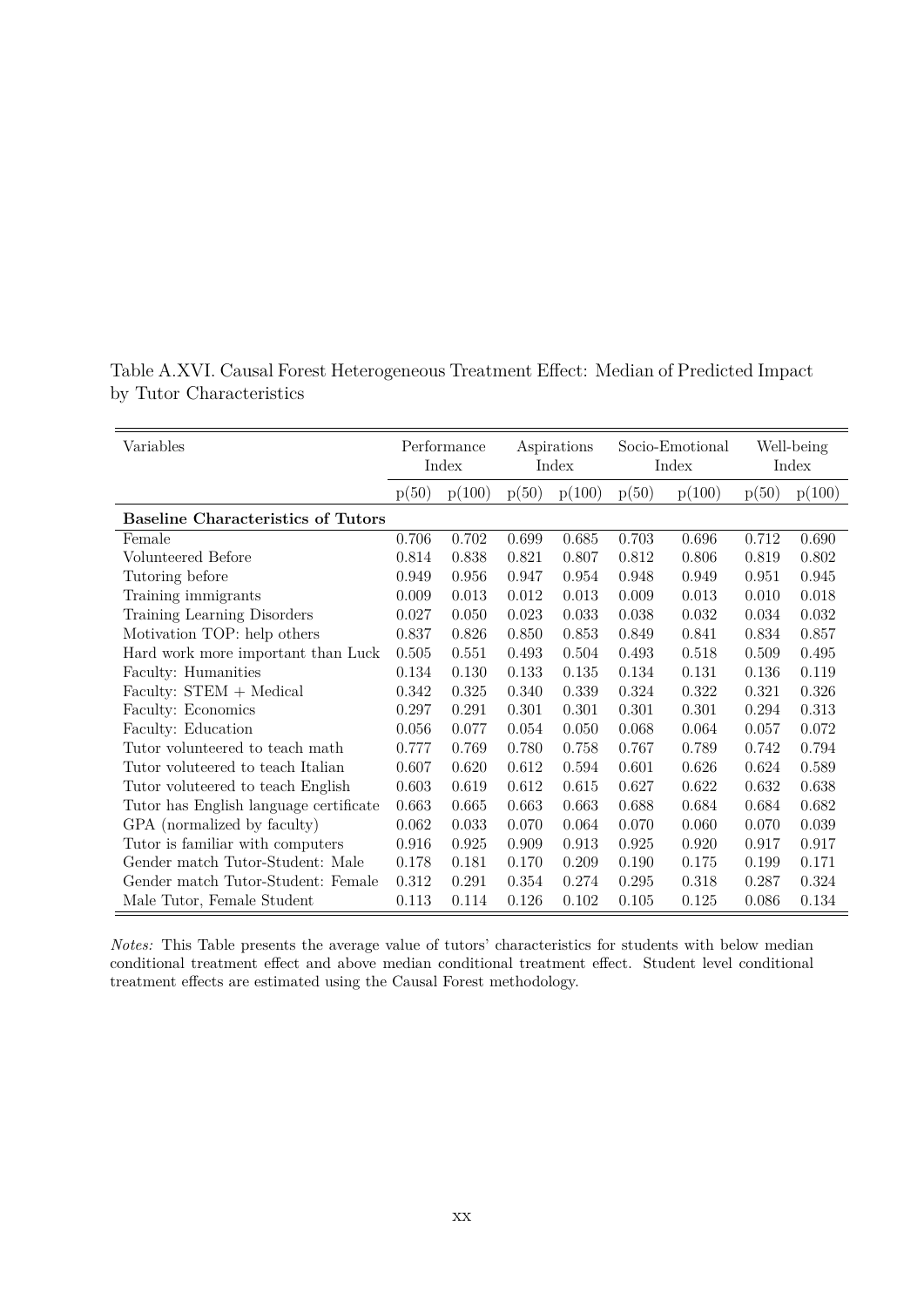| Variables                                 | Performance |        | Aspirations |        | Socio-Emotional |        | Well-being |        |
|-------------------------------------------|-------------|--------|-------------|--------|-----------------|--------|------------|--------|
|                                           | Index       |        | Index       |        | Index           |        | Index      |        |
|                                           | p(50)       | p(100) | p(50)       | p(100) | p(50)           | p(100) | p(50)      | p(100) |
| <b>Baseline Characteristics of Tutors</b> |             |        |             |        |                 |        |            |        |
| Female                                    | 0.706       | 0.702  | 0.699       | 0.685  | 0.703           | 0.696  | 0.712      | 0.690  |
| Volunteered Before                        | 0.814       | 0.838  | 0.821       | 0.807  | 0.812           | 0.806  | 0.819      | 0.802  |
| Tutoring before                           | 0.949       | 0.956  | 0.947       | 0.954  | 0.948           | 0.949  | 0.951      | 0.945  |
| Training immigrants                       | 0.009       | 0.013  | 0.012       | 0.013  | 0.009           | 0.013  | 0.010      | 0.018  |
| Training Learning Disorders               | 0.027       | 0.050  | 0.023       | 0.033  | 0.038           | 0.032  | 0.034      | 0.032  |
| Motivation TOP: help others               | 0.837       | 0.826  | 0.850       | 0.853  | 0.849           | 0.841  | 0.834      | 0.857  |
| Hard work more important than Luck        | 0.505       | 0.551  | 0.493       | 0.504  | 0.493           | 0.518  | 0.509      | 0.495  |
| Faculty: Humanities                       | 0.134       | 0.130  | 0.133       | 0.135  | 0.134           | 0.131  | 0.136      | 0.119  |
| Faculty: STEM + Medical                   | 0.342       | 0.325  | 0.340       | 0.339  | 0.324           | 0.322  | 0.321      | 0.326  |
| Faculty: Economics                        | 0.297       | 0.291  | 0.301       | 0.301  | 0.301           | 0.301  | 0.294      | 0.313  |
| Faculty: Education                        | 0.056       | 0.077  | 0.054       | 0.050  | 0.068           | 0.064  | 0.057      | 0.072  |
| Tutor volunteered to teach math           | 0.777       | 0.769  | 0.780       | 0.758  | 0.767           | 0.789  | 0.742      | 0.794  |
| Tutor voluteered to teach Italian         | 0.607       | 0.620  | 0.612       | 0.594  | 0.601           | 0.626  | 0.624      | 0.589  |
| Tutor voluteered to teach English         | 0.603       | 0.619  | 0.612       | 0.615  | 0.627           | 0.622  | 0.632      | 0.638  |
| Tutor has English language certificate    | 0.663       | 0.665  | 0.663       | 0.663  | 0.688           | 0.684  | 0.684      | 0.682  |
| GPA (normalized by faculty)               | 0.062       | 0.033  | 0.070       | 0.064  | 0.070           | 0.060  | 0.070      | 0.039  |
| Tutor is familiar with computers          | 0.916       | 0.925  | 0.909       | 0.913  | 0.925           | 0.920  | 0.917      | 0.917  |
| Gender match Tutor-Student: Male          | 0.178       | 0.181  | 0.170       | 0.209  | 0.190           | 0.175  | 0.199      | 0.171  |
| Gender match Tutor-Student: Female        | 0.312       | 0.291  | 0.354       | 0.274  | 0.295           | 0.318  | 0.287      | 0.324  |
| Male Tutor, Female Student                | 0.113       | 0.114  | 0.126       | 0.102  | 0.105           | 0.125  | 0.086      | 0.134  |

Table A.XVI. Causal Forest Heterogeneous Treatment Effect: Median of Predicted Impact by Tutor Characteristics

 $\equiv$ 

*Notes:* This Table presents the average value of tutors' characteristics for students with below median conditional treatment effect and above median conditional treatment effect. Student level conditional treatment effects are estimated using the Causal Forest methodology.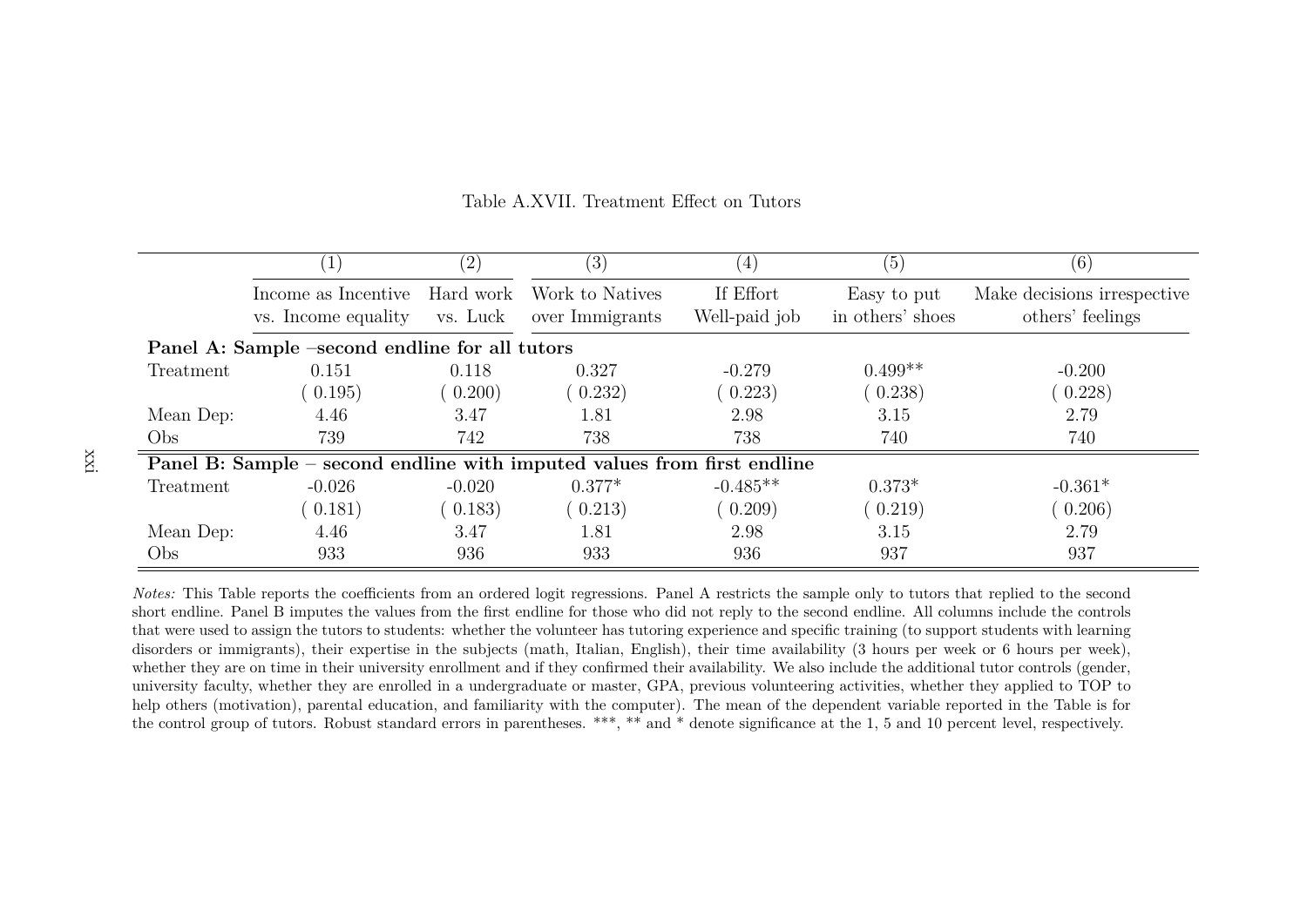|           |                                                                         | $\left( 2\right)$     | (3)                                | (4)                        | (5)                             | (6)                                             |
|-----------|-------------------------------------------------------------------------|-----------------------|------------------------------------|----------------------------|---------------------------------|-------------------------------------------------|
|           | Income as Incentive<br>vs. Income equality                              | Hard work<br>vs. Luck | Work to Natives<br>over Immigrants | If Effort<br>Well-paid job | Easy to put<br>in others' shoes | Make decisions irrespective<br>others' feelings |
|           | Panel A: Sample -second endline for all tutors                          |                       |                                    |                            |                                 |                                                 |
| Treatment | 0.151                                                                   | 0.118                 | 0.327                              | $-0.279$                   | $0.499**$                       | $-0.200$                                        |
|           | (0.195)                                                                 | 0.200)                | 0.232)                             | (0.223)                    | (0.238)                         | 0.228)                                          |
| Mean Dep: | 4.46                                                                    | 3.47                  | 1.81                               | 2.98                       | 3.15                            | 2.79                                            |
| Obs       | 739                                                                     | 742                   | 738                                | 738                        | 740                             | 740                                             |
|           | Panel B: Sample – second endline with imputed values from first endline |                       |                                    |                            |                                 |                                                 |
| Treatment | $-0.026$                                                                | $-0.020$              | $0.377*$                           | $-0.485**$                 | $0.373*$                        | $-0.361*$                                       |
|           | (0.181)                                                                 | 0.183)                | (0.213)                            | (0.209)                    | (0.219)                         | (0.206)                                         |
| Mean Dep: | 4.46                                                                    | 3.47                  | 1.81                               | 2.98                       | 3.15                            | 2.79                                            |
| Obs       | 933                                                                     | 936                   | 933                                | 936                        | 937                             | 937                                             |

#### Table A.XVII. Treatment Effect on Tutors

*Notes:* This Table reports the coefficients from an ordered logit regressions. Panel A restricts the sample only to tutors that replied to the second short endline. Panel B imputes the values from the first endline for those who did not reply to the second endline. All columns include the controls that were used to assign the tutors to students: whether the volunteer has tutoring experience and specific training (to support students with learning disorders or immigrants), their expertise in the subjects (math, Italian, English), their time availability (3 hours per week or <sup>6</sup> hours per week),whether they are on time in their university enrollment and if they confirmed their availability. We also include the additional tutor controls (gender, university faculty, whether they are enrolled in <sup>a</sup> undergraduate or master, GPA, previous volunteering activities, whether they applied to TOP to help others (motivation), parental education, and familiarity with the computer). The mean of the dependent variable reported in the Table is forthe control group of tutors. Robust standard errors in parentheses. \*\*\*, \*\* and \* denote significance at the 1, 5 and 10 percent level, respectively.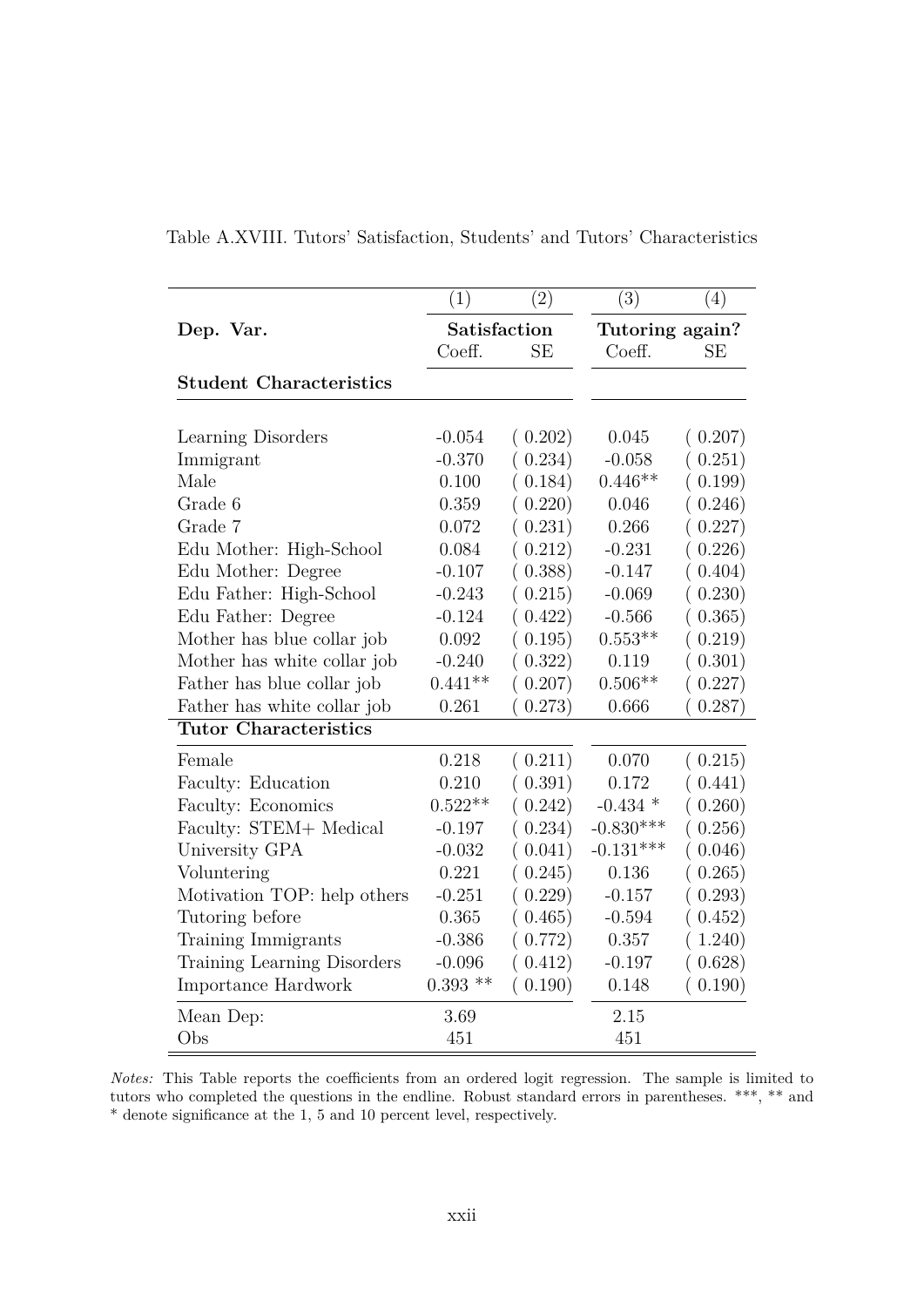|                                | (1)          | (2)       | $\overline{(3)}$ | (4)       |  |
|--------------------------------|--------------|-----------|------------------|-----------|--|
| Dep. Var.                      | Satisfaction |           | Tutoring again?  |           |  |
|                                | Coeff.       | <b>SE</b> | Coeff.           | <b>SE</b> |  |
| <b>Student Characteristics</b> |              |           |                  |           |  |
| Learning Disorders             | $-0.054$     | (0.202)   | 0.045            | (0.207)   |  |
| Immigrant                      | $-0.370$     | (0.234)   | $-0.058$         | (0.251)   |  |
| Male                           | 0.100        | (0.184)   | $0.446**$        | (0.199)   |  |
| Grade 6                        | 0.359        | (0.220)   | 0.046            | (0.246)   |  |
| Grade 7                        | 0.072        | (0.231)   | 0.266            | (0.227)   |  |
| Edu Mother: High-School        | 0.084        | (0.212)   | $-0.231$         | (0.226)   |  |
| Edu Mother: Degree             | $-0.107$     | (0.388)   | $-0.147$         | (0.404)   |  |
| Edu Father: High-School        | $-0.243$     | (0.215)   | $-0.069$         | (0.230)   |  |
| Edu Father: Degree             | $-0.124$     | (0.422)   | $-0.566$         | (0.365)   |  |
| Mother has blue collar job     | 0.092        | (0.195)   | $0.553**$        | (0.219)   |  |
| Mother has white collar job    | $-0.240$     | (0.322)   | 0.119            | (0.301)   |  |
| Father has blue collar job     | $0.441**$    | (0.207)   | $0.506**$        | (0.227)   |  |
| Father has white collar job    | 0.261        | (0.273)   | 0.666            | (0.287)   |  |
| <b>Tutor Characteristics</b>   |              |           |                  |           |  |
| Female                         | 0.218        | (0.211)   | 0.070            | (0.215)   |  |
| Faculty: Education             | 0.210        | (0.391)   | 0.172            | (0.441)   |  |
| Faculty: Economics             | $0.522**$    | (0.242)   | $-0.434$ *       | (0.260)   |  |
| Faculty: STEM+ Medical         | $-0.197$     | (0.234)   | $-0.830***$      | (0.256)   |  |
| University GPA                 | $-0.032$     | (0.041)   | $-0.131***$      | (0.046)   |  |
| Voluntering                    | 0.221        | (0.245)   | 0.136            | (0.265)   |  |
| Motivation TOP: help others    | $-0.251$     | (0.229)   | $-0.157$         | (0.293)   |  |
| Tutoring before                | 0.365        | (0.465)   | $-0.594$         | (0.452)   |  |
| Training Immigrants            | $-0.386$     | (0.772)   | 0.357            | (1.240)   |  |
| Training Learning Disorders    | $-0.096$     | (0.412)   | $-0.197$         | (0.628)   |  |
| Importance Hardwork            | $0.393$ **   | (0.190)   | 0.148            | (0.190)   |  |
| Mean Dep:                      | 3.69         |           | 2.15             |           |  |
| Obs                            | 451          |           | 451              |           |  |

Table A.XVIII. Tutors' Satisfaction, Students' and Tutors' Characteristics

*Notes:* This Table reports the coefficients from an ordered logit regression. The sample is limited to tutors who completed the questions in the endline. Robust standard errors in parentheses. \*\*\*, \*\* and \* denote significance at the 1, 5 and 10 percent level, respectively.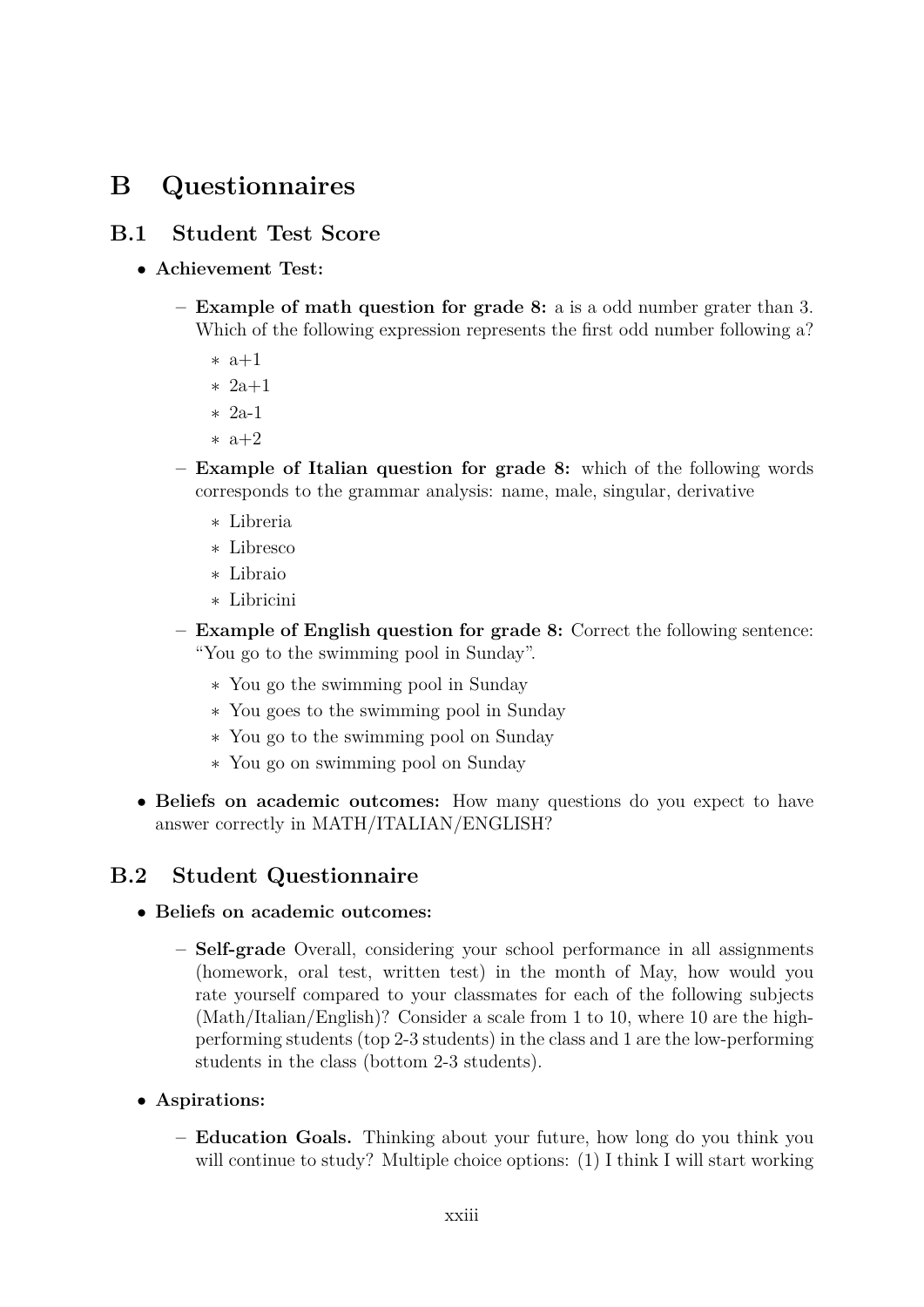# **B Questionnaires**

# **B.1 Student Test Score**

- **Achievement Test:**
	- **– Example of math question for grade 8:** a is a odd number grater than 3. Which of the following expression represents the first odd number following a?
		- ∗ a+1
		- ∗ 2a+1
		- ∗ 2a-1
		- ∗ a+2
	- **– Example of Italian question for grade 8:** which of the following words corresponds to the grammar analysis: name, male, singular, derivative
		- ∗ Libreria
		- ∗ Libresco
		- ∗ Libraio
		- ∗ Libricini
	- **– Example of English question for grade 8:** Correct the following sentence: "You go to the swimming pool in Sunday".
		- ∗ You go the swimming pool in Sunday
		- ∗ You goes to the swimming pool in Sunday
		- ∗ You go to the swimming pool on Sunday
		- ∗ You go on swimming pool on Sunday
- **Beliefs on academic outcomes:** How many questions do you expect to have answer correctly in MATH/ITALIAN/ENGLISH?

# **B.2 Student Questionnaire**

- **Beliefs on academic outcomes:**
	- **– Self-grade** Overall, considering your school performance in all assignments (homework, oral test, written test) in the month of May, how would you rate yourself compared to your classmates for each of the following subjects (Math/Italian/English)? Consider a scale from 1 to 10, where 10 are the highperforming students (top 2-3 students) in the class and 1 are the low-performing students in the class (bottom 2-3 students).
- **Aspirations:**
	- **– Education Goals.** Thinking about your future, how long do you think you will continue to study? Multiple choice options: (1) I think I will start working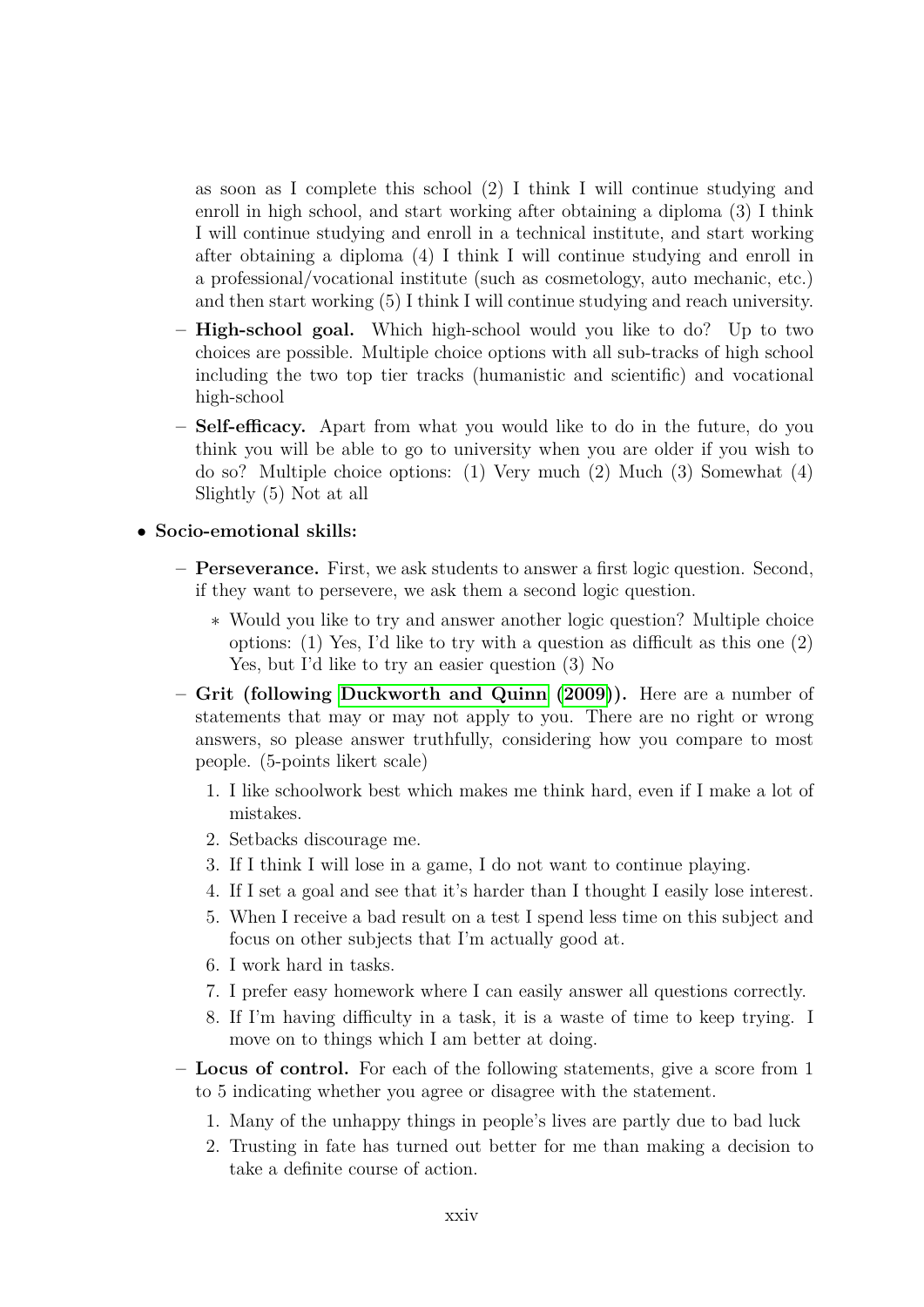as soon as I complete this school (2) I think I will continue studying and enroll in high school, and start working after obtaining a diploma (3) I think I will continue studying and enroll in a technical institute, and start working after obtaining a diploma (4) I think I will continue studying and enroll in a professional/vocational institute (such as cosmetology, auto mechanic, etc.) and then start working (5) I think I will continue studying and reach university.

- **– High-school goal.** Which high-school would you like to do? Up to two choices are possible. Multiple choice options with all sub-tracks of high school including the two top tier tracks (humanistic and scientific) and vocational high-school
- **– Self-efficacy.** Apart from what you would like to do in the future, do you think you will be able to go to university when you are older if you wish to do so? Multiple choice options: (1) Very much (2) Much (3) Somewhat (4) Slightly (5) Not at all

#### • **Socio-emotional skills:**

- **– Perseverance.** First, we ask students to answer a first logic question. Second, if they want to persevere, we ask them a second logic question.
	- ∗ Would you like to try and answer another logic question? Multiple choice options: (1) Yes, I'd like to try with a question as difficult as this one (2) Yes, but I'd like to try an easier question (3) No
- **– Grit (following [Duckworth and Quinn](#page-34-0) [\(2009\)](#page-34-0)).** Here are a number of statements that may or may not apply to you. There are no right or wrong answers, so please answer truthfully, considering how you compare to most people. (5-points likert scale)
	- 1. I like schoolwork best which makes me think hard, even if I make a lot of mistakes.
	- 2. Setbacks discourage me.
	- 3. If I think I will lose in a game, I do not want to continue playing.
	- 4. If I set a goal and see that it's harder than I thought I easily lose interest.
	- 5. When I receive a bad result on a test I spend less time on this subject and focus on other subjects that I'm actually good at.
	- 6. I work hard in tasks.
	- 7. I prefer easy homework where I can easily answer all questions correctly.
	- 8. If I'm having difficulty in a task, it is a waste of time to keep trying. I move on to things which I am better at doing.
- **– Locus of control.** For each of the following statements, give a score from 1 to 5 indicating whether you agree or disagree with the statement.
	- 1. Many of the unhappy things in people's lives are partly due to bad luck
	- 2. Trusting in fate has turned out better for me than making a decision to take a definite course of action.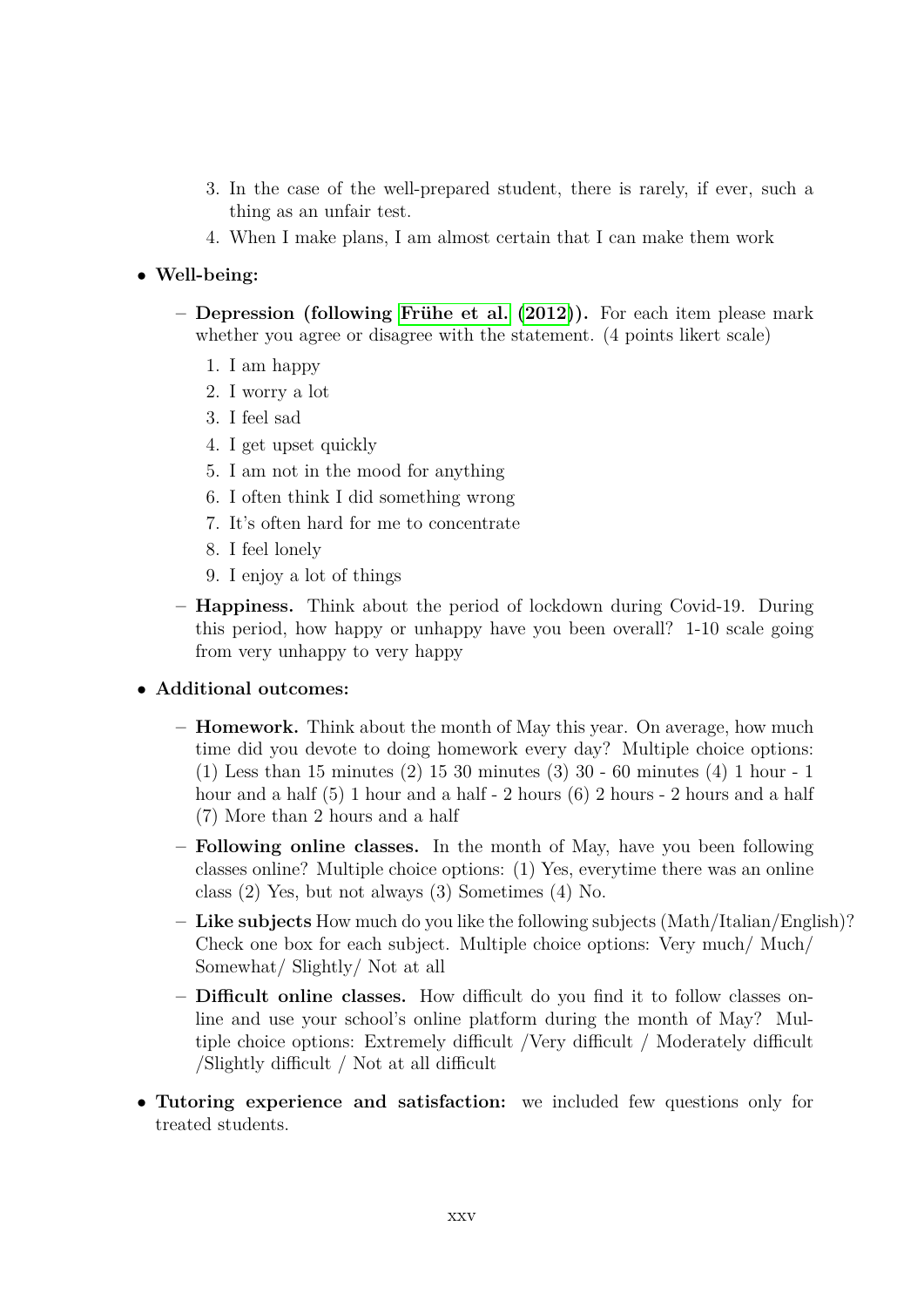- 3. In the case of the well-prepared student, there is rarely, if ever, such a thing as an unfair test.
- 4. When I make plans, I am almost certain that I can make them work

#### • **Well-being:**

- **– Depression (following [Fr¨uhe et al.](#page-34-1) [\(2012\)](#page-34-1)).** For each item please mark whether you agree or disagree with the statement. (4 points likert scale)
	- 1. I am happy
	- 2. I worry a lot
	- 3. I feel sad
	- 4. I get upset quickly
	- 5. I am not in the mood for anything
	- 6. I often think I did something wrong
	- 7. It's often hard for me to concentrate
	- 8. I feel lonely
	- 9. I enjoy a lot of things
- **– Happiness.** Think about the period of lockdown during Covid-19. During this period, how happy or unhappy have you been overall? 1-10 scale going from very unhappy to very happy

#### • **Additional outcomes:**

- **– Homework.** Think about the month of May this year. On average, how much time did you devote to doing homework every day? Multiple choice options: (1) Less than 15 minutes (2) 15 30 minutes (3) 30 - 60 minutes (4) 1 hour - 1 hour and a half (5) 1 hour and a half - 2 hours (6) 2 hours - 2 hours and a half (7) More than 2 hours and a half
- **– Following online classes.** In the month of May, have you been following classes online? Multiple choice options: (1) Yes, everytime there was an online class (2) Yes, but not always (3) Sometimes (4) No.
- **– Like subjects** How much do you like the following subjects (Math/Italian/English)? Check one box for each subject. Multiple choice options: Very much/ Much/ Somewhat/ Slightly/ Not at all
- **– Difficult online classes.** How difficult do you find it to follow classes online and use your school's online platform during the month of May? Multiple choice options: Extremely difficult /Very difficult / Moderately difficult /Slightly difficult / Not at all difficult
- **Tutoring experience and satisfaction:** we included few questions only for treated students.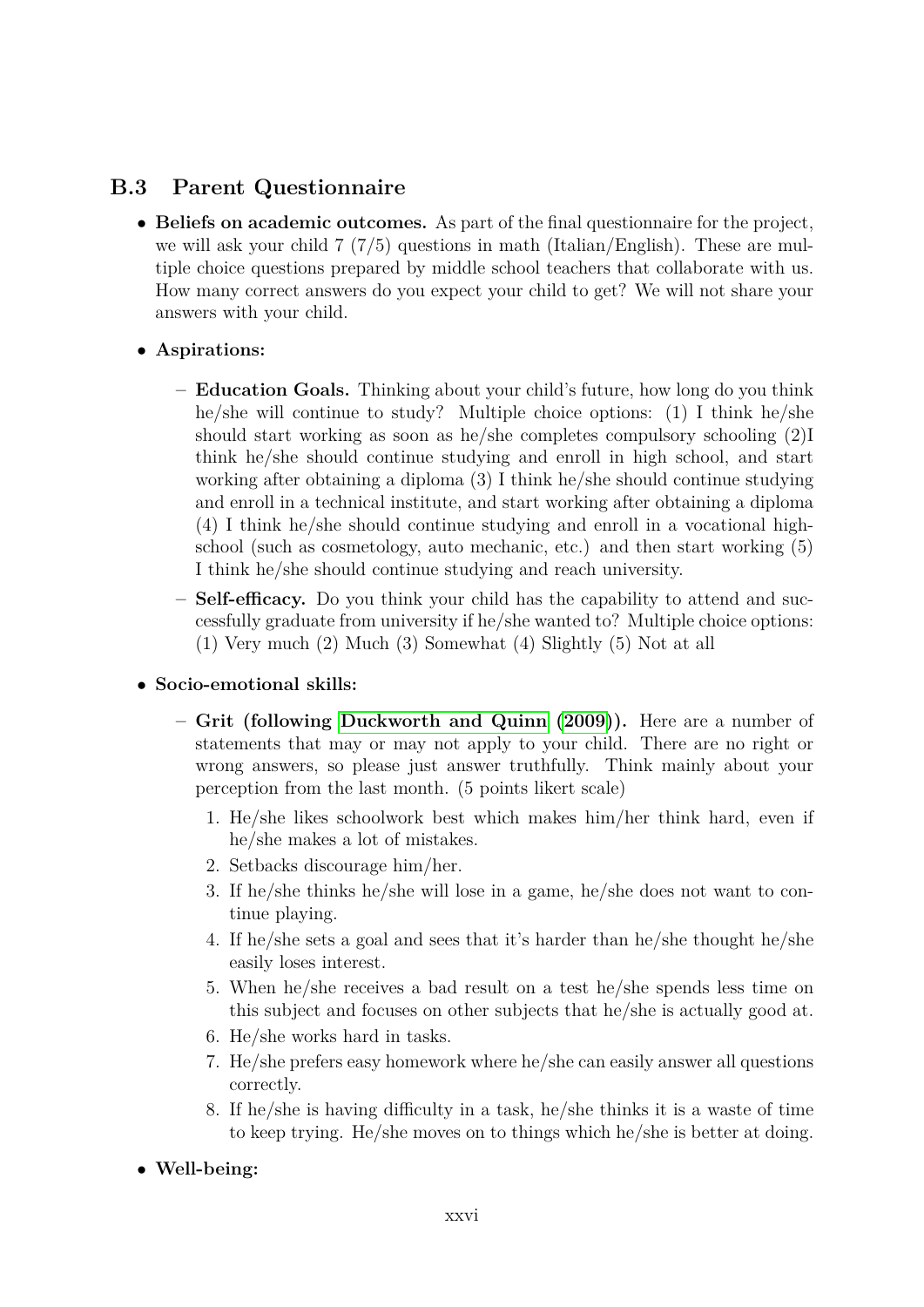## **B.3 Parent Questionnaire**

- **Beliefs on academic outcomes.** As part of the final questionnaire for the project, we will ask your child 7 (7/5) questions in math (Italian/English). These are multiple choice questions prepared by middle school teachers that collaborate with us. How many correct answers do you expect your child to get? We will not share your answers with your child.
- **Aspirations:**
	- **– Education Goals.** Thinking about your child's future, how long do you think he/she will continue to study? Multiple choice options: (1) I think he/she should start working as soon as he/she completes compulsory schooling (2)I think he/she should continue studying and enroll in high school, and start working after obtaining a diploma (3) I think he/she should continue studying and enroll in a technical institute, and start working after obtaining a diploma (4) I think he/she should continue studying and enroll in a vocational highschool (such as cosmetology, auto mechanic, etc.) and then start working (5) I think he/she should continue studying and reach university.
	- **– Self-efficacy.** Do you think your child has the capability to attend and successfully graduate from university if he/she wanted to? Multiple choice options: (1) Very much (2) Much (3) Somewhat (4) Slightly (5) Not at all

### • **Socio-emotional skills:**

- **– Grit (following [Duckworth and Quinn](#page-34-0) [\(2009\)](#page-34-0)).** Here are a number of statements that may or may not apply to your child. There are no right or wrong answers, so please just answer truthfully. Think mainly about your perception from the last month. (5 points likert scale)
	- 1. He/she likes schoolwork best which makes him/her think hard, even if he/she makes a lot of mistakes.
	- 2. Setbacks discourage him/her.
	- 3. If he/she thinks he/she will lose in a game, he/she does not want to continue playing.
	- 4. If he/she sets a goal and sees that it's harder than he/she thought he/she easily loses interest.
	- 5. When he/she receives a bad result on a test he/she spends less time on this subject and focuses on other subjects that he/she is actually good at.
	- 6. He/she works hard in tasks.
	- 7. He/she prefers easy homework where he/she can easily answer all questions correctly.
	- 8. If he/she is having difficulty in a task, he/she thinks it is a waste of time to keep trying. He/she moves on to things which he/she is better at doing.

### • **Well-being:**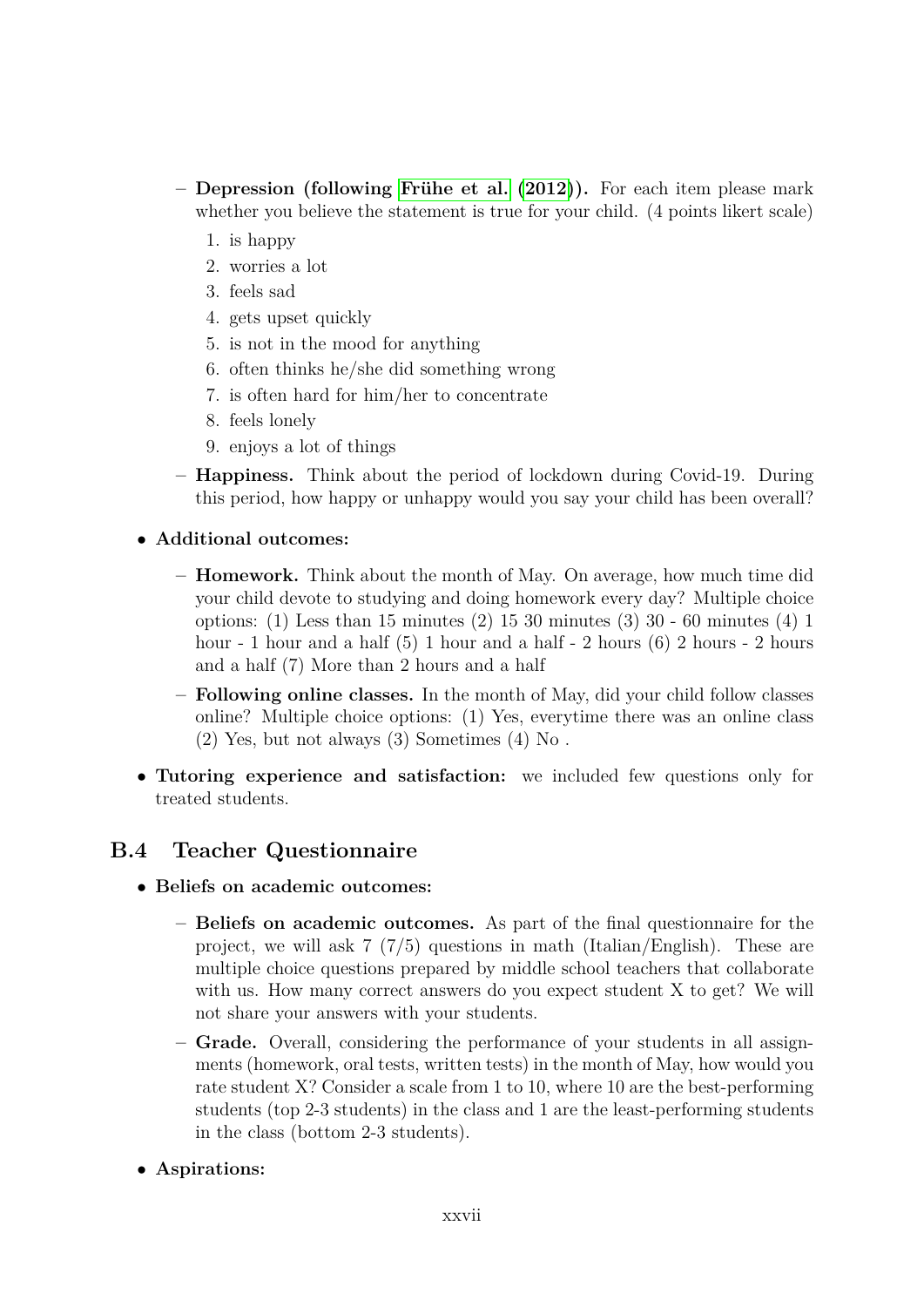- **– Depression (following [Fr¨uhe et al.](#page-34-1) [\(2012\)](#page-34-1)).** For each item please mark whether you believe the statement is true for your child. (4 points likert scale)
	- 1. is happy
	- 2. worries a lot
	- 3. feels sad
	- 4. gets upset quickly
	- 5. is not in the mood for anything
	- 6. often thinks he/she did something wrong
	- 7. is often hard for him/her to concentrate
	- 8. feels lonely
	- 9. enjoys a lot of things
- **– Happiness.** Think about the period of lockdown during Covid-19. During this period, how happy or unhappy would you say your child has been overall?
- **Additional outcomes:**
	- **– Homework.** Think about the month of May. On average, how much time did your child devote to studying and doing homework every day? Multiple choice options: (1) Less than 15 minutes (2) 15 30 minutes (3) 30 - 60 minutes (4) 1 hour - 1 hour and a half (5) 1 hour and a half - 2 hours (6) 2 hours - 2 hours and a half (7) More than 2 hours and a half
	- **– Following online classes.** In the month of May, did your child follow classes online? Multiple choice options: (1) Yes, everytime there was an online class (2) Yes, but not always (3) Sometimes (4) No .
- **Tutoring experience and satisfaction:** we included few questions only for treated students.

## **B.4 Teacher Questionnaire**

- **Beliefs on academic outcomes:**
	- **– Beliefs on academic outcomes.** As part of the final questionnaire for the project, we will ask  $7 \frac{7}{5}$  questions in math (Italian/English). These are multiple choice questions prepared by middle school teachers that collaborate with us. How many correct answers do you expect student X to get? We will not share your answers with your students.
	- **– Grade.** Overall, considering the performance of your students in all assignments (homework, oral tests, written tests) in the month of May, how would you rate student X? Consider a scale from 1 to 10, where 10 are the best-performing students (top 2-3 students) in the class and 1 are the least-performing students in the class (bottom 2-3 students).
- **Aspirations:**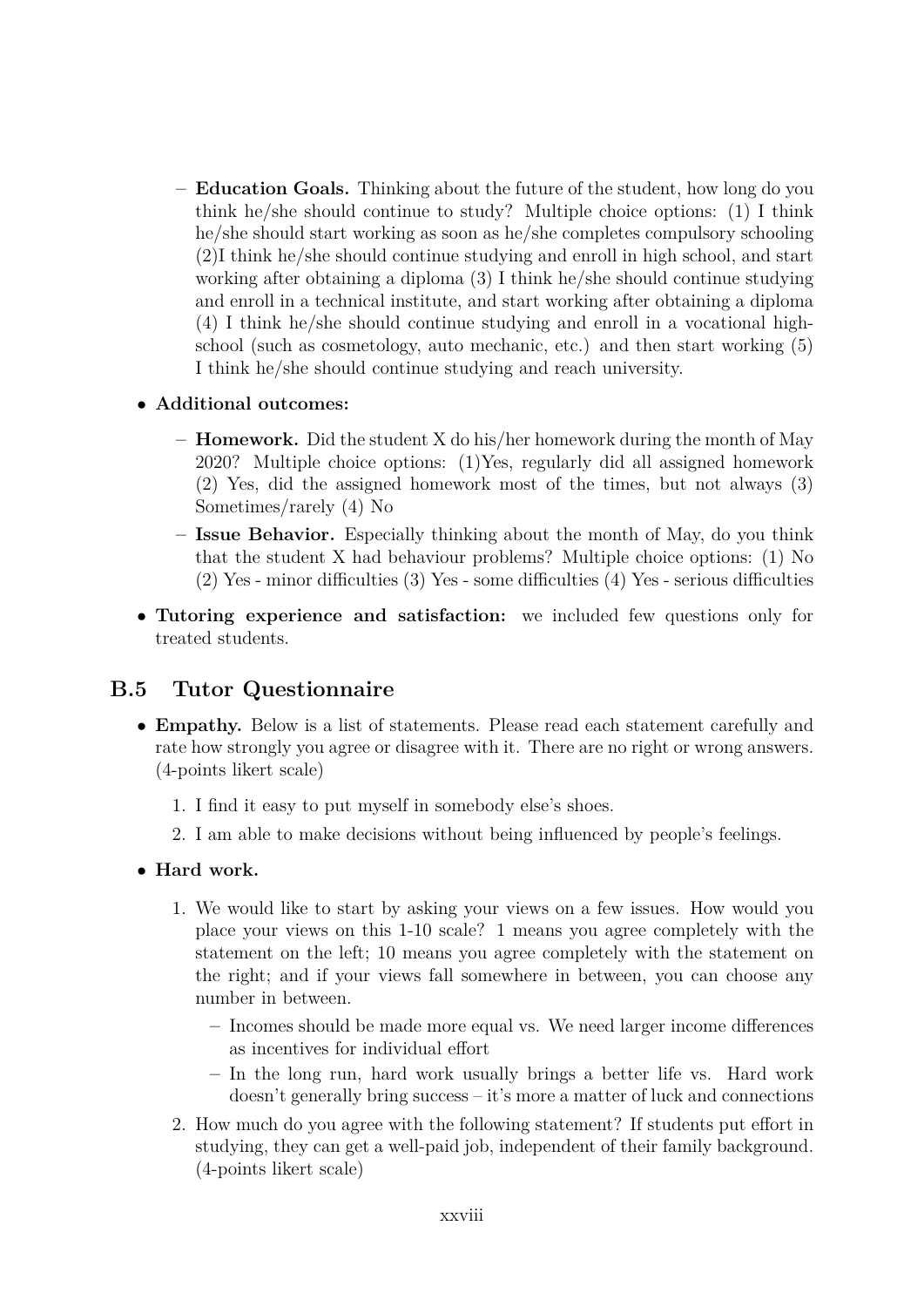- **– Education Goals.** Thinking about the future of the student, how long do you think he/she should continue to study? Multiple choice options: (1) I think he/she should start working as soon as he/she completes compulsory schooling (2)I think he/she should continue studying and enroll in high school, and start working after obtaining a diploma (3) I think he/she should continue studying and enroll in a technical institute, and start working after obtaining a diploma (4) I think he/she should continue studying and enroll in a vocational highschool (such as cosmetology, auto mechanic, etc.) and then start working (5) I think he/she should continue studying and reach university.
- **Additional outcomes:**
	- **– Homework.** Did the student X do his/her homework during the month of May 2020? Multiple choice options: (1)Yes, regularly did all assigned homework (2) Yes, did the assigned homework most of the times, but not always (3) Sometimes/rarely (4) No
	- **– Issue Behavior.** Especially thinking about the month of May, do you think that the student X had behaviour problems? Multiple choice options: (1) No (2) Yes - minor difficulties (3) Yes - some difficulties (4) Yes - serious difficulties
- **Tutoring experience and satisfaction:** we included few questions only for treated students.

## **B.5 Tutor Questionnaire**

- **Empathy.** Below is a list of statements. Please read each statement carefully and rate how strongly you agree or disagree with it. There are no right or wrong answers. (4-points likert scale)
	- 1. I find it easy to put myself in somebody else's shoes.
	- 2. I am able to make decisions without being influenced by people's feelings.

#### • **Hard work.**

- 1. We would like to start by asking your views on a few issues. How would you place your views on this 1-10 scale? 1 means you agree completely with the statement on the left; 10 means you agree completely with the statement on the right; and if your views fall somewhere in between, you can choose any number in between.
	- **–** Incomes should be made more equal vs. We need larger income differences as incentives for individual effort
	- **–** In the long run, hard work usually brings a better life vs. Hard work  $\alpha$  doesn't generally bring success – it's more a matter of luck and connections
- 2. How much do you agree with the following statement? If students put effort in studying, they can get a well-paid job, independent of their family background. (4-points likert scale)